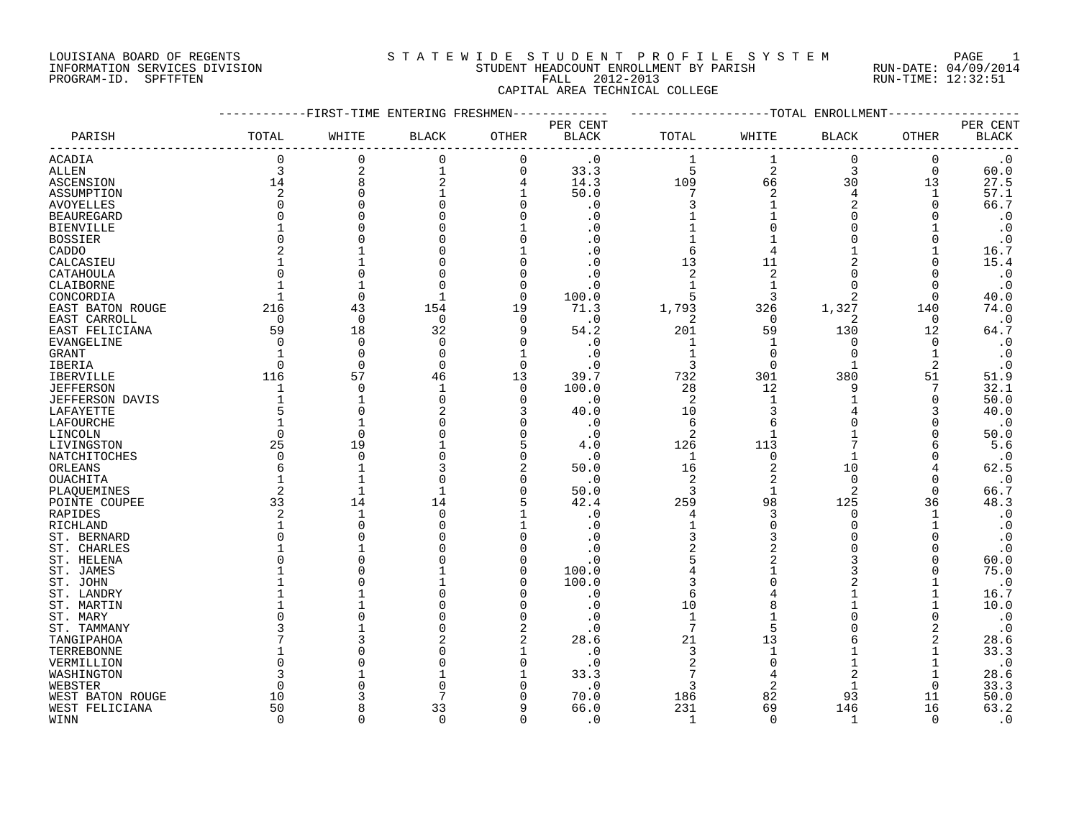#### LOUISIANA BOARD OF REGENTS SOURCLEARIE WIDE STUDENT PROFILE SYSTEM PAGE 1 INFORMATION SERVICES DIVISION STUDENT HEADCOUNT ENROLLMENT BY PARISH RUN-DATE: 04/09/2014 PROGRAM-ID. SPFTFTEN FALL 2012-2013 RUN-TIME: 12:32:51 CAPITAL AREA TECHNICAL COLLEGE

|                        |             | -FIRST-TIME ENTERING FRESHMEN |              |             |                                |                |                | --TOTAL ENROLLMENT |             |                                    |
|------------------------|-------------|-------------------------------|--------------|-------------|--------------------------------|----------------|----------------|--------------------|-------------|------------------------------------|
| PARISH                 | TOTAL       | WHITE                         | <b>BLACK</b> | OTHER       | PER CENT<br><b>BLACK</b>       | TOTAL          | WHITE          | BLACK              | OTHER       | PER CENT<br>$\operatorname{BLACK}$ |
|                        |             |                               |              |             |                                |                |                |                    |             |                                    |
| <b>ACADIA</b>          | 0           | $\mathbf 0$                   | $\mathbf 0$  | $\mathbf 0$ | $\cdot$ 0                      | 1              | 1              | $\mathbf 0$        | $\mathbf 0$ | $\cdot$ 0                          |
| <b>ALLEN</b>           | 3           | $\overline{2}$                | 1            | $\Omega$    | 33.3                           | 5              | $\overline{2}$ | 3                  | $\Omega$    | 60.0                               |
| ASCENSION              | 14          | 8                             | 2            | 4           | 14.3                           | 109            | 66             | 30                 | 13          | 27.5                               |
| ASSUMPTION             | 2           | $\Omega$                      |              | 1           | 50.0                           | 7              | 2              | $\overline{4}$     | 1           | 57.1                               |
| <b>AVOYELLES</b>       | $\Omega$    |                               |              |             | $\cdot$ 0                      | 3              |                | 2                  | $\Omega$    | 66.7                               |
| <b>BEAUREGARD</b>      | $\Omega$    |                               |              |             | . 0                            |                |                |                    | U           | $\cdot$ 0                          |
| <b>BIENVILLE</b>       |             |                               |              |             |                                |                |                |                    |             | $\cdot$ 0                          |
| <b>BOSSIER</b>         | $\Omega$    |                               |              |             |                                |                |                |                    |             | $\cdot$ 0                          |
| CADDO                  |             |                               |              |             |                                | 6              |                |                    |             | 16.7                               |
| CALCASIEU              |             |                               |              |             |                                | 13             | 11             |                    | O           | 15.4                               |
| CATAHOULA              | U           |                               |              |             | . 0                            | 2              | 2              |                    |             | $\cdot$ 0                          |
| CLAIBORNE              |             |                               |              | $\Omega$    | . 0                            |                |                |                    | O           | $\cdot$ 0                          |
| CONCORDIA              |             | $\Omega$                      |              | $\Omega$    | 100.0                          | 5              | ঽ              | 2                  | $\Omega$    | 40.0                               |
| EAST BATON ROUGE       | 216         | 43                            | 154          | 19          | 71.3                           | 1,793          | 326            | 1,327              | 140         | 74.0                               |
| EAST CARROLL           | 0           | $\overline{0}$                | 0            | $\Omega$    | $\cdot$ 0                      | 2              | $\Omega$       | 2                  | 0           | $\cdot$ 0                          |
| EAST FELICIANA         | 59          | 18                            | 32           |             | 54.2                           | 201            | 59             | 130                | 12          | 64.7                               |
|                        | $\Omega$    | 0                             | 0            | $\Omega$    | $\cdot$ 0                      | 1              | 1              | <sup>0</sup>       | 0           | $\cdot$ 0                          |
| EVANGELINE             |             | $\Omega$                      | $\Omega$     |             |                                | $\mathbf{1}$   | $\Omega$       | $\Omega$           |             |                                    |
| GRANT                  | $\Omega$    | $\Omega$                      |              | $\Omega$    | $\cdot$ 0                      |                | $\Omega$       |                    |             | $\cdot$ 0                          |
| IBERIA                 |             |                               | $\mathbf 0$  |             | . 0                            | 3              |                |                    | 2           | $\cdot$ 0                          |
| <b>IBERVILLE</b>       | 116         | 57                            | 46           | 13          | 39.7                           | 732            | 301            | 380                | 51          | 51.9                               |
| <b>JEFFERSON</b>       | 1           | $\Omega$                      | 1            | 0           | 100.0                          | 28             | 12             | 9                  | 7           | 32.1                               |
| <b>JEFFERSON DAVIS</b> |             |                               | $\Omega$     | ∩           | $\cdot$ 0                      | 2              |                |                    | 0           | 50.0                               |
| LAFAYETTE              | 5           | $\cap$                        |              |             | 40.0                           | 10             |                |                    | 3           | 40.0                               |
| LAFOURCHE              | $\mathbf 1$ |                               |              |             | $\cdot$ 0                      | 6              | Б              |                    | O           | $\cdot$ 0                          |
| LINCOLN                | $\Omega$    | $\Omega$                      |              |             | $\cdot$ 0                      | $\overline{2}$ |                |                    |             | 50.0                               |
| LIVINGSTON             | 25          | 19                            |              |             | 4.0                            | 126            | 113            |                    | 6           | 5.6                                |
| NATCHITOCHES           | 0           | $\Omega$                      |              | $\Omega$    | $\cdot$ 0                      | $\mathbf 1$    | $\Omega$       |                    |             | $\cdot$ 0                          |
| ORLEANS                | 6           |                               |              |             | 50.0                           | 16             | 2              | 10                 |             | 62.5                               |
| OUACHITA               | $\mathbf 1$ |                               |              |             | $\cdot$ 0                      | 2              | 2              | $\Omega$           | O           | $\cdot$ 0                          |
| PLAQUEMINES            | 2           | $\mathbf{1}$                  |              | $\Omega$    | 50.0                           | 3              | $\mathbf 1$    | $\overline{2}$     | $\Omega$    | 66.7                               |
| POINTE COUPEE          | 33          | 14                            | 14           |             | 42.4                           | 259            | 98             | 125                | 36          | 48.3                               |
| RAPIDES                | 2           | $\mathbf{1}$                  | $\Omega$     |             | . 0                            | 4              | 3              | $\Omega$           |             | $\cdot$ 0                          |
| RICHLAND               |             | $\cap$                        |              |             | . 0                            |                |                |                    |             | $\cdot$ 0                          |
| ST. BERNARD            | O           |                               |              |             | . 0                            | 3              |                |                    |             | $\cdot$ 0                          |
| ST. CHARLES            |             |                               |              |             | . 0                            |                |                |                    |             | $\cdot$ 0                          |
| ST. HELENA             | U           |                               |              |             | $\cdot$ 0                      |                |                |                    |             | 60.0                               |
| ST. JAMES              |             |                               |              | n           | 100.0                          |                |                |                    |             | 75.0                               |
| ST. JOHN               |             |                               |              |             | 100.0                          | 3              |                |                    |             | $\cdot$ 0                          |
| ST. LANDRY             |             |                               |              |             | $\cdot$ 0                      | 6              |                |                    |             | 16.7                               |
| ST. MARTIN             |             |                               |              | n           | $\cdot$ 0                      | 10             |                |                    |             | 10.0                               |
| ST. MARY               | U           |                               |              | n           | $\cdot$ 0                      | $\mathbf{1}$   |                |                    | $\Omega$    | $\cdot$ 0                          |
| ST. TAMMANY            | 3           |                               |              | 2           | $\cdot$ 0                      | 7              | 5              |                    | 2           | $\cdot$ 0                          |
| TANGIPAHOA             |             |                               |              |             | 28.6                           | 21             | 13             |                    | 2           | 28.6                               |
| TERREBONNE             |             |                               |              |             | $\cdot$ 0                      | 3              |                |                    |             | 33.3                               |
|                        | O           |                               |              |             |                                | 2              |                |                    |             | $\cdot$ 0                          |
| VERMILLION             | 3           |                               |              |             | $\boldsymbol{\cdot}$ 0<br>33.3 |                |                |                    |             |                                    |
| WASHINGTON             | $\Omega$    |                               |              |             | . 0                            | 3              | 2              |                    | O           | 28.6<br>33.3                       |
| WEBSTER                | 10          |                               |              |             |                                | 186            | 82             | 93                 | 11          | 50.0                               |
| WEST BATON ROUGE       |             |                               |              |             | 70.0                           | 231            |                | 146                |             | 63.2                               |
| WEST FELICIANA         | 50          | $\cap$                        | 33           |             | 66.0                           |                | 69             |                    | 16          |                                    |
| WINN                   | $\Omega$    |                               | $\Omega$     | $\Omega$    | .0                             | $\mathbf{1}$   | $\Omega$       | $\mathbf{1}$       | $\Omega$    | $\cdot$ 0                          |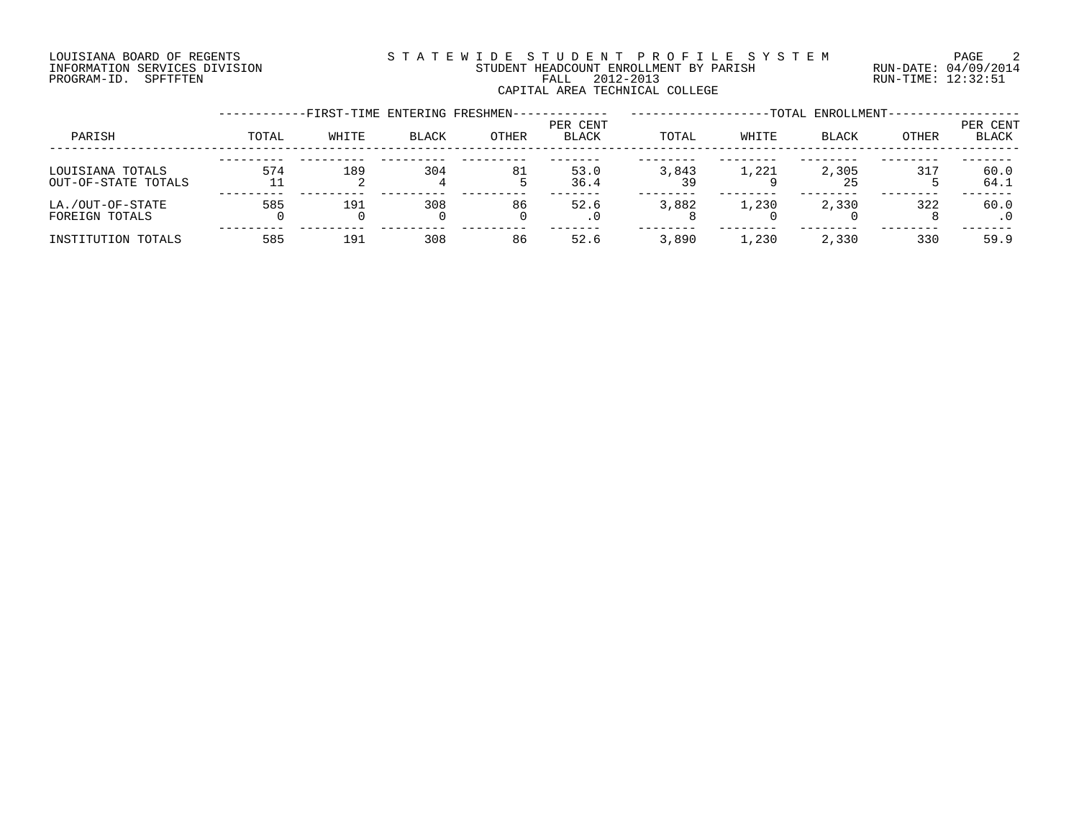#### LOUISIANA BOARD OF REGENTS SOURCLEARIE WIDE STUDENT PROFILE SYSTEM PAGE 2 INFORMATION SERVICES DIVISION STUDENT HEADCOUNT ENROLLMENT BY PARISH RUN-DATE: 04/09/2014 PROGRAM-ID. SPFTFTEN FALL 2012-2013 RUN-TIME: 12:32:51 CAPITAL AREA TECHNICAL COLLEGE

|                                         |       | -FIRST-TIME ENTERING FRESHMEN- |          |       |                          |             |         | -TOTAL ENROLLMENT- |       |                   |
|-----------------------------------------|-------|--------------------------------|----------|-------|--------------------------|-------------|---------|--------------------|-------|-------------------|
| PARISH                                  | TOTAL | WHITE                          | BLACK    | OTHER | PER CENT<br><b>BLACK</b> | TOTAL       | WHITE   | <b>BLACK</b>       | OTHER | PER CENT<br>BLACK |
| LOUISIANA TOTALS<br>OUT-OF-STATE TOTALS | 574   | 189                            | 304      | 81    | 53.0<br>36.4             | 3,843<br>39 | 1,221   | 2,305<br>25        | 317   | 60.0<br>64.1      |
| LA./OUT-OF-STATE<br>FOREIGN TOTALS      | 585   | 191                            | 308<br>0 | 86    | 52.6                     | 3,882       | 1,230   | 2,330              | 322   | 60.0              |
| INSTITUTION TOTALS                      | 585   | 191                            | 308      | 86    | 52.6                     | 3,890       | . . 230 | 2,330              | 330   | 59.9              |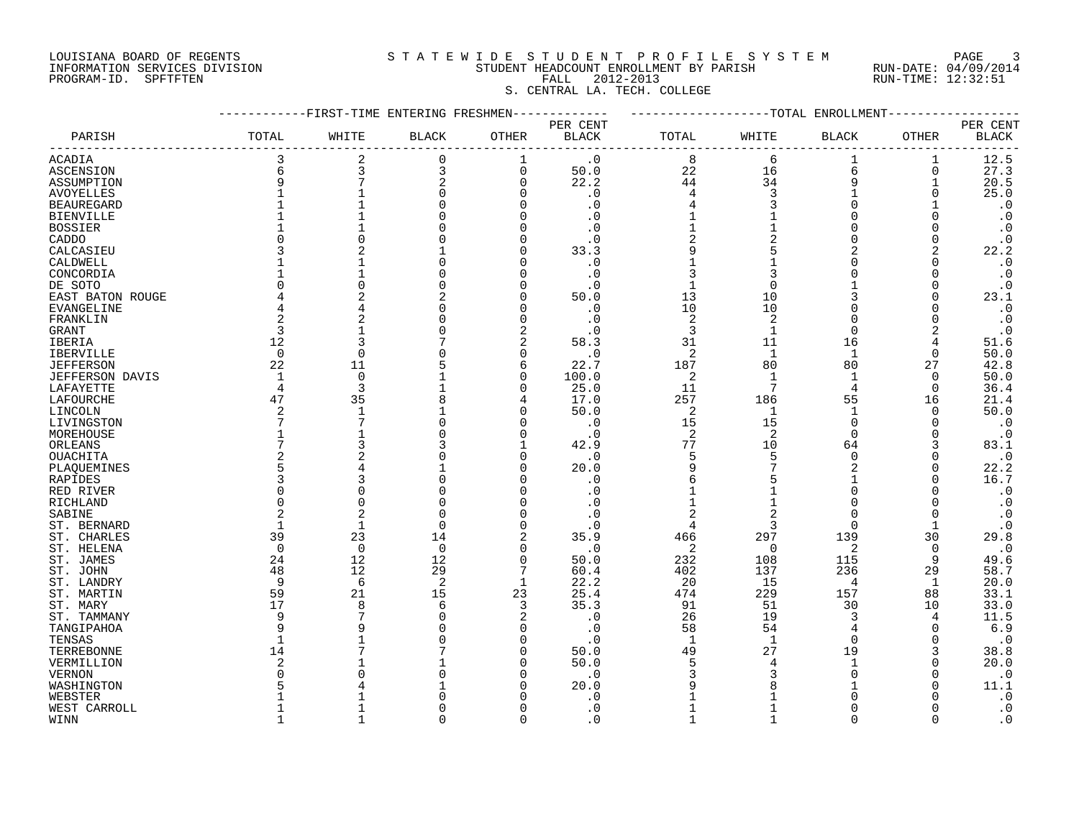#### LOUISIANA BOARD OF REGENTS SOURCLEARIE STA T E W I D E S T U D E N T P R O F I L E S Y S T E M PAGE 3 INFORMATION SERVICES DIVISION STUDENT HEADCOUNT ENROLLMENT BY PARISH RUN-DATE: 04/09/2014 PROGRAM-ID. SPFTFTEN FALL 2012-2013 RUN-TIME: 12:32:51

S. CENTRAL LA. TECH. COLLEGE

#### ------------FIRST-TIME ENTERING FRESHMEN------------- -------------------TOTAL ENROLLMENT------------------ PER CENT PER CENT PARISH TOTAL WHITE BLACK OTHER BLACK TOTAL WHITE BLACK OTHER BLACK ------------------------------------------------------------------------------------------------------------------------------------ ACADIA 3 2 0 1 .0 8 6 1 1 12.5 ASCENSION 6 3 3 0 50.0 22 16 6 0 27.3 ASSUMPTION 9 7 2 0 22.2 44 34 9 1 20.5 AVOYELLES 1 1 0 0 .0 4 3 1 0 25.0 BEAUREGARD 1 1 0 0 .0 4 3 0 1 .0 BIENVILLE 1 1 0 0 .0 1 1 0 0 .0 BOSSIER 1 1 0 0 .0 1 1 0 0 .0 CADDO 0 0 0 0 .0 2 2 0 0 .0 CALCASIEU 3 2 1 0 33.3 9 5 2 2 22.2 CALDWELL 1 1 0 0 .0 1 1 0 0 .0 CONCORDIA 1 1 0 0 .0 3 3 0 0 .0 DE SOTO 0 0 0 0 .0 1 0 1 0 .0 EAST BATON ROUGE 4 2 2 0 50.0 13 10 3 0 23.1 EVANGELINE 4 4 0 0 .0 10 10 0 0 .0 FRANKLIN 2 2 0 0 .0 2 2 0 0 .0 GRANT 3 1 0 2 .0 3 1 0 2 .0 IBERIA 12 3 7 2 58.3 31 11 16 4 51.6 IBERVILLE 0 0 0 0 .0 2 1 1 0 50.0 JEFFERSON 22 11 5 6 22.7 187 80 80 27 42.8 JEFFERSON DAVIS 1 0 1 0 100.0 2 1 1 0 50.0 LAFAYETTE 4 3 1 0 25.0 11 7 4 0 36.4 LAFOURCHE 47 35 8 4 17.0 257 186 55 16 21.4 LINCOLN 2 1 1 0 50.0 2 1 1 0 50.0 LIVINGSTON 7 7 0 0 .0 15 15 0 0 .0 MOREHOUSE 1 1 0 0 .0 2 2 0 0 .0 ORLEANS 7 3 3 1 42.9 77 10 64 3 83.1 OUACHITA 2 2 0 0 .0 5 5 0 0 .0 PLAQUEMINES 5 4 1 0 20.0 9 7 2 0 22.2 RAPIDES 3 3 0 0 .0 6 5 1 0 16.7 RED RIVER 0 0 0 0 .0 1 1 0 0 .0 RICHLAND 0 0 0 0 1 1 0 0 .0 SABINE 2 2 0 0 .0 2 2 0 0 .0 ST. BERNARD 1 1 0 0 .0 4 3 0 1 .0 ST. CHARLES 39 23 14 2 35.9 466 297 139 30 29.8 ST. HELENA 0 0 0 0 .0 2 0 2 0 .0 ST. JAMES 24 12 12 0 50.0 232 108 115 9 49.6 ST. JOHN 48 12 29 7 60.4 402 137 236 29 58.7 ST. LANDRY 9 6 2 1 22.2 20 15 4 1 20.0 ST. MARTIN 59 21 15 23 25.4 474 229 157 88 33.1 ST. MARY 17 8 6 3 35.3 91 51 30 10 33.0 ST. TAMMANY 9 7 0 2 .0 26 19 3 4 11.5 TANGIPAHOA 9 9 0 0 .0 58 54 4 0 6.9 TENSAS 1 1 0 0 .0 1 1 0 0 .0 TERREBONNE 14 7 7 0 50.0 49 27 19 3 38.8 VERMILLION 2 1 1 0 50.0 5 4 1 0 20.0 VERNON 0 0 0 0 .0 3 3 0 0 .0 WASHINGTON 5 4 1 0 20.0 9 8 1 0 11.1 WEBSTER 1 1 0 0 .0 1 1 0 0 .0 WEST CARROLL 1 1 0 0 .0 1 1 0 0 .0

WINN 1 1 0 0 .0 1 1 0 0 .0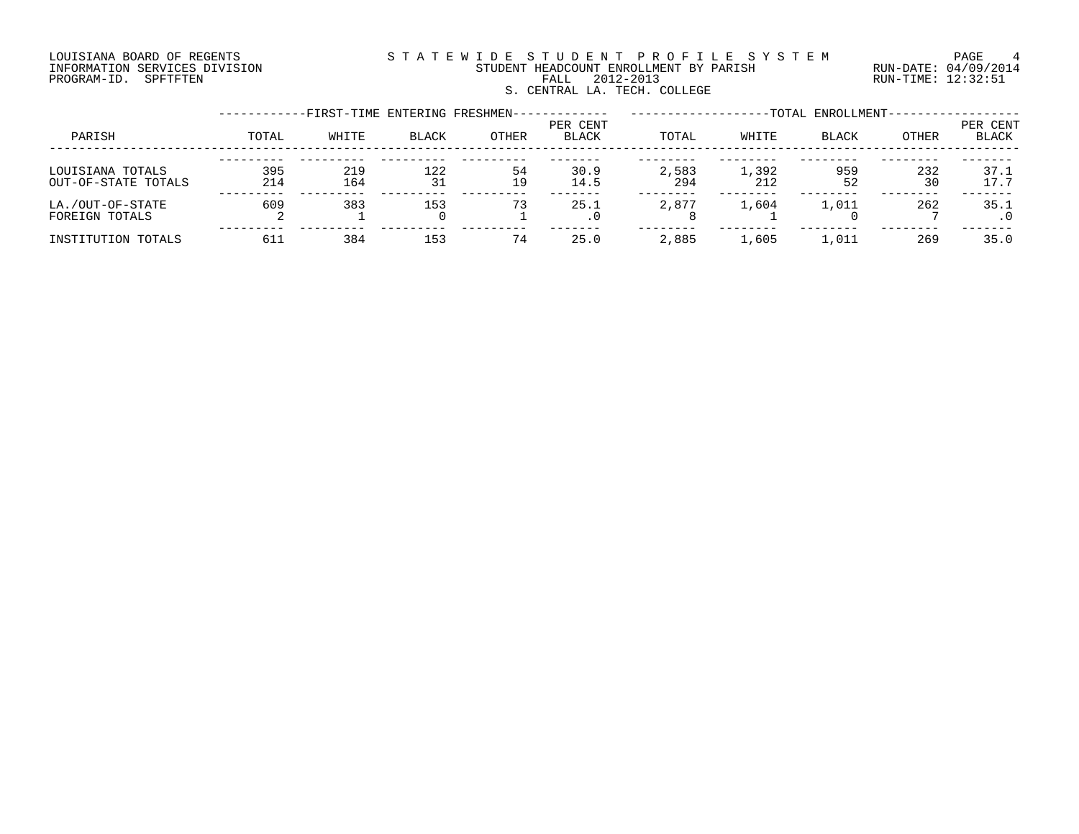#### LOUISIANA BOARD OF REGENTS S T A T E W I D E S T U D E N T P R O F I L E S Y S T E M PAGE 4 INFORMATION SERVICES DIVISION STUDENT HEADCOUNT ENROLLMENT BY PARISH RUN-DATE: 04/09/2014 PROGRAM-ID. SPFTFTEN FALL 2012-2013 RUN-TIME: 12:32:51 S. CENTRAL LA. TECH. COLLEGE

|                                         |            | -FIRST-TIME ENTERING FRESHMEN- |              |          |                          |              |              | -TOTAL ENROLLMENT- |           |                   |
|-----------------------------------------|------------|--------------------------------|--------------|----------|--------------------------|--------------|--------------|--------------------|-----------|-------------------|
| PARISH                                  | TOTAL      | WHITE                          | <b>BLACK</b> | OTHER    | PER CENT<br><b>BLACK</b> | TOTAL        | WHITE        | BLACK              | OTHER     | PER CENT<br>BLACK |
| LOUISIANA TOTALS<br>OUT-OF-STATE TOTALS | 395<br>214 | 219<br>164                     | 122<br>31    | 54<br>19 | 30.9<br>14.5             | 2,583<br>294 | 1,392<br>212 | 959<br>52          | 232<br>30 | 37.1<br>17.7      |
| LA./OUT-OF-STATE<br>FOREIGN TOTALS      | 609        | 383                            | 153          | 73       | 25.1<br>. 0              | 2,877        | 1,604        | 1,011              | 262       | 35.1              |
| INSTITUTION TOTALS                      | 611        | 384                            | 153          | 74       | 25.0                     | 2,885        | 1,605        | 1,011              | 269       | 35.0              |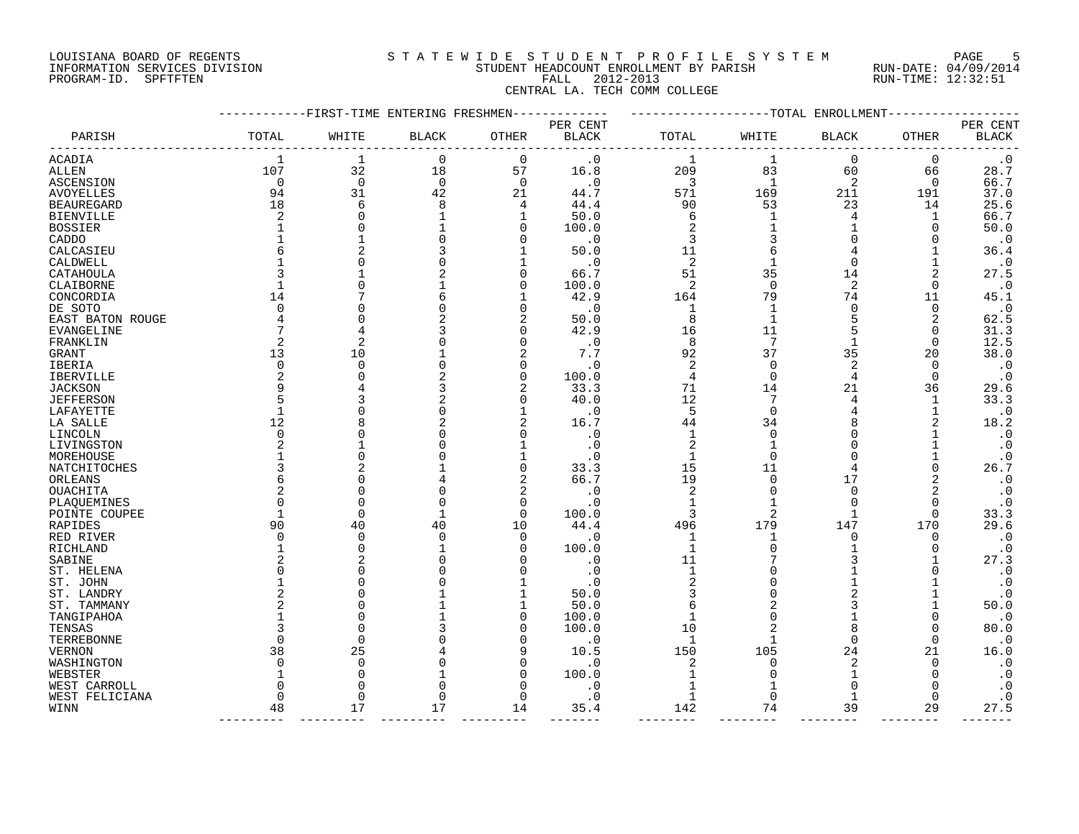#### LOUISIANA BOARD OF REGENTS SOURCLEARIE STA T E W I D E S T U D E N T P R O F I L E S Y S T E M PAGE 5 INFORMATION SERVICES DIVISION STUDENT HEADCOUNT ENROLLMENT BY PARISH RUN-DATE: 04/09/2014 PROGRAM-ID. SPFTFTEN FALL 2012-2013 RUN-TIME: 12:32:51 CENTRAL LA. TECH COMM COLLEGE

|                   |              | -FIRST-TIME ENTERING FRESHMEN |              |              |                          |                | -TOTAL      | ENROLLMENT   |              |                          |
|-------------------|--------------|-------------------------------|--------------|--------------|--------------------------|----------------|-------------|--------------|--------------|--------------------------|
| PARISH            | TOTAL        | WHITE                         | <b>BLACK</b> | OTHER        | PER CENT<br><b>BLACK</b> | TOTAL          | WHITE       | <b>BLACK</b> | <b>OTHER</b> | PER CENT<br><b>BLACK</b> |
|                   |              |                               |              |              |                          |                |             |              |              |                          |
| ACADIA            | 1            | $\mathbf 1$                   | $\mathbf 0$  | 0            | $\cdot$ 0                | $\mathbf 1$    | $\mathbf 1$ | $\mathbf 0$  | 0            | $\cdot$ 0                |
| ALLEN             | 107          | 32                            | 18           | 57           | 16.8                     | 209            | 83          | 60           | 66           | 28.7                     |
| ASCENSION         | 0            | 0                             | $\mathbf 0$  | 0            | . 0                      | 3              | 1           | 2            | 0            | 66.7                     |
| AVOYELLES         | 94           | 31                            | 42           | 21           | 44.7                     | 571            | 169         | 211          | 191          | 37.0                     |
| <b>BEAUREGARD</b> | 18           | 6                             | 8            | 4            | 44.4                     | 90             | 53          | 23           | 14           | 25.6                     |
| <b>BIENVILLE</b>  | 2            | $\Omega$                      | 1            | 1            | 50.0                     | 6              | 1           | 4            | 1            | 66.7                     |
| <b>BOSSIER</b>    |              | $\Omega$                      | $\mathbf{1}$ | 0            | 100.0                    | 2              |             | 1            | 0            | 50.0                     |
| CADDO             |              | 1                             | $\Omega$     | 0            | $\cdot$ 0                | 3              |             | $\Omega$     | 0            | $\cdot$ 0                |
| CALCASIEU         |              | 2                             |              | $\mathbf{1}$ | 50.0                     | 11             | 6           | 4            |              | 36.4                     |
| CALDWELL          |              | $\Omega$                      |              | 1            | $\cdot$ 0                | 2              |             | $\Omega$     |              | $\cdot$ 0                |
| CATAHOULA         |              | 1                             |              | 0            | 66.7                     | 51             | 35          | 14           | 2            | 27.5                     |
| CLAIBORNE         |              | 0                             |              | 0            | 100.0                    | 2              | 0           | 2            | 0            | $\cdot$ 0                |
| CONCORDIA         | 14           | 7                             |              | 1            | 42.9                     | 164            | 79          | 74           | 11           | 45.1                     |
| DE SOTO           |              | $\Omega$                      |              | 0            | . 0                      | 1              | 1           | 0            | 0            | $\cdot$ 0                |
| EAST BATON ROUGE  |              | $\Omega$                      |              | 2            | 50.0                     | 8              |             | 5            | 2            | 62.5                     |
| EVANGELINE        |              | 4                             |              | 0            | 42.9                     | 16             | 11          | 5            | 0            | 31.3                     |
| FRANKLIN          |              | 2                             |              | 0            | $\cdot$ 0                | 8              | 7           | 1            | 0            | 12.5                     |
| GRANT             | 13           | 10                            |              | 2            | 7.7                      | 92             | 37          | 35           | 20           | 38.0                     |
| IBERIA            | $\Omega$     | $\Omega$                      |              | 0            | . 0                      | 2              | $\Omega$    | 2            | 0            | $\cdot$ 0                |
| IBERVILLE         |              | $\Omega$                      |              | $\mathbf 0$  | 100.0                    | 4              | $\Omega$    | 4            | 0            | $\cdot$ 0                |
| JACKSON           | 9            | 4                             |              | 2            | 33.3                     | 71             | 14          | 21           | 36           | 29.6                     |
| <b>JEFFERSON</b>  |              | 3                             |              | 0            | 40.0                     | 12             | 7           | 4            | 1            | 33.3                     |
| LAFAYETTE         | 1            | 0                             | O            | 1            | . 0                      | 5              | $\mathbf 0$ | 4            | 1            | $\boldsymbol{\cdot}$ 0   |
| LA SALLE          | 12           | 8                             |              | 2            | 16.7                     | 44             | 34          | 8            | 2            | 18.2                     |
| LINCOLN           | $\Omega$     | $\Omega$                      |              | 0            | . 0                      | 1              | $\Omega$    | $\Omega$     |              | $\cdot$ 0                |
| LIVINGSTON        |              | 1                             |              | -1           | . 0                      | $\overline{c}$ | -1          | ∩            |              | $\cdot$ 0                |
| MOREHOUSE         |              | $\Omega$                      |              | 1            | . 0                      | $\mathbf{1}$   | $\Omega$    | $\Omega$     |              | $\cdot$ 0                |
| NATCHITOCHES      |              | 2                             |              | $\mathbf 0$  | 33.3                     | 15             | 11          |              | $\Omega$     | 26.7                     |
| ORLEANS           |              | $\Omega$                      |              | 2            | 66.7                     | 19             | $\Omega$    | 17           | 2            | $\cdot$ 0                |
| <b>OUACHITA</b>   |              | $\Omega$                      |              | 2            | $\cdot$ 0                | 2              | $\Omega$    | $\Omega$     |              | $\boldsymbol{\cdot}$ 0   |
| PLAQUEMINES       | U            | $\mathbf 0$                   | $\Omega$     | 0            | . 0                      | 1              |             | $\Omega$     | 0            | $\cdot$ 0                |
| POINTE COUPEE     |              | $\mathbf 0$                   | $\mathbf{1}$ | $\mathbf 0$  | 100.0                    | 3              | 2           | 1            | 0            | 33.3                     |
| RAPIDES           | 90           | 40                            | 40           | 10           | 44.4                     | 496            | 179         | 147          | 170          | 29.6                     |
| RED RIVER         | $\Omega$     | 0                             | $\Omega$     | 0            | . 0                      | 1              |             | O            | 0            | $\boldsymbol{\cdot}$ 0   |
| RICHLAND          |              | $\mathbf 0$                   |              | 0            | 100.0                    | 1              |             |              | $\Omega$     | $\cdot$ 0                |
| SABINE            |              | 2                             |              | O            | . 0                      | 11             |             |              |              | 27.3                     |
| ST. HELENA        |              | $\Omega$                      |              | O            | . 0                      | 1              |             |              |              | $\cdot$ 0                |
| ST. JOHN          |              | $\mathbf 0$                   |              |              | . 0                      | $\overline{2}$ |             |              |              | $\cdot$ 0                |
| ST. LANDRY        |              | $\Omega$                      |              | 1            | 50.0                     | 3              |             |              |              | $\cdot$ 0                |
| ST. TAMMANY       |              | $\Omega$                      |              | 1            | 50.0                     | 6              |             |              |              | 50.0                     |
| TANGIPAHOA        |              | $\Omega$                      |              | 0            | 100.0                    | $\mathbf{1}$   | O           |              | 0            | $\cdot$ 0                |
| TENSAS            |              | $\Omega$                      |              | 0            | 100.0                    | 10             |             | 8            | 0            | 80.0                     |
| TERREBONNE        | $\Omega$     | $\mathbf 0$                   |              | 0            | . 0                      | 1              | 1           | $\Omega$     | 0            | $\cdot$ 0                |
| VERNON            | 38           | 25                            |              | 9            | 10.5                     | 150            | 105         | 24           | 21           | 16.0                     |
| WASHINGTON        | $\Omega$     | $\mathbf 0$                   |              | 0            | . 0                      | 2              | $\Omega$    | 2            | 0            | $\boldsymbol{\cdot}$ 0   |
| WEBSTER           |              | $\mathbf 0$                   |              | 0            | 100.0                    | 1              | O           | 1            | O            | $\cdot$ 0                |
| WEST CARROLL      | <sup>0</sup> | 0                             | O            | 0            | . 0                      | 1              |             | $\Omega$     | O            | $\cdot$ 0                |
| WEST FELICIANA    | $\Omega$     | $\mathbf 0$                   | O            | $\mathbf 0$  | . 0                      | 1              | 0           | 1            | O            | $\cdot$ 0                |
| WINN              | 48           | 17                            | 17           | 14           | 35.4                     | 142            | 74          | 39           | 29           | 27.5                     |
|                   |              |                               |              |              |                          |                |             |              |              |                          |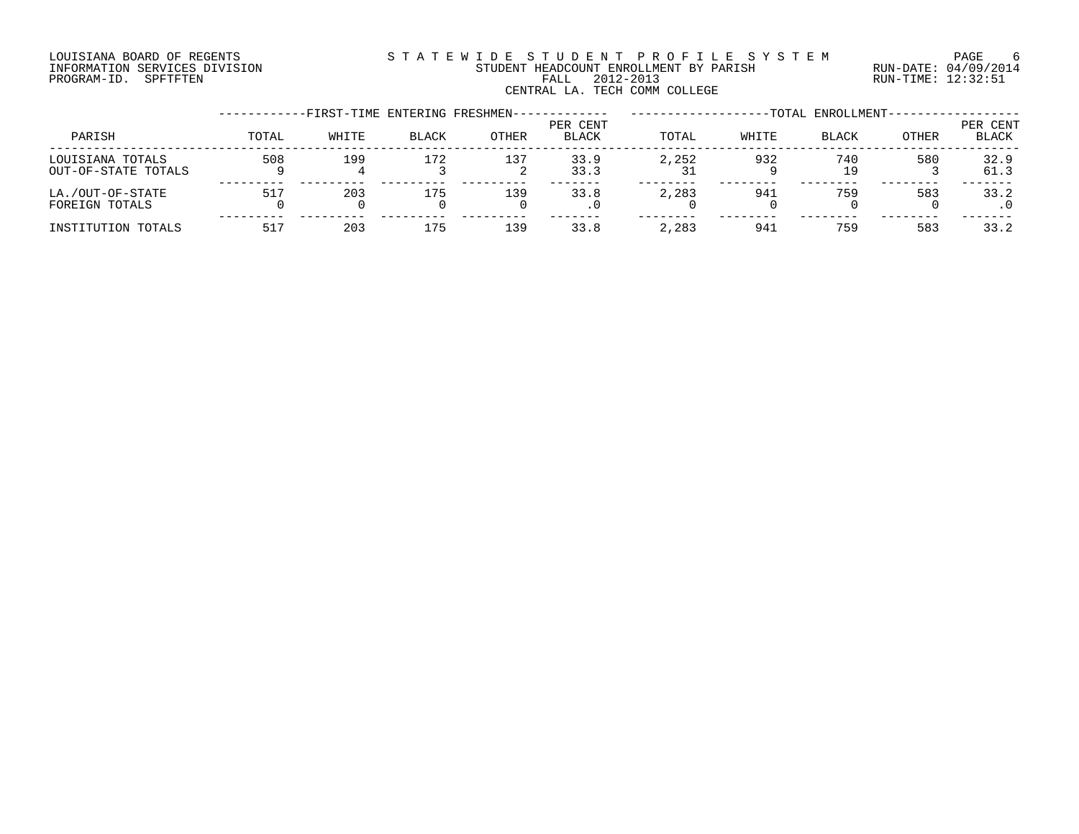## LOUISIANA BOARD OF REGENTS SOURCLEARIE STA T E W I D E S T U D E N T P R O F I L E S Y S T E M PAGE 6 INFORMATION SERVICES DIVISION STUDENT HEADCOUNT ENROLLMENT BY PARISH RUN-DATE: 04/09/2014 PROGRAM-ID. SPFTFTEN FALL 2012-2013 RUN-TIME: 12:32:51 EALL 2012-2013<br>CENTRAL LA. TECH COMM COLLEGE

|                                         |       | -FIRST-TIME ENTERING FRESHMEN- |              |              |                          |       |       | -TOTAL ENROLLMENT- |       |                          |
|-----------------------------------------|-------|--------------------------------|--------------|--------------|--------------------------|-------|-------|--------------------|-------|--------------------------|
| PARISH                                  | TOTAL | WHITE                          | <b>BLACK</b> | <b>OTHER</b> | PER CENT<br><b>BLACK</b> | TOTAL | WHITE | <b>BLACK</b>       | OTHER | PER CENT<br><b>BLACK</b> |
| LOUISIANA TOTALS<br>OUT-OF-STATE TOTALS | 508   | 199                            | 172          | 137          | 33.9<br>33.3             | 2,252 | 932   | 740<br>19          | 580   | 32.9<br>61.3             |
| LA./OUT-OF-STATE<br>FOREIGN TOTALS      | 517   | 203                            | 175          | 139          | 33.8                     | 2,283 | 941   | 759                | 583   | 33.2                     |
| INSTITUTION TOTALS                      | 517   | 203                            | 175          | 139          | 33.8                     | 2,283 | 941   | 759                | 583   | 33.2                     |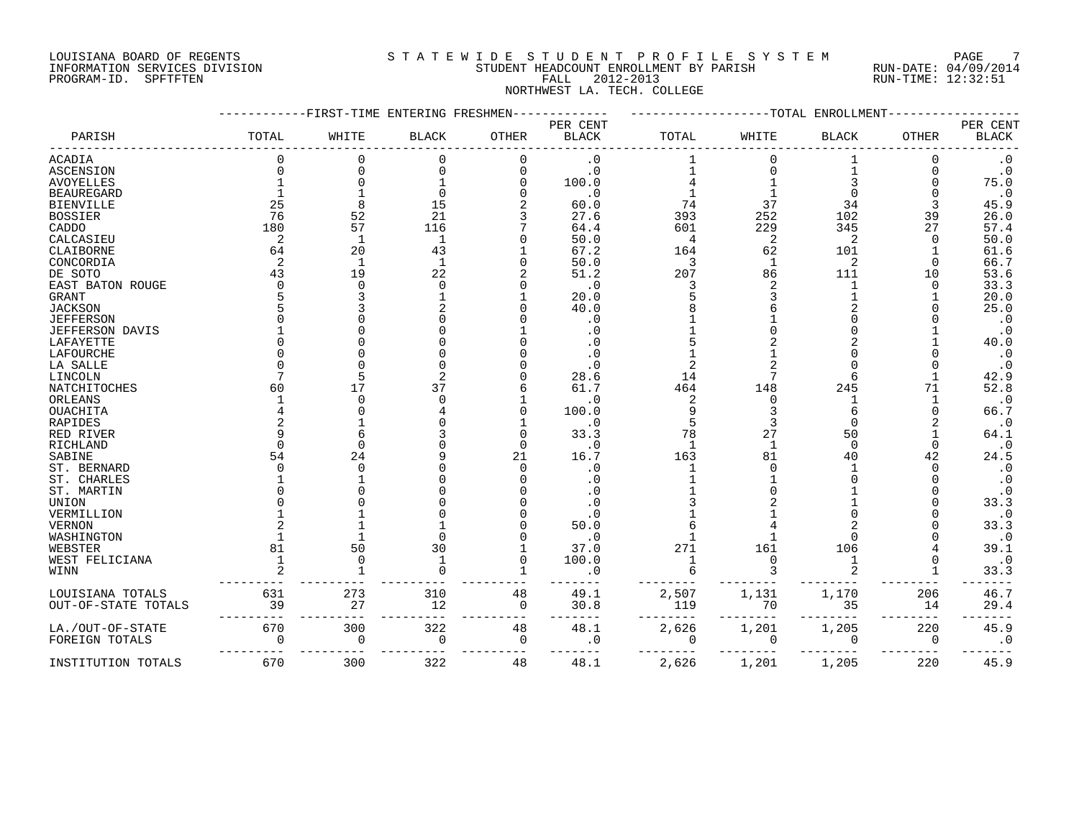#### LOUISIANA BOARD OF REGENTS SOURCLEARIE STA T E W I D E S T U D E N T P R O F I L E S Y S T E M PAGE 7 INFORMATION SERVICES DIVISION STUDENT HEADCOUNT ENROLLMENT BY PARISH RUN-DATE: 04/09/2014 PROGRAM-ID. SPFTFTEN FALL 2012-2013 RUN-TIME: 12:32:51 NORTHWEST LA. TECH. COLLEGE

|                        |          | FIRST-TIME <sup>.</sup> | ENTERING FRESHMEN |              |                          |             | -TOTAL       | ENROLLMEN.     |              |                          |
|------------------------|----------|-------------------------|-------------------|--------------|--------------------------|-------------|--------------|----------------|--------------|--------------------------|
| PARISH                 | TOTAL    | WHITE                   | <b>BLACK</b>      | <b>OTHER</b> | PER CENT<br><b>BLACK</b> | TOTAL       | WHITE        | <b>BLACK</b>   | <b>OTHER</b> | PER CENT<br><b>BLACK</b> |
| ACADIA                 |          | $\Omega$                | $\Omega$          | 0            | . 0                      |             |              |                | 0            | $\cdot$ 0                |
| <b>ASCENSION</b>       |          | $\Omega$                | $\Omega$          | $\mathbf 0$  | $\cdot$ 0                |             |              |                |              | $\boldsymbol{\cdot}$ 0   |
| <b>AVOYELLES</b>       |          |                         |                   | $\Omega$     | 100.0                    |             |              |                |              | 75.0                     |
| <b>BEAUREGARD</b>      |          |                         |                   |              | $\cdot$ 0                |             |              |                |              | $\cdot$ 0                |
| <b>BIENVILLE</b>       | 25       |                         | 15                |              | 60.0                     | 74          | 37           | 34             |              | 45.9                     |
| <b>BOSSIER</b>         | 76       | 52                      | 21                |              | 27.6                     | 393         | 252          | 102            | 39           | 26.0                     |
| CADDO                  | 180      | 57                      | 116               |              | 64.4                     | 601         | 229          | 345            | 27           | 57.4                     |
| CALCASIEU              | 2        | $\mathbf{1}$            | $\mathbf{1}$      |              | 50.0                     | 4           | 2            | $\overline{2}$ | $\Omega$     | 50.0                     |
| CLAIBORNE              | 64       | 20                      | 43                |              | 67.2                     | 164         | 62           | 101            |              | 61.6                     |
| CONCORDIA              | 2        | $\mathbf{1}$            | $\mathbf{1}$      |              | 50.0                     | 3           | $\mathbf{1}$ | $\overline{2}$ | $\Omega$     | 66.7                     |
| DE SOTO                | 43       | 19                      | 22                |              | 51.2                     | 207         | 86           | 111            | 10           | 53.6                     |
| EAST BATON ROUGE       |          | ∩                       |                   |              | $\cdot$ 0                | 3           |              |                | ∩            | 33.3                     |
| <b>GRANT</b>           |          |                         |                   |              | 20.0                     |             |              |                |              | 20.0                     |
| <b>JACKSON</b>         |          |                         |                   |              | 40.0                     |             |              |                |              | 25.0                     |
| <b>JEFFERSON</b>       |          |                         |                   |              | . 0                      |             |              |                |              | $\boldsymbol{\cdot}$ 0   |
| <b>JEFFERSON DAVIS</b> |          |                         |                   |              | . 0                      |             |              |                |              | $\cdot$ 0                |
| LAFAYETTE              |          |                         |                   |              | . 0                      |             |              |                |              | 40.0                     |
| LAFOURCHE              |          |                         |                   |              | . 0                      |             |              |                |              | $\cdot$ 0                |
| LA SALLE               |          |                         |                   |              | . 0                      |             |              |                |              | $\cdot$ 0                |
| LINCOLN                |          |                         |                   |              | 28.6                     | 14          |              |                |              | 42.9                     |
| NATCHITOCHES           | 60       | 17                      |                   |              | 61.7                     | 464         | 148          | 245            | 71           | 52.8                     |
| ORLEANS                |          | ∩                       |                   |              | $\cdot$ 0                | 2           |              |                |              | $\cdot$ 0                |
| OUACHITA               |          |                         |                   |              | 100.0                    |             |              |                |              | 66.7                     |
| RAPIDES                |          |                         |                   |              | $\cdot$ 0                |             |              | $\cap$         |              | $\cdot$ 0                |
| RED RIVER              |          |                         |                   | U            | 33.3                     | 78          | 27           | 50             |              | 64.1                     |
| RICHLAND               |          | ∩                       |                   | $\Omega$     | . 0                      | $\mathbf 1$ | -1           | $\Omega$       | $\Omega$     | $\cdot$ 0                |
| SABINE                 | 54       | 24                      |                   | 21           | 16.7                     | 163         | 81           | 40             | 42           | 24.5                     |
| ST. BERNARD            |          | ∩                       |                   | U            | . 0                      |             |              |                |              | $\cdot$ 0                |
| ST. CHARLES            |          |                         |                   |              | . 0                      |             |              |                |              | $\cdot$ 0                |
| ST. MARTIN             |          |                         |                   |              | . 0                      |             |              |                |              | $\boldsymbol{\cdot}$ 0   |
| UNION                  |          |                         |                   |              | . 0                      |             |              |                |              | 33.3                     |
| VERMILLION             |          |                         |                   |              | . 0                      |             |              |                |              | $\boldsymbol{\cdot}$ 0   |
| VERNON                 |          |                         |                   |              | 50.0                     |             |              |                |              | 33.3                     |
| WASHINGTON             |          |                         |                   |              | . 0                      |             |              |                |              | $\cdot$ 0                |
| WEBSTER                | 81       | 50                      | 30                |              | 37.0                     | 271         | 161          | 106            |              | 39.1                     |
| WEST FELICIANA         |          | ∩                       |                   | O            | 100.0                    |             |              |                |              | $\cdot$ 0                |
| WINN                   |          |                         |                   |              | . 0                      |             |              |                |              | 33.3                     |
| LOUISIANA TOTALS       | 631      | 273                     | 310               | 48           | 49.1                     | 2,507       | 1,131        | 1,170          | 206          | 46.7                     |
| OUT-OF-STATE TOTALS    | 39       | 27                      | 12                | $\mathbf 0$  | 30.8                     | 119         | 70           | 35             | 14           | 29.4                     |
| LA./OUT-OF-STATE       | 670      | 300                     | 322               | 48           | 48.1                     | 2,626       | 1,201        | 1,205          | 220          | 45.9                     |
| FOREIGN TOTALS         | $\Omega$ | 0                       | 0                 | 0            | $\cdot$ 0                | 0           | 0            | 0              | 0            | $\cdot$ 0                |
| INSTITUTION TOTALS     | 670      | 300                     | 322               | 48           | 48.1                     | 2,626       | 1,201        | 1,205          | 220          | 45.9                     |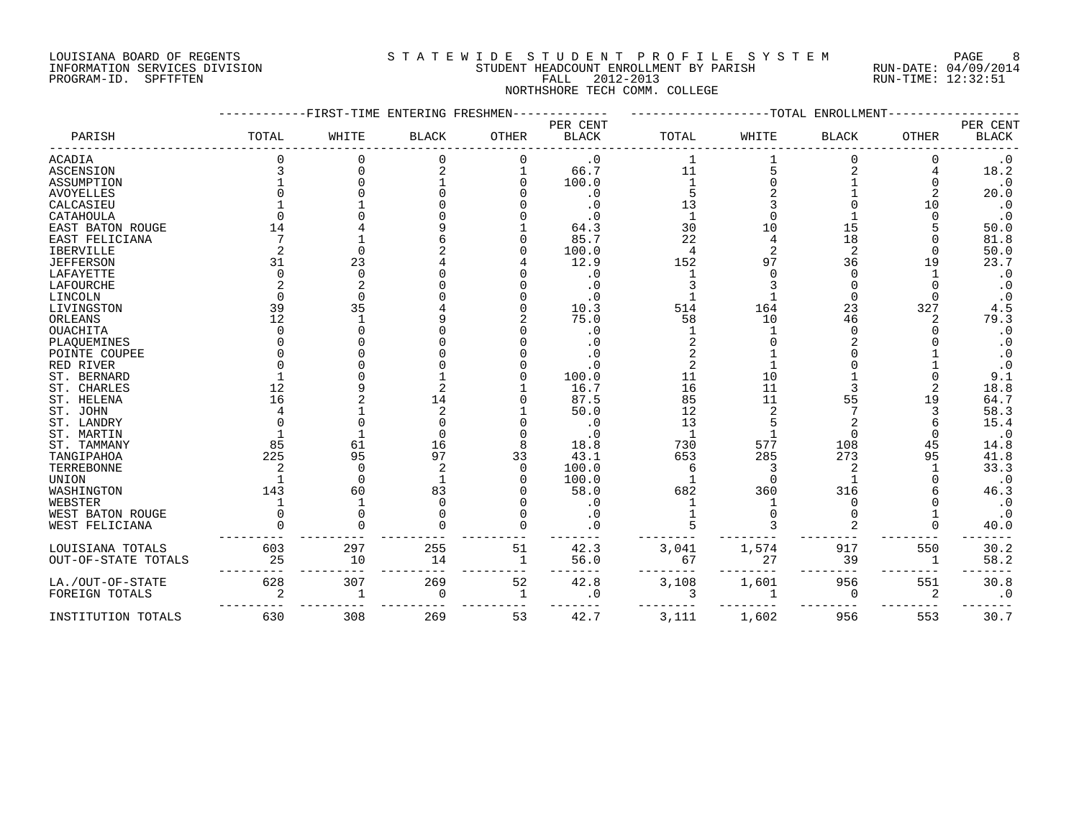#### LOUISIANA BOARD OF REGENTS SOURCLEARIE STA T E W I D E S T U D E N T P R O F I L E S Y S T E M PAGE 8 INFORMATION SERVICES DIVISION STUDENT HEADCOUNT ENROLLMENT BY PARISH RUN-DATE: 04/09/2014 PROGRAM-ID. SPFTFTEN FALL 2012-2013 RUN-TIME: 12:32:51 NORTHSHORE TECH COMM. COLLEGE

|                     |       | -FIRST-TIME ENTERING FRESHMEN |              |              |              |              |       | --TOTAL ENROLLMENT |              |                        |
|---------------------|-------|-------------------------------|--------------|--------------|--------------|--------------|-------|--------------------|--------------|------------------------|
|                     |       |                               |              |              | PER CENT     |              |       |                    |              | PER CENT               |
| PARISH              | TOTAL | WHITE                         | <b>BLACK</b> | <b>OTHER</b> | <b>BLACK</b> | TOTAL        | WHITE | <b>BLACK</b>       | <b>OTHER</b> | $\operatorname{BLACK}$ |
| ACADIA              |       |                               | $\Omega$     | 0            | $\cdot$ 0    |              |       |                    | 0            | $\cdot$ 0              |
| ASCENSION           |       | ∩                             |              |              | 66.7         | 11           |       |                    |              | 18.2                   |
| ASSUMPTION          |       |                               |              |              | 100.0        |              |       |                    |              | $\cdot$ 0              |
| <b>AVOYELLES</b>    |       |                               |              |              | $\cdot$ 0    |              |       |                    | 2            | 20.0                   |
| CALCASIEU           |       |                               |              |              | $\cdot$ 0    | 13           |       |                    | 10           | $\cdot$ 0              |
| CATAHOULA           |       |                               |              |              |              |              |       |                    |              | $\cdot$ 0              |
| EAST BATON ROUGE    | 14    |                               |              |              | 64.3         | 30           | 10    | 15                 |              | 50.0                   |
| EAST FELICIANA      |       |                               |              |              | 85.7         | 22           |       | 18                 |              | 81.8                   |
| <b>IBERVILLE</b>    |       | ∩                             |              |              | 100.0        |              |       | $\overline{2}$     |              | 50.0                   |
| <b>JEFFERSON</b>    | 31    | 23                            |              |              | 12.9         | 152          | 97    | 36                 | 19           | 23.7                   |
| LAFAYETTE           |       | $\Omega$                      |              |              | . 0          |              |       | ∩                  |              | $\cdot$ 0              |
| LAFOURCHE           |       |                               |              |              | $\cdot$ 0    |              |       |                    |              | $\cdot$ 0              |
| LINCOLN             |       |                               |              |              | . 0          |              |       |                    |              | $\cdot$ 0              |
| LIVINGSTON          | 39    | 35                            |              |              | 10.3         | 514          | 164   | 23                 | 327          | $4\,.5$                |
| ORLEANS             | 12    |                               |              |              | 75.0         | 58           | 10    | 46                 |              | 79.3                   |
| OUACHITA            |       |                               |              |              | . 0          |              |       |                    |              | $\cdot$ 0              |
| PLAQUEMINES         |       |                               |              |              | . 0          |              |       |                    |              | $\cdot$ 0              |
| POINTE COUPEE       |       |                               |              |              |              |              |       |                    |              | $\cdot$ 0              |
| RED RIVER           |       |                               |              |              | . 0          |              |       |                    |              | $\boldsymbol{\cdot}$ 0 |
| ST. BERNARD         |       |                               |              |              | 100.0        | 11           | 10    |                    |              | 9.1                    |
| ST. CHARLES         | 12    |                               |              |              | 16.7         | 16           | 11    |                    |              | $18.8\,$               |
| ST. HELENA          | 16    |                               | 14           |              | 87.5         | 85           | 11    | 55                 | 19           | 64.7                   |
| ST. JOHN            |       |                               |              |              | 50.0         | 12           |       |                    |              | 58.3                   |
| ST. LANDRY          |       |                               |              |              | . 0          | 13           |       |                    |              | 15.4                   |
| ST. MARTIN          |       |                               |              |              | . 0          | $\mathbf{1}$ |       | $\Omega$           |              | $\cdot$ 0              |
| ST. TAMMANY         | 85    | 61                            | 16           |              | 18.8         | 730          | 577   | 108                |              | 14.8                   |
| TANGIPAHOA          | 225   | 95                            | 97           | 33           | 43.1         | 653          | 285   | 273                | 95           | 41.8                   |
| TERREBONNE          |       | $\Omega$                      |              | $\Omega$     | 100.0        |              |       | $\overline{2}$     |              | 33.3                   |
| <b>UNION</b>        |       |                               |              |              | 100.0        |              |       |                    |              | $\cdot$ 0              |
|                     | 143   | 60                            | 83           |              | 58.0         | 682          | 360   | 316                |              | 46.3                   |
| WASHINGTON          |       |                               | $\Omega$     |              |              |              |       | O                  |              |                        |
| WEBSTER             |       |                               |              |              | . 0          |              |       |                    |              | $\cdot$ 0              |
| WEST BATON ROUGE    |       |                               |              |              | $\cdot$ 0    |              |       |                    |              | $\cdot$ 0              |
| WEST FELICIANA      |       |                               |              |              |              |              |       |                    |              | 40.0                   |
| LOUISIANA TOTALS    | 603   | 297                           | 255          | 51           | 42.3         | 3,041        | 1,574 | 917                | 550          | 30.2                   |
| OUT-OF-STATE TOTALS | 25    | 10                            | 14           | 1            | 56.0         | 67           | 27    | 39                 | -1           | 58.2                   |
|                     |       |                               |              |              |              |              |       |                    |              |                        |
| LA./OUT-OF-STATE    | 628   | 307                           | 269          | 52           | 42.8         | 3,108        | 1,601 | 956                | 551          | 30.8                   |
| FOREIGN TOTALS      |       | $\mathbf{1}$                  | $\Omega$     | 1            | . 0          |              |       | ∩                  | 2            | $\cdot$ 0              |
|                     |       |                               |              |              |              |              |       |                    |              |                        |
| INSTITUTION TOTALS  | 630   | 308                           | 269          | 53           | 42.7         | 3,111        | 1,602 | 956                | 553          | 30.7                   |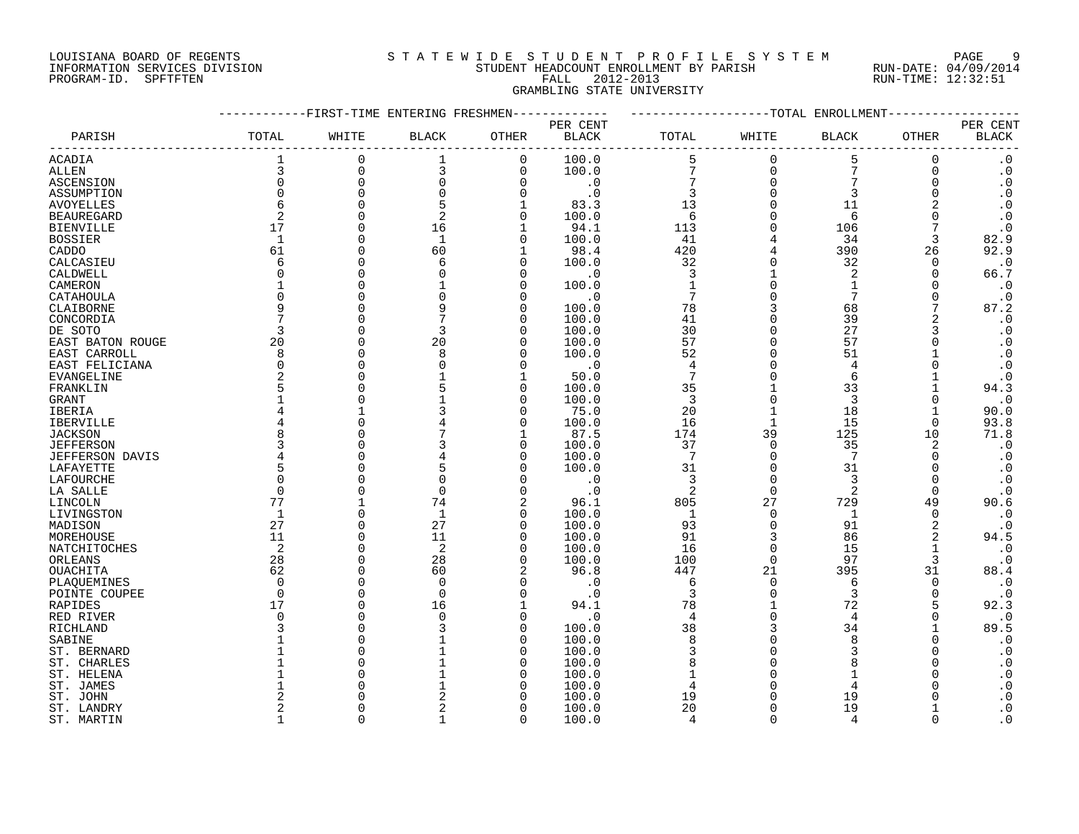#### LOUISIANA BOARD OF REGENTS SOURCLEARIE WIDE STUDENT PROFILE SYSTEM PAGE 9 INFORMATION SERVICES DIVISION STUDENT HEADCOUNT ENROLLMENT BY PARISH RUN-DATE: 04/09/2014 PROGRAM-ID. SPFTFTEN FALL 2012-2013 RUN-TIME: 12:32:51 GRAMBLING STATE UNIVERSITY

|                        |                      | -------FIRST-TIME ENTERING FRESHMEN- |                      |                | -----------        | -------------------TOTAL ENROLLMENT- |                      |                |               |                        |
|------------------------|----------------------|--------------------------------------|----------------------|----------------|--------------------|--------------------------------------|----------------------|----------------|---------------|------------------------|
|                        |                      |                                      |                      |                | PER CENT           |                                      |                      |                |               | PER CENT               |
| PARISH                 | TOTAL                | WHITE                                | <b>BLACK</b>         | OTHER          | <b>BLACK</b>       | TOTAL                                | WHITE                | <b>BLACK</b>   | OTHER         | $\operatorname{BLACK}$ |
| <b>ACADIA</b>          | $\mathbf{1}$         | 0                                    | 1                    | $\mathbf 0$    | 100.0              | 5                                    | $\mathbf 0$          | 5              | $\mathbf 0$   | $\boldsymbol{\cdot}$ 0 |
| ALLEN                  | 3                    | $\mathbf 0$                          | 3                    | $\Omega$       | 100.0              | 7                                    | $\Omega$             | 7              | $\Omega$      | $\boldsymbol{\cdot}$ 0 |
| ASCENSION              | $\mathbf 0$          | $\Omega$                             | $\mathbf 0$          | $\overline{0}$ | $\cdot$ 0          | 7                                    | $\Omega$             | $\overline{7}$ | 0             | $\boldsymbol{\cdot}$ 0 |
| ASSUMPTION             | $\Omega$             | $\Omega$                             | $\Omega$             | $\Omega$       | $\cdot$ 0          | 3                                    | $\Omega$             | 3              | $\Omega$      | $\cdot$ 0              |
| <b>AVOYELLES</b>       | 6                    |                                      | 5                    |                | 83.3               | 13                                   |                      | 11             |               | $\cdot$ 0              |
| <b>BEAUREGARD</b>      | 2                    | $\cap$                               | 2                    | $\Omega$       | 100.0              | 6                                    |                      | 6              | U             | $\cdot$ 0              |
| <b>BIENVILLE</b>       | 17                   | $\cap$                               | 16                   | 1              | 94.1               | 113                                  |                      | 106            |               | $\cdot$ 0              |
| <b>BOSSIER</b>         | 1                    | $\cap$                               | $\mathbf{1}$         | $\Omega$       | 100.0              | 41                                   |                      | 34             | 3             | 82.9                   |
| CADDO                  | 61                   | ∩                                    | 60                   | $\mathbf{1}$   | 98.4               | 420                                  |                      | 390            | 26            | 92.9                   |
| CALCASIEU              | 6                    |                                      | 6                    | $\Omega$       | 100.0              | 32                                   |                      | 32             | 0             | $\cdot$ 0              |
| CALDWELL               | U                    |                                      |                      | $\Omega$       | . 0                | 3                                    |                      | 2              | $\Omega$      | 66.7                   |
| CAMERON                |                      |                                      |                      | $\Omega$       | 100.0              | $\mathbf{1}$                         | $\Omega$             | 1              | O             | $\cdot$ 0              |
| CATAHOULA              | $\Omega$             |                                      |                      | n              | $\cdot$ 0          | 7                                    |                      | 7              | ∩             | $\cdot$ 0              |
| CLAIBORNE              | q                    |                                      |                      | ∩              | 100.0              | 78                                   |                      | 68             |               | 87.2                   |
| CONCORDIA              |                      |                                      |                      | ∩              | 100.0              | 41                                   |                      | 39             |               | $\cdot$ 0              |
| DE SOTO                | 3                    |                                      | 3                    | n              | 100.0              | 30                                   | $\cap$               | 27             | 3             | $\cdot$ 0              |
| EAST BATON ROUGE       | 20                   | C                                    | 20                   | $\Omega$       | 100.0              | 57                                   | $\Omega$             | 57             |               | $\boldsymbol{\cdot}$ 0 |
| EAST CARROLL           | 8                    |                                      | 8                    | n              | 100.0              | 52                                   |                      | 51             |               | $\cdot$ 0              |
| EAST FELICIANA         | $\mathbf 0$          | C                                    |                      | ∩              | $\cdot$ 0          | $\overline{4}$                       |                      | 4              |               | $\cdot$ 0              |
| EVANGELINE             | $\overline{2}$       |                                      |                      |                | 50.0               | 7                                    |                      | 6              |               | $\cdot$ 0              |
| FRANKLIN               | 5                    |                                      |                      | $\Omega$       | 100.0              | 35                                   |                      | 33             |               | 94.3                   |
| GRANT                  |                      |                                      |                      | $\Omega$       | 100.0              | 3                                    | $\Omega$             | 3              | $\Omega$      | $\cdot$ 0              |
| IBERIA                 |                      |                                      |                      | $\Omega$       | 75.0               | 20                                   |                      | 18             |               | 90.0                   |
| IBERVILLE              |                      |                                      |                      | $\Omega$       | 100.0              | 16                                   | 1                    | 15             | 0             | 93.8                   |
| <b>JACKSON</b>         | 8                    |                                      |                      |                | 87.5               | 174                                  | 39                   | 125            | 10            | 71.8                   |
| <b>JEFFERSON</b>       | 3                    |                                      |                      | $\Omega$       | 100.0              | 37                                   | $\Omega$             | 35             | 2             | $\cdot$ 0              |
| <b>JEFFERSON DAVIS</b> | 4                    |                                      |                      | $\Omega$       | 100.0              | $7\phantom{.0}$                      | $\Omega$             | 7              | $\Omega$      | $\cdot$ 0              |
| LAFAYETTE              | 5                    |                                      |                      | ∩              | 100.0              | 31                                   | $\Omega$             | 31             | $\Omega$      | $\cdot$ 0              |
| LAFOURCHE              | $\Omega$             |                                      | $\Omega$             |                | $\cdot$ 0          | 3                                    | $\Omega$             | 3              | $\Omega$      | $\cdot$ 0              |
| LA SALLE               | $\Omega$             | $\cap$                               | $\Omega$             |                | $\cdot$ 0          | $\overline{2}$                       | $\Omega$             | $\overline{2}$ | $\Omega$      | $\cdot$ 0              |
| LINCOLN                | 77                   |                                      | 74                   | 2              | 96.1               | 805                                  | 27                   | 729            | 49            | 90.6                   |
| LIVINGSTON             | 1                    | $\Omega$                             | $\mathbf{1}$         | $\Omega$       | 100.0              | $\mathbf{1}$                         | $\Omega$             | $\mathbf{1}$   | 0             | $\cdot$ 0              |
| MADISON                | 27                   | $\Omega$                             | 27                   | $\Omega$       | 100.0              | 93                                   | $\Omega$             | 91             | 2             | $\cdot$ 0              |
| MOREHOUSE              | 11                   | $\cap$                               | 11                   | $\Omega$       | 100.0              | 91                                   | 3                    | 86             | 2             | 94.5                   |
| NATCHITOCHES           | 2                    | $\Omega$                             | 2                    | $\Omega$       | 100.0              | 16                                   | $\Omega$             | 15             |               | $\cdot$ 0              |
| ORLEANS                | 28                   | C<br>$\Omega$                        | 28                   | $\Omega$       | 100.0              | 100                                  | $\Omega$             | 97             | 3             | $\cdot$ 0              |
| OUACHITA               | 62                   |                                      | 60                   | 2              | 96.8               | 447                                  | 21                   | 395            | 31            | 88.4                   |
| PLAQUEMINES            | $\Omega$<br>$\Omega$ | $\cap$                               | $\Omega$<br>$\Omega$ | $\cap$         | $\cdot$ 0          | 6<br>3                               | $\Omega$<br>$\Omega$ | 6<br>3         | 0<br>$\Omega$ | $\cdot$ 0<br>$\cdot$ 0 |
| POINTE COUPEE          | 17                   | C                                    | 16                   |                | $\cdot$ 0<br>94.1  | 78                                   |                      | 72             | 5             | 92.3                   |
| RAPIDES                | $\Omega$             |                                      |                      | $\cap$         |                    | $\overline{4}$                       | $\Omega$             | 4              | $\Omega$      | $\cdot$ 0              |
| RED RIVER<br>RICHLAND  | ζ                    |                                      |                      | ∩              | $\cdot$ 0<br>100.0 | 38                                   | 3                    | 34             |               | 89.5                   |
| SABINE                 |                      |                                      |                      | ∩              | 100.0              | 8                                    | $\cap$               | $\mathsf{R}$   |               | $\cdot$ 0              |
| ST. BERNARD            |                      |                                      |                      | $\Omega$       | 100.0              | 3                                    |                      | 3              |               | $\boldsymbol{\cdot}$ 0 |
| ST. CHARLES            |                      |                                      |                      | ∩              | 100.0              | 8                                    |                      |                |               | $\cdot$ 0              |
| ST. HELENA             |                      |                                      |                      |                | 100.0              |                                      |                      |                |               | $\cdot$ 0              |
| ST. JAMES              |                      |                                      |                      |                | 100.0              | 4                                    |                      |                |               | $\cdot$ 0              |
| ST. JOHN               |                      |                                      |                      |                | 100.0              | 19                                   |                      | 19             |               | $\cdot$ 0              |
| ST. LANDRY             | 2                    |                                      |                      | $\cap$         | 100.0              | 20                                   |                      | 19             |               | $\cdot$ 0              |
| ST. MARTIN             | $\mathbf{1}$         | $\cap$                               |                      | $\Omega$       | 100.0              | $\overline{4}$                       | $\cap$               | $\Delta$       | $\Omega$      | $\overline{0}$         |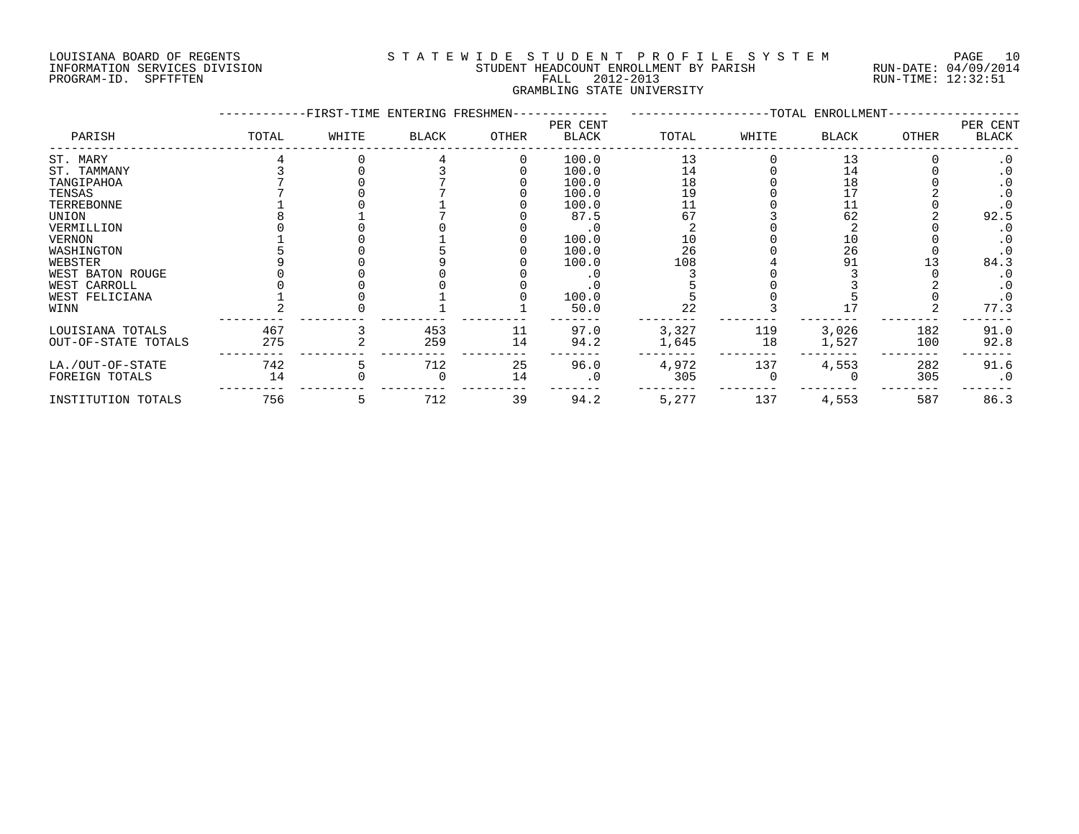#### LOUISIANA BOARD OF REGENTS S T A T E W I D E S T U D E N T P R O F I L E S Y S T E M PAGE 10 INFORMATION SERVICES DIVISION STUDENT HEADCOUNT ENROLLMENT BY PARISH RUN-DATE: 04/09/2014 PROGRAM-ID. SPFTFTEN FALL 2012-2013 RUN-TIME: 12:32:51 GRAMBLING STATE UNIVERSITY

|                     |       | -FIRST-TIME ENTERING FRESHMEN- |              |       |                   |       |       | -TOTAL ENROLLMENT- |              |                   |
|---------------------|-------|--------------------------------|--------------|-------|-------------------|-------|-------|--------------------|--------------|-------------------|
| PARISH              | TOTAL | WHITE                          | <b>BLACK</b> | OTHER | PER CENT<br>BLACK | TOTAL | WHITE | <b>BLACK</b>       | <b>OTHER</b> | PER CENT<br>BLACK |
| ST. MARY            |       |                                |              |       | 100.0             | 13    |       | 13                 |              | $\cdot$ 0         |
| ST. TAMMANY         |       |                                |              |       | 100.0             | 14    |       | 14                 |              | . 0               |
| TANGIPAHOA          |       |                                |              |       | 100.0             | 18    |       | 18                 |              |                   |
| TENSAS              |       |                                |              |       | 100.0             | 19    |       |                    |              |                   |
| TERREBONNE          |       |                                |              |       | 100.0             | 11    |       | 11                 |              |                   |
| UNION               |       |                                |              |       | 87.5              | 67    |       | 62                 |              | 92.5              |
| VERMILLION          |       |                                |              |       |                   |       |       |                    |              |                   |
| VERNON              |       |                                |              |       | 100.0             | 10    |       | 10                 |              |                   |
| WASHINGTON          |       |                                |              |       | 100.0             | 26    |       | 26                 |              |                   |
| WEBSTER             |       |                                |              |       | 100.0             | 108   |       | 91                 |              | 84.3              |
| WEST BATON ROUGE    |       |                                |              |       |                   |       |       |                    |              |                   |
| WEST CARROLL        |       |                                |              |       |                   |       |       |                    |              |                   |
| WEST FELICIANA      |       |                                |              |       | 100.0             |       |       |                    |              |                   |
| WINN                |       |                                |              |       | 50.0              | 22    |       |                    |              | 77.3              |
| LOUISIANA TOTALS    | 467   |                                | 453          | 11    | 97.0              | 3,327 | 119   | 3,026              | 182          | 91.0              |
| OUT-OF-STATE TOTALS | 275   |                                | 259          | 14    | 94.2              | 1,645 | 18    | 1,527              | 100          | 92.8              |
| LA./OUT-OF-STATE    | 742   |                                | 712          | 25    | 96.0              | 4,972 | 137   | 4,553              | 282          | 91.6              |
| FOREIGN TOTALS      | 14    |                                |              | 14    | $\cdot$ 0         | 305   |       |                    | 305          | $\cdot$ 0         |
| INSTITUTION TOTALS  | 756   |                                | 712          | 39    | 94.2              | 5,277 | 137   | 4,553              | 587          | 86.3              |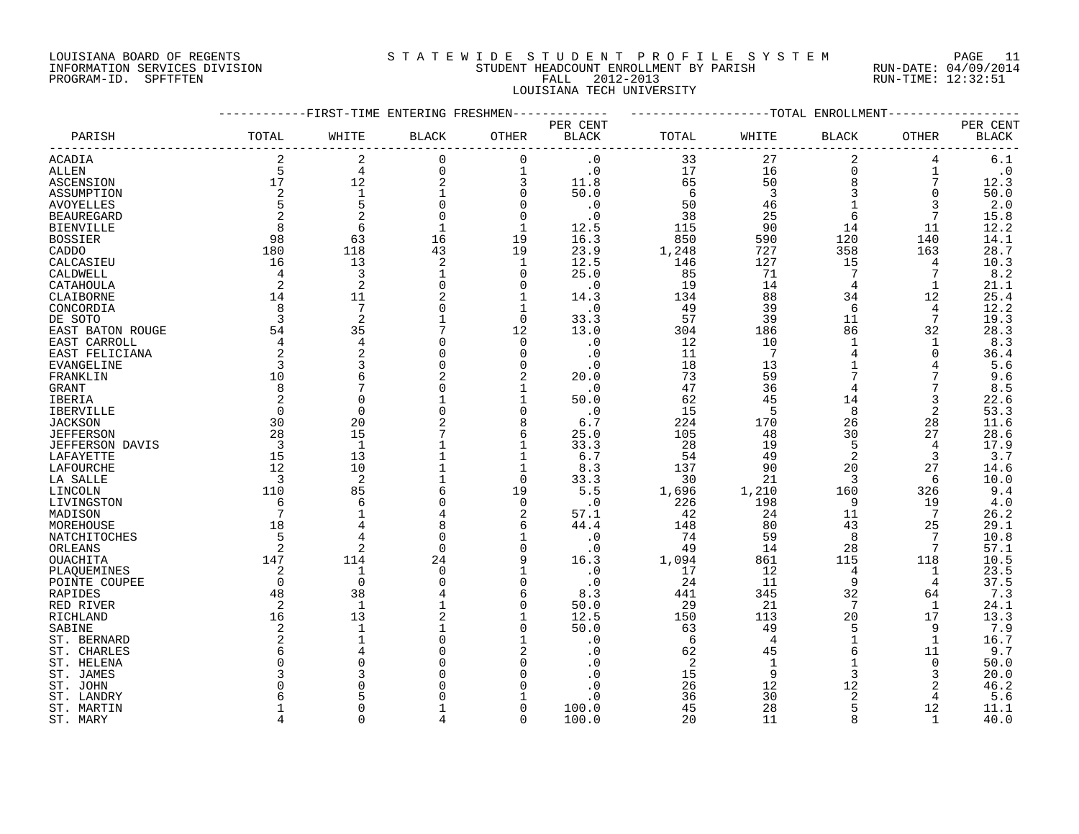#### LOUISIANA BOARD OF REGENTS S T A T E W I D E S T U D E N T P R O F I L E S Y S T E M PAGE 11 INFORMATION SERVICES DIVISION STUDENT HEADCOUNT ENROLLMENT BY PARISH RUN-DATE: 04/09/2014 PROGRAM-ID. SPFTFTEN FALL 2012-2013 RUN-TIME: 12:32:51 LOUISIANA TECH UNIVERSITY

|                   |                | ---------FIRST-TIME ENTERING FRESHMEN- |              |                | -----------  | -------------------TOTAL ENROLLMENT- |                |                |                |           |
|-------------------|----------------|----------------------------------------|--------------|----------------|--------------|--------------------------------------|----------------|----------------|----------------|-----------|
|                   |                |                                        |              |                | PER CENT     |                                      |                |                |                | PER CENT  |
| PARISH            | TOTAL          | WHITE                                  | <b>BLACK</b> | OTHER          | <b>BLACK</b> | TOTAL                                | WHITE          | <b>BLACK</b>   | OTHER          | BLACK     |
| <b>ACADIA</b>     | 2              | 2                                      | $\mathbf 0$  | $\mathbf 0$    | $\cdot$ 0    | 33                                   | 27             | 2              | 4              | $6.1$     |
| ALLEN             | 5              | $\overline{4}$                         | $\mathbf 0$  | $\mathbf 1$    | $\cdot$ 0    | 17                                   | 16             | $\Omega$       | 1              | $\cdot$ 0 |
| ASCENSION         | 17             | 12                                     | 2            | 3              | 11.8         | 65                                   | 50             | 8              | 7              | 12.3      |
| ASSUMPTION        | 2              | $\mathbf{1}$                           | 1            | $\mathbf 0$    | 50.0         | 6                                    | 3              | 3              | 0              | 50.0      |
| <b>AVOYELLES</b>  | 5              | 5                                      | $\mathbf 0$  | $\Omega$       | $\cdot$ 0    | 50                                   | 46             |                | 3              | 2.0       |
| <b>BEAUREGARD</b> | 2              | $\overline{2}$                         | 0            | $\mathbf 0$    | $\cdot$ 0    | 38                                   | 25             | 6              | 7              | 15.8      |
| <b>BIENVILLE</b>  | 8              | 6                                      | $\mathbf{1}$ | $\mathbf{1}$   | 12.5         | 115                                  | 90             | 14             | 11             | 12.2      |
| <b>BOSSIER</b>    | 98             | 63                                     | 16           | 19             | 16.3         | 850                                  | 590            | 120            | 140            | 14.1      |
| CADDO             | 180            | 118                                    | 43           | 19             | 23.9         | 1,248                                | 727            | 358            | 163            | 28.7      |
| CALCASIEU         | 16             | 13                                     | 2            | 1              | 12.5         | 146                                  | 127            | 15             | 4              | 10.3      |
| CALDWELL          | 4              | 3                                      | 1            | 0              | 25.0         | 85                                   | 71             | 7              | 7              | 8.2       |
| CATAHOULA         | 2              | $\overline{2}$                         | 0            | $\Omega$       | $\cdot$ 0    | 19                                   | 14             | 4              | 1              | 21.1      |
| CLAIBORNE         | 14             | 11                                     | 2            | 1              | 14.3         | 134                                  | 88             | 34             | 12             | 25.4      |
| CONCORDIA         | 8              | 7                                      | $\Omega$     | 1              | $\cdot$ 0    | 49                                   | 39             | 6              | 4              | 12.2      |
| DE SOTO           | 3              | 2                                      |              | $\Omega$       | 33.3         | 57                                   | 39             | 11             | 7              | 19.3      |
| EAST BATON ROUGE  | 54             | 35                                     |              | 12             | 13.0         | 304                                  | 186            | 86             | 32             | 28.3      |
| EAST CARROLL      | 4              | $\overline{4}$                         | $\Omega$     | $\mathbf 0$    | $\cdot$ 0    | 12                                   | 10             | 1              | 1              | 8.3       |
| EAST FELICIANA    | 2              | $\overline{2}$                         |              | $\Omega$       | $\cdot$ 0    | 11                                   | 7              |                | 0              | 36.4      |
| EVANGELINE        | 3              | 3                                      | 0            | $\Omega$       | $\cdot$ 0    | 18                                   | 13             |                | 4              | 5.6       |
| FRANKLIN          | 10             | 6                                      |              |                | 20.0         | 73                                   | 59             |                |                | 9.6       |
| GRANT             | 8              | 7                                      |              | $\mathbf{1}$   | $\cdot$ 0    | 47                                   | 36             | $\overline{4}$ |                | 8.5       |
| IBERIA            | 2              | $\Omega$                               |              | $\mathbf{1}$   | 50.0         | 62                                   | 45             | 14             | 3              | 22.6      |
| IBERVILLE         | $\Omega$       | $\Omega$                               |              | $\Omega$       | $\cdot$ 0    | 15                                   | 5              | 8              | $\overline{2}$ | 53.3      |
| JACKSON           | 30             | 20                                     |              | 8              | 6.7          | 224                                  | 170            | 26             | 28             | 11.6      |
| <b>JEFFERSON</b>  | 28             | 15                                     |              | 6              | 25.0         | 105                                  | 48             | 30             | 27             | 28.6      |
| JEFFERSON DAVIS   | $\overline{3}$ | $\mathbf{1}$                           |              | $\mathbf 1$    | 33.3         | 28                                   | 19             | 5              | 4              | 17.9      |
| LAFAYETTE         | 15             | 13                                     |              | 1              | 6.7          | 54                                   | 49             | $\overline{2}$ | 3              | 3.7       |
| LAFOURCHE         | 12             | 10                                     |              | $\mathbf 1$    | 8.3          | 137                                  | 90             | 20             | 27             | 14.6      |
| LA SALLE          | 3              | $\overline{2}$                         |              | $\Omega$       | 33.3         | 30                                   | 21             | 3              | 6              | 10.0      |
| LINCOLN           | 110            | 85                                     | 6            | 19             | 5.5          | 1,696                                | 1,210          | 160            | 326            | 9.4       |
| LIVINGSTON        | 6              | 6                                      | 0            | $\mathbf 0$    | $\cdot$ 0    | 226                                  | 198            | 9              | 19             | 4.0       |
| MADISON           | 7              | $\mathbf{1}$                           | 4            | 2              | 57.1         | 42                                   | 24             | 11             | 7              | 26.2      |
| MOREHOUSE         | 18             |                                        | 8            | 6              | 44.4         | 148                                  | 80             | 43             | 25             | 29.1      |
| NATCHITOCHES      | 5              | 4                                      | $\mathbf 0$  | 1              | $\cdot$ 0    | 74                                   | 59             | 8              | 7              | 10.8      |
| ORLEANS           | $\overline{2}$ | $\overline{a}$                         | $\Omega$     | $\Omega$       | $\cdot$ 0    | 49                                   | 14             | 28             | 7              | 57.1      |
| OUACHITA          | 147            | 114                                    | 24           | 9              | 16.3         | 1,094                                | 861            | 115            | 118            | 10.5      |
| PLAQUEMINES       | 2              | $\mathbf{1}$                           | $\mathbf 0$  | 1              | $\cdot$ 0    | 17                                   | 12             | 4              | 1              | 23.5      |
| POINTE COUPEE     | $\overline{0}$ | $\overline{0}$                         | $\Omega$     | $\Omega$       | . 0          | 24                                   | 11             | 9              | 4              | 37.5      |
| RAPIDES           | 48             | 38                                     |              | 6              | 8.3          | 441                                  | 345            | 32             | 64             | 7.3       |
| RED RIVER         | 2              | $\mathbf{1}$                           |              | $\Omega$       | 50.0         | 29                                   | 21             | 7              | 1              | 24.1      |
| RICHLAND          | 16             | 13                                     |              |                | 12.5         | 150                                  | 113            | 20             | 17             | 13.3      |
| SABINE            | 2              | $\mathbf{1}$                           |              | $\Omega$       | 50.0         | 63                                   | 49             | 5              | 9              | 7.9       |
| ST. BERNARD       | 2              |                                        | $\Omega$     |                | $\cdot$ 0    | 6                                    | $\overline{4}$ |                | $\mathbf{1}$   | 16.7      |
| ST. CHARLES       | 6              |                                        |              | $\overline{2}$ | . 0          | 62                                   | 45             | 6              | 11             | 9.7       |
| ST. HELENA        | $\Omega$       |                                        |              | $\Omega$       | . 0          | 2                                    | 1              |                | 0              | 50.0      |
| ST. JAMES         | ζ              |                                        |              |                | . 0          | 15                                   | 9              | 3              | 3              | 20.0      |
| ST. JOHN          | U              |                                        |              |                | . 0          | 26                                   | 12             | 12             | 2              | 46.2      |
| ST. LANDRY        | Б              |                                        |              |                | . 0          | 36                                   | 30             | 2              | 4              | 5.6       |
| ST. MARTIN        |                | $\cap$                                 |              | $\Omega$       | 100.0        | 45                                   | 28             | 5              | 12             | 11.1      |
| ST. MARY          | $\Delta$       | $\cap$                                 |              | $\Omega$       | 100.0        | 20                                   | 11             | $\mathsf{R}$   | $\mathbf{1}$   | 40.0      |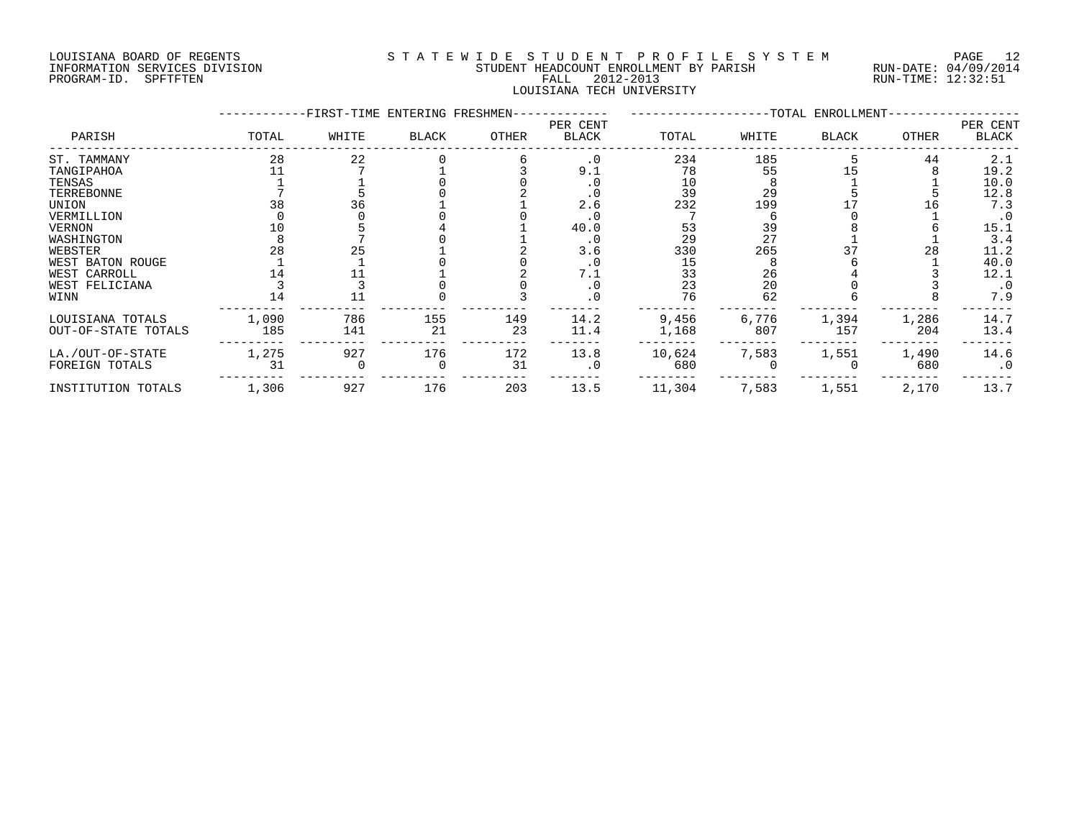#### LOUISIANA BOARD OF REGENTS S T A T E W I D E S T U D E N T P R O F I L E S Y S T E M PAGE 12 INFORMATION SERVICES DIVISION STUDENT HEADCOUNT ENROLLMENT BY PARISH RUN-DATE: 04/09/2014 PROGRAM-ID. SPFTFTEN FALL 2012-2013 RUN-TIME: 12:32:51 LOUISIANA TECH UNIVERSITY

|                     |       | -FIRST-TIME ENTERING FRESHMEN- |              |       |                   |        |       | -TOTAL ENROLLMENT- |       |                   |
|---------------------|-------|--------------------------------|--------------|-------|-------------------|--------|-------|--------------------|-------|-------------------|
| PARISH              | TOTAL | WHITE                          | <b>BLACK</b> | OTHER | PER CENT<br>BLACK | TOTAL  | WHITE | <b>BLACK</b>       | OTHER | PER CENT<br>BLACK |
| ST. TAMMANY         | 28    | 22                             |              |       | $\cdot$ 0         | 234    | 185   |                    | 44    | 2.1               |
| TANGIPAHOA          |       |                                |              |       | 9.1               | 78     | 55    |                    |       | 19.2              |
| TENSAS              |       |                                |              |       |                   | 10     |       |                    |       | 10.0              |
| TERREBONNE          |       |                                |              |       |                   | 39     | 29    |                    |       | 12.8              |
| UNION               | 38    | 36                             |              |       | 2.6               | 232    | 199   |                    |       | 7.3               |
| VERMILLION          |       |                                |              |       |                   |        |       |                    |       | $\cdot$ 0         |
| <b>VERNON</b>       |       |                                |              |       | 40.0              | 53     | 39    |                    |       | 15.1              |
| WASHINGTON          |       |                                |              |       | $\cdot$ 0         | 29     | 27    |                    |       | 3.4               |
| WEBSTER             | 28    | 25                             |              |       | 3.6               | 330    | 265   | 37                 | 28    | 11.2              |
| WEST BATON ROUGE    |       |                                |              |       |                   | 15     |       |                    |       | 40.0              |
| WEST CARROLL        |       |                                |              |       | 7.1               | 33     | 26    |                    |       | 12.1              |
| WEST FELICIANA      |       |                                |              |       |                   | 23     | 20    |                    |       | $\cdot$ 0         |
| WINN                |       |                                |              |       |                   | 76     | 62    |                    |       | 7.9               |
| LOUISIANA TOTALS    | 1,090 | 786                            | 155          | 149   | 14.2              | 9,456  | 6,776 | 1,394              | 1,286 | 14.7              |
| OUT-OF-STATE TOTALS | 185   | 141                            | 21           | 23    | 11.4              | 1,168  | 807   | 157                | 204   | 13.4              |
| LA./OUT-OF-STATE    | 1,275 | 927                            | 176          | 172   | 13.8              | 10,624 | 7,583 | 1,551              | 1,490 | 14.6              |
| FOREIGN TOTALS      | 31    |                                |              | 31    | $\cdot$ 0         | 680    |       |                    | 680   | $\cdot$ 0         |
| INSTITUTION TOTALS  | 1,306 | 927                            | 176          | 203   | 13.5              | 11,304 | 7,583 | 1,551              | 2,170 | 13.7              |
|                     |       |                                |              |       |                   |        |       |                    |       |                   |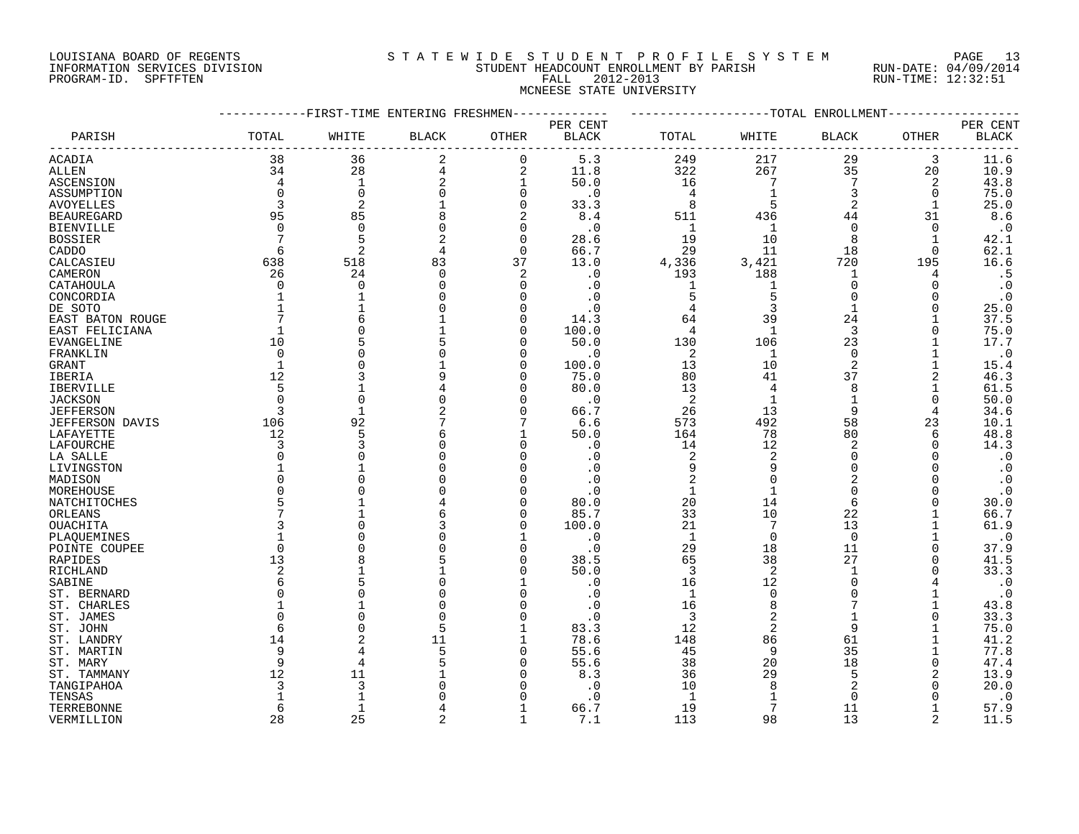#### LOUISIANA BOARD OF REGENTS S T A T E W I D E S T U D E N T P R O F I L E S Y S T E M PAGE 13 INFORMATION SERVICES DIVISION STUDENT HEADCOUNT ENROLLMENT BY PARISH RUN-DATE: 04/09/2014 PROGRAM-ID. SPFTFTEN FALL 2012-2013 RUN-TIME: 12:32:51 MCNEESE STATE UNIVERSITY

|                   |                | -FIRST-TIME ENTERING FRESHMEN- |              |                |                        |                         | ------------TOTAL ENROLLMENT |                 |              |              |
|-------------------|----------------|--------------------------------|--------------|----------------|------------------------|-------------------------|------------------------------|-----------------|--------------|--------------|
|                   |                |                                |              |                | PER CENT               |                         |                              |                 |              | PER CENT     |
| PARISH            | TOTAL          | WHITE                          | <b>BLACK</b> | OTHER          | $\operatorname{BLACK}$ | TOTAL                   | WHITE                        | BLACK           | OTHER        | <b>BLACK</b> |
| <b>ACADIA</b>     | 38             | 36                             | 2            | $\mathbf 0$    | 5.3                    | 249                     | 217                          | 29              | 3            | 11.6         |
| <b>ALLEN</b>      | 34             | 28                             | 4            | $\overline{2}$ | 11.8                   | 322                     | 267                          | 35              | 20           | 10.9         |
| ASCENSION         | 4              | $\mathbf{1}$                   | 2            | $\mathbf 1$    | 50.0                   | 16                      | $7\phantom{.0}$              | $7\phantom{.0}$ | 2            | 43.8         |
| ASSUMPTION        | $\mathbf 0$    | $\mathbf 0$                    | 0            | $\mathbf 0$    | $\cdot$ 0              | $\overline{4}$          | 1                            | 3               | 0            | 75.0         |
| <b>AVOYELLES</b>  | 3              | $\overline{2}$                 |              | $\Omega$       | 33.3                   | 8                       |                              | $\overline{2}$  |              | 25.0         |
| <b>BEAUREGARD</b> | 95             | 85                             | 8            | 2              | 8.4                    | 511                     | 436                          | 44              | 31           | 8.6          |
| <b>BIENVILLE</b>  | $\Omega$       | $\Omega$                       | $\Omega$     | $\Omega$       | $\cdot$ 0              | $\mathbf{1}$            | 1                            | $\Omega$        | $\Omega$     | $\cdot$ 0    |
|                   | 7              | 5                              | 2            | $\Omega$       | 28.6                   | 19                      | 10                           | 8               | $\mathbf{1}$ | 42.1         |
| <b>BOSSIER</b>    | 6              | $\overline{2}$                 |              | 0              | 66.7                   | 29                      | 11                           | 18              | 0            | 62.1         |
| CADDO             |                |                                | 4            |                |                        |                         |                              |                 |              |              |
| CALCASIEU         | 638            | 518                            | 83           | 37             | 13.0                   | 4,336                   | 3,421                        | 720             | 195          | 16.6         |
| CAMERON           | 26             | 24                             | $\Omega$     | $\overline{2}$ | . 0                    | 193                     | 188                          | 1               | 4            | .5           |
| CATAHOULA         | $\Omega$       | $\overline{0}$                 | 0            | $\Omega$       | $\cdot$ 0              | 1                       | 1                            | $\overline{0}$  | 0            | $\cdot$ 0    |
| CONCORDIA         | $\mathbf{1}$   |                                |              |                | $\cdot$ 0              | 5                       | 5                            | $\Omega$        | $\Omega$     | $\cdot$ 0    |
| DE SOTO           | $\mathbf{1}$   |                                |              | $\cap$         | $\cdot$ 0              | $\overline{4}$          | 3                            | $\mathbf{1}$    | $\Omega$     | 25.0         |
| EAST BATON ROUGE  |                | 6                              |              | $\Omega$       | 14.3                   | 64                      | 39                           | 24              |              | 37.5         |
| EAST FELICIANA    | 1              | $\Omega$                       |              | $\Omega$       | 100.0                  | $\overline{4}$          | $\mathbf{1}$                 | 3               | $\Omega$     | 75.0         |
| EVANGELINE        | 10             |                                |              | $\cap$         | 50.0                   | 130                     | 106                          | 23              |              | 17.7         |
| FRANKLIN          | $\Omega$       |                                |              | $\cap$         | $\cdot$ 0              | 2                       | $\mathbf{1}$                 | $\Omega$        |              | $\cdot$ 0    |
| GRANT             | $\mathbf{1}$   | $\Omega$                       |              | $\Omega$       | 100.0                  | 13                      | 10                           | $\overline{2}$  |              | 15.4         |
| IBERIA            | 12             |                                |              | $\cap$         | 75.0                   | 80                      | 41                           | 37              | 2            | 46.3         |
| IBERVILLE         | 5              |                                |              | O              | 80.0                   | 13                      | 4                            | 8               |              | 61.5         |
| JACKSON           | $\Omega$       | $\overline{0}$                 |              |                | . 0                    | 2                       |                              |                 | 0            | 50.0         |
| <b>JEFFERSON</b>  | 3              | $\mathbf{1}$                   |              | $\Omega$       | 66.7                   | 26                      | 13                           | 9               | 4            | 34.6         |
| JEFFERSON DAVIS   | 106            | 92                             |              | 7              | 6.6                    | 573                     | 492                          | 58              | 23           | 10.1         |
| LAFAYETTE         | 12             | 5                              | 6            |                | 50.0                   | 164                     | 78                           | 80              | 6            | 48.8         |
| LAFOURCHE         | 3              |                                | $\Omega$     | $\Omega$       | $\cdot$ 0              | 14                      | 12                           | $\overline{2}$  | $\Omega$     | 14.3         |
| LA SALLE          | $\Omega$       |                                |              |                | . 0                    | $\overline{\mathbf{c}}$ | $\overline{2}$               | $\Omega$        |              | $\cdot$ 0    |
| LIVINGSTON        |                |                                |              |                |                        | 9                       | 9                            | $\Omega$        |              | $\cdot$ 0    |
| MADISON           | $\Omega$       |                                |              |                | . 0                    | $\overline{c}$          | $\Omega$                     | 2               |              | $\cdot$ 0    |
| MOREHOUSE         | $\Omega$       |                                |              |                |                        | $\mathbf{1}$            | $\mathbf{1}$                 | $\Omega$        |              | $\cdot$ 0    |
| NATCHITOCHES      | 5              |                                |              |                | 80.0                   | 20                      | 14                           | 6               |              | 30.0         |
| ORLEANS           | 7              |                                |              | $\cap$         | 85.7                   | 33                      | 10                           | 22              |              | 66.7         |
|                   | 3              |                                |              | $\Omega$       |                        | 21                      | 7                            |                 |              | 61.9         |
| OUACHITA          |                |                                |              |                | 100.0                  |                         | $\Omega$                     | 13              |              |              |
| PLAQUEMINES       |                |                                |              |                | $\cdot$ 0              | 1                       |                              | $\mathbf 0$     |              | $\cdot$ 0    |
| POINTE COUPEE     | $\Omega$       |                                |              |                | $\cdot$ 0              | 29                      | 18                           | 11              | $\Omega$     | 37.9         |
| RAPIDES           | 13             |                                |              |                | 38.5                   | 65                      | 38                           | 27              | $\Omega$     | 41.5         |
| RICHLAND          | $\overline{2}$ |                                |              | $\cap$         | 50.0                   | 3                       | $\overline{2}$               | -1              | $\Omega$     | 33.3         |
| SABINE            | 6              |                                |              |                | $\cdot$ 0              | 16                      | 12                           | $\Omega$        |              | $\cdot$ 0    |
| ST. BERNARD       | 0              | C                              |              | $\Omega$       | $\cdot$ 0              | 1                       | $\mathbf 0$                  | $\Omega$        |              | $\cdot$ 0    |
| ST. CHARLES       |                |                                |              |                |                        | 16                      |                              |                 |              | 43.8         |
| ST. JAMES         | $\Omega$       | $\cap$                         | $\Omega$     |                | $\cdot$ 0              | 3                       | 2                            |                 | O            | 33.3         |
| ST. JOHN          | 6              | $\cap$                         | 5            | 1              | 83.3                   | 12                      | $\overline{2}$               | 9               |              | 75.0         |
| ST. LANDRY        | 14             |                                | 11           |                | 78.6                   | 148                     | 86                           | 61              |              | 41.2         |
| ST. MARTIN        | 9              |                                |              | $\Omega$       | 55.6                   | 45                      | 9                            | 35              |              | 77.8         |
| ST. MARY          | 9              |                                |              |                | 55.6                   | 38                      | 20                           | 18              | O            | 47.4         |
| ST. TAMMANY       | 12             | 11                             |              |                | 8.3                    | 36                      | 29                           | 5               |              | 13.9         |
| TANGIPAHOA        | 3              | 3                              |              |                | $\Omega$               | 10                      | 8                            |                 |              | 20.0         |
| TENSAS            |                | $\mathbf 1$                    |              |                |                        | $\mathbf{1}$            |                              | $\Omega$        |              | $\cdot$ 0    |
| TERREBONNE        | 6              | 1                              |              |                | 66.7                   | 19                      | 7                            | 11              |              | 57.9         |
| VERMILLION        | 28             | 25                             | 2            | $\mathbf{1}$   | 7.1                    | 113                     | 98                           | 13              | 2            | 11.5         |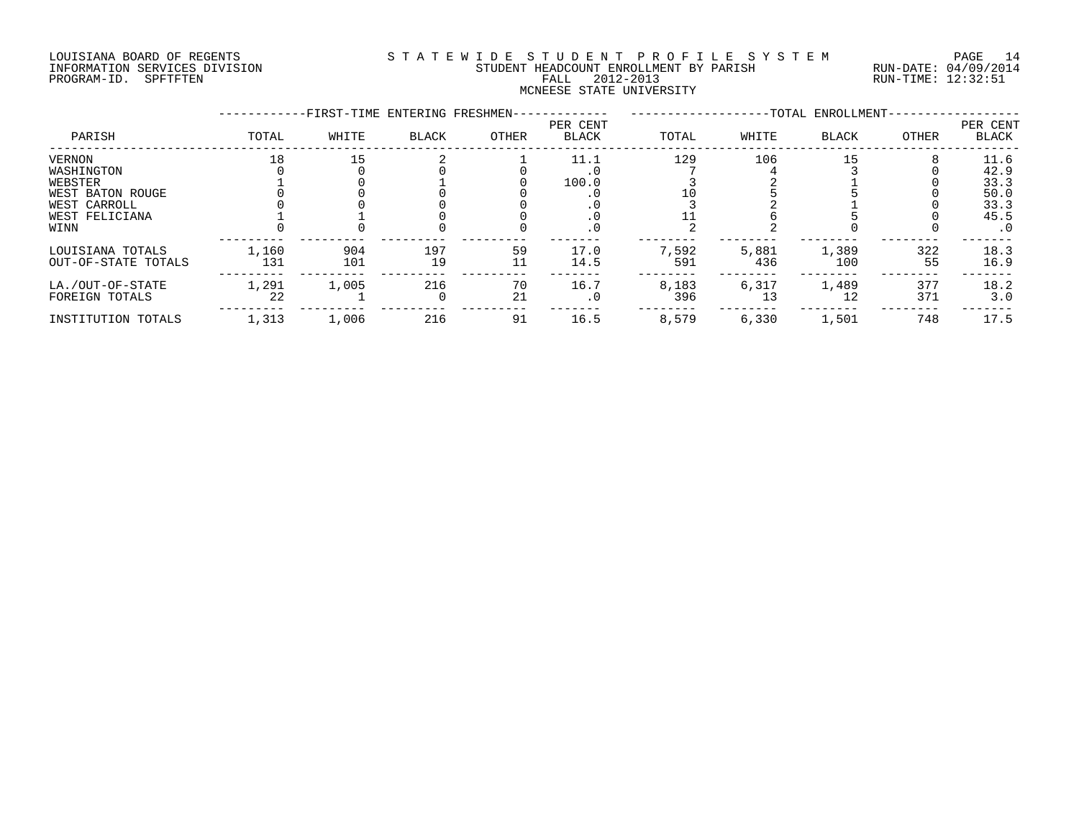#### LOUISIANA BOARD OF REGENTS S T A T E W I D E S T U D E N T P R O F I L E S Y S T E M PAGE 14 INFORMATION SERVICES DIVISION STUDENT HEADCOUNT ENROLLMENT BY PARISH RUN-DATE: 04/09/2014 PROGRAM-ID. SPFTFTEN FALL 2012-2013 RUN-TIME: 12:32:51 MCNEESE STATE UNIVERSITY

|                                                                                               |              | -FIRST-TIME ENTERING FRESHMEN- |           |          |                                          |              |              | --TOTAL ENROLLMENT- |            |                                                           |
|-----------------------------------------------------------------------------------------------|--------------|--------------------------------|-----------|----------|------------------------------------------|--------------|--------------|---------------------|------------|-----------------------------------------------------------|
| PARISH                                                                                        | TOTAL        | WHITE                          | BLACK     | OTHER    | PER CENT<br><b>BLACK</b>                 | TOTAL        | WHITE        | <b>BLACK</b>        | OTHER      | PER CENT<br><b>BLACK</b>                                  |
| VERNON<br>WASHINGTON<br>WEBSTER<br>WEST BATON ROUGE<br>WEST CARROLL<br>WEST FELICIANA<br>WINN | 18           | 15                             |           |          | 11.1<br>100.0<br>. 0<br>. 0<br>$\cdot$ 0 | 129          | 106          | 15                  |            | 11.6<br>42.9<br>33.3<br>50.0<br>33.3<br>45.5<br>$\cdot$ 0 |
| LOUISIANA TOTALS<br>OUT-OF-STATE TOTALS                                                       | 1,160<br>131 | 904<br>101                     | 197<br>19 | 59<br>11 | 17.0<br>14.5                             | 7,592<br>591 | 5,881<br>436 | 1,389<br>100        | 322<br>55  | 18.3<br>16.9                                              |
| LA./OUT-OF-STATE<br>FOREIGN TOTALS                                                            | 1,291<br>22  | 1,005                          | 216       | 70<br>21 | 16.7<br>$\cdot$ 0                        | 8,183<br>396 | 6,317<br>13  | 1,489<br>12         | 377<br>371 | 18.2<br>3.0                                               |
| INSTITUTION TOTALS                                                                            | 1,313        | 1,006                          | 216       | 91       | 16.5                                     | 8,579        | 6,330        | 1,501               | 748        | 17.5                                                      |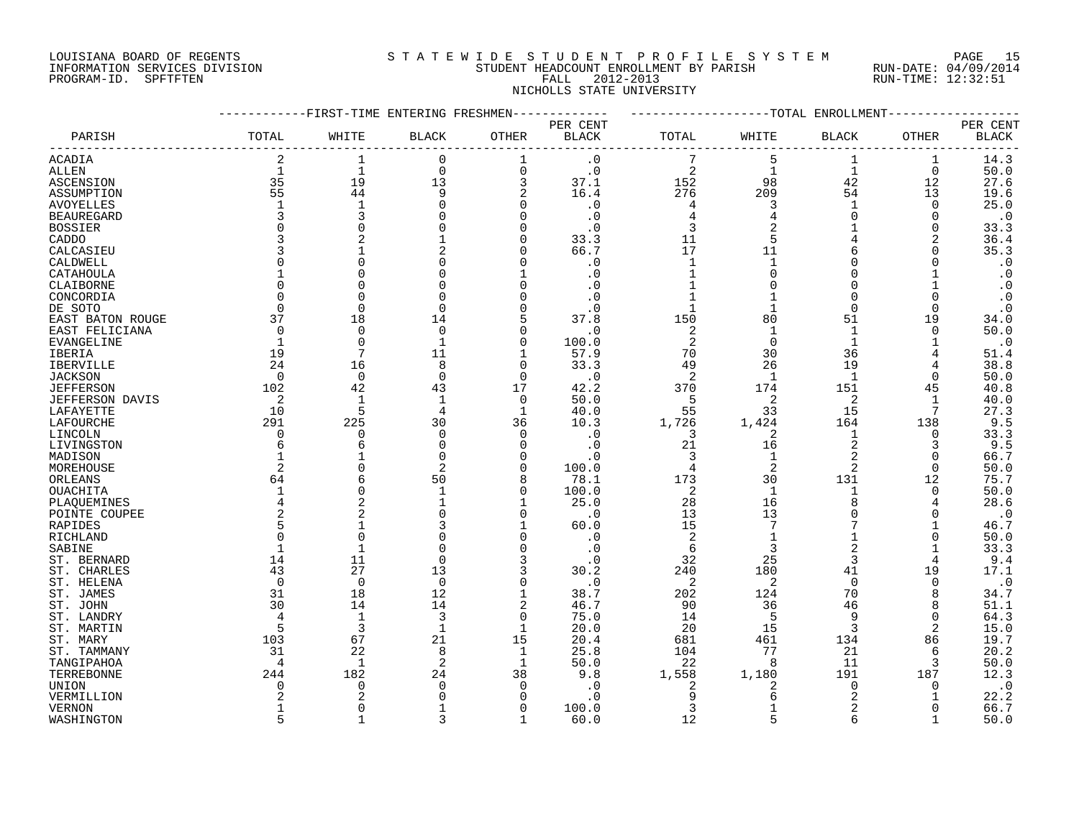#### LOUISIANA BOARD OF REGENTS S T A T E W I D E S T U D E N T P R O F I L E S Y S T E M PAGE 15 INFORMATION SERVICES DIVISION STUDENT HEADCOUNT ENROLLMENT BY PARISH RUN-DATE: 04/09/2014 PROGRAM-ID. SPFTFTEN FALL 2012-2013 RUN-TIME: 12:32:51 NICHOLLS STATE UNIVERSITY

|                        |                | -FIRST-TIME ENTERING FRESHMEN- |              |                |              |                |                    | --TOTAL ENROLLMENT |                |              |
|------------------------|----------------|--------------------------------|--------------|----------------|--------------|----------------|--------------------|--------------------|----------------|--------------|
|                        |                |                                |              |                | PER CENT     |                |                    |                    |                | PER CENT     |
| PARISH                 | TOTAL          | WHITE                          | BLACK        | OTHER          | <b>BLACK</b> | TOTAL          | WHITE              | BLACK              | OTHER          | <b>BLACK</b> |
| ACADIA                 | $\overline{2}$ | 1                              | $\mathbf 0$  | 1              | $\cdot$ 0    |                | 5                  | $\mathbf 1$        | 1              | 14.3         |
| <b>ALLEN</b>           | $\mathbf{1}$   | $\mathbf{1}$                   | $\mathbf 0$  | $\overline{0}$ | $\cdot$ 0    | 2              | $\mathbf{1}$       | $\mathbf{1}$       | $\mathbf 0$    | 50.0         |
| ASCENSION              | 35             | 19                             | 13           | 3              | 37.1         | 152            | 98                 | 42                 | 12             | 27.6         |
| ASSUMPTION             | 55             | 44                             | 9            | 2              | 16.4         | 276            | 209                | 54                 | 13             | 19.6         |
| <b>AVOYELLES</b>       | 1              | $\mathbf{1}$                   |              | $\mathbf 0$    | $\cdot$ 0    | 4              | 3                  | $\mathbf 1$        | 0              | 25.0         |
| <b>BEAUREGARD</b>      | 3              | 3                              |              | $\Omega$       | $\cdot$ 0    | 4              | 4                  | $\Omega$           | 0              | $\cdot$ 0    |
| <b>BOSSIER</b>         | $\Omega$       | $\Omega$                       |              | $\Omega$       | . 0          | 3              | $\overline{2}$     |                    | $\Omega$       | 33.3         |
| CADDO                  |                |                                |              | $\Omega$       | 33.3         | 11             | 5                  | 4                  | 2              | 36.4         |
| CALCASIEU              | 3              |                                |              | $\Omega$       | 66.7         | 17             | 11                 | 6                  | $\Omega$       | 35.3         |
| CALDWELL               | $\Omega$       |                                |              | $\Omega$       | $\cdot$ 0    | $\mathbf{1}$   | $\mathbf{1}$       | O                  | O              | $\cdot$ 0    |
| CATAHOULA              |                | ∩                              |              |                | . 0          | $\mathbf{1}$   | $\Omega$           | $\Omega$           |                | $\cdot$ 0    |
| CLAIBORNE              | $\Omega$       | $\Omega$                       |              | $\Omega$       | . 0          |                |                    | O                  |                | $\cdot$ 0    |
| CONCORDIA              | $\mathbf 0$    | $\Omega$                       |              | $\Omega$       | $\cdot$ 0    |                |                    | 0                  | $\Omega$       | $\cdot$ 0    |
| DE SOTO                | $\Omega$       | $\Omega$                       |              | $\Omega$       | $\cdot$ 0    | 1              | $\mathbf{1}$       | $\Omega$           | $\Omega$       | $\cdot$ 0    |
| EAST BATON ROUGE       | 37             | 18                             | 14           | 5              | 37.8         | 150            | 80                 | 51                 | 19             | 34.0         |
| EAST FELICIANA         | $\Omega$       | $\Omega$                       | $\Omega$     | $\Omega$       | . 0          | 2              | $\mathbf 1$        | 1                  | $\Omega$       | 50.0         |
| EVANGELINE             | 1              | $\Omega$                       | 1            | $\mathbf 0$    | 100.0        | 2              | $\mathbf 0$        | $\mathbf 1$        |                | $\cdot$ 0    |
|                        | 19             | 7                              | 11           | $\mathbf{1}$   |              | 70             | 30                 | 36                 |                |              |
| IBERIA                 |                |                                | 8            | $\Omega$       | 57.9<br>33.3 | 49             |                    | 19                 |                | 51.4<br>38.8 |
| <b>IBERVILLE</b>       | 24             | 16                             | $\Omega$     | $\Omega$       |              |                | 26<br>$\mathbf{1}$ |                    | 4              |              |
| <b>JACKSON</b>         | $\Omega$       | $\mathbf 0$                    |              |                | $\cdot$ 0    | $\overline{2}$ |                    | $\mathbf{1}$       | 0              | 50.0         |
| <b>JEFFERSON</b>       | 102            | 42                             | 43           | 17             | 42.2         | 370            | 174                | 151                | 45             | 40.8         |
| <b>JEFFERSON DAVIS</b> | 2              | $\mathbf{1}$                   | $\mathbf{1}$ | 0              | 50.0         | 5              | 2                  | 2                  | 1<br>7         | 40.0         |
| LAFAYETTE              | 10             | 5                              | 4            | $\mathbf{1}$   | 40.0         | 55             | 33                 | 15                 |                | 27.3         |
| LAFOURCHE              | 291            | 225                            | 30           | 36             | 10.3         | 1,726          | 1,424              | 164                | 138            | 9.5          |
| LINCOLN                | $\Omega$       | $\Omega$                       | $\Omega$     | $\Omega$       | . 0          | 3              | 2                  | $\mathbf 1$        | $\Omega$       | 33.3         |
| LIVINGSTON             | 6              | 6                              | $\Omega$     | $\Omega$       | $\cdot$ 0    | 21             | 16                 | $\overline{2}$     | 3              | 9.5          |
| MADISON                |                |                                | $\Omega$     | $\Omega$       | . 0          | 3              | $\mathbf{1}$       | $\overline{a}$     | 0              | 66.7         |
| MOREHOUSE              | 2              |                                | 2            | $\Omega$       | 100.0        | 4              | 2                  | 2                  | 0              | 50.0         |
| ORLEANS                | 64             | 6                              | 50           | 8              | 78.1         | 173            | 30                 | 131                | 12             | 75.7         |
| OUACHITA               | $\mathbf 1$    | $\Omega$                       | $\mathbf{1}$ | $\Omega$       | 100.0        | 2              | 1                  | 1                  | 0              | 50.0         |
| PLAOUEMINES            | 4              | $\overline{2}$                 |              | 1              | 25.0         | 28             | 16                 | 8                  | 4              | 28.6         |
| POINTE COUPEE          | 2              | $\overline{c}$                 |              | $\Omega$       | $\cdot$ 0    | 13             | 13                 | 0                  | O              | $\cdot$ 0    |
| RAPIDES                | 5              |                                |              |                | 60.0         | 15             | 7                  | 7                  |                | 46.7         |
| <b>RICHLAND</b>        | $\Omega$       | $\Omega$                       |              | $\Omega$       | $\cdot$ 0    | $\overline{2}$ | $\mathbf{1}$       | $\mathbf 1$        | $\Omega$       | 50.0         |
| SABINE                 | $\mathbf{1}$   | $\mathbf{1}$                   |              | $\Omega$       | $\cdot$ 0    | 6              | 3                  | $\overline{2}$     | $\mathbf 1$    | 33.3         |
| ST. BERNARD            | 14             | 11                             | $\Omega$     | 3              | $\cdot$ 0    | 32             | 25                 | 3                  | 4              | 9.4          |
| ST. CHARLES            | 43             | 27                             | 13           | 3              | 30.2         | 240            | 180                | 41                 | 19             | 17.1         |
| ST. HELENA             | $\Omega$       | $\mathbf 0$                    | $\Omega$     | $\Omega$       | $\cdot$ 0    | 2              | 2                  | $\mathbf 0$        | 0              | $\cdot$ 0    |
| ST. JAMES              | 31             | 18                             | 12           | 1              | 38.7         | 202            | 124                | 70                 | 8              | 34.7         |
| ST. JOHN               | 30             | 14                             | 14           | 2              | 46.7         | 90             | 36                 | 46                 | 8              | 51.1         |
| ST. LANDRY             | 4              | $\mathbf{1}$                   | 3            | $\mathbf 0$    | 75.0         | 14             | -5                 | 9                  | $\mathbf 0$    | 64.3         |
| ST. MARTIN             | 5              | $\overline{3}$                 |              | $\mathbf 1$    | 20.0         | 20             | 15                 | 3                  | $\overline{a}$ | 15.0         |
| ST. MARY               | 103            | 67                             | 21           | 15             | 20.4         | 681            | 461                | 134                | 86             | 19.7         |
| ST. TAMMANY            | 31             | 22                             | 8            | 1              | 25.8         | 104            | 77                 | 21                 | 6              | 20.2         |
| TANGIPAHOA             | 4              | 1                              | 2            | 1              | 50.0         | 22             | 8                  | 11                 | 3              | 50.0         |
| TERREBONNE             | 244            | 182                            | 24           | 38             | 9.8          | 1,558          | 1,180              | 191                | 187            | 12.3         |
| UNION                  | $\Omega$       | 0                              | $\Omega$     | $\Omega$       | . 0          | 2              | 2                  | 0                  | 0              | $\cdot$ 0    |
| VERMILLION             |                |                                |              | ∩              | $\Omega$     | 9              | Б                  | 2                  |                | 22.2         |
| <b>VERNON</b>          | 1              | $\Omega$                       |              | $\Omega$       | 100.0        | 3              | $\mathbf{1}$       | $\overline{a}$     | ∩              | 66.7         |
| WASHINGTON             | 5              | $\mathbf{1}$                   | २            | $\mathbf{1}$   | 60.0         | 12             | 5                  | 6                  |                | 50.0         |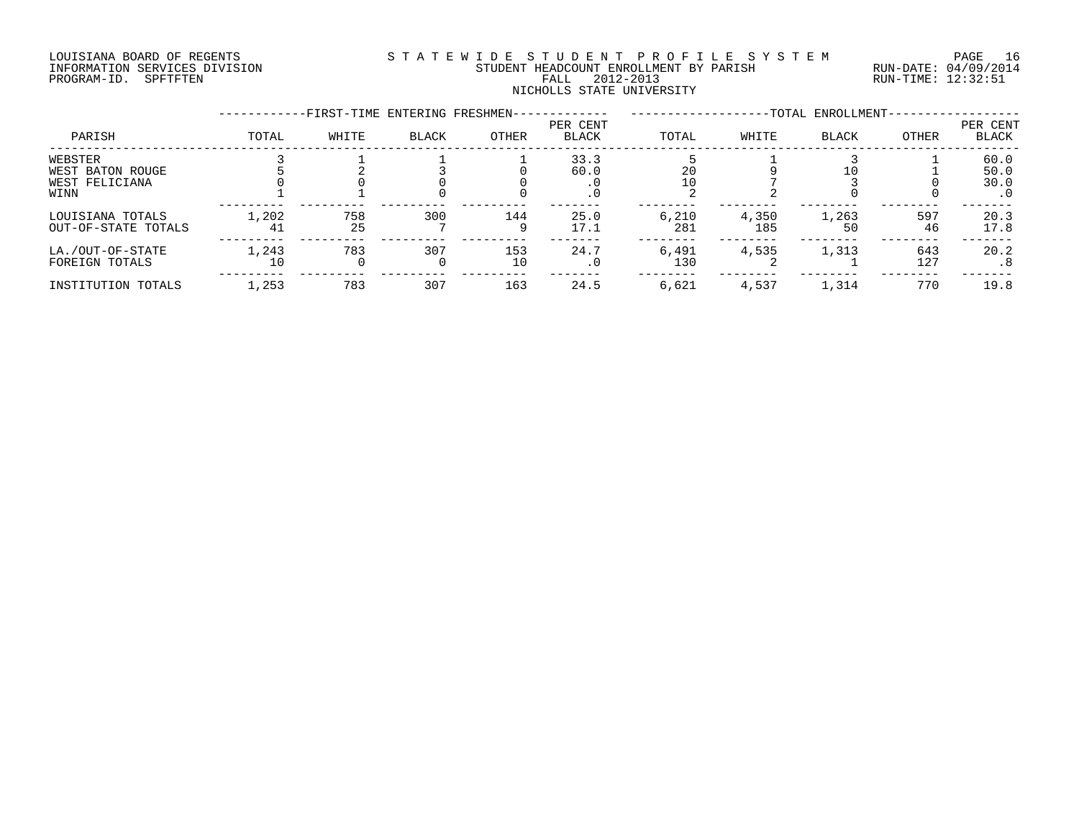#### LOUISIANA BOARD OF REGENTS S T A T E W I D E S T U D E N T P R O F I L E S Y S T E M PAGE 16 INFORMATION SERVICES DIVISION STUDENT HEADCOUNT ENROLLMENT BY PARISH RUN-DATE: 04/09/2014 PROGRAM-ID. SPFTFTEN FALL 2012-2013 RUN-TIME: 12:32:51 NICHOLLS STATE UNIVERSITY

|                                                       |             | -FIRST-TIME ENTERING FRESHMEN- |              |           |                           |              |              | -TOTAL ENROLLMENT- |            |                                   |
|-------------------------------------------------------|-------------|--------------------------------|--------------|-----------|---------------------------|--------------|--------------|--------------------|------------|-----------------------------------|
| PARISH                                                | TOTAL       | WHITE                          | <b>BLACK</b> | OTHER     | PER CENT<br><b>BLACK</b>  | TOTAL        | WHITE        | <b>BLACK</b>       | OTHER      | PER CENT<br><b>BLACK</b>          |
| WEBSTER<br>WEST BATON ROUGE<br>WEST FELICIANA<br>WINN |             |                                |              |           | 33.3<br>60.0<br>$\cdot$ 0 | 20           |              |                    |            | 60.0<br>50.0<br>30.0<br>$\cdot$ 0 |
| LOUISIANA TOTALS<br>OUT-OF-STATE TOTALS               | 1,202<br>41 | 758<br>25                      | 300          | 144       | 25.0<br>17.1              | 6,210<br>281 | 4,350<br>185 | 1,263<br>50        | 597<br>46  | 20.3<br>17.8                      |
| LA./OUT-OF-STATE<br>FOREIGN TOTALS                    | 1,243<br>10 | 783<br>0                       | 307<br>0     | 153<br>10 | 24.7<br>$\cdot$ 0         | 6,491<br>130 | 4,535        | 1,313              | 643<br>127 | 20.2<br>.8                        |
| INSTITUTION TOTALS                                    | 1,253       | 783                            | 307          | 163       | 24.5                      | 6,621        | 4,537        | 1,314              | 770        | 19.8                              |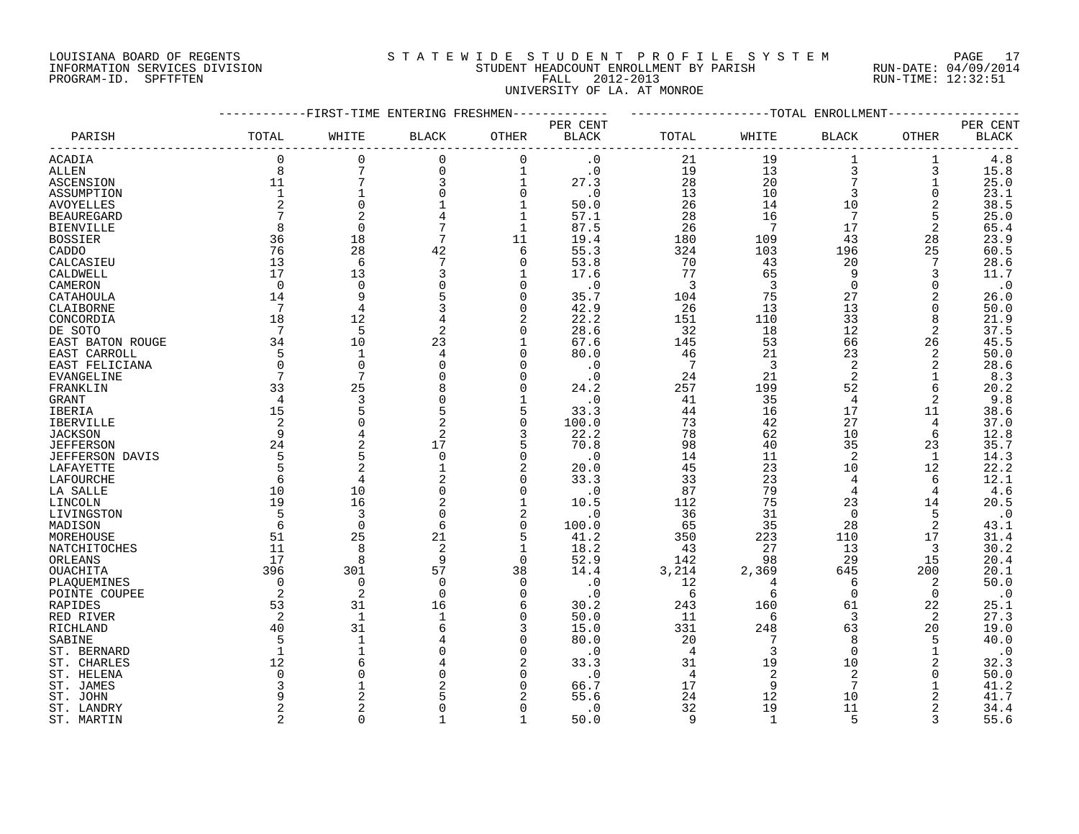#### LOUISIANA BOARD OF REGENTS S T A T E W I D E S T U D E N T P R O F I L E S Y S T E M PAGE 17 INFORMATION SERVICES DIVISION STUDENT HEADCOUNT ENROLLMENT BY PARISH RUN-DATE: 04/09/2014 PROGRAM-ID. SPFTFTEN FALL 2012-2013 RUN-TIME: 12:32:51 UNIVERSITY OF LA. AT MONROE

|                   |              | -FIRST-TIME ENTERING FRESHMEN- |                |              |                          |                |       | -TOTAL ENROLLMENT |          |                                    |
|-------------------|--------------|--------------------------------|----------------|--------------|--------------------------|----------------|-------|-------------------|----------|------------------------------------|
| PARISH            | TOTAL        | WHITE                          | <b>BLACK</b>   | OTHER        | PER CENT<br><b>BLACK</b> | TOTAL          | WHITE | <b>BLACK</b>      | OTHER    | PER CENT<br>$\operatorname{BLACK}$ |
| ACADIA            | $\mathbf 0$  | 0                              | $\mathbf 0$    | $\mathbf 0$  | $\cdot$ 0                | 21             | 19    | $1\,$             | 1        | 4.8                                |
| ALLEN             | 8            | 7                              | $\mathbf 0$    | 1            | $\cdot$ 0                | 19             | 13    | $\overline{3}$    | 3        | 15.8                               |
|                   | 11           | 7                              | 3              |              |                          | 28             | 20    | 7                 |          |                                    |
| ASCENSION         | $\mathbf{1}$ |                                | $\Omega$       | $\mathbf 1$  | 27.3                     |                |       |                   | 1        | 25.0                               |
| ASSUMPTION        |              |                                |                | $\Omega$     | $\cdot$ 0                | 13             | 10    | 3                 | $\Omega$ | 23.1                               |
| <b>AVOYELLES</b>  |              | $\Omega$                       |                |              | 50.0                     | 26             | 14    | 10                | 2        | 38.5                               |
| <b>BEAUREGARD</b> |              |                                | 4              | 1            | 57.1                     | 28             | 16    | 7                 | 5        | 25.0                               |
| <b>BIENVILLE</b>  |              | $\Omega$                       | 7              | $\mathbf{1}$ | 87.5                     | 26             | 7     | 17                | 2        | 65.4                               |
| <b>BOSSIER</b>    | 36           | 18                             | 7              | 11           | 19.4                     | 180            | 109   | 43                | 28       | 23.9                               |
| CADDO             | 76           | 28                             | 42             | 6            | 55.3                     | 324            | 103   | 196               | 25       | 60.5                               |
| CALCASIEU         | 13           | 6                              |                | U            | 53.8                     | 70             | 43    | 20                | 7        | 28.6                               |
| CALDWELL          | 17           | 13                             | 3              |              | 17.6                     | 77             | 65    | 9                 | 3        | 11.7                               |
| CAMERON           | $\Omega$     | $\Omega$                       | $\Omega$       | <sup>n</sup> | $\cdot$ 0                | 3              | 3     | $\Omega$          | $\Omega$ | $\cdot$ 0                          |
| CATAHOULA         | 14           | 9                              |                |              | 35.7                     | 104            | 75    | 27                | 2        | 26.0                               |
|                   | 7            | 4                              | 3              | $\Omega$     | 42.9                     | 26             | 13    | 13                | O        | 50.0                               |
| CLAIBORNE         |              |                                |                |              |                          |                |       |                   |          |                                    |
| CONCORDIA         | 18           | 12                             | 4              | 2            | 22.2                     | 151            | 110   | 33                | 8        | 21.9                               |
| DE SOTO           | 7            | 5                              | 2              | $\Omega$     | 28.6                     | 32             | 18    | 12                | 2        | 37.5                               |
| EAST BATON ROUGE  | 34           | 10                             | 23             |              | 67.6                     | 145            | 53    | 66                | 26       | 45.5                               |
| EAST CARROLL      | 5            | 1                              |                | <sup>n</sup> | 80.0                     | 46             | 21    | 23                | 2        | 50.0                               |
| EAST FELICIANA    | $\Omega$     | $\Omega$                       | $\Omega$       | U            | $\cdot$ 0                | 7              | 3     | $\overline{2}$    | 2        | 28.6                               |
| <b>EVANGELINE</b> |              | 7                              |                | $\Omega$     | $\cdot$ 0                | 24             | 21    | 2                 | 1        | 8.3                                |
| FRANKLIN          | 33           | 25                             |                |              | 24.2                     | 257            | 199   | 52                | 6        | 20.2                               |
| GRANT             | 4            | 3                              | $\Omega$       |              | $\cdot$ 0                | 41             | 35    | $\overline{4}$    | 2        | 9.8                                |
| IBERIA            | 15           | 5                              | 5              | 5            | 33.3                     | 44             | 16    | 17                | 11       | 38.6                               |
| IBERVILLE         |              | $\Omega$                       | $\overline{2}$ | $\Omega$     | 100.0                    | 73             | 42    | 27                | 4        | 37.0                               |
| <b>JACKSON</b>    | 9            |                                | $\overline{2}$ | 3            | 22.2                     | 78             | 62    | 10                | 6        | 12.8                               |
| <b>JEFFERSON</b>  | 24           | 2                              | 17             |              | 70.8                     | 98             | 40    | 35                | 23       | 35.7                               |
|                   | 5            | 5                              | $\Omega$       | $\Omega$     | $\cdot$ 0                | 14             | 11    | 2                 | 1        | 14.3                               |
| JEFFERSON DAVIS   |              | $\overline{c}$                 |                | 2            |                          |                |       |                   |          |                                    |
| LAFAYETTE         | 5            |                                |                |              | 20.0                     | 45             | 23    | 10                | 12       | 22.2                               |
| LAFOURCHE         | 6            | 4                              |                | $\Omega$     | 33.3                     | 33             | 23    | 4                 | 6        | 12.1                               |
| LA SALLE          | 10           | 10                             | $\mathbf 0$    | $\Omega$     | $\cdot$ 0                | 87             | 79    | 4                 | 4        | 4.6                                |
| LINCOLN           | 19           | 16                             |                |              | 10.5                     | 112            | 75    | 23                | 14       | 20.5                               |
| LIVINGSTON        | 5            | 3                              | $\Omega$       | 2            | $\cdot$ 0                | 36             | 31    | $\Omega$          | 5        | $\cdot$ 0                          |
| MADISON           | 6            | $\Omega$                       | 6              | $\Omega$     | 100.0                    | 65             | 35    | 28                | 2        | 43.1                               |
| MOREHOUSE         | 51           | 25                             | 21             | 5            | 41.2                     | 350            | 223   | 110               | 17       | 31.4                               |
| NATCHITOCHES      | 11           | 8                              | 2              | 1            | 18.2                     | 43             | 27    | 13                | 3        | 30.2                               |
| ORLEANS           | 17           | 8                              | 9              | $\Omega$     | 52.9                     | 142            | 98    | 29                | 15       | 20.4                               |
| OUACHITA          | 396          | 301                            | 57             | 38           | 14.4                     | 3,214          | 2,369 | 645               | 200      | 20.1                               |
| PLAQUEMINES       | $\Omega$     | 0                              | $\mathbf 0$    | $\Omega$     | $\cdot$ 0                | 12             | 4     | 6                 | 2        | 50.0                               |
| POINTE COUPEE     | 2            | 2                              | $\Omega$       | $\Omega$     | $\cdot$ 0                | 6              | 6     | 0                 | 0        | $\cdot$ 0                          |
| RAPIDES           | 53           | 31                             | 16             | 6            | 30.2                     | 243            | 160   | 61                | 22       | 25.1                               |
| RED RIVER         |              | 1                              |                | <sup>n</sup> | 50.0                     | 11             | 6     | 3                 | 2        | 27.3                               |
|                   |              |                                |                | 3            |                          |                |       |                   |          |                                    |
| RICHLAND          | 40           | 31                             | 6              |              | 15.0                     | 331            | 248   | 63                | 20       | 19.0                               |
| SABINE            |              | 1                              |                | $\Omega$     | 80.0                     | 20             | 7     | 8                 | 5        | 40.0                               |
| ST. BERNARD       |              |                                |                | <sup>n</sup> | $\cdot$ 0                | 4              | 3     | $\mathbf 0$       |          | $\cdot$ 0                          |
| ST. CHARLES       | 12           | 6                              |                | 2            | 33.3                     | 31             | 19    | 10                | 2        | 32.3                               |
| ST. HELENA        | $\cap$       | U                              | $\Omega$       | <sup>n</sup> | $\cdot$ 0                | $\overline{4}$ | 2     | 2                 | $\Omega$ | 50.0                               |
| ST. JAMES         |              |                                |                | <sup>0</sup> | 66.7                     | 17             | 9     | 7                 |          | 41.2                               |
| ST. JOHN          |              |                                |                |              | 55.6                     | 24             | 12    | 10                | 2        | 41.7                               |
| ST. LANDRY        |              |                                |                |              | $\cdot$ 0                | 32             | 19    | 11                | 2        | 34.4                               |
| ST. MARTIN        | 2            | $\Omega$                       | $\mathbf{1}$   | $\mathbf{1}$ | 50.0                     | 9              | 1     | 5                 | 3        | 55.6                               |
|                   |              |                                |                |              |                          |                |       |                   |          |                                    |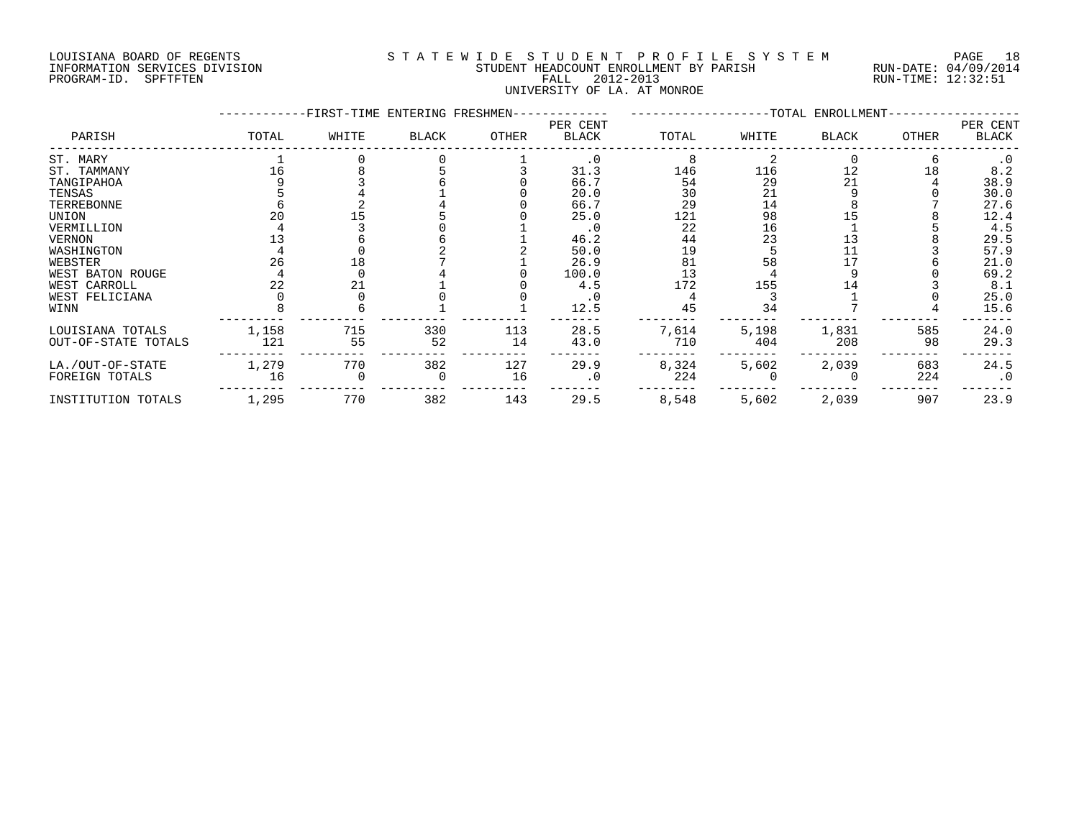#### LOUISIANA BOARD OF REGENTS S T A T E W I D E S T U D E N T P R O F I L E S Y S T E M PAGE 18 INFORMATION SERVICES DIVISION STUDENT HEADCOUNT ENROLLMENT BY PARISH RUN-DATE: 04/09/2014 PROGRAM-ID. SPFTFTEN FALL 2012-2013 RUN-TIME: 12:32:51 UNIVERSITY OF LA. AT MONROE

|                     |       | -FIRST-TIME ENTERING FRESHMEN- |              |       |                          |       |       | ----------------TOTAL ENROLLMENT- |       |                   |
|---------------------|-------|--------------------------------|--------------|-------|--------------------------|-------|-------|-----------------------------------|-------|-------------------|
| PARISH              | TOTAL | WHITE                          | <b>BLACK</b> | OTHER | PER CENT<br><b>BLACK</b> | TOTAL | WHITE | <b>BLACK</b>                      | OTHER | PER CENT<br>BLACK |
| ST. MARY            |       |                                |              |       | $\cdot$ 0                |       |       |                                   |       | $\cdot$ 0         |
| ST. TAMMANY         |       |                                |              |       | 31.3                     | 146   | 116   | 12                                | 18    | 8.2               |
| TANGIPAHOA          |       |                                |              |       | 66.7                     | 54    | 29    | 21                                |       | 38.9              |
| TENSAS              |       |                                |              |       | 20.0                     | 30    | 21    |                                   |       | 30.0              |
| TERREBONNE          |       |                                |              |       | 66.7                     | 29    | 14    |                                   |       | 27.6              |
| UNION               | 20    |                                |              |       | 25.0                     | 121   | 98    |                                   |       | 12.4              |
| VERMILLION          |       |                                |              |       | $\cdot$ 0                | 22    | 16    |                                   |       | 4.5               |
| <b>VERNON</b>       |       |                                |              |       | 46.2                     | 44    | 23    | 13                                |       | 29.5              |
| WASHINGTON          |       |                                |              |       | 50.0                     | 19    |       |                                   |       | 57.9              |
| WEBSTER             | 26    |                                |              |       | 26.9                     | 81    | 58    |                                   |       | 21.0              |
| WEST BATON ROUGE    |       |                                |              |       | 100.0                    | 13    |       |                                   |       | 69.2              |
| WEST CARROLL        |       | 21                             |              |       | 4.5                      | 172   | 155   | 14                                |       | 8.1               |
| WEST FELICIANA      |       |                                |              |       | . 0                      |       |       |                                   |       | 25.0              |
| WINN                |       |                                |              |       | 12.5                     | 45    | 34    |                                   |       | 15.6              |
| LOUISIANA TOTALS    | 1,158 | 715                            | 330          | 113   | 28.5                     | 7,614 | 5,198 | 1,831                             | 585   | 24.0              |
| OUT-OF-STATE TOTALS | 121   | 55                             | 52           | 14    | 43.0                     | 710   | 404   | 208                               | 98    | 29.3              |
| LA./OUT-OF-STATE    | 1,279 | 770                            | 382          | 127   | 29.9                     | 8,324 | 5,602 | 2,039                             | 683   | 24.5              |
| FOREIGN TOTALS      | 16    |                                |              | 16    | $\cdot$ 0                | 224   |       |                                   | 224   | $\cdot$ 0         |
| INSTITUTION TOTALS  | 1,295 | 770                            | 382          | 143   | 29.5                     | 8,548 | 5,602 | 2,039                             | 907   | 23.9              |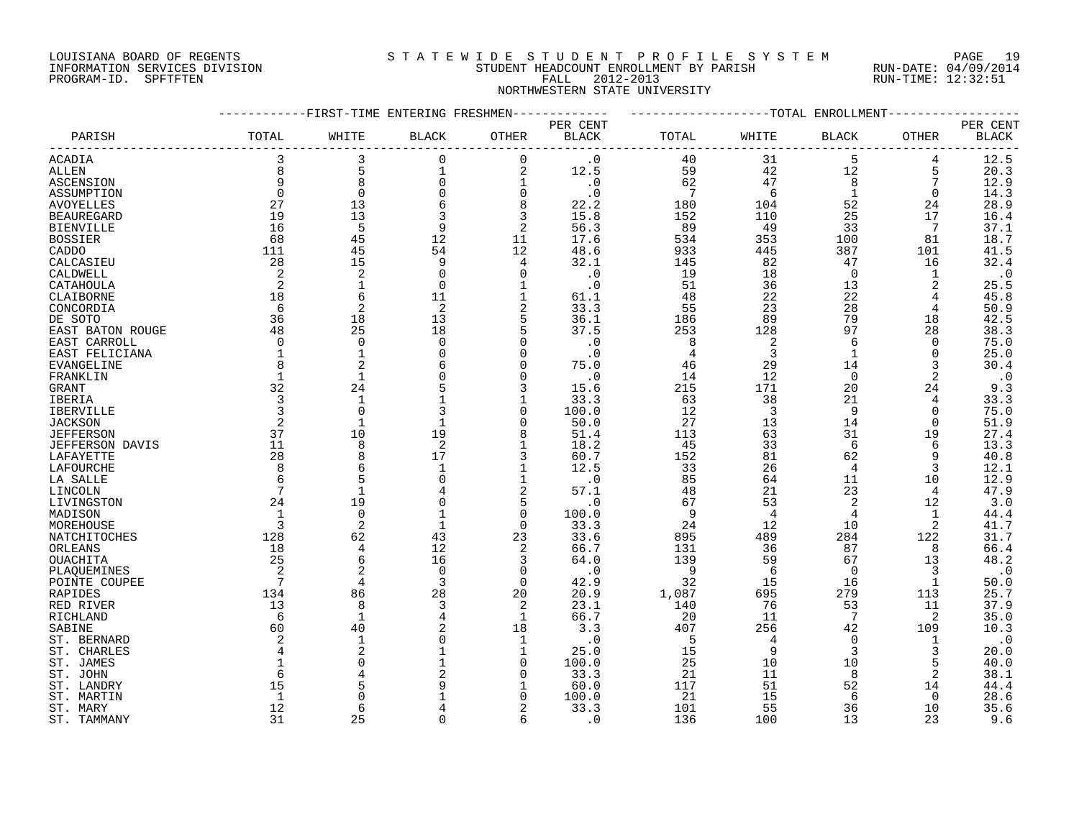#### LOUISIANA BOARD OF REGENTS S T A T E W I D E S T U D E N T P R O F I L E S Y S T E M PAGE 19 INFORMATION SERVICES DIVISION STUDENT HEADCOUNT ENROLLMENT BY PARISH RUN-DATE: 04/09/2014 PROGRAM-ID. SPFTFTEN FALL 2012-2013 RUN-TIME: 12:32:51 NORTHWESTERN STATE UNIVERSITY

|                        |              | -FIRST-TIME ENTERING FRESHMEN- |                |                |              |                 |                | ------------TOTAL ENROLLMENT |                |              |
|------------------------|--------------|--------------------------------|----------------|----------------|--------------|-----------------|----------------|------------------------------|----------------|--------------|
|                        |              |                                |                |                | PER CENT     |                 |                |                              |                | PER CENT     |
| PARISH                 | TOTAL        | WHITE                          | BLACK          | OTHER          | <b>BLACK</b> | TOTAL           | WHITE          | BLACK                        | OTHER          | <b>BLACK</b> |
| ACADIA                 | 3            | 3                              | $\mathbf 0$    | $\mathbf 0$    | $\cdot$ 0    | 40              | 31             | 5                            | 4              | 12.5         |
| ALLEN                  | 8            | 5                              | 1              | 2              | 12.5         | 59              | 42             | 12                           | 5              | 20.3         |
| ASCENSION              | 9            | 8                              | 0              | $\mathbf{1}$   | $\cdot$ 0    | 62              | 47             | 8                            | 7              | 12.9         |
| ASSUMPTION             | $\Omega$     | $\mathbf 0$                    | $\Omega$       | $\mathbf 0$    | $\cdot$ 0    | $7\phantom{.0}$ | 6              | $\mathbf{1}$                 | $\Omega$       | 14.3         |
| <b>AVOYELLES</b>       | 27           | 13                             | 6              | 8              | 22.2         | 180             | 104            | 52                           | 24             | 28.9         |
| <b>BEAUREGARD</b>      | 19           | 13                             | 3              | 3              | 15.8         | 152             | 110            | 25                           | 17             | 16.4         |
| <b>BIENVILLE</b>       | 16           | 5                              | 9              | 2              | 56.3         | 89              | 49             | 33                           | 7              | 37.1         |
| <b>BOSSIER</b>         | 68           | 45                             | 12             | 11             | 17.6         | 534             | 353            | 100                          | 81             | 18.7         |
| CADDO                  | 111          | 45                             | 54             | 12             | 48.6         | 933             | 445            | 387                          | 101            | 41.5         |
| CALCASIEU              | 28           | 15                             | 9              | 4              | 32.1         | 145             | 82             | 47                           | 16             | 32.4         |
| CALDWELL               | 2            | $\overline{2}$                 | $\Omega$       | $\Omega$       | $\cdot$ 0    | 19              | 18             | $\Omega$                     | 1              | $\cdot$ 0    |
| CATAHOULA              | 2            | $\mathbf{1}$                   | $\mathbf 0$    | $\mathbf{1}$   | $\cdot$ 0    | 51              | 36             | 13                           | $\overline{2}$ | 25.5         |
| CLAIBORNE              | 18           | 6                              | 11             | $\mathbf 1$    | 61.1         | 48              | 22             | 22                           |                | 45.8         |
| CONCORDIA              | 6            | $\overline{2}$                 | 2              | 2              | 33.3         | 55              | 23             | 28                           | 4              | 50.9         |
| DE SOTO                | 36           | 18                             | 13             | 5              | 36.1         | 186             | 89             | 79                           | 18             | 42.5         |
| EAST BATON ROUGE       | 48           | 25                             | 18             | 5              | 37.5         | 253             | 128            | 97                           | 28             | 38.3         |
| EAST CARROLL           | $\mathbf 0$  | $\overline{0}$                 | $\Omega$       | $\Omega$       | $\cdot$ 0    | 8               | 2              | 6                            | 0              | 75.0         |
|                        | $\mathbf{1}$ | $\mathbf{1}$                   |                | $\Omega$       | $\cdot$ 0    | 4               | 3              | $\mathbf{1}$                 | $\Omega$       |              |
| EAST FELICIANA         | 8            | $\overline{2}$                 |                | $\Omega$       | 75.0         | 46              | 29             | 14                           | 3              | 25.0         |
| EVANGELINE             |              | $\mathbf{1}$                   |                | $\Omega$       |              |                 |                |                              |                | 30.4         |
| FRANKLIN               | $\mathbf 1$  |                                |                |                | $\cdot$ 0    | 14              | 12             | $\mathbf 0$                  | 2              | $\cdot$ 0    |
| GRANT                  | 32           | 24                             |                | 3              | 15.6         | 215             | 171            | 20                           | 24             | 9.3          |
| IBERIA                 | 3            | 1                              |                | 1              | 33.3         | 63              | 38             | 21                           | 4              | 33.3         |
| IBERVILLE              | 3            | $\Omega$                       | 3              | $\Omega$       | 100.0        | 12              | $\overline{3}$ | 9                            | $\Omega$       | 75.0         |
| <b>JACKSON</b>         | 2            | $\mathbf{1}$                   |                | $\Omega$       | 50.0         | 27              | 13             | 14                           | 0              | 51.9         |
| <b>JEFFERSON</b>       | 37           | 10                             | 19             | 8              | 51.4         | 113             | 63             | 31                           | 19             | 27.4         |
| <b>JEFFERSON DAVIS</b> | 11           | 8                              | $\overline{2}$ | $\mathbf{1}$   | 18.2         | 45              | 33             | 6                            | 6              | 13.3         |
| LAFAYETTE              | 28           | 8                              | 17             | 3              | 60.7         | 152             | 81             | 62                           | 9              | 40.8         |
| LAFOURCHE              | 8            | 6                              |                | $\mathbf{1}$   | 12.5         | 33              | 26             | 4                            | 3              | 12.1         |
| LA SALLE               | 6            | 5                              |                | 1              | $\cdot$ 0    | 85              | 64             | 11                           | 10             | 12.9         |
| LINCOLN                | 7            | $\mathbf{1}$                   |                | 2              | 57.1         | 48              | 21             | 23                           | 4              | 47.9         |
| LIVINGSTON             | 24           | 19                             | $\Omega$       | 5              | $\cdot$ 0    | 67              | 53             | 2                            | 12             | 3.0          |
| MADISON                | 1            | $\Omega$                       |                | $\mathbf 0$    | 100.0        | 9               | $\overline{4}$ | 4                            | 1              | 44.4         |
| MOREHOUSE              | 3            | $\overline{2}$                 |                | $\Omega$       | 33.3         | 24              | 12             | 10                           | $\overline{a}$ | 41.7         |
| NATCHITOCHES           | 128          | 62                             | 43             | 23             | 33.6         | 895             | 489            | 284                          | 122            | 31.7         |
| ORLEANS                | 18           | $\overline{4}$                 | 12             | 2              | 66.7         | 131             | 36             | 87                           | 8              | 66.4         |
| OUACHITA               | 25           | 6                              | 16             | 3              | 64.0         | 139             | 59             | 67                           | 13             | 48.2         |
| PLAQUEMINES            | 2            | $\overline{2}$                 | $\mathbf 0$    | $\mathbf 0$    | $\cdot$ 0    | 9               | 6              | 0                            | 3              | $\cdot$ 0    |
| POINTE COUPEE          |              | $\overline{4}$                 | 3              | $\Omega$       | 42.9         | 32              | 15             | 16                           | 1              | 50.0         |
| RAPIDES                | 134          | 86                             | 28             | 20             | 20.9         | 1,087           | 695            | 279                          | 113            | 25.7         |
| RED RIVER              | 13           | 8                              | 3              | 2              | 23.1         | 140             | 76             | 53                           | 11             | 37.9         |
| RICHLAND               | 6            | $\mathbf{1}$                   | 4              | $\mathbf{1}$   | 66.7         | 20              | 11             | $7\phantom{.0}$              | 2              | 35.0         |
| SABINE                 | 60           | 40                             |                | 18             | 3.3          | 407             | 256            | 42                           | 109            | 10.3         |
| ST. BERNARD            | 2            | $\mathbf{1}$                   |                | 1              | $\cdot$ 0    | 5               | $\overline{4}$ | $\Omega$                     | 1              | $\cdot$ 0    |
| ST. CHARLES            | 4            | $\overline{2}$                 |                | 1              | 25.0         | 15              | 9              | 3                            | 3              | 20.0         |
| ST. JAMES              |              | $\Omega$                       |                | $\Omega$       | 100.0        | 25              | 10             | 10                           | 5              | 40.0         |
| ST. JOHN               | 6            |                                |                | $\Omega$       | 33.3         | 21              | 11             | 8                            | 2              | 38.1         |
| ST. LANDRY             | 15           |                                |                | 1              | 60.0         | 117             | 51             | 52                           | 14             | 44.4         |
| ST. MARTIN             | 1            | $\Omega$                       |                | ∩              | 100.0        | 21              | 15             | 6                            | $\Omega$       | 28.6         |
| ST. MARY               | 12           | 6                              |                | $\overline{2}$ | 33.3         | 101             | 55             | 36                           | 10             | 35.6         |
| ST. TAMMANY            | 31           | 25                             |                | 6              | . 0          | 136             | 100            | 13                           | 23             | 9.6          |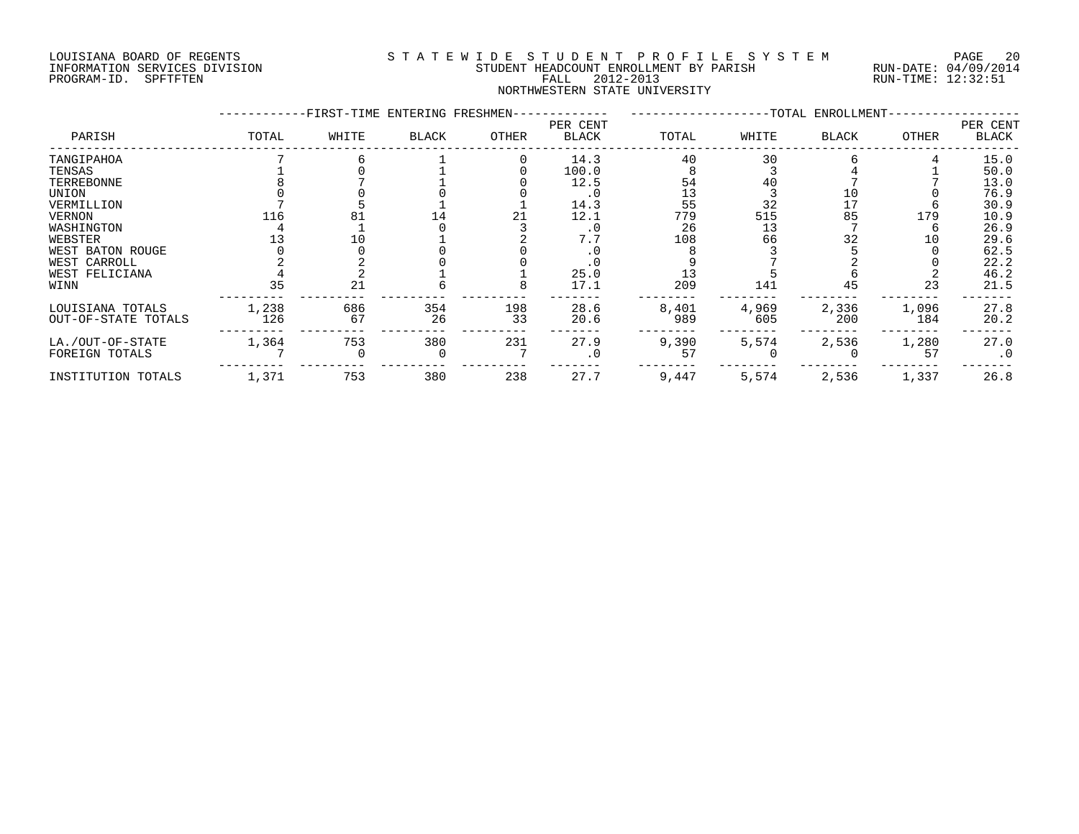#### LOUISIANA BOARD OF REGENTS S T A T E W I D E S T U D E N T P R O F I L E S Y S T E M PAGE 20 INFORMATION SERVICES DIVISION STUDENT HEADCOUNT ENROLLMENT BY PARISH RUN-DATE: 04/09/2014 PROGRAM-ID. SPFTFTEN FALL 2012-2013 RUN-TIME: 12:32:51 NORTHWESTERN STATE UNIVERSITY

|                     |       | -FIRST-TIME ENTERING FRESHMEN- |       |       |                   |       |       | -TOTAL ENROLLMENT- |       |                          |
|---------------------|-------|--------------------------------|-------|-------|-------------------|-------|-------|--------------------|-------|--------------------------|
| PARISH              | TOTAL | WHITE                          | BLACK | OTHER | PER CENT<br>BLACK | TOTAL | WHITE | <b>BLACK</b>       | OTHER | PER CENT<br><b>BLACK</b> |
| TANGIPAHOA          |       |                                |       |       | 14.3              | 40    | 30    |                    |       | 15.0                     |
| TENSAS              |       |                                |       |       | 100.0             |       |       |                    |       | 50.0                     |
| TERREBONNE          |       |                                |       |       | 12.5              | 54    | 40    |                    |       | 13.0                     |
| UNION               |       |                                |       |       | . 0               | 13    |       |                    |       | 76.9                     |
| VERMILLION          |       |                                |       |       | 14.3              | 55    | 32    | 17                 |       | 30.9                     |
| VERNON              | 116   |                                |       |       | 12.1              | 779   | 515   | 85                 | 179   | 10.9                     |
| WASHINGTON          |       |                                |       |       | . 0               | 26    | 13    |                    |       | 26.9                     |
| WEBSTER             |       |                                |       |       | 7.7               | 108   | 66    | 32                 | 10    | 29.6                     |
| WEST BATON ROUGE    |       |                                |       |       |                   |       |       |                    |       | 62.5                     |
| WEST CARROLL        |       |                                |       |       | . 0               |       |       |                    |       | 22.2                     |
| WEST FELICIANA      |       |                                |       |       | 25.0              |       |       |                    |       | 46.2                     |
| WINN                | 35    | 21                             |       |       | 17.1              | 209   | 141   | 45                 | 23    | 21.5                     |
| LOUISIANA TOTALS    | 1,238 | 686                            | 354   | 198   | 28.6              | 8,401 | 4,969 | 2,336              | 1,096 | 27.8                     |
| OUT-OF-STATE TOTALS | 126   | 67                             | 26    | 33    | 20.6              | 989   | 605   | 200                | 184   | 20.2                     |
| LA./OUT-OF-STATE    | 1,364 | 753                            | 380   | 231   | 27.9              | 9,390 | 5,574 | 2,536              | 1,280 | 27.0                     |
| FOREIGN TOTALS      |       |                                |       |       |                   | 57    |       |                    | 57    | $\cdot$ 0                |
| INSTITUTION TOTALS  | 1,371 | 753                            | 380   | 238   | 27.7              | 9,447 | 5,574 | 2,536              | 1,337 | 26.8                     |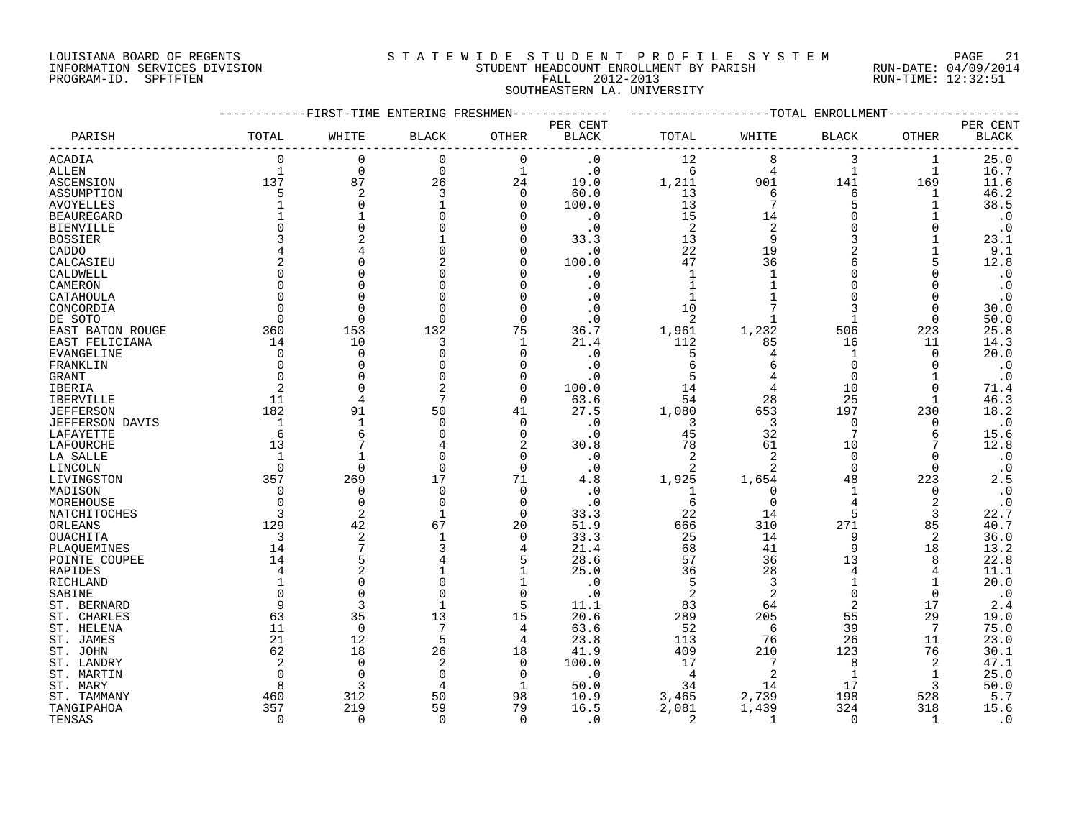#### LOUISIANA BOARD OF REGENTS S T A T E W I D E S T U D E N T P R O F I L E S Y S T E M PAGE 21 INFORMATION SERVICES DIVISION STUDENT HEADCOUNT ENROLLMENT BY PARISH RUN-DATE: 04/09/2014 PROGRAM-ID. SPFTFTEN FALL 2012-2013 RUN-TIME: 12:32:51 SOUTHEASTERN LA. UNIVERSITY

|                   |             |             | -FIRST-TIME ENTERING FRESHMEN |              |              |                |                | -TOTAL<br>ENROLLMENT |                |                        |
|-------------------|-------------|-------------|-------------------------------|--------------|--------------|----------------|----------------|----------------------|----------------|------------------------|
|                   |             |             |                               |              | PER CENT     |                |                |                      |                | PER CENT               |
| PARISH            | TOTAL       | WHITE       | <b>BLACK</b>                  | OTHER        | <b>BLACK</b> | TOTAL          | WHITE          | <b>BLACK</b>         | OTHER          | <b>BLACK</b>           |
| <b>ACADIA</b>     | 0           | $\Omega$    | 0                             | 0            | $\cdot$ 0    | 12             | 8              | 3                    | 1              | 25.0                   |
| ALLEN             | $\mathbf 1$ | 0           | $\mathbf 0$                   | $\mathbf{1}$ | $\cdot$ 0    | 6              | 4              | $\mathbf 1$          | 1              | 16.7                   |
| ASCENSION         | 137         | 87          | 26                            | 24           | 19.0         | 1,211          | 901            | 141                  | 169            | 11.6                   |
| ASSUMPTION        | 5           | 2           | 3                             | $\mathbf 0$  | 60.0         | 13             | 6              | 6                    |                | 46.2                   |
| <b>AVOYELLES</b>  | 1           | C           |                               | $\Omega$     | 100.0        | 13             |                |                      |                | 38.5                   |
| <b>BEAUREGARD</b> |             |             |                               | $\Omega$     | . 0          | 15             | 14             |                      |                | $\boldsymbol{\cdot}$ 0 |
| <b>BIENVILLE</b>  |             |             | 0                             | $\Omega$     | . 0          | 2              | 2              |                      | $\Omega$       | $\cdot$ 0              |
| <b>BOSSIER</b>    |             |             |                               | $\Omega$     | 33.3         | 13             | 9              |                      |                | 23.1                   |
| CADDO             |             |             | O                             | $\Omega$     | . 0          | 22             | 19             | 2                    |                | 9.1                    |
| CALCASIEU         |             |             |                               | $\Omega$     | 100.0        | 47             | 36             |                      |                | 12.8                   |
| CALDWELL          | $\Omega$    |             | U                             | $\Omega$     | . 0          | $\mathbf 1$    |                |                      |                | $\cdot$ 0              |
| CAMERON           | $\Omega$    |             | 0                             | $\Omega$     | . 0          |                |                |                      | <sup>0</sup>   | $\cdot$ 0              |
| CATAHOULA         | $\Omega$    |             |                               | $\Omega$     |              | 1              |                |                      | $\Omega$       | $\cdot$ 0              |
| CONCORDIA         | $\Omega$    |             | 0                             | $\Omega$     |              | 10             |                |                      | $\Omega$       | 30.0                   |
|                   | ∩           | U           | $\Omega$                      |              |              |                |                |                      |                | 50.0                   |
| DE SOTO           |             |             |                               | $\Omega$     | . 0          | $\overline{2}$ |                |                      | $\Omega$       |                        |
| EAST BATON ROUGE  | 360         | 153         | 132                           | 75           | 36.7         | 1,961          | 1,232          | 506                  | 223            | 25.8                   |
| EAST FELICIANA    | 14          | 10          | 3                             | 1            | 21.4         | 112            | 85             | 16                   | 11             | 14.3                   |
| EVANGELINE        | 0           | $\Omega$    | 0                             | $\mathbf 0$  | . 0          | 5              |                | -1                   | $\Omega$       | 20.0                   |
| FRANKLIN          | $\Omega$    | C           | U                             | $\Omega$     | . 0          | 6              | 6              | $\cap$               | <sup>0</sup>   | $\cdot$ 0              |
| <b>GRANT</b>      | $\Omega$    |             | $\Omega$                      | $\Omega$     |              |                |                | $\Omega$             |                | $\cdot$ 0              |
| IBERIA            | 2           | C           | 2                             | $\mathbf 0$  | 100.0        | 14             | 4              | 10                   | $\Omega$       | 71.4                   |
| <b>IBERVILLE</b>  | 11          |             | 7                             | $\mathbf 0$  | 63.6         | 54             | 28             | 25                   | 1              | 46.3                   |
| <b>JEFFERSON</b>  | 182         | 91          | 50                            | 41           | 27.5         | 1,080          | 653            | 197                  | 230            | 18.2                   |
| JEFFERSON DAVIS   | 1           | 1           | $\Omega$                      | 0            | . 0          | 3              | 3              | $\mathbf 0$          | 0              | $\boldsymbol{\cdot}$ 0 |
| LAFAYETTE         | 6           | 6           | 0                             | 0            | . 0          | 45             | 32             | 7                    | 6              | 15.6                   |
| LAFOURCHE         | 13          |             |                               | 2            | 30.8         | 78             | 61             | 10                   | 7              | 12.8                   |
| LA SALLE          | 1           |             | 0                             | $\mathbf 0$  | $\cdot$ 0    | 2              | $\overline{2}$ | $\Omega$             |                | $\cdot$ 0              |
| LINCOLN           | $\Omega$    | U           | $\Omega$                      | $\Omega$     | $\cdot$ 0    |                | 2              | $\Omega$             | $\Omega$       | $\cdot$ 0              |
| LIVINGSTON        | 357         | 269         | 17                            | 71           | 4.8          | 1,925          | 1,654          | 48                   | 223            | 2.5                    |
| MADISON           | $\Omega$    | $\Omega$    | $\Omega$                      | $\Omega$     | . 0          | 1              | $\Omega$       | 1                    | $\Omega$       | $\boldsymbol{\cdot}$ 0 |
| MOREHOUSE         | $\Omega$    | $\Omega$    | $\mathbf 0$                   | $\mathbf 0$  | $\cdot$ 0    | 6              | $\Omega$       | 4                    | $\overline{2}$ | $\cdot$ 0              |
| NATCHITOCHES      | 3           | 2           |                               | $\Omega$     | 33.3         | 22             | 14             | 5                    | 3              | 22.7                   |
| ORLEANS           | 129         | 42          | 67                            | 20           | 51.9         | 666            | 310            | 271                  | 85             | 40.7                   |
| OUACHITA          | 3           | 2           | 1                             | 0            | 33.3         | 25             | 14             | 9                    | 2              | 36.0                   |
| PLAQUEMINES       | 14          |             | 3                             | 4            | 21.4         | 68             | 41             | 9                    | 18             | 13.2                   |
| POINTE COUPEE     | 14          | 5           |                               | 5            | 28.6         | 57             | 36             | 13                   | 8              | 22.8                   |
| RAPIDES           | 4           | 2           |                               | 1            | 25.0         | 36             | 28             | 4                    | 4              | 11.1                   |
| RICHLAND          |             |             | 0                             |              | . 0          | 5              | 3              |                      |                | 20.0                   |
| SABINE            | $\Omega$    | $\Omega$    | $\Omega$                      | $\Omega$     | . 0          | $\overline{2}$ | $\overline{2}$ | $\Omega$             | $\Omega$       | $\cdot$ 0              |
| ST. BERNARD       | 9           | 3           |                               | 5            | 11.1         | 83             | 64             | 2                    | 17             | 2.4                    |
| ST. CHARLES       | 63          | 35          | 13                            | 15           | 20.6         | 289            | 205            | 55                   | 29             | 19.0                   |
| ST. HELENA        | 11          | $\mathbf 0$ | 7                             | 4            | 63.6         | 52             | 6              | 39                   | 7              | 75.0                   |
| ST. JAMES         | 21          | 12          | 5                             | 4            | 23.8         | 113            | 76             | 26                   | 11             | 23.0                   |
| ST. JOHN          | 62          | 18          | 26                            | 18           | 41.9         | 409            | 210            | 123                  | 76             | 30.1                   |
| ST. LANDRY        | 2           | $\Omega$    | 2                             | 0            | 100.0        | 17             | 7              | 8                    | 2              | 47.1                   |
| ST. MARTIN        | $\Omega$    | $\Omega$    | 0                             | $\Omega$     | $\cdot$ 0    | $\overline{4}$ | $\overline{2}$ | 1                    | 1              | 25.0                   |
| ST. MARY          | 8           | 3           | 4                             | 1            | 50.0         | 34             | 14             | 17                   | 3              | 50.0                   |
| ST. TAMMANY       | 460         | 312         | 50                            | 98           | 10.9         | 3,465          | 2,739          | 198                  | 528            | 5.7                    |
| TANGIPAHOA        | 357         | 219         | 59                            | 79           | 16.5         | 2,081          | 1,439          | 324                  | 318            | 15.6                   |
| TENSAS            | $\Omega$    | $\Omega$    | $\Omega$                      | $\Omega$     | . 0          | $\overline{2}$ | $\mathbf{1}$   | $\Omega$             | -1             | $\cdot$ 0              |
|                   |             |             |                               |              |              |                |                |                      |                |                        |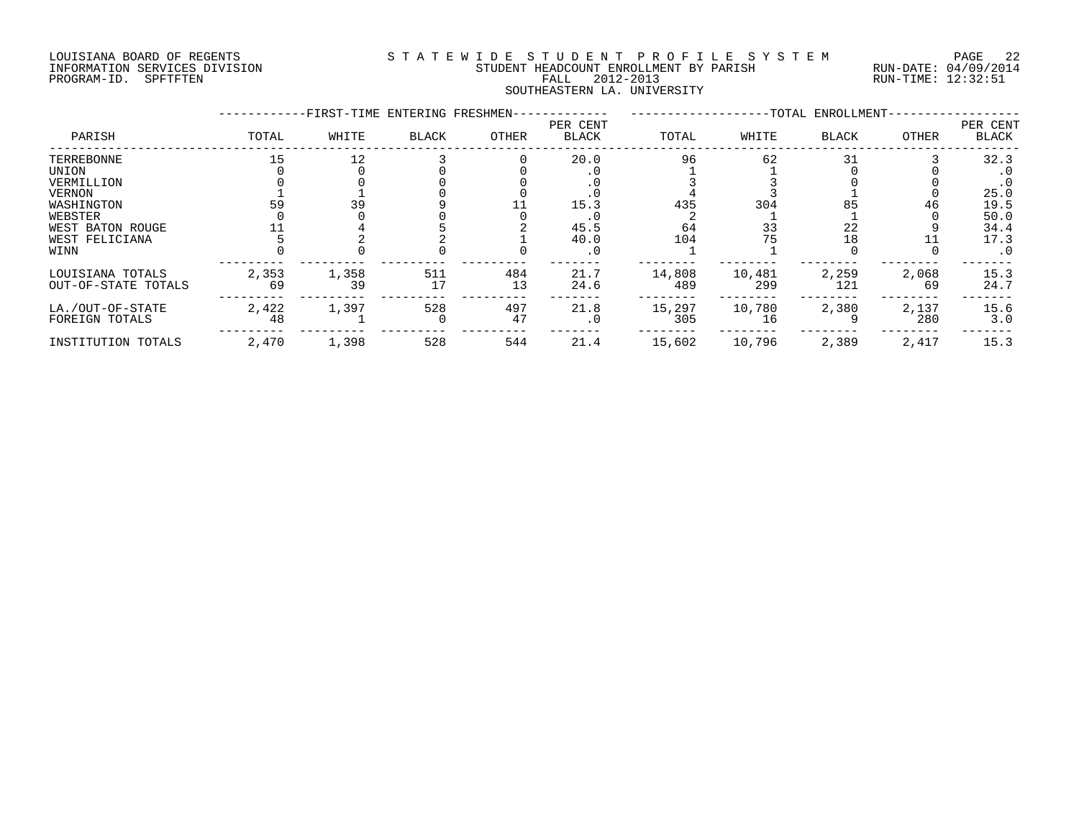### LOUISIANA BOARD OF REGENTS S T A T E W I D E S T U D E N T P R O F I L E S Y S T E M PAGE 22 INFORMATION SERVICES DIVISION STUDENT HEADCOUNT ENROLLMENT BY PARISH RUN-DATE: 04/09/2014 PROGRAM-ID. SPFTFTEN FALL 2012-2013 RUN-TIME: 12:32:51 SOUTHEASTERN LA. UNIVERSITY

|                                                                                                                    |             | -FIRST-TIME ENTERING FRESHMEN- |              |           |                                     |                        |                       | -TOTAL ENROLLMENT-   |              |                                                                                     |
|--------------------------------------------------------------------------------------------------------------------|-------------|--------------------------------|--------------|-----------|-------------------------------------|------------------------|-----------------------|----------------------|--------------|-------------------------------------------------------------------------------------|
| PARISH                                                                                                             | TOTAL       | WHITE                          | <b>BLACK</b> | OTHER     | PER CENT<br>BLACK                   | TOTAL                  | WHITE                 | <b>BLACK</b>         | OTHER        | PER CENT<br>BLACK                                                                   |
| TERREBONNE<br>UNION<br>VERMILLION<br>VERNON<br>WASHINGTON<br>WEBSTER<br>WEST BATON ROUGE<br>WEST FELICIANA<br>WINN | 15<br>59    | 12<br>39                       |              |           | 20.0<br>15.3<br>45.5<br>40.0<br>. 0 | 96<br>435<br>64<br>104 | 62<br>304<br>33<br>75 | 31<br>85<br>22<br>18 | 46           | 32.3<br>$\cdot$ 0<br>$\cdot$ 0<br>25.0<br>19.5<br>50.0<br>34.4<br>17.3<br>$\cdot$ 0 |
| LOUISIANA TOTALS<br>OUT-OF-STATE TOTALS                                                                            | 2,353<br>69 | 1,358<br>39                    | 511<br>17    | 484<br>13 | 21.7<br>24.6                        | 14,808<br>489          | 10,481<br>299         | 2,259<br>121         | 2,068<br>69  | 15.3<br>24.7                                                                        |
| LA./OUT-OF-STATE<br>FOREIGN TOTALS                                                                                 | 2,422<br>48 | 1,397                          | 528          | 497<br>47 | 21.8<br>. 0                         | 15,297<br>305          | 10,780<br>16          | 2,380                | 2,137<br>280 | 15.6<br>3.0                                                                         |
| INSTITUTION TOTALS                                                                                                 | 2,470       | 1,398                          | 528          | 544       | 21.4                                | 15,602                 | 10,796                | 2,389                | 2,417        | 15.3                                                                                |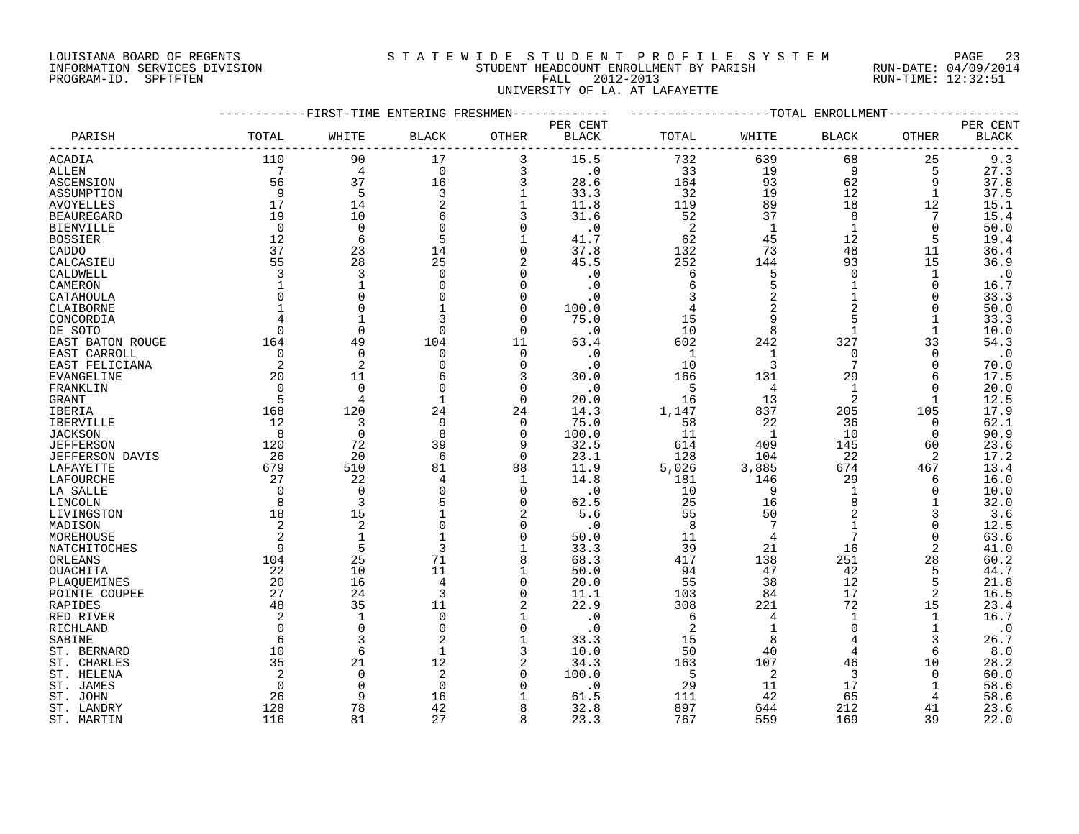### LOUISIANA BOARD OF REGENTS S T A T E W I D E S T U D E N T P R O F I L E S Y S T E M PAGE 23 INFORMATION SERVICES DIVISION STUDENT HEADCOUNT ENROLLMENT BY PARISH RUN-DATE: 04/09/2014 PROGRAM-ID. SPFTFTEN FALL 2012-2013 RUN-TIME: 12:32:51 UNIVERSITY OF LA. AT LAFAYETTE

|                        |              | ---------FIRST-TIME ENTERING FRESHMEN- |                |                | -------      |       |                | ----------------TOTAL ENROLLMENT- |             |              |
|------------------------|--------------|----------------------------------------|----------------|----------------|--------------|-------|----------------|-----------------------------------|-------------|--------------|
|                        |              |                                        |                |                | PER CENT     |       |                |                                   |             | PER CENT     |
| PARISH                 | TOTAL        | WHITE                                  | <b>BLACK</b>   | OTHER          | <b>BLACK</b> | TOTAL | WHITE          | BLACK                             | OTHER       | <b>BLACK</b> |
| ACADIA                 | 110          | 90                                     | 17             | 3              | 15.5         | 732   | 639            | 68                                | 25          | 9.3          |
| ALLEN                  | 7            | $\overline{4}$                         | $\Omega$       | 3              | $\cdot$ 0    | 33    | 19             | 9                                 | 5           | 27.3         |
| ASCENSION              | 56           | 37                                     | 16             | 3              | 28.6         | 164   | 93             | 62                                | 9           | 37.8         |
| ASSUMPTION             | 9            | 5                                      | 3              |                | 33.3         | 32    | 19             | 12                                | 1           | 37.5         |
|                        | 17           | 14                                     |                |                | 11.8         | 119   | 89             | 18                                | 12          | 15.1         |
| AVOYELLES              | 19           | 10                                     | 2<br>6         | 3              | 31.6         |       | 37             | 8                                 |             |              |
| <b>BEAUREGARD</b>      |              |                                        | $\Omega$       |                |              | 52    |                |                                   |             | 15.4         |
| <b>BIENVILLE</b>       | $\Omega$     | $\Omega$                               |                | $\Omega$       | $\cdot$ 0    | -2    | 1              | $\mathbf 1$                       | $\Omega$    | 50.0         |
| <b>BOSSIER</b>         | 12           | 6                                      | 5              |                | 41.7         | 62    | 45             | 12                                | 5           | 19.4         |
| CADDO                  | 37           | 23                                     | 14             | $\mathbf 0$    | 37.8         | 132   | 73             | 48                                | 11          | 36.4         |
| CALCASIEU              | 55           | 28                                     | 25             | 2              | 45.5         | 252   | 144            | 93                                | 15          | 36.9         |
| CALDWELL               | 3            | 3                                      | $\Omega$       | $\Omega$       | $\cdot$ 0    | 6     | 5              | $\Omega$                          | $\mathbf 1$ | $\cdot$ 0    |
| CAMERON                |              | $\mathbf{1}$                           | $\Omega$       | $\mathbf 0$    | $\cdot$ 0    | 6     | 5              | $\mathbf 1$                       | $\mathbf 0$ | 16.7         |
| CATAHOULA              |              | $\Omega$                               | $\Omega$       | $\Omega$       | $\cdot$ 0    |       | 2              | $\mathbf 1$                       | 0           | 33.3         |
| CLAIBORNE              | $\mathbf{1}$ | $\Omega$                               | 1              | $\Omega$       | 100.0        | 4     | 2              | $\overline{2}$                    | 0           | 50.0         |
| CONCORDIA              |              |                                        | २              | $\Omega$       | 75.0         | 15    | 9              | 5                                 |             | 33.3         |
| DE SOTO                | $\Omega$     | $\mathbf 0$                            | $\mathbf 0$    | $\mathbf 0$    | $\cdot$ 0    | 10    | 8              | $\mathbf 1$                       | 1           | 10.0         |
| EAST BATON ROUGE       | 164          | 49                                     | 104            | 11             | 63.4         | 602   | 242            | 327                               | 33          | 54.3         |
| EAST CARROLL           | $\Omega$     | $\Omega$                               | $\mathbf 0$    | $\Omega$       | $\cdot$ 0    | -1    | 1              | $\Omega$                          | $\Omega$    | $\cdot$ 0    |
| EAST FELICIANA         | 2            | 2                                      | $\Omega$       | $\Omega$       | $\cdot$ 0    | 10    | 3              | 7                                 | $\Omega$    | 70.0         |
| <b>EVANGELINE</b>      | 20           | 11                                     | 6              | 3              | 30.0         | 166   | 131            | 29                                | 6           | 17.5         |
|                        | $\Omega$     | $\Omega$                               | $\mathbf 0$    | $\Omega$       | $\cdot$ 0    | -5    | 4              | 1                                 | $\Omega$    | 20.0         |
| FRANKLIN               | 5            | 4                                      | $\mathbf{1}$   | $\Omega$       |              | 16    | 13             | $\overline{2}$                    |             |              |
| GRANT                  |              |                                        |                |                | 20.0         |       |                |                                   | 1           | 12.5         |
| IBERIA                 | 168          | 120                                    | 24             | 24             | 14.3         | 1,147 | 837            | 205                               | 105         | 17.9         |
| IBERVILLE              | 12           | 3                                      | 9              | $\overline{0}$ | 75.0         | 58    | 22             | 36                                | $\mathbf 0$ | 62.1         |
| <b>JACKSON</b>         | 8            | $\mathbf 0$                            | 8              | $\Omega$       | 100.0        | 11    | $\overline{1}$ | 10                                | $\Omega$    | 90.9         |
| <b>JEFFERSON</b>       | 120          | 72                                     | 39             | 9              | 32.5         | 614   | 409            | 145                               | 60          | 23.6         |
| <b>JEFFERSON DAVIS</b> | 26           | 20                                     | 6              | $\mathbf 0$    | 23.1         | 128   | 104            | 22                                | 2           | 17.2         |
| LAFAYETTE              | 679          | 510                                    | 81             | 88             | 11.9         | 5,026 | 3,885          | 674                               | 467         | 13.4         |
| LAFOURCHE              | 27           | 22                                     | 4              | 1              | 14.8         | 181   | 146            | 29                                | 6           | 16.0         |
| LA SALLE               | $\Omega$     | $\Omega$                               |                | $\Omega$       | $\cdot$ 0    | 10    | 9              | $\mathbf{1}$                      | 0           | 10.0         |
| LINCOLN                | 8            | 3                                      |                | $\Omega$       | 62.5         | 25    | 16             | 8                                 |             | 32.0         |
| LIVINGSTON             | 18           | 15                                     | $\mathbf 1$    | 2              | 5.6          | 55    | 50             | $\overline{2}$                    | 3           | 3.6          |
| MADISON                | 2            | 2                                      | $\Omega$       | $\Omega$       | $\cdot$ 0    | - 8   | 7              | $\mathbf{1}$                      | $\Omega$    | 12.5         |
| MOREHOUSE              |              | $\mathbf{1}$                           | $\mathbf{1}$   | $\Omega$       | 50.0         | 11    | 4              | 7                                 | $\Omega$    | 63.6         |
| NATCHITOCHES           | 9            | 5                                      | 3              |                | 33.3         | 39    | 21             | 16                                | 2           | 41.0         |
| ORLEANS                | 104          | 25                                     | 71             | 8              | 68.3         | 417   | 138            | 251                               | 28          | 60.2         |
| OUACHITA               | 22           | 10                                     | 11             | 1              | 50.0         | 94    | 47             | 42                                | 5           | 44.7         |
| PLAQUEMINES            | 20           | 16                                     | $\overline{4}$ | $\Omega$       | 20.0         | 55    | 38             | 12                                | 5           | 21.8         |
| POINTE COUPEE          | 27           | 24                                     | 3              | $\Omega$       | 11.1         | 103   | 84             | 17                                | 2           | 16.5         |
| RAPIDES                | 48           | 35                                     | 11             | 2              | 22.9         | 308   | 221            | 72                                | 15          | 23.4         |
| RED RIVER              | 2            | $\mathbf{1}$                           | $\Omega$       |                | $\cdot$ 0    | -6    | 4              | 1                                 | 1           | 16.7         |
|                        | $\Omega$     | $\Omega$                               | $\mathbf 0$    | $\Omega$       | $\cdot$ 0    | 2     | 1              | $\Omega$                          | $\mathbf 1$ | $\cdot$ 0    |
| RICHLAND               |              |                                        |                |                |              |       |                |                                   |             |              |
| SABINE                 | 6            | 3                                      | 2              |                | 33.3         | 15    | 8              | $\overline{4}$                    | 3           | 26.7         |
| ST. BERNARD            | 10           | 6                                      | 1              | 3              | 10.0         | 50    | 40             |                                   | 6           | 8.0          |
| ST. CHARLES            | 35           | 21                                     | 12             | 2              | 34.3         | 163   | 107            | 46                                | 10          | 28.2         |
| ST. HELENA             |              | $\Omega$                               | 2              | $\Omega$       | 100.0        | -5    | 2              | 3                                 | $\Omega$    | 60.0         |
| ST. JAMES              | $\Omega$     | $\mathbf 0$                            | $\mathbf 0$    | $\Omega$       | $\cdot$ 0    | 29    | 11             | 17                                |             | 58.6         |
| ST. JOHN               | 26           | 9                                      | 16             |                | 61.5         | 111   | 42             | 65                                | 4           | 58.6         |
| ST. LANDRY             | 128          | 78                                     | 42             | 8              | 32.8         | 897   | 644            | 212                               | 41          | 23.6         |
| ST. MARTIN             | 116          | 81                                     | 27             | 8              | 23.3         | 767   | 559            | 169                               | 39          | 22.0         |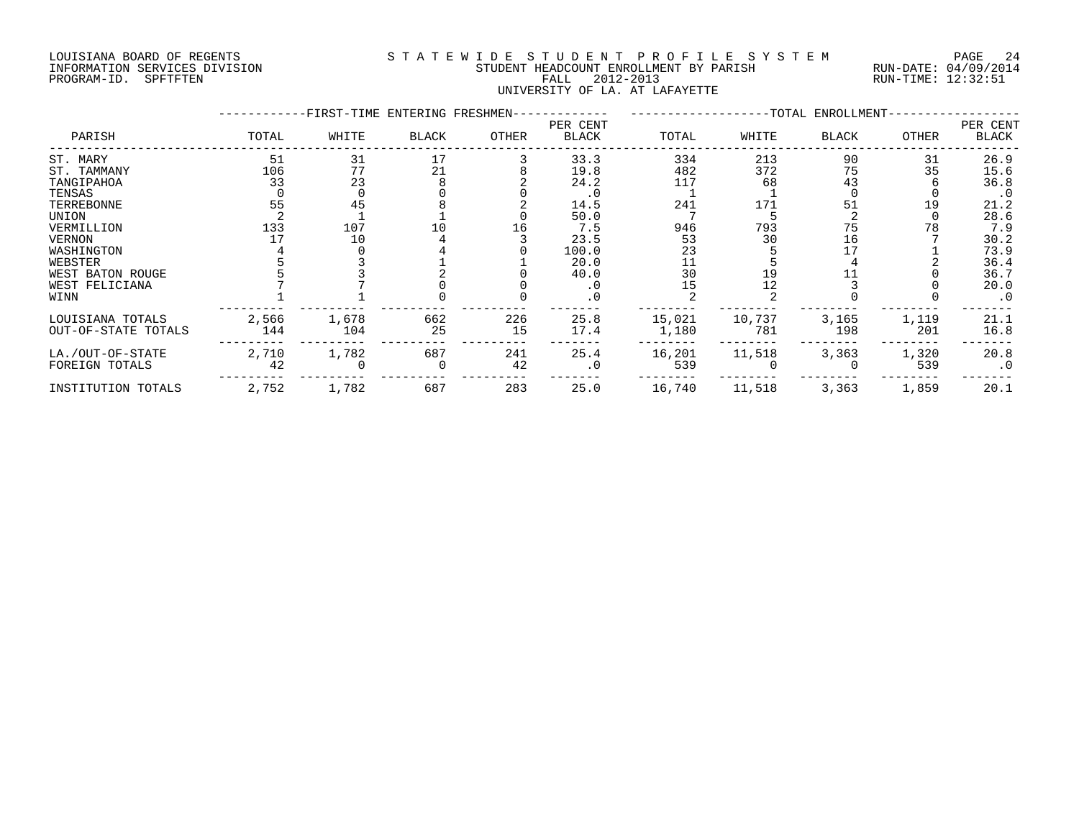#### LOUISIANA BOARD OF REGENTS S T A T E W I D E S T U D E N T P R O F I L E S Y S T E M PAGE 24 INFORMATION SERVICES DIVISION STUDENT HEADCOUNT ENROLLMENT BY PARISH RUN-DATE: 04/09/2014 PROGRAM-ID. SPFTFTEN FALL 2012-2013 RUN-TIME: 12:32:51 UNIVERSITY OF LA. AT LAFAYETTE

|                     |       | -FIRST-TIME ENTERING FRESHMEN- |              |       |                          |        |        | --TOTAL ENROLLMENT- |              |                   |
|---------------------|-------|--------------------------------|--------------|-------|--------------------------|--------|--------|---------------------|--------------|-------------------|
| PARISH              | TOTAL | WHITE                          | <b>BLACK</b> | OTHER | PER CENT<br><b>BLACK</b> | TOTAL  | WHITE  | <b>BLACK</b>        | <b>OTHER</b> | PER CENT<br>BLACK |
| ST. MARY            | 51    | 31                             | 17           |       | 33.3                     | 334    | 213    | 90                  | 31           | 26.9              |
| ST. TAMMANY         | 106   | 77                             | 21           |       | 19.8                     | 482    | 372    | 75                  | 35           | 15.6              |
| TANGIPAHOA          | 33    | 23                             |              |       | 24.2                     | 117    | 68     | 43                  |              | 36.8              |
| TENSAS              |       |                                |              |       | $\cdot$ 0                |        |        |                     |              | $\cdot$ 0         |
| TERREBONNE          | 55    | 45                             |              |       | 14.5                     | 241    | 171    | 51                  | 19           | 21.2              |
| UNION               |       |                                |              |       | 50.0                     |        |        |                     |              | 28.6              |
| VERMILLION          | 133   | 107                            |              | 16    | 7.5                      | 946    | 793    | 75                  | 78           | 7.9               |
| <b>VERNON</b>       |       | 10                             |              |       | 23.5                     | 53     | 30     | 16                  |              | 30.2              |
| WASHINGTON          |       |                                |              |       | 100.0                    | 23     |        |                     |              | 73.9              |
| WEBSTER             |       |                                |              |       | 20.0                     |        |        |                     |              | 36.4              |
| WEST BATON ROUGE    |       |                                |              |       | 40.0                     | 30     |        |                     |              | 36.7              |
| WEST FELICIANA      |       |                                |              |       |                          | 15     | 12     |                     |              | 20.0              |
| WINN                |       |                                |              |       | . 0                      |        |        |                     |              | $\cdot$ 0         |
| LOUISIANA TOTALS    | 2,566 | 1,678                          | 662          | 226   | 25.8                     | 15,021 | 10,737 | 3,165               | 1,119        | 21.1              |
| OUT-OF-STATE TOTALS | 144   | 104                            | 25           | 15    | 17.4                     | 1,180  | 781    | 198                 | 201          | 16.8              |
| LA./OUT-OF-STATE    | 2,710 | 1,782                          | 687          | 241   | 25.4                     | 16,201 | 11,518 | 3,363               | 1,320        | 20.8              |
| FOREIGN TOTALS      | 42    |                                |              | 42    | $\cdot$ 0                | 539    |        |                     | 539          | $\cdot$ 0         |
| INSTITUTION TOTALS  | 2,752 | 1,782                          | 687          | 283   | 25.0                     | 16,740 | 11,518 | 3,363               | 1,859        | 20.1              |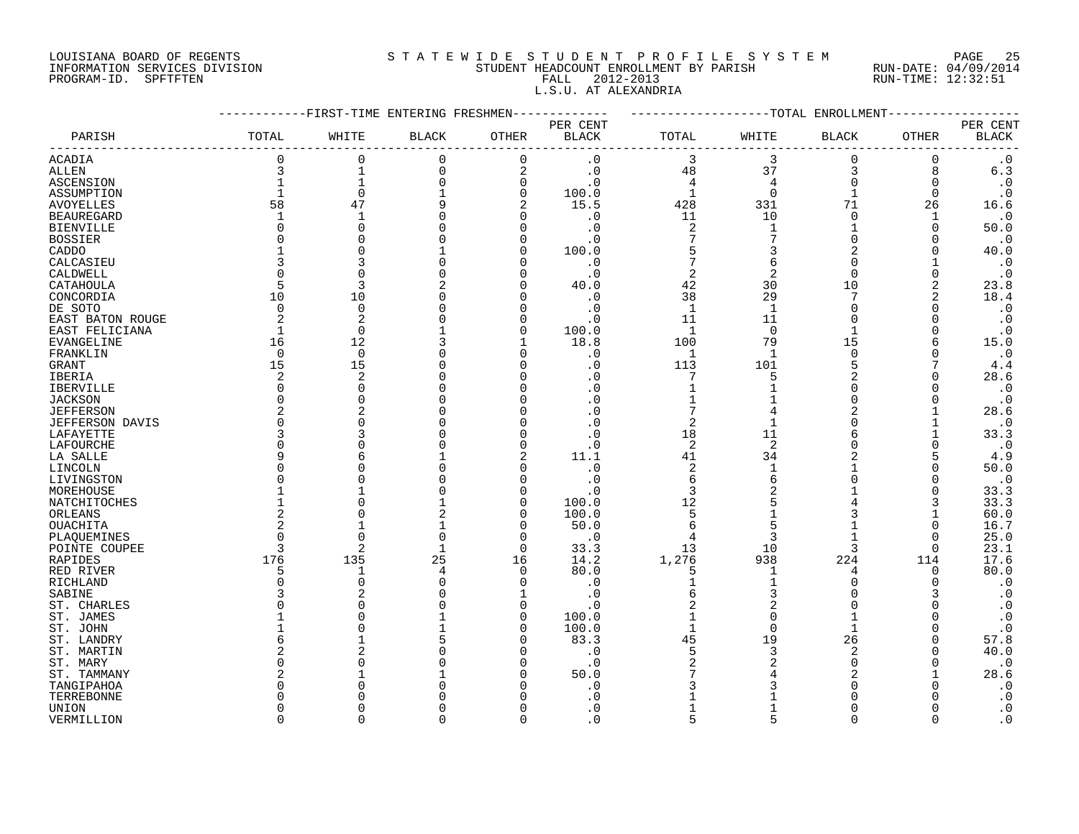#### LOUISIANA BOARD OF REGENTS S T A T E W I D E S T U D E N T P R O F I L E S Y S T E M PAGE 25 INFORMATION SERVICES DIVISION STUDENT HEADCOUNT ENROLLMENT BY PARISH RUN-DATE: 04/09/2014 PROGRAM-ID. SPFTFTEN FALL 2012-2013 RUN-TIME: 12:32:51 L.S.U. AT ALEXANDRIA

|                                    |              | -------FIRST-TIME ENTERING FRESHMEN- |                |              | ----------- | -------------------TOTAL ENROLLMENT |                |               |             |                        |
|------------------------------------|--------------|--------------------------------------|----------------|--------------|-------------|-------------------------------------|----------------|---------------|-------------|------------------------|
|                                    |              |                                      |                |              | PER CENT    |                                     |                |               |             | PER CENT               |
| PARISH                             | TOTAL        | WHITE                                | <b>BLACK</b>   | OTHER        | BLACK       | TOTAL                               | WHITE          | BLACK         | OTHER       | <b>BLACK</b>           |
| <b>ACADIA</b>                      | $\Omega$     | $\Omega$                             | $\mathbf 0$    | $\mathbf 0$  | $\cdot$ 0   | 3                                   | 3              | $\mathbf 0$   | $\Omega$    | $\cdot$ 0              |
| <b>ALLEN</b>                       | 3            | $\mathbf{1}$                         | $\Omega$       | 2            | $\cdot$ 0   | 48                                  | 37             | 3             | 8           | $6.3$                  |
| ASCENSION                          | $\mathbf{1}$ | $1\,$                                | $\Omega$       | $\mathbf 0$  | $\cdot$ 0   | $\overline{4}$                      | $\overline{4}$ | $\mathbf 0$   | 0           | $\boldsymbol{\cdot}$ 0 |
| ASSUMPTION                         |              | $\mathbf 0$                          |                | $\mathbf 0$  | 100.0       | $\mathbf{1}$                        | $\mathbf 0$    | $\mathbf{1}$  | $\mathbf 0$ | $\cdot$ 0              |
| <b>AVOYELLES</b>                   | 58           | 47                                   |                | 2            | 15.5        | 428                                 | 331            | 71            | 26          | 16.6                   |
| <b>BEAUREGARD</b>                  | $\mathbf{1}$ | $\mathbf{1}$                         |                | $\mathbf 0$  | $\cdot$ 0   | 11                                  | 10             | $\mathbf 0$   | 1           | $\cdot$ 0              |
| <b>BIENVILLE</b>                   |              | $\Omega$                             |                | $\Omega$     | $\cdot$ 0   | 2                                   | 1              | 1             | $\Omega$    | 50.0                   |
| <b>BOSSIER</b>                     |              |                                      |                | $\Omega$     | $\cdot$ 0   | $\overline{7}$                      | 7              | $\Omega$      |             | $\cdot$ 0              |
| CADDO                              |              |                                      |                | 0            | 100.0       | 5                                   | 3              | 2             | $\Omega$    | 40.0                   |
| CALCASIEU                          |              |                                      |                | $\Omega$     | $\cdot$ 0   | 7                                   | 6              | $\Omega$      |             | $\cdot$ 0              |
| CALDWELL                           |              |                                      |                | $\Omega$     | $\cdot$ 0   | $\overline{2}$                      | 2              | $\Omega$      | $\Omega$    | $\cdot$ 0              |
| CATAHOULA                          | 5            | 3                                    |                | $\Omega$     | 40.0        | 42                                  | 30             | 10            | 2           | 23.8                   |
| CONCORDIA                          | 10           | 10                                   |                | $\Omega$     | $\cdot$ 0   | 38                                  | 29             | 7             | 2           | 18.4                   |
| DE SOTO                            | $\Omega$     | $\Omega$                             |                | $\Omega$     | $\cdot$ 0   | $\mathbf{1}$                        | $\overline{1}$ | $\Omega$      | $\Omega$    | $\cdot$ 0              |
| EAST BATON ROUGE                   | 2            | 2                                    |                | 0            | $\cdot$ 0   | 11                                  | 11             | $\Omega$      | $\Omega$    | $\cdot$ 0              |
| EAST FELICIANA                     | 1            | $\Omega$                             |                | 0            | 100.0       | -1                                  | $\Omega$       | 1             | $\Omega$    | $\cdot$ 0              |
| EVANGELINE                         | 16           | 12                                   |                | 1            | 18.8        | 100                                 | 79             | 15            | 6           | 15.0                   |
| FRANKLIN                           | $\Omega$     | $\Omega$                             |                | $\Omega$     | $\cdot$ 0   | 1                                   | -1             | $\Omega$      | $\Omega$    | $\cdot$ 0              |
| <b>GRANT</b>                       | 15           | 15                                   |                | $\Omega$     | $\cdot$ 0   | 113                                 | 101            | 5             |             | 4.4                    |
| <b>IBERIA</b>                      | 2            | $\overline{c}$                       |                | $\Omega$     |             | 7                                   |                |               |             | 28.6                   |
|                                    | ∩            |                                      |                | $\Omega$     | . 0         |                                     |                | ∩             |             | $\cdot$ 0              |
| <b>IBERVILLE</b><br><b>JACKSON</b> |              |                                      |                | $\Omega$     | . 0         |                                     |                | $\Omega$      |             | $\cdot$ 0              |
| <b>JEFFERSON</b>                   |              |                                      |                |              |             |                                     |                |               |             | 28.6                   |
| <b>JEFFERSON DAVIS</b>             |              |                                      |                | 0            | $\cdot$ 0   | 2                                   |                | $\Omega$      |             | $\cdot$ 0              |
| LAFAYETTE                          |              |                                      |                | $\Omega$     | $\cdot$ 0   | 18                                  | 11             |               |             | 33.3                   |
| <b>LAFOURCHE</b>                   | $\Omega$     |                                      |                | $\Omega$     | $\cdot$ 0   | $\overline{2}$                      | $\overline{2}$ | $\Omega$      |             | $\cdot$ 0              |
| LA SALLE                           |              |                                      |                | 2            | 11.1        | 41                                  | 34             | 2             | 5           | 4.9                    |
| LINCOLN                            |              |                                      |                | $\Omega$     | $\cdot$ 0   | $\overline{2}$                      |                |               | $\Omega$    | 50.0                   |
| LIVINGSTON                         |              |                                      |                | $\Omega$     | . 0         | 6                                   |                | $\Omega$      | O           | $\cdot$ 0              |
| MOREHOUSE                          |              |                                      |                | $\Omega$     | . 0         | 3                                   |                |               |             | 33.3                   |
| NATCHITOCHES                       |              |                                      |                | $\Omega$     | 100.0       | 12                                  |                |               | 3           | 33.3                   |
| ORLEANS                            |              |                                      |                | $\Omega$     | 100.0       | 5                                   |                | 3             |             | 60.0                   |
| OUACHITA                           |              |                                      |                | 0            | 50.0        | 6                                   |                |               | $\Omega$    | 16.7                   |
|                                    |              |                                      |                | 0            | $\cdot$ 0   | $\overline{4}$                      | 3              |               | O           | 25.0                   |
| PLAQUEMINES<br>POINTE COUPEE       |              | $\mathcal{L}$                        |                | $\Omega$     | 33.3        | 13                                  | 10             | 3             | $\Omega$    | 23.1                   |
| RAPIDES                            | 176          | 135                                  | 25             | 16           | 14.2        | 1,276                               | 938            | 224           | 114         | 17.6                   |
| RED RIVER                          | 5            | -1                                   | $\overline{4}$ | $\Omega$     | 80.0        | 5                                   |                | 4             | 0           | 80.0                   |
| <b>RICHLAND</b>                    |              |                                      |                | $\Omega$     | $\cdot$ 0   |                                     |                | ∩             | $\Omega$    | $\cdot$ 0              |
| SABINE                             |              |                                      |                | 1            | $\cdot$ 0   | 6                                   | 3              |               | 3           | $\cdot$ 0              |
|                                    |              |                                      |                | $\Omega$     | $\cdot$ 0   |                                     | 2              |               |             | $\cdot$ 0              |
| ST. CHARLES                        |              |                                      |                | $\mathbf 0$  | 100.0       |                                     | $\Omega$       |               |             | $\cdot$ 0              |
| ST. JAMES<br>ST. JOHN              |              |                                      |                | 0            | 100.0       | $\mathbf{1}$                        | $\Omega$       |               |             | $\cdot$ 0              |
| ST. LANDRY                         |              |                                      |                | $\Omega$     | 83.3        | 45                                  | 19             | 26            |             | 57.8                   |
|                                    |              |                                      |                | $\Omega$     | $\cdot$ 0   | 5                                   | 3              | $\mathcal{D}$ |             | 40.0                   |
| ST. MARTIN                         |              |                                      |                | <sup>0</sup> | $\cdot$ 0   | 2                                   |                | $\Omega$      |             | $\cdot$ 0              |
| ST. MARY                           |              |                                      |                | $\Omega$     | 50.0        |                                     |                |               |             | 28.6                   |
| ST. TAMMANY                        |              |                                      |                |              | . 0         |                                     |                |               |             | $\cdot$ 0              |
| TANGIPAHOA                         |              |                                      |                |              | $\Omega$    |                                     |                |               |             |                        |
| TERREBONNE                         |              |                                      |                | ∩            | $\cdot$ 0   |                                     |                | ∩             |             | $\cdot$ 0<br>$\cdot$ 0 |
| <b>UNION</b>                       | $\cap$       | $\cap$                               |                | $\cap$       | $\Omega$ .  | $\sqrt{2}$                          |                | $\cap$        |             | $\cdot$ 0              |
| VERMILLION                         |              |                                      |                |              |             |                                     |                |               |             |                        |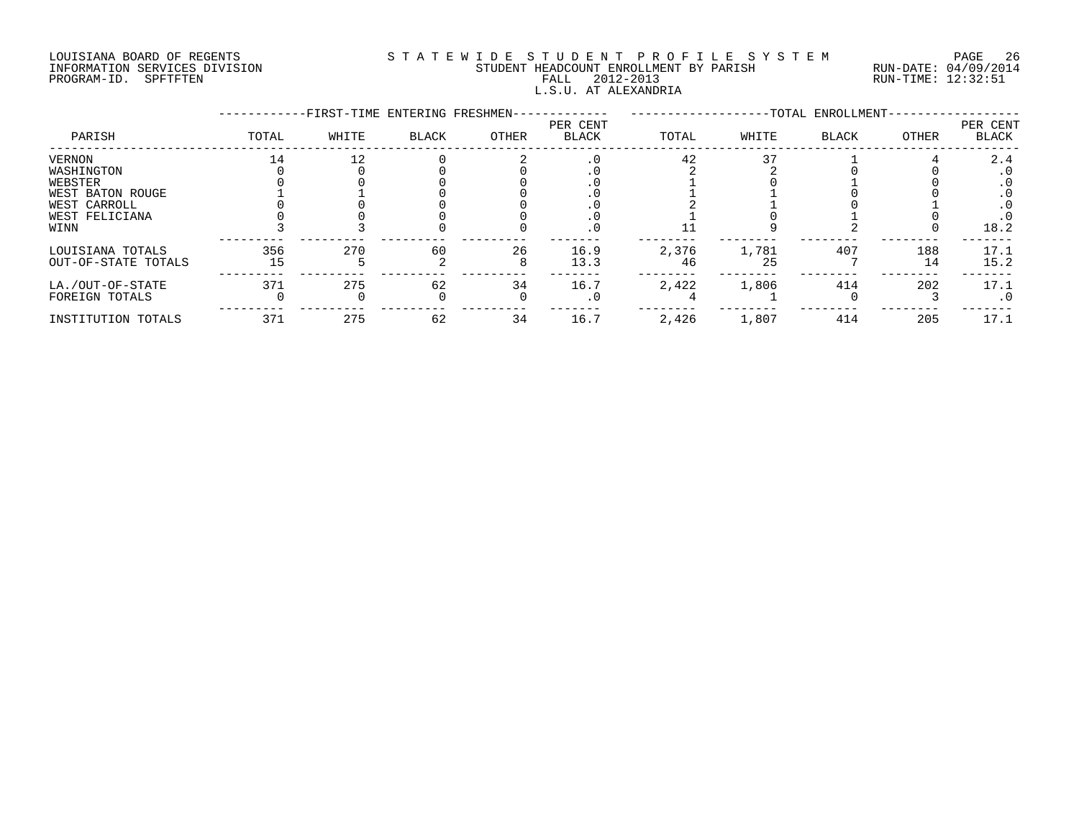#### LOUISIANA BOARD OF REGENTS S T A T E W I D E S T U D E N T P R O F I L E S Y S T E M PAGE 26 INFORMATION SERVICES DIVISION STUDENT HEADCOUNT ENROLLMENT BY PARISH RUN-DATE: 04/09/2014 PROGRAM-ID. SPFTFTEN FALL 2012-2013 RUN-TIME: 12:32:51 L.S.U. AT ALEXANDRIA

|                     |       | -FIRST-TIME ENTERING FRESHMEN- |       |       |                          |       |       | --TOTAL ENROLLMENT- |       |                          |
|---------------------|-------|--------------------------------|-------|-------|--------------------------|-------|-------|---------------------|-------|--------------------------|
| PARISH              | TOTAL | WHITE                          | BLACK | OTHER | PER CENT<br><b>BLACK</b> | TOTAL | WHITE | <b>BLACK</b>        | OTHER | PER CENT<br><b>BLACK</b> |
| VERNON              |       | 12                             |       |       | $\cdot$ 0                | 42    | 37    |                     |       | 2.4                      |
| WASHINGTON          |       |                                |       |       |                          |       |       |                     |       | $\cdot$ 0                |
| WEBSTER             |       |                                |       |       |                          |       |       |                     |       | $\cdot$ 0                |
| WEST BATON ROUGE    |       |                                |       |       |                          |       |       |                     |       | $\cdot$ 0                |
| WEST CARROLL        |       |                                |       |       |                          |       |       |                     |       |                          |
| WEST FELICIANA      |       |                                |       |       |                          |       |       |                     |       |                          |
| WINN                |       |                                |       |       | $\cdot$ 0                |       |       |                     |       | 18.2                     |
| LOUISIANA TOTALS    | 356   | 270                            | 60    | 26    | 16.9                     | 2,376 | 1,781 | 407                 | 188   | 17.1                     |
| OUT-OF-STATE TOTALS | 15    |                                |       |       | 13.3                     | 46    | 25    |                     | 14    | 15.2                     |
| LA./OUT-OF-STATE    | 371   | 275                            | 62    | 34    | 16.7                     | 2,422 | 1,806 | 414                 | 202   | 17.1                     |
| FOREIGN TOTALS      |       |                                |       |       | . 0                      |       |       |                     |       | . 0                      |
| INSTITUTION TOTALS  | 371   | 275                            | 62    | 34    | 16.7                     | 2,426 | 1,807 | 414                 | 205   | 17.1                     |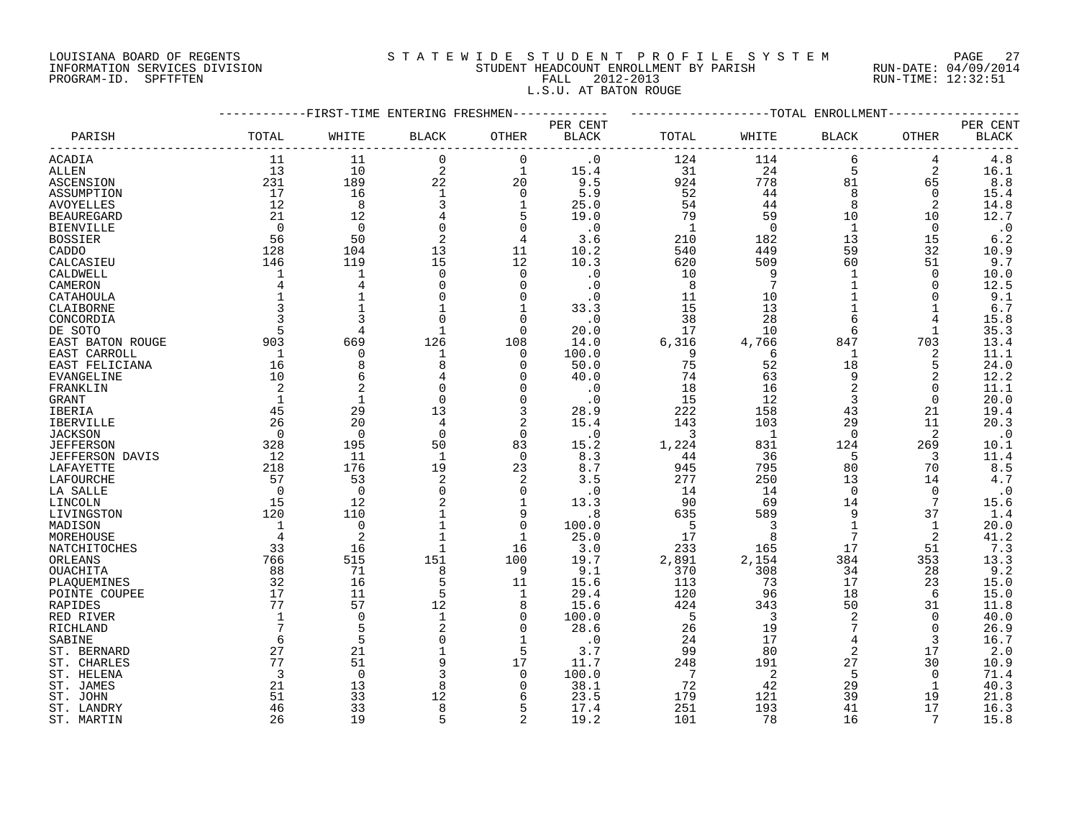#### LOUISIANA BOARD OF REGENTS S T A T E W I D E S T U D E N T P R O F I L E S Y S T E M PAGE 27 INFORMATION SERVICES DIVISION STUDENT HEADCOUNT ENROLLMENT BY PARISH RUN-DATE: 04/09/2014 PROGRAM-ID. SPFTFTEN FALL 2012-2013 RUN-TIME: 12:32:51 L.S.U. AT BATON ROUGE

|                   |                | ---------FIRST-TIME ENTERING FRESHMEN- |                |                | ----------   | -------------------TOTAL ENROLLMENT- |                          |                 |                 |              |
|-------------------|----------------|----------------------------------------|----------------|----------------|--------------|--------------------------------------|--------------------------|-----------------|-----------------|--------------|
|                   |                |                                        |                |                | PER CENT     |                                      |                          |                 |                 | PER CENT     |
| PARISH            | TOTAL          | WHITE                                  | <b>BLACK</b>   | OTHER          | <b>BLACK</b> | TOTAL                                | WHITE                    | BLACK           | OTHER           | <b>BLACK</b> |
| ACADIA            | 11             | 11                                     | $\Omega$       | $\mathbf 0$    | $\cdot$ 0    | 124                                  | 114                      | 6               | 4               | 4.8          |
| <b>ALLEN</b>      | 13             | 10                                     | 2              | $\mathbf{1}$   | 15.4         | 31                                   | 24                       | 5               | $\overline{a}$  | 16.1         |
| ASCENSION         | 231            | 189                                    | $2\sqrt{2}$    | 20             | 9.5          | 924                                  | 778                      | 81              | 65              | 8.8          |
| ASSUMPTION        | 17             | 16                                     | 1              | $\overline{0}$ | 5.9          | 52                                   | 44                       | 8               | 0               | 15.4         |
| AVOYELLES         | 12             | 8                                      | 3              | $\mathbf{1}$   | 25.0         | 54                                   | 44                       | 8               | 2               | 14.8         |
| <b>BEAUREGARD</b> | 21             | 12                                     |                | 5              | 19.0         | 79                                   | 59                       | 10              | 10              | 12.7         |
| <b>BIENVILLE</b>  | $\overline{0}$ | $\overline{0}$                         | $\Omega$       | $\mathbf 0$    | $\cdot$ 0    | $\overline{1}$                       | $\overline{0}$           | $\overline{1}$  | $\Omega$        | $\cdot$ 0    |
|                   | 56             | 50                                     | 2              | $\overline{4}$ | 3.6          | 210                                  | 182                      | 13              | 15              | 6.2          |
| <b>BOSSIER</b>    |                |                                        |                |                |              |                                      |                          |                 |                 |              |
| CADDO             | 128            | 104                                    | 13             | 11             | 10.2         | 540                                  | 449                      | 59              | 32              | 10.9         |
| CALCASIEU         | 146            | 119                                    | 15             | 12             | 10.3         | 620                                  | 509                      | 60              | 51              | 9.7          |
| CALDWELL          | 1              | 1                                      | $\Omega$       | $\mathbf 0$    | $\cdot$ 0    | 10                                   | 9                        | 1               | 0               | 10.0         |
| CAMERON           | 4              | 4                                      | $\Omega$       | $\Omega$       | $\cdot$ 0    | - 8                                  | 7                        |                 | $\Omega$        | 12.5         |
| CATAHOULA         | $\mathbf{1}$   |                                        | $\Omega$       | $\mathbf 0$    | $\cdot$ 0    | 11                                   | 10                       | $\mathbf{1}$    | $\Omega$        | 9.1          |
| CLAIBORNE         | 3              |                                        |                | 1              | 33.3         | 15                                   | 13                       | $\mathbf{1}$    | 1               | 6.7          |
| CONCORDIA         |                |                                        |                | $\mathbf 0$    | $\cdot$ 0    | 38                                   | 28                       | 6               | 4               | 15.8         |
| DE SOTO           | 5              | $\overline{4}$                         | 1              | $\mathbf 0$    | 20.0         | 17                                   | 10                       | 6               | 1               | 35.3         |
| EAST BATON ROUGE  | 903            | 669                                    | 126            | 108            | 14.0         | 6,316                                | 4,766                    | 847             | 703             | 13.4         |
| EAST CARROLL      | $\overline{1}$ | $\mathbf 0$                            | 1              | $\mathbf 0$    | 100.0        | - 9                                  | 6                        | 1               | 2               | 11.1         |
| EAST FELICIANA    | 16             | 8                                      |                | $\Omega$       | 50.0         | 75                                   | 52                       | 18              | 5               | 24.0         |
| EVANGELINE        | 10             | 6                                      |                | $\Omega$       | 40.0         | 74                                   | 63                       | 9               |                 | 12.2         |
| FRANKLIN          | 2              |                                        |                | 0              | $\cdot$ 0    | 18                                   | 16                       | 2               | $\Omega$        | 11.1         |
| GRANT             | 1              | 1                                      | 0              | $\mathbf 0$    | $\cdot$ 0    | 15                                   | 12                       | 3               | $\Omega$        | 20.0         |
| IBERIA            | 45             | 29                                     | 13             | 3              | 28.9         | 222                                  | 158                      | 43              | 21              | 19.4         |
| <b>IBERVILLE</b>  | 26             | 20                                     | 4              | 2              | 15.4         | 143                                  | 103                      | 29              | 11              | 20.3         |
| <b>JACKSON</b>    | $\bigcap$      | $\Omega$                               | $\Omega$       | $\Omega$       | $\cdot$ 0    | $\overline{3}$                       | $\overline{\phantom{0}}$ | $\Omega$        | 2               | $\cdot$ 0    |
| <b>JEFFERSON</b>  | 328            | 195                                    | 50             | 83             | 15.2         | 1,224                                | 831                      | 124             | 269             | 10.1         |
| JEFFERSON DAVIS   | 12             | -11                                    | -1             | 0              | 8.3          | 44                                   | 36                       | 5               | 3               | 11.4         |
| LAFAYETTE         | 218            | 176                                    | 19             | 23             | 8.7          | 945                                  | 795                      | 80              | 70              | 8.5          |
| LAFOURCHE         | 57             | 53                                     | 2              | 2              | 3.5          | 277                                  | 250                      | 13              | 14              | 4.7          |
| LA SALLE          | $\bigcap$      | $\bigcirc$                             | $\Omega$       | $\mathbf 0$    | $\cdot$ 0    | 14                                   | 14                       | $\Omega$        | $\Omega$        | $\cdot$ 0    |
| LINCOLN           | 15             | 12                                     |                | $\mathbf{1}$   | 13.3         | 90                                   | 69                       | 14              | $7\phantom{.0}$ | 15.6         |
| LIVINGSTON        | 120            | 110                                    |                | 9              | .8           | 635                                  | 589                      | 9               | 37              | 1.4          |
| MADISON           | 1              | $\mathbf 0$                            |                | $\mathbf 0$    | 100.0        | $-5$                                 | $\overline{\phantom{a}}$ | 1               | 1               | 20.0         |
| MOREHOUSE         | $\overline{4}$ | 2                                      |                | 1              | 25.0         | 17                                   | - 8                      | $7\phantom{.0}$ | 2               | 41.2         |
| NATCHITOCHES      | 33             | 16                                     | $\overline{1}$ | 16             | 3.0          | 233                                  | 165                      | 17              | 51              | 7.3          |
| ORLEANS           | 766            | 515                                    | 151            | 100            | 19.7         | 2,891                                | 2,154                    | 384             | 353             | 13.3         |
| OUACHITA          | 88             | 71                                     | 8              | 9              | 9.1          | 370                                  | 308                      | 34              | 28              | 9.2          |
| PLAOUEMINES       | 32             | 16                                     | 5              | 11             | 15.6         | 113                                  | 73                       | 17              | 23              | 15.0         |
|                   | 17             | 11                                     | 5              | 1              |              | 120                                  | 96                       | 18              | 6               | 15.0         |
| POINTE COUPEE     | 77             | 57                                     |                |                | 29.4         |                                      |                          |                 |                 |              |
| RAPIDES           |                |                                        | 12             | 8              | 15.6         | 424                                  | 343                      | 50              | 31              | 11.8         |
| RED RIVER         | 1<br>7         | $\mathbf 0$                            | 1              | $\mathbf 0$    | 100.0        | $-5$                                 | $\overline{\mathbf{3}}$  | 2<br>7          | $\mathbf 0$     | 40.0         |
| RICHLAND          |                | 5                                      | 2              | $\mathbf 0$    | 28.6         | 26                                   | 19                       |                 | $\Omega$        | 26.9         |
| SABINE            | 6              | 5                                      |                | $\mathbf{1}$   | $\cdot$ 0    | 24                                   | 17                       | 4               | 3               | 16.7         |
| ST. BERNARD       | 27             | 21                                     |                | 5              | 3.7          | 99                                   | 80                       | 2               | 17              | 2.0          |
| ST. CHARLES       | 77             | 51                                     |                | 17             | 11.7         | 248                                  | 191                      | 27              | 30              | 10.9         |
| ST. HELENA        | 3              | $\Omega$                               | 3              | $\overline{0}$ | 100.0        | $\overline{7}$                       | -2                       | 5               | $\Omega$        | 71.4         |
| ST. JAMES         | 21             | 13                                     | 8              | 0              | 38.1         | 72                                   | 42                       | 29              | 1               | 40.3         |
| ST. JOHN          | 51             | 33                                     | 12             | 6              | 23.5         | 179                                  | 121                      | 39              | 19              | 21.8         |
| ST. LANDRY        | 46             | 33                                     | 8              | 5              | 17.4         | 251                                  | 193                      | 41              | 17              | 16.3         |
| ST. MARTIN        | 26             | 19                                     |                | $\overline{2}$ | 19.2         | 101                                  | 78                       | 16              | 7               | 15.8         |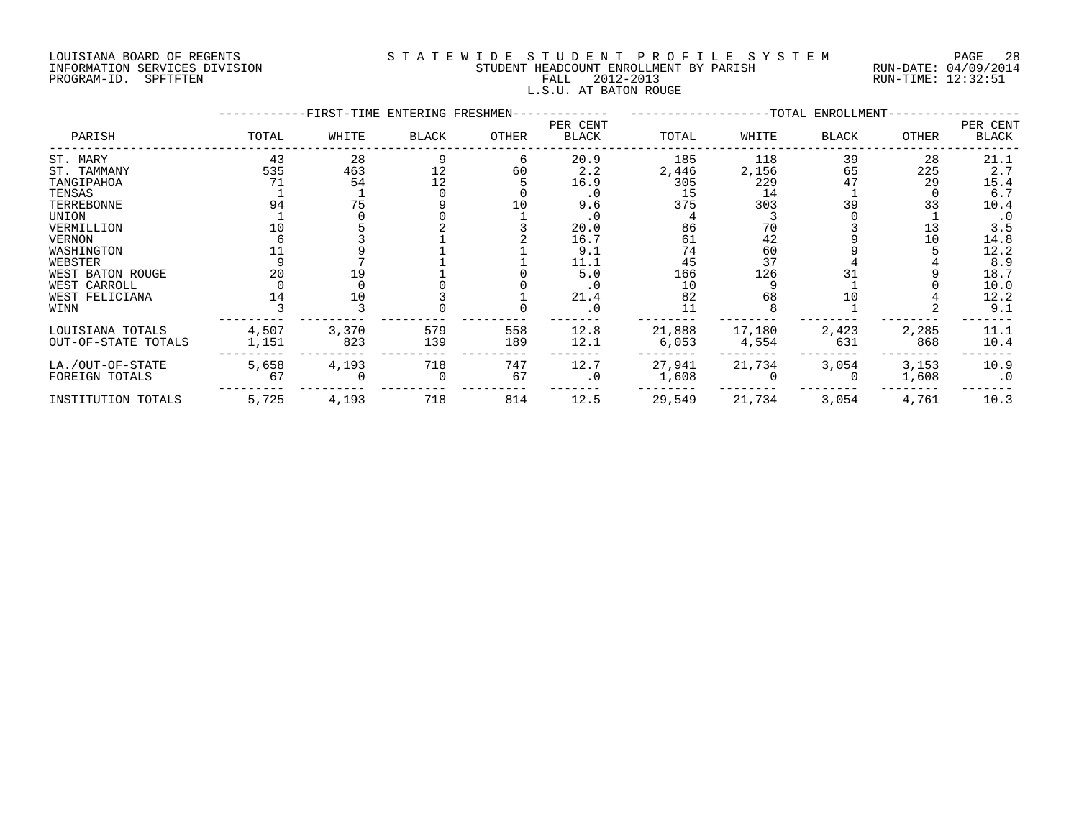#### LOUISIANA BOARD OF REGENTS S T A T E W I D E S T U D E N T P R O F I L E S Y S T E M PAGE 28 INFORMATION SERVICES DIVISION STUDENT HEADCOUNT ENROLLMENT BY PARISH RUN-DATE: 04/09/2014 PROGRAM-ID. SPFTFTEN FALL 2012-2013 RUN-TIME: 12:32:51 L.S.U. AT BATON ROUGE

|                                         |                | -FIRST-TIME ENTERING FRESHMEN- |            |            |                   |                 | ----------------TOTAL ENROLLMENT- |              |                |                   |
|-----------------------------------------|----------------|--------------------------------|------------|------------|-------------------|-----------------|-----------------------------------|--------------|----------------|-------------------|
| PARISH                                  | TOTAL          | WHITE                          | BLACK      | OTHER      | PER CENT<br>BLACK | TOTAL           | WHITE                             | BLACK        | OTHER          | PER CENT<br>BLACK |
| ST. MARY                                | 43             | 28                             |            | 6          | 20.9              | 185             | 118                               | 39           | 28             | 21.1              |
| ST. TAMMANY                             | 535            | 463                            | 12         | 60         | 2.2               | 2,446           | 2,156                             | 65           | 225            | 2.7               |
| TANGIPAHOA                              | 71             | 54                             | 12         |            | 16.9              | 305             | 229                               | 47           | 29             | 15.4              |
| TENSAS                                  |                |                                |            |            | $\cdot$ 0         | 15              | 14                                |              |                | 6.7               |
| TERREBONNE                              | 94             | 75                             |            |            | 9.6               | 375             | 303                               | 39           | 33             | 10.4              |
| UNION                                   |                |                                |            |            | $\cdot$ 0         |                 |                                   |              |                | $\cdot$ 0         |
| VERMILLION                              |                |                                |            |            | 20.0              | 86              | 70                                |              | 13             | 3.5               |
| VERNON                                  |                |                                |            |            | 16.7              | 61              | 42                                |              | 10             | 14.8              |
| WASHINGTON                              |                |                                |            |            | 9.1               | 74              | 60                                |              |                | 12.2              |
| WEBSTER                                 |                |                                |            |            | 11.1              | 45              | 37                                |              |                | 8.9               |
| WEST BATON ROUGE                        | 20             |                                |            |            | 5.0               | 166             | 126                               |              |                | 18.7              |
| WEST CARROLL                            |                |                                |            |            |                   | 10              |                                   |              |                | 10.0              |
| WEST FELICIANA                          | 14             | 10                             |            |            | 21.4              | 82              | 68                                | 10           |                | 12.2              |
| WINN                                    |                |                                |            |            | . 0               | 11              |                                   |              |                | 9.1               |
| LOUISIANA TOTALS<br>OUT-OF-STATE TOTALS | 4,507<br>1,151 | 3,370<br>823                   | 579<br>139 | 558<br>189 | 12.8<br>12.1      | 21,888<br>6,053 | 17,180<br>4,554                   | 2,423<br>631 | 2,285<br>868   | 11.1<br>10.4      |
| LA./OUT-OF-STATE<br>FOREIGN TOTALS      | 5,658<br>67    | 4,193                          | 718        | 747<br>67  | 12.7<br>$\cdot$ 0 | 27,941<br>1,608 | 21,734                            | 3,054        | 3,153<br>1,608 | 10.9<br>$\cdot$ 0 |
| INSTITUTION TOTALS                      | 5,725          | 4,193                          | 718        | 814        | 12.5              | 29,549          | 21,734                            | 3,054        | 4,761          | 10.3              |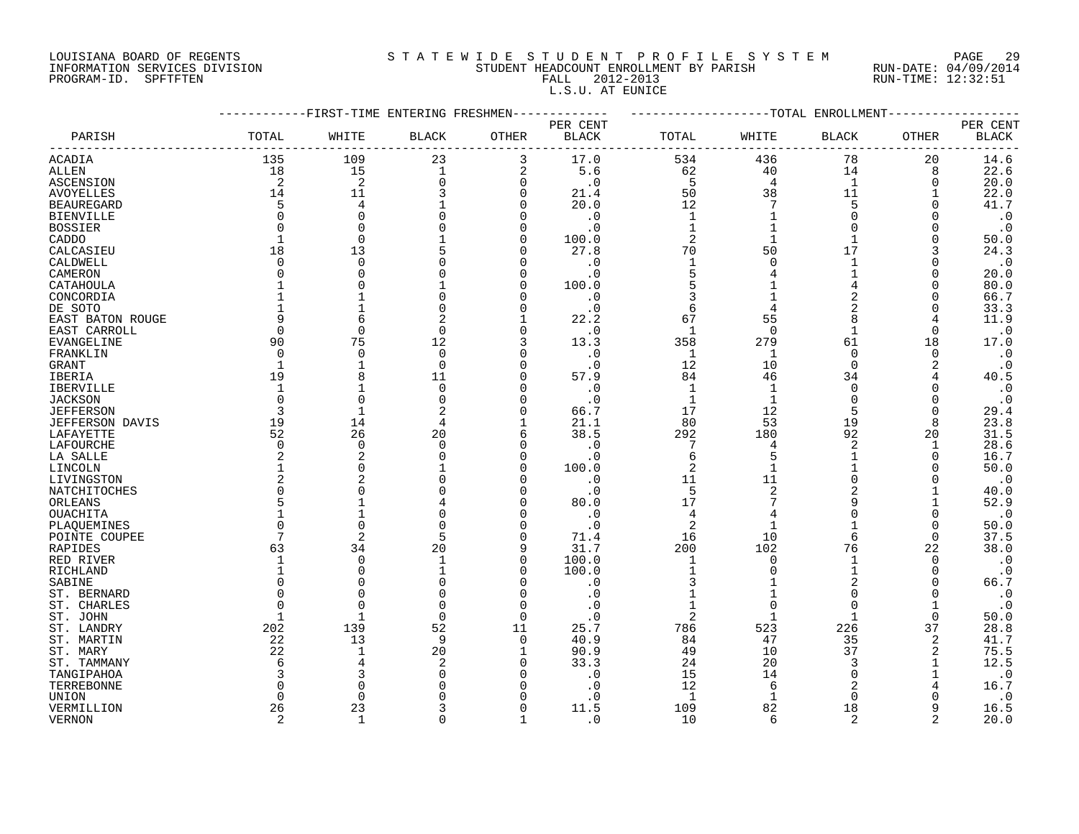### LOUISIANA BOARD OF REGENTS S T A T E W I D E S T U D E N T P R O F I L E S Y S T E M PAGE 29 INFORMATION SERVICES DIVISION STUDENT HEADCOUNT ENROLLMENT BY PARISH RUN-DATE: 04/09/2014 PROGRAM-ID. SPFTFTEN FALL 2012-2013 RUN-TIME: 12:32:51 L.S.U. AT EUNICE

|                   |                | ---------FIRST-TIME ENTERING FRESHMEN- |              |          | ----------   | -------------------TOTAL ENROLLMENT- |                |              |          |                   |
|-------------------|----------------|----------------------------------------|--------------|----------|--------------|--------------------------------------|----------------|--------------|----------|-------------------|
|                   |                |                                        |              |          | PER CENT     |                                      |                |              |          | PER CENT          |
| PARISH            | TOTAL          | WHITE                                  | <b>BLACK</b> | OTHER    | <b>BLACK</b> | TOTAL                                | WHITE          | <b>BLACK</b> | OTHER    | <b>BLACK</b>      |
| ACADIA            | 135            | 109                                    | 23           | 3        | 17.0         | 534                                  | 436            | 78           | 20       | 14.6              |
| ALLEN             | 18             | 15                                     | $\mathbf{1}$ | 2        | 5.6          | 62                                   | 40             | 14           | 8        | 22.6              |
| ASCENSION         | 2              | 2                                      | $\Omega$     | 0        | . 0          | 5                                    | 4              | $\mathbf 1$  | O        | 20.0              |
| AVOYELLES         | 14             | 11                                     |              | $\Omega$ | 21.4         | 50                                   | 38             | 11           |          | 22.0              |
| <b>BEAUREGARD</b> | 5              | 4                                      |              | O        | 20.0         | 12                                   | 7              | 5            | ∩        | 41.7              |
| <b>BIENVILLE</b>  |                | 0                                      |              | O        | . 0          | 1                                    |                | $\Omega$     | ∩        | $\cdot$ 0         |
| <b>BOSSIER</b>    |                | $\Omega$                               |              | O        | $\cdot$ 0    |                                      |                | <sup>n</sup> |          | $\cdot$ 0         |
| CADDO             | $\overline{1}$ | 0                                      |              | 0        | 100.0        | 2                                    |                |              |          | 50.0              |
| CALCASIEU         | 18             | 13                                     |              | U        | 27.8         | 70                                   | 50             | 17           | 3        | 24.3              |
| CALDWELL          | $\Omega$       | $\Omega$                               |              |          | . 0          | $\mathbf 1$                          | ∩              | $\mathbf 1$  |          | $\cdot$ 0         |
| CAMERON           |                | $\Omega$                               |              | O        | . 0          | 5                                    |                |              | O        | 20.0              |
| CATAHOULA         |                | $\Omega$                               |              | N        | 100.0        | 5                                    |                |              |          | 80.0              |
| CONCORDIA         |                |                                        |              |          | . 0          | 3                                    |                |              |          | 66.7              |
| DE SOTO           |                | 1                                      |              |          | $\cdot$ 0    | 6                                    |                |              |          | 33.3              |
| EAST BATON ROUGE  |                | 6                                      | 2            |          | 22.2         | 67                                   | 55             | 8            |          | 11.9              |
| EAST CARROLL      | $\Omega$       | $\Omega$                               | $\Omega$     | O        | $\cdot$ 0    | 1                                    | $\Omega$       | 1            | $\Omega$ | $\cdot$ 0         |
| EVANGELINE        | 90             | 75                                     | 12           | 3        | 13.3         | 358                                  | 279            | 61           | 18       | 17.0              |
| FRANKLIN          | $\Omega$       | 0                                      | $\Omega$     | O        | $\cdot$ 0    | $\mathbf{1}$                         | 1              | $\Omega$     | 0        | $\cdot$ 0         |
| GRANT             | 1              | 1                                      | $\Omega$     | U        | $\cdot$ 0    | 12                                   | 10             | $\Omega$     | 2        | $\cdot$ 0         |
| IBERIA            | 19             | 8                                      | 11           |          | 57.9         | 84                                   | 46             | 34           |          | 40.5              |
| <b>IBERVILLE</b>  | $\overline{1}$ | 1                                      | $\Omega$     | U        | . 0          | -1                                   | -1             | $\Omega$     |          | $\cdot$ 0         |
| <b>JACKSON</b>    | $\Omega$       | $\Omega$                               | $\Omega$     | U        | $\cdot$ 0    | $\mathbf{1}$                         | $\mathbf 1$    | $\Omega$     |          | $\cdot$ 0         |
| <b>JEFFERSON</b>  | 3              | $\mathbf{1}$                           | 2            | O        | 66.7         | 17                                   | 12             | 5            | $\Omega$ | 29.4              |
| JEFFERSON DAVIS   | 19             | 14                                     | 4            |          | 21.1         | 80                                   | 53             | 19           | 8        | 23.8              |
| LAFAYETTE         | 52             | 26                                     | 20           | 6        | 38.5         | 292                                  | 180            | 92           | 20       | 31.5              |
| LAFOURCHE         | $\Omega$       | $\Omega$                               | $\cap$       | O        | . 0          | 7                                    | 4              | 2            |          | 28.6              |
| LA SALLE          |                | 2                                      |              | O        | . 0          | 6                                    | 5              | 1            | O        | 16.7              |
| LINCOLN           |                | $\Omega$                               |              | 0        | 100.0        | 2                                    |                |              |          | 50.0              |
| LIVINGSTON        |                | 2                                      |              | U        | . 0          | 11                                   | 11             | $\Omega$     | ∩        | $\cdot$ 0         |
| NATCHITOCHES      |                | 0                                      |              |          | $\cdot$ 0    | 5                                    | $\overline{2}$ |              |          | 40.0              |
| ORLEANS           |                |                                        |              |          | 80.0         | 17                                   |                |              |          | 52.9              |
| OUACHITA          |                | 1                                      |              |          | . 0          | 4                                    |                | $\Omega$     | 0        | $\cdot$ 0         |
| PLAOUEMINES       |                | $\Omega$                               |              |          | $\cdot$ 0    | $\overline{2}$                       |                |              | O        | 50.0              |
| POINTE COUPEE     |                | $\overline{2}$                         | 5            | U        | 71.4         | 16                                   | 10             | 6            | $\Omega$ | 37.5              |
| RAPIDES           | 63             | 34                                     | 20           | 9        | 31.7         | 200                                  | 102            | 76           | 22       | 38.0              |
| RED RIVER         | -1             | 0                                      | -1           | 0        | 100.0        | 1                                    | $\Omega$       |              | $\Omega$ | $\cdot$ 0         |
| RICHLAND          |                | 0                                      |              | O        | 100.0        |                                      |                |              | 0        | $\cdot$ 0         |
| SABINE            |                | O                                      |              |          | $\cdot$ 0    |                                      |                |              | $\Omega$ | 66.7              |
| ST. BERNARD       |                | $\Omega$                               |              | U        | . 0          | 1                                    |                | <sup>n</sup> | ∩        | $\cdot$ 0         |
| ST. CHARLES       |                | $\Omega$                               | $\Omega$     | O        | . 0          |                                      | $\Omega$       | $\Omega$     |          | $\cdot$ 0         |
| ST. JOHN          | 1              | $\mathbf{1}$                           | $\Omega$     | 0        | . 0          | 2                                    |                | 1            | 0        | 50.0              |
| ST. LANDRY        | 202            | 139                                    | 52           | 11       | 25.7         | 786                                  | 523            | 226          | 37       | 28.8              |
|                   | 22             | 13                                     | 9            | $\Omega$ | 40.9         | 84                                   | 47             | 35           | 2        | 41.7              |
| ST. MARTIN        |                |                                        |              |          |              |                                      |                |              |          |                   |
| ST. MARY          | 22             | $\mathbf{1}$                           | 20           |          | 90.9         | 49                                   | 10             | 37           | 2        | 75.5              |
| ST. TAMMANY       |                | 4<br>3                                 |              | N<br>U   | 33.3         | 24                                   | 20             | $\Omega$     |          | 12.5              |
| TANGIPAHOA        |                |                                        |              |          | . 0          | 15                                   | 14             |              |          | $\cdot$ 0<br>16.7 |
| TERREBONNE        |                | 0                                      |              | N        | . 0          | 12                                   | 6              |              |          |                   |
| UNION             | <sup>0</sup>   | 0                                      |              | O        | . 0          | 1                                    |                | $\Omega$     |          | $\cdot$ 0         |
| VERMILLION        | 26             | 23                                     | 3            | $\Omega$ | 11.5         | 109                                  | 82             | 18           | 9        | 16.5              |

VERNON 2 1 0 1 .0 10 6 2 2 20.0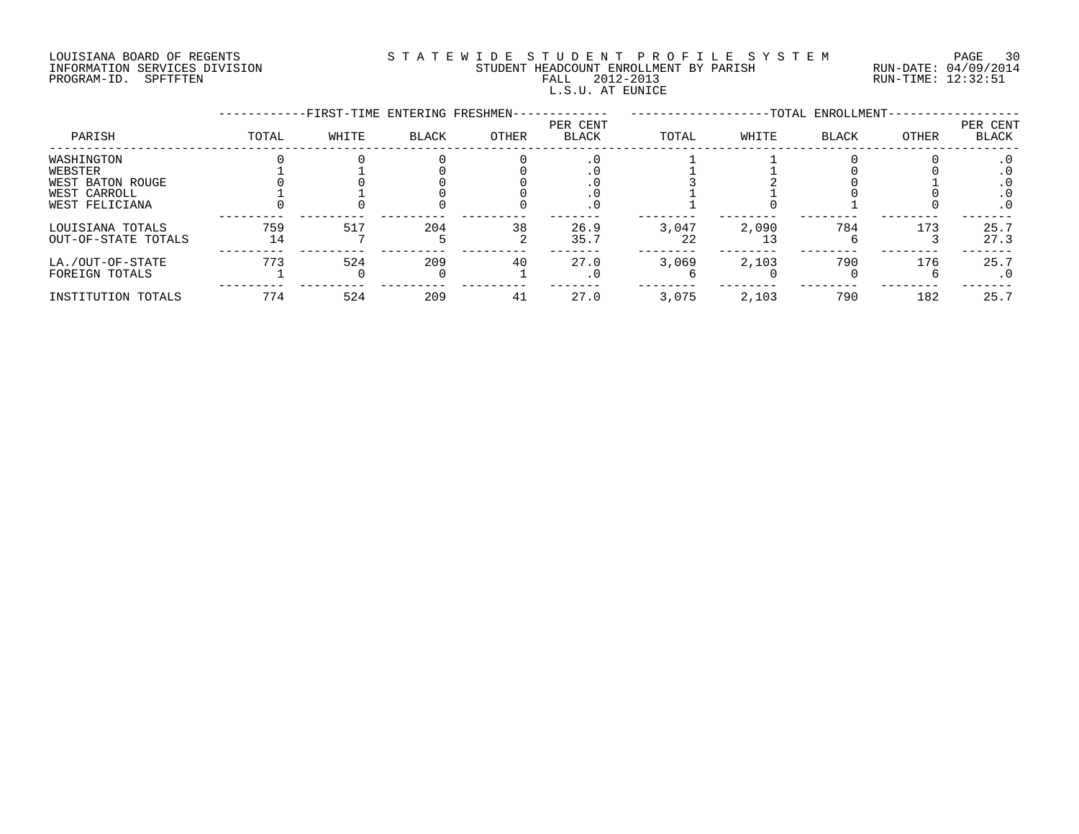#### LOUISIANA BOARD OF REGENTS S T A T E W I D E S T U D E N T P R O F I L E S Y S T E M PAGE 30 INFORMATION SERVICES DIVISION STUDENT HEADCOUNT ENROLLMENT BY PARISH RUN-DATE: 04/09/2014 PROGRAM-ID. SPFTFTEN FALL 2012-2013 RUN-TIME: 12:32:51 L.S.U. AT EUNICE

|                     |       | -FIRST-TIME ENTERING FRESHMEN- |       |       |                          |       |       | -TOTAL ENROLLMENT- |       |                   |
|---------------------|-------|--------------------------------|-------|-------|--------------------------|-------|-------|--------------------|-------|-------------------|
| PARISH              | TOTAL | WHITE                          | BLACK | OTHER | PER CENT<br><b>BLACK</b> | TOTAL | WHITE | <b>BLACK</b>       | OTHER | PER CENT<br>BLACK |
| WASHINGTON          |       |                                |       |       | $\cdot$ 0                |       |       |                    |       | $\cdot$ 0         |
| WEBSTER             |       |                                |       |       |                          |       |       |                    |       |                   |
| WEST BATON ROUGE    |       |                                |       |       |                          |       |       |                    |       |                   |
| WEST CARROLL        |       |                                |       |       |                          |       |       |                    |       |                   |
| WEST FELICIANA      |       |                                |       |       | . 0                      |       |       |                    |       | $\cdot$ 0         |
| LOUISIANA TOTALS    | 759   | 517                            | 204   | 38    | 26.9                     | 3,047 | 2,090 | 784                | 173   | 25.7              |
| OUT-OF-STATE TOTALS | 14    |                                |       |       | 35.7                     | 22    | 13    |                    |       | 27.3              |
| LA./OUT-OF-STATE    | 773   | 524                            | 209   | 40    | 27.0                     | 3,069 | 2,103 | 790                | 176   | 25.7              |
| FOREIGN TOTALS      |       |                                |       |       | $\cdot$ 0                |       |       |                    |       | . 0               |
| INSTITUTION TOTALS  | 774   | 524                            | 209   | 41    | 27.0                     | 3,075 | 2,103 | 790                | 182   | 25.7              |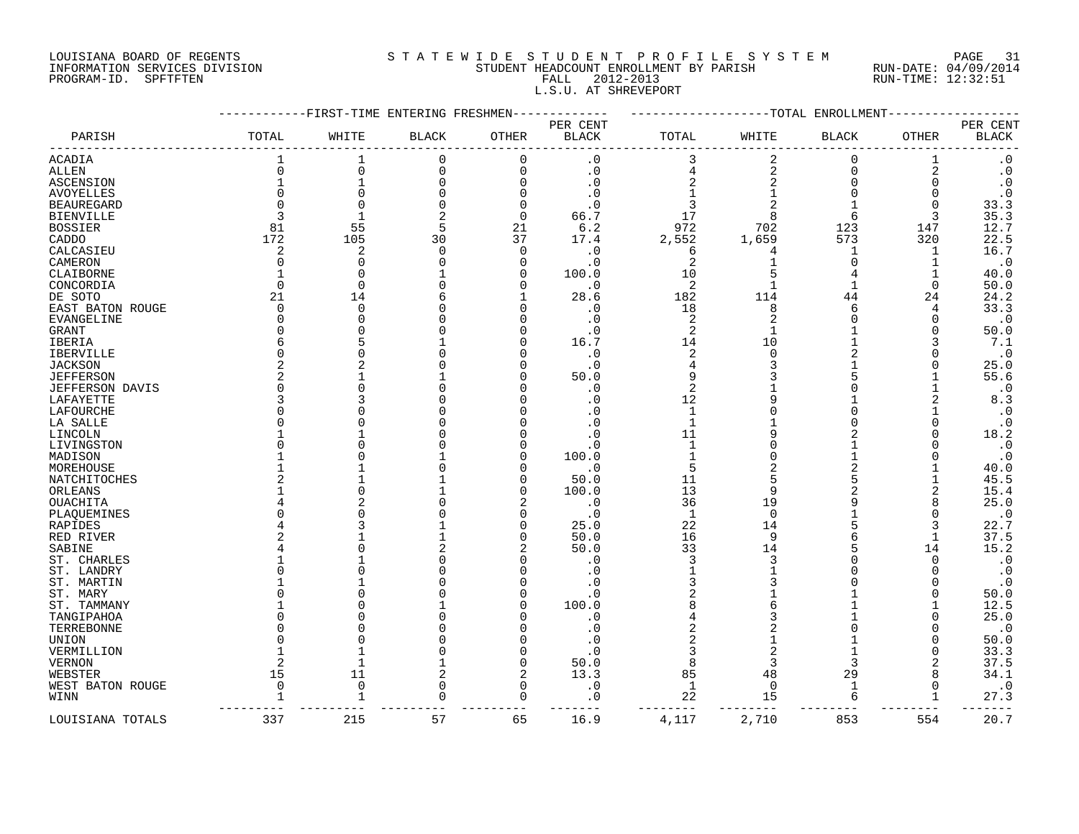#### LOUISIANA BOARD OF REGENTS SOURCLEARIE S T A T E W I D E S T U D E N T P R O F I L E S Y S T E M PAGE 31 INFORMATION SERVICES DIVISION STUDENT HEADCOUNT ENROLLMENT BY PARISH RUN-DATE: 04/09/2014 PROGRAM-ID. SPFTFTEN FALL 2012-2013 RUN-TIME: 12:32:51 L.S.U. AT SHREVEPORT

|                        |              |                | -FIRST-TIME ENTERING FRESHMEN |              |              |                |                | -TOTAL<br>ENROLLMENT |          |                        |
|------------------------|--------------|----------------|-------------------------------|--------------|--------------|----------------|----------------|----------------------|----------|------------------------|
|                        |              |                |                               |              | PER CENT     |                |                |                      |          | PER CENT               |
| PARISH                 | TOTAL        | WHITE          | <b>BLACK</b>                  | <b>OTHER</b> | <b>BLACK</b> | TOTAL          | WHITE          | <b>BLACK</b>         | OTHER    | <b>BLACK</b>           |
| <b>ACADIA</b>          |              |                | $\mathbf 0$                   | $\Omega$     | $\cdot$ 0    | 3              | $\overline{2}$ | $\Omega$             |          | $\cdot$ 0              |
| <b>ALLEN</b>           | $\Omega$     | $\Omega$       | 0                             | $\Omega$     | $\cdot$ 0    | 4              | $\overline{a}$ | $\Omega$             | 2        | $\boldsymbol{\cdot}$ 0 |
| ASCENSION              |              |                | $\Omega$                      | $\Omega$     | $\cdot$ 0    |                |                | $\Omega$             | $\Omega$ | $\boldsymbol{\cdot}$ 0 |
| <b>AVOYELLES</b>       | $\Omega$     |                | U                             | n            | $\cdot$ 0    |                |                |                      | $\Omega$ | $\cdot$ 0              |
| <b>BEAUREGARD</b>      | $\Omega$     | $\cap$         | U                             |              | . 0          |                |                |                      | $\Omega$ | 33.3                   |
| <b>BIENVILLE</b>       | 3            |                | 2                             | $\Omega$     | 66.7         | 17             | $\mathsf{R}$   | 6                    | 3        | 35.3                   |
| <b>BOSSIER</b>         | 81           | 55             | 5                             | 21           | 6.2          | 972            | 702            | 123                  | 147      | 12.7                   |
| CADDO                  | 172          | 105            | 30                            | 37           | 17.4         | 2,552          | 1,659          | 573                  | 320      | 22.5                   |
| CALCASIEU              | 2            | 2              | $\Omega$                      | $\Omega$     | . 0          | 6              |                | -1                   | 1        | 16.7                   |
| CAMERON                | <sup>0</sup> | $\cap$         |                               | n            | $\cdot$ 0    | 2              |                |                      |          | $\cdot$ 0              |
| CLAIBORNE              |              | $\cap$         |                               | n            | 100.0        | 10             |                | 4                    |          | 40.0                   |
| CONCORDIA              | $\Omega$     | $\bigcap$      |                               | ∩            | $\cdot$ 0    | 2              |                |                      | $\Omega$ | 50.0                   |
| DE SOTO                | 21           | 14             |                               |              | 28.6         | 182            | 114            | 44                   | 24       | 24.2                   |
|                        | $\Omega$     | $\Omega$       |                               |              |              | 18             | 8              | 6                    | 4        | 33.3                   |
| EAST BATON ROUGE       | O            | $\cap$         |                               |              | $\cdot$ 0    |                |                |                      |          | $\cdot$ 0              |
| EVANGELINE             |              |                |                               |              | . 0          | $\overline{c}$ |                |                      | O        |                        |
| GRANT                  | O            |                |                               |              | . 0          | 2              |                |                      | O        | 50.0                   |
| IBERIA                 | 6            |                |                               |              | 16.7         | 14             | 10             |                      | 3        | 7.1                    |
| <b>IBERVILLE</b>       | O            |                |                               |              | $\cdot$ 0    | $\overline{2}$ | O              |                      |          | $\cdot$ 0              |
| <b>JACKSON</b>         | 2            |                |                               |              | $\cdot$ 0    | 4              | 3              |                      |          | 25.0                   |
| <b>JEFFERSON</b>       | 2            |                |                               |              | 50.0         | 9              |                |                      |          | 55.6                   |
| <b>JEFFERSON DAVIS</b> | $\Omega$     |                |                               |              | $\cdot$ 0    | $\overline{2}$ |                |                      |          | $\cdot$ 0              |
| LAFAYETTE              | ζ            |                |                               |              | . 0          | 12             |                |                      | 2        | 8.3                    |
| LAFOURCHE              | $\Omega$     |                |                               |              |              | $\mathbf{1}$   |                |                      |          | $\cdot$ 0              |
| LA SALLE               | ∩            |                |                               |              | . 0          | $\mathbf{1}$   |                |                      |          | $\cdot$ 0              |
| LINCOLN                |              |                |                               |              | $\Omega$     | 11             |                |                      |          | 18.2                   |
| LIVINGSTON             | O            |                |                               |              | . 0          | $\mathbf{1}$   |                |                      |          | $\cdot$ 0              |
| MADISON                |              |                |                               |              | 100.0        |                |                |                      |          | $\cdot$ 0              |
| MOREHOUSE              |              |                |                               |              | $\cdot$ 0    | 5              |                |                      |          | 40.0                   |
| NATCHITOCHES           |              |                |                               |              | 50.0         | 11             |                |                      |          | 45.5                   |
| ORLEANS                |              |                |                               | n            | 100.0        | 13             |                |                      | 2        | 15.4                   |
| OUACHITA               |              |                |                               |              | $\cdot$ 0    | 36             | 19             |                      |          | 25.0                   |
| PLAQUEMINES            |              |                |                               |              | $\cdot$ 0    | 1              | $\Omega$       |                      | $\Omega$ | $\cdot$ 0              |
| RAPIDES                |              |                |                               |              | 25.0         | 22             | 14             |                      | 3        | 22.7                   |
| RED RIVER              |              |                |                               |              | 50.0         | 16             | 9              |                      | 1        | 37.5                   |
| SABINE                 |              |                |                               |              | 50.0         | 33             | 14             |                      | 14       | 15.2                   |
| ST. CHARLES            |              |                |                               |              | $\cdot$ 0    | 3              | 3              |                      | $\Omega$ | $\cdot$ 0              |
| ST. LANDRY             | N            |                |                               |              | . 0          |                |                |                      | $\Omega$ | $\cdot$ 0              |
| ST. MARTIN             |              |                |                               |              | . 0          |                |                |                      |          | $\cdot$ 0              |
| ST. MARY               | U            |                |                               |              | $\cdot$ 0    | 2              |                |                      |          | 50.0                   |
| ST. TAMMANY            |              |                |                               |              | 100.0        |                |                |                      |          | 12.5                   |
| TANGIPAHOA             | $\Omega$     |                |                               |              | $\cdot$ 0    |                |                |                      |          | 25.0                   |
| TERREBONNE             | O            |                |                               |              | . 0          |                |                |                      | $\Omega$ | $\cdot$ 0              |
| UNION                  |              |                |                               |              | . 0          |                |                |                      |          | 50.0                   |
| VERMILLION             |              |                |                               |              | . 0          | 3              | 2              |                      | O        | 33.3                   |
| <b>VERNON</b>          | 2            |                |                               | ∩            | 50.0         | 8              | 3              | 3                    | 2        | 37.5                   |
| WEBSTER                | 15           | 11             | 2                             | 2            | 13.3         | 85             | 48             | 29                   | 8        | 34.1                   |
| WEST BATON ROUGE       | 0            | $\overline{0}$ | $\Omega$                      | $\Omega$     | $\cdot$ 0    | 1              | $\Omega$       | -1                   | O        | $\cdot$ 0              |
| WINN                   |              |                | $\Omega$                      | $\cap$       | $\cdot$ 0    | 22             | 15             | $\epsilon$           |          | 27.3                   |
|                        |              |                |                               |              |              | ---            |                |                      |          | ----                   |
| LOUISIANA TOTALS       | 337          | 215            | 57                            | 65           | 16.9         | 4,117          | 2,710          | 853                  | 554      | 20.7                   |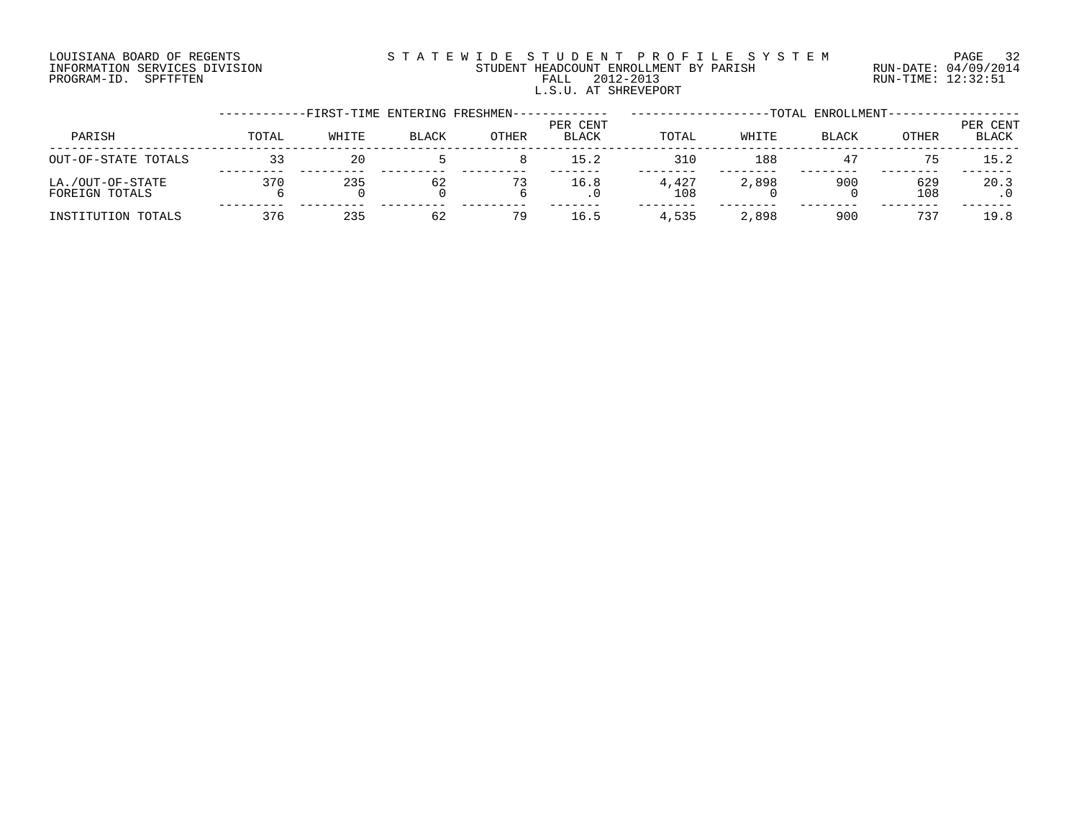#### LOUISIANA BOARD OF REGENTS S T A T E W I D E S T U D E N T P R O F I L E S Y S T E M PAGE 32 INFORMATION SERVICES DIVISION STUDENT HEADCOUNT ENROLLMENT BY PARISH RUN-DATE: 04/09/2014 PROGRAM-ID. SPFTFTEN FALL 2012-2013 RUN-TIME: 12:32:51 L.S.U. AT SHREVEPORT

|                                    |       | -FIRST-TIME ENTERING FRESHMEN- |              |       |                          |              |       | -TOTAL ENROLLMENT- |            |                   |
|------------------------------------|-------|--------------------------------|--------------|-------|--------------------------|--------------|-------|--------------------|------------|-------------------|
| PARISH                             | TOTAL | WHITE                          | <b>BLACK</b> | OTHER | PER CENT<br><b>BLACK</b> | TOTAL        | WHITE | <b>BLACK</b>       | OTHER      | PER CENT<br>BLACK |
| OUT-OF-STATE TOTALS                |       | 20                             |              |       | 15.2                     | 310          | 188   | 47                 | 75         | 15.2              |
| LA./OUT-OF-STATE<br>FOREIGN TOTALS | 370   | 235                            | 62           | 73    | 16.8                     | 4,427<br>108 | 2,898 | 900                | 629<br>108 | 20.3              |
| INSTITUTION TOTALS                 | 376   | 235                            | 62           | 79    | 16.5                     | 4,535        | 2,898 | 900                | 737        | 19.8              |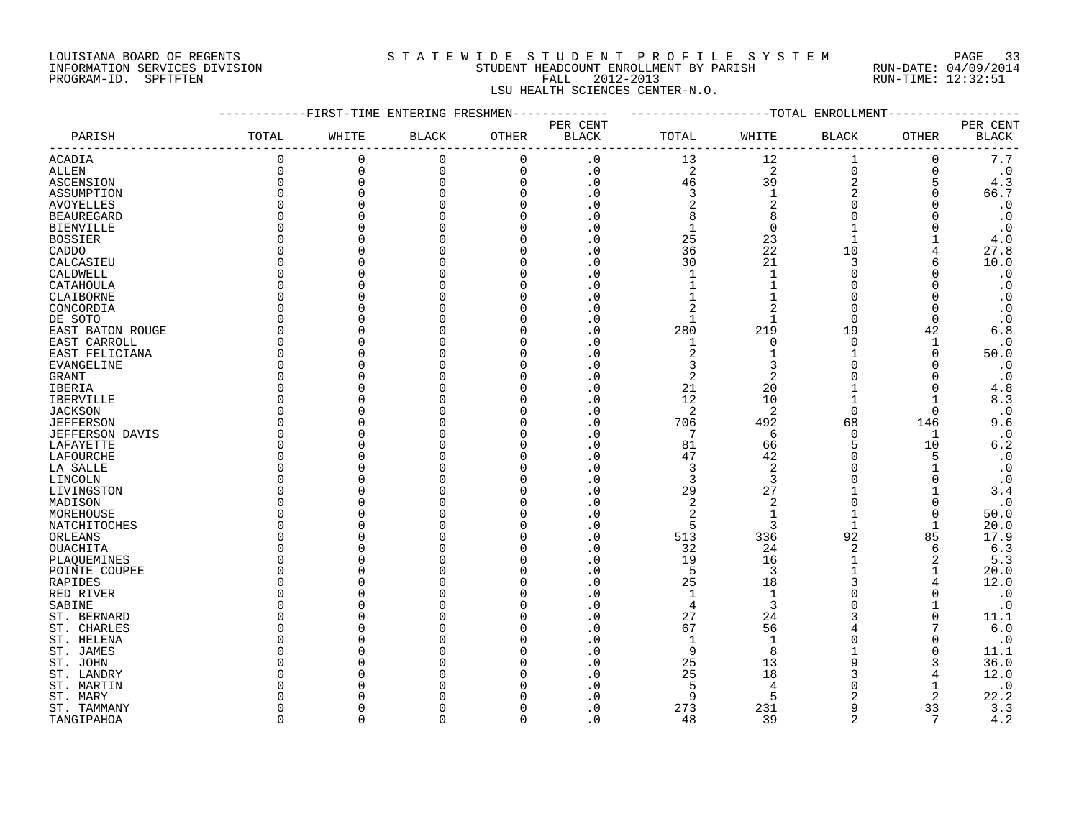#### LOUISIANA BOARD OF REGENTS S T A T E W I D E S T U D E N T P R O F I L E S Y S T E M PAGE 33 INFORMATION SERVICES DIVISION STUDENT HEADCOUNT ENROLLMENT BY PARISH RUN-DATE: 04/09/2014 PROGRAM-ID. SPFTFTEN FALL 2012-2013 RUN-TIME: 12:32:51 LSU HEALTH SCIENCES CENTER-N.O.

| PER CENT<br>PER CENT<br>WHITE<br>OTHER<br><b>BLACK</b><br>TOTAL<br><b>BLACK</b><br>OTHER<br>BLACK<br>TOTAL<br>BLACK<br>PARISH<br>WHITE<br>0<br>12<br>$7\,.7$<br>$\overline{0}$<br>$\mathbf 0$<br>$\mathbf 0$<br>$\boldsymbol{\cdot}$ 0<br>13<br>ACADIA<br>0<br>$\mathsf{O}$<br>0<br>$\overline{c}$<br>$\overline{2}$<br>$\mathbf 0$<br>$\mathsf 0$<br>0<br>$\cdot$ 0<br>0<br>$\cdot$ 0<br>ALLEN<br>$\frac{2}{2}$<br>$\Omega$<br>$\mathbf 0$<br>$\cdot$ 0<br>46<br>39<br>4.3<br><b>ASCENSION</b><br>$\Omega$<br>$\Omega$<br>5<br>$\frac{3}{2}$<br>$\frac{1}{2}$<br>$\mathbf 0$<br>66.7<br>$\Omega$<br>$\Omega$<br>$\cdot$ 0<br>$\mathbf 0$<br>ASSUMPTION<br>$\mathbf 0$<br>$\mathbf 0$<br>$\cdot$ 0<br>$\cdot$ 0<br>$\Omega$<br><b>AVOYELLES</b><br>8<br>8<br>$\mathbf 0$<br>$\mathbf 0$<br>$\cdot$ 0<br>0<br><b>BEAUREGARD</b><br>$\mathbf 0$<br>$1\,$<br>$\mathbf 0$<br>$\mathbf{1}$<br>$\cdot$ 0<br>$\cdot$ 0<br><b>BIENVILLE</b><br>0<br>$2\overline{5}$<br>23<br>$\mathbf{1}$<br>$\Omega$<br>$\overline{0}$<br>4.0<br><b>BOSSIER</b><br>36<br>22<br>$\mathbf 0$<br>10<br>27.8<br>$\cdot$ 0<br>4<br>CADDO<br>30<br>21<br>3<br>10.0<br>0<br>$\cdot$ 0<br>CALCASIEU<br>6<br>$\mathbf{1}$<br>$\cdot$ 0<br>$\cdot$ 0<br>$\mathbf{1}$<br>$\Omega$<br>CALDWELL<br>$\Omega$<br>0<br>$\Omega$<br>$\mathbf{1}$<br>$\mathbf{1}$<br>$\mathbf 0$<br>$\cdot$ 0<br>$\cdot$ 0<br>$\Omega$<br>CATAHOULA<br>∩<br>$\Omega$<br>$\mathbf{1}$<br>$\mathbf 0$<br>$\cdot$ 0<br>$\Omega$<br>$\cdot$ 0<br>CLAIBORNE<br>$\Omega$<br>$\overline{2}$<br>0<br>$\cdot$ 0<br>2<br>$\mathbf 0$<br>$\cdot$ 0<br>CONCORDIA<br>∩<br>$\Omega$<br>$\Omega$<br>$\cdot$ 0<br>$\cap$<br>$\mathbf 0$<br>$\cdot$ 0<br>1<br>DE SOTO<br>1<br>$\Omega$<br>$\mathbf 0$<br>$\cdot$ 0<br>280<br>219<br>19<br>6.8<br>EAST BATON ROUGE<br>$\Omega$<br>42<br>$\mathbf 0$<br>$\mathbf 0$<br>$\cdot$ 0<br>$\cdot$ 0<br>$\mathbf{1}$<br>0<br>1<br>EAST CARROLL<br>$\sqrt{2}$<br>$\mathbf{1}$<br>50.0<br>EAST FELICIANA<br>$\Omega$<br>0<br>$\cdot$ 0<br>1<br>$\Omega$<br>3<br>$\cdot$ 0<br>. 0<br>3<br>EVANGELINE<br>∩<br>0<br>$\Omega$<br>$\Omega$<br>$\overline{c}$<br>2<br>$\cdot$ 0<br><b>GRANT</b><br>$\Omega$<br>$\Omega$<br>. 0<br>$\Omega$<br>$\Omega$<br>21<br>$4.8\,$<br>$\mathbf 0$<br>$\overline{\phantom{0}}$ .<br>20<br>$\mathbf{1}$<br>$\Omega$<br>IBERIA<br>$\mathbf 0$<br>12<br>10<br>8.3<br>IBERVILLE<br>∩<br>1<br>$\cdot$ 0<br>2<br>2<br>$\mathbf 0$<br>$\cap$<br>0<br>$\cdot$ 0<br><b>JACKSON</b><br>0<br>9.6<br><b>JEFFERSON</b><br>$\mathbf 0$<br>$\cdot$ 0<br>706<br>492<br>68<br>146<br>∩<br>$\cdot$ 0<br>$\overline{0}$<br>$\cdot$ 0<br>$\overline{7}$<br>6<br>$\mathbf 0$<br><b>JEFFERSON DAVIS</b><br>1<br>$\mathbf 0$<br>81<br>5<br>10<br>6.2<br>$\Omega$<br>$\cdot$ 0<br>66<br>LAFAYETTE<br>42<br>$\cdot$ 0<br>$\mathbf 0$<br>. 0<br>47<br>$\Omega$<br>5<br>LAFOURCHE<br>∩<br>$\overline{3}$<br>$\overline{2}$<br>$\cdot$ 0<br>$\mathbf 0$<br>$\overline{\phantom{0}}$ .<br>$\overline{0}$<br>LA SALLE<br>3<br>3<br>0<br>$\cdot$ 0<br>0<br>. 0<br>$\Omega$<br>$\overline{\phantom{0}}$ .<br>29<br>27<br>$\mathbf 0$<br>3.4<br>$\sqrt{2}$<br>$\overline{c}$<br>$\cdot$ 0<br>$\overline{0}$<br>$\Omega$<br>$\mathbf 0$<br>. 0<br>MADISON<br>0<br>$\sqrt{2}$<br>$\mathbf{1}$<br>$\mathbf 0$<br>$\cdot$ 0<br>$\mathbf{1}$<br>$\Omega$<br>50.0<br>MOREHOUSE<br>∩<br>5<br>$\cdot$ 0<br>$\overline{3}$<br>$\mathsf 0$<br>$\mathbf{1}$<br>20.0<br>$\mathbf{1}$<br>NATCHITOCHES<br>0<br>$\cdot$ 0<br>513<br>336<br>92<br>85<br>17.9<br>ORLEANS<br>2<br>$6.3$<br>$\cdot$ 0<br>32<br>$\mathbf 0$<br>24<br>OUACHITA<br>6<br>$\mathbf 0$<br>$\cdot$ 0<br>19<br>16<br>$\mathbf{1}$<br>2<br>5.3<br>PLAQUEMINES<br>5<br>$\mathbf 0$<br>. 0<br>3<br>20.0<br>POINTE COUPEE<br>25<br>$\cdot$ 0<br>18<br>3<br>12.0<br><b>RAPIDES</b><br>$\Omega$<br>0<br>$\cdot$ 0<br>0<br>1<br>$\Omega$<br>RED RIVER<br>∩<br>. 0<br>$\mathbf{1}$<br>0<br>$\overline{3}$<br>$\overline{4}$<br>$\Omega$<br>$\cdot$ 0<br>SABINE<br>$\Omega$<br>$\Omega$<br>$\mathbf 0$<br>$\cdot$ 0<br>27<br>24<br>3<br>ST. BERNARD<br>$\Omega$<br>11.1<br>67<br>56<br>6.0<br>0<br>ST. CHARLES<br>∩<br>. 0<br>$\mathbf{1}$<br>$\cdot$ 0<br>$\mathbf{1}$<br>ST. HELENA<br>$\mathbf 0$<br>. 0<br>11.1<br>$\mathbf 0$<br>9<br>8<br>ST. JAMES<br>. 0<br>$\Omega$<br>25<br>13<br>9<br>36.0<br>$\Omega$<br>. 0<br>ST. JOHN<br>3<br>25<br>3<br>18<br>12.0<br>0<br>ST. LANDRY<br>$\cdot$ 0<br>5<br>$\Omega$<br>ST. MARTIN<br>. 0<br>$\overline{4}$<br>22.2<br>9<br>5<br>2<br>2<br>ST. MARY<br>. 0<br>9<br>3.3<br>. 0<br>273<br>231<br>33<br>$\Omega$<br>ST. TAMMANY<br>48<br>39<br>$\overline{2}$<br>7<br>4.2<br>$\Omega$<br>$\Omega$<br>$\Omega$<br>$\Omega$ .<br>TANGIPAHOA<br>U |            | -----------FIRST-TIME ENTERING FRESHMEN------------ |  |  |  | -------------TOTAL ENROLLMENT- |  |
|------------------------------------------------------------------------------------------------------------------------------------------------------------------------------------------------------------------------------------------------------------------------------------------------------------------------------------------------------------------------------------------------------------------------------------------------------------------------------------------------------------------------------------------------------------------------------------------------------------------------------------------------------------------------------------------------------------------------------------------------------------------------------------------------------------------------------------------------------------------------------------------------------------------------------------------------------------------------------------------------------------------------------------------------------------------------------------------------------------------------------------------------------------------------------------------------------------------------------------------------------------------------------------------------------------------------------------------------------------------------------------------------------------------------------------------------------------------------------------------------------------------------------------------------------------------------------------------------------------------------------------------------------------------------------------------------------------------------------------------------------------------------------------------------------------------------------------------------------------------------------------------------------------------------------------------------------------------------------------------------------------------------------------------------------------------------------------------------------------------------------------------------------------------------------------------------------------------------------------------------------------------------------------------------------------------------------------------------------------------------------------------------------------------------------------------------------------------------------------------------------------------------------------------------------------------------------------------------------------------------------------------------------------------------------------------------------------------------------------------------------------------------------------------------------------------------------------------------------------------------------------------------------------------------------------------------------------------------------------------------------------------------------------------------------------------------------------------------------------------------------------------------------------------------------------------------------------------------------------------------------------------------------------------------------------------------------------------------------------------------------------------------------------------------------------------------------------------------------------------------------------------------------------------------------------------------------------------------------------------------------------------------------------------------------------------------------------------------------------------------------------------------------------------------------------------------------------------------------------------------------------------------------------------------------------------------------------------------------------------------------------------------------------------------------------------------------------------------------------------------------------------------------------------------------------------------------------------------------------------------------------------------------------------------------------------------------------------------------------------------------------------------------------------------------------------------------------------------------------------------------------------------------------------------------------------------------------------------------------------------------------------------------------------------------------------------|------------|-----------------------------------------------------|--|--|--|--------------------------------|--|
|                                                                                                                                                                                                                                                                                                                                                                                                                                                                                                                                                                                                                                                                                                                                                                                                                                                                                                                                                                                                                                                                                                                                                                                                                                                                                                                                                                                                                                                                                                                                                                                                                                                                                                                                                                                                                                                                                                                                                                                                                                                                                                                                                                                                                                                                                                                                                                                                                                                                                                                                                                                                                                                                                                                                                                                                                                                                                                                                                                                                                                                                                                                                                                                                                                                                                                                                                                                                                                                                                                                                                                                                                                                                                                                                                                                                                                                                                                                                                                                                                                                                                                                                                                                                                                                                                                                                                                                                                                                                                                                                                                                                                                                                                                |            |                                                     |  |  |  |                                |  |
|                                                                                                                                                                                                                                                                                                                                                                                                                                                                                                                                                                                                                                                                                                                                                                                                                                                                                                                                                                                                                                                                                                                                                                                                                                                                                                                                                                                                                                                                                                                                                                                                                                                                                                                                                                                                                                                                                                                                                                                                                                                                                                                                                                                                                                                                                                                                                                                                                                                                                                                                                                                                                                                                                                                                                                                                                                                                                                                                                                                                                                                                                                                                                                                                                                                                                                                                                                                                                                                                                                                                                                                                                                                                                                                                                                                                                                                                                                                                                                                                                                                                                                                                                                                                                                                                                                                                                                                                                                                                                                                                                                                                                                                                                                |            |                                                     |  |  |  |                                |  |
|                                                                                                                                                                                                                                                                                                                                                                                                                                                                                                                                                                                                                                                                                                                                                                                                                                                                                                                                                                                                                                                                                                                                                                                                                                                                                                                                                                                                                                                                                                                                                                                                                                                                                                                                                                                                                                                                                                                                                                                                                                                                                                                                                                                                                                                                                                                                                                                                                                                                                                                                                                                                                                                                                                                                                                                                                                                                                                                                                                                                                                                                                                                                                                                                                                                                                                                                                                                                                                                                                                                                                                                                                                                                                                                                                                                                                                                                                                                                                                                                                                                                                                                                                                                                                                                                                                                                                                                                                                                                                                                                                                                                                                                                                                |            |                                                     |  |  |  |                                |  |
|                                                                                                                                                                                                                                                                                                                                                                                                                                                                                                                                                                                                                                                                                                                                                                                                                                                                                                                                                                                                                                                                                                                                                                                                                                                                                                                                                                                                                                                                                                                                                                                                                                                                                                                                                                                                                                                                                                                                                                                                                                                                                                                                                                                                                                                                                                                                                                                                                                                                                                                                                                                                                                                                                                                                                                                                                                                                                                                                                                                                                                                                                                                                                                                                                                                                                                                                                                                                                                                                                                                                                                                                                                                                                                                                                                                                                                                                                                                                                                                                                                                                                                                                                                                                                                                                                                                                                                                                                                                                                                                                                                                                                                                                                                |            |                                                     |  |  |  |                                |  |
|                                                                                                                                                                                                                                                                                                                                                                                                                                                                                                                                                                                                                                                                                                                                                                                                                                                                                                                                                                                                                                                                                                                                                                                                                                                                                                                                                                                                                                                                                                                                                                                                                                                                                                                                                                                                                                                                                                                                                                                                                                                                                                                                                                                                                                                                                                                                                                                                                                                                                                                                                                                                                                                                                                                                                                                                                                                                                                                                                                                                                                                                                                                                                                                                                                                                                                                                                                                                                                                                                                                                                                                                                                                                                                                                                                                                                                                                                                                                                                                                                                                                                                                                                                                                                                                                                                                                                                                                                                                                                                                                                                                                                                                                                                |            |                                                     |  |  |  |                                |  |
|                                                                                                                                                                                                                                                                                                                                                                                                                                                                                                                                                                                                                                                                                                                                                                                                                                                                                                                                                                                                                                                                                                                                                                                                                                                                                                                                                                                                                                                                                                                                                                                                                                                                                                                                                                                                                                                                                                                                                                                                                                                                                                                                                                                                                                                                                                                                                                                                                                                                                                                                                                                                                                                                                                                                                                                                                                                                                                                                                                                                                                                                                                                                                                                                                                                                                                                                                                                                                                                                                                                                                                                                                                                                                                                                                                                                                                                                                                                                                                                                                                                                                                                                                                                                                                                                                                                                                                                                                                                                                                                                                                                                                                                                                                |            |                                                     |  |  |  |                                |  |
|                                                                                                                                                                                                                                                                                                                                                                                                                                                                                                                                                                                                                                                                                                                                                                                                                                                                                                                                                                                                                                                                                                                                                                                                                                                                                                                                                                                                                                                                                                                                                                                                                                                                                                                                                                                                                                                                                                                                                                                                                                                                                                                                                                                                                                                                                                                                                                                                                                                                                                                                                                                                                                                                                                                                                                                                                                                                                                                                                                                                                                                                                                                                                                                                                                                                                                                                                                                                                                                                                                                                                                                                                                                                                                                                                                                                                                                                                                                                                                                                                                                                                                                                                                                                                                                                                                                                                                                                                                                                                                                                                                                                                                                                                                |            |                                                     |  |  |  |                                |  |
|                                                                                                                                                                                                                                                                                                                                                                                                                                                                                                                                                                                                                                                                                                                                                                                                                                                                                                                                                                                                                                                                                                                                                                                                                                                                                                                                                                                                                                                                                                                                                                                                                                                                                                                                                                                                                                                                                                                                                                                                                                                                                                                                                                                                                                                                                                                                                                                                                                                                                                                                                                                                                                                                                                                                                                                                                                                                                                                                                                                                                                                                                                                                                                                                                                                                                                                                                                                                                                                                                                                                                                                                                                                                                                                                                                                                                                                                                                                                                                                                                                                                                                                                                                                                                                                                                                                                                                                                                                                                                                                                                                                                                                                                                                |            |                                                     |  |  |  |                                |  |
|                                                                                                                                                                                                                                                                                                                                                                                                                                                                                                                                                                                                                                                                                                                                                                                                                                                                                                                                                                                                                                                                                                                                                                                                                                                                                                                                                                                                                                                                                                                                                                                                                                                                                                                                                                                                                                                                                                                                                                                                                                                                                                                                                                                                                                                                                                                                                                                                                                                                                                                                                                                                                                                                                                                                                                                                                                                                                                                                                                                                                                                                                                                                                                                                                                                                                                                                                                                                                                                                                                                                                                                                                                                                                                                                                                                                                                                                                                                                                                                                                                                                                                                                                                                                                                                                                                                                                                                                                                                                                                                                                                                                                                                                                                |            |                                                     |  |  |  |                                |  |
|                                                                                                                                                                                                                                                                                                                                                                                                                                                                                                                                                                                                                                                                                                                                                                                                                                                                                                                                                                                                                                                                                                                                                                                                                                                                                                                                                                                                                                                                                                                                                                                                                                                                                                                                                                                                                                                                                                                                                                                                                                                                                                                                                                                                                                                                                                                                                                                                                                                                                                                                                                                                                                                                                                                                                                                                                                                                                                                                                                                                                                                                                                                                                                                                                                                                                                                                                                                                                                                                                                                                                                                                                                                                                                                                                                                                                                                                                                                                                                                                                                                                                                                                                                                                                                                                                                                                                                                                                                                                                                                                                                                                                                                                                                |            |                                                     |  |  |  |                                |  |
|                                                                                                                                                                                                                                                                                                                                                                                                                                                                                                                                                                                                                                                                                                                                                                                                                                                                                                                                                                                                                                                                                                                                                                                                                                                                                                                                                                                                                                                                                                                                                                                                                                                                                                                                                                                                                                                                                                                                                                                                                                                                                                                                                                                                                                                                                                                                                                                                                                                                                                                                                                                                                                                                                                                                                                                                                                                                                                                                                                                                                                                                                                                                                                                                                                                                                                                                                                                                                                                                                                                                                                                                                                                                                                                                                                                                                                                                                                                                                                                                                                                                                                                                                                                                                                                                                                                                                                                                                                                                                                                                                                                                                                                                                                |            |                                                     |  |  |  |                                |  |
|                                                                                                                                                                                                                                                                                                                                                                                                                                                                                                                                                                                                                                                                                                                                                                                                                                                                                                                                                                                                                                                                                                                                                                                                                                                                                                                                                                                                                                                                                                                                                                                                                                                                                                                                                                                                                                                                                                                                                                                                                                                                                                                                                                                                                                                                                                                                                                                                                                                                                                                                                                                                                                                                                                                                                                                                                                                                                                                                                                                                                                                                                                                                                                                                                                                                                                                                                                                                                                                                                                                                                                                                                                                                                                                                                                                                                                                                                                                                                                                                                                                                                                                                                                                                                                                                                                                                                                                                                                                                                                                                                                                                                                                                                                |            |                                                     |  |  |  |                                |  |
|                                                                                                                                                                                                                                                                                                                                                                                                                                                                                                                                                                                                                                                                                                                                                                                                                                                                                                                                                                                                                                                                                                                                                                                                                                                                                                                                                                                                                                                                                                                                                                                                                                                                                                                                                                                                                                                                                                                                                                                                                                                                                                                                                                                                                                                                                                                                                                                                                                                                                                                                                                                                                                                                                                                                                                                                                                                                                                                                                                                                                                                                                                                                                                                                                                                                                                                                                                                                                                                                                                                                                                                                                                                                                                                                                                                                                                                                                                                                                                                                                                                                                                                                                                                                                                                                                                                                                                                                                                                                                                                                                                                                                                                                                                |            |                                                     |  |  |  |                                |  |
|                                                                                                                                                                                                                                                                                                                                                                                                                                                                                                                                                                                                                                                                                                                                                                                                                                                                                                                                                                                                                                                                                                                                                                                                                                                                                                                                                                                                                                                                                                                                                                                                                                                                                                                                                                                                                                                                                                                                                                                                                                                                                                                                                                                                                                                                                                                                                                                                                                                                                                                                                                                                                                                                                                                                                                                                                                                                                                                                                                                                                                                                                                                                                                                                                                                                                                                                                                                                                                                                                                                                                                                                                                                                                                                                                                                                                                                                                                                                                                                                                                                                                                                                                                                                                                                                                                                                                                                                                                                                                                                                                                                                                                                                                                |            |                                                     |  |  |  |                                |  |
|                                                                                                                                                                                                                                                                                                                                                                                                                                                                                                                                                                                                                                                                                                                                                                                                                                                                                                                                                                                                                                                                                                                                                                                                                                                                                                                                                                                                                                                                                                                                                                                                                                                                                                                                                                                                                                                                                                                                                                                                                                                                                                                                                                                                                                                                                                                                                                                                                                                                                                                                                                                                                                                                                                                                                                                                                                                                                                                                                                                                                                                                                                                                                                                                                                                                                                                                                                                                                                                                                                                                                                                                                                                                                                                                                                                                                                                                                                                                                                                                                                                                                                                                                                                                                                                                                                                                                                                                                                                                                                                                                                                                                                                                                                |            |                                                     |  |  |  |                                |  |
|                                                                                                                                                                                                                                                                                                                                                                                                                                                                                                                                                                                                                                                                                                                                                                                                                                                                                                                                                                                                                                                                                                                                                                                                                                                                                                                                                                                                                                                                                                                                                                                                                                                                                                                                                                                                                                                                                                                                                                                                                                                                                                                                                                                                                                                                                                                                                                                                                                                                                                                                                                                                                                                                                                                                                                                                                                                                                                                                                                                                                                                                                                                                                                                                                                                                                                                                                                                                                                                                                                                                                                                                                                                                                                                                                                                                                                                                                                                                                                                                                                                                                                                                                                                                                                                                                                                                                                                                                                                                                                                                                                                                                                                                                                |            |                                                     |  |  |  |                                |  |
|                                                                                                                                                                                                                                                                                                                                                                                                                                                                                                                                                                                                                                                                                                                                                                                                                                                                                                                                                                                                                                                                                                                                                                                                                                                                                                                                                                                                                                                                                                                                                                                                                                                                                                                                                                                                                                                                                                                                                                                                                                                                                                                                                                                                                                                                                                                                                                                                                                                                                                                                                                                                                                                                                                                                                                                                                                                                                                                                                                                                                                                                                                                                                                                                                                                                                                                                                                                                                                                                                                                                                                                                                                                                                                                                                                                                                                                                                                                                                                                                                                                                                                                                                                                                                                                                                                                                                                                                                                                                                                                                                                                                                                                                                                |            |                                                     |  |  |  |                                |  |
|                                                                                                                                                                                                                                                                                                                                                                                                                                                                                                                                                                                                                                                                                                                                                                                                                                                                                                                                                                                                                                                                                                                                                                                                                                                                                                                                                                                                                                                                                                                                                                                                                                                                                                                                                                                                                                                                                                                                                                                                                                                                                                                                                                                                                                                                                                                                                                                                                                                                                                                                                                                                                                                                                                                                                                                                                                                                                                                                                                                                                                                                                                                                                                                                                                                                                                                                                                                                                                                                                                                                                                                                                                                                                                                                                                                                                                                                                                                                                                                                                                                                                                                                                                                                                                                                                                                                                                                                                                                                                                                                                                                                                                                                                                |            |                                                     |  |  |  |                                |  |
|                                                                                                                                                                                                                                                                                                                                                                                                                                                                                                                                                                                                                                                                                                                                                                                                                                                                                                                                                                                                                                                                                                                                                                                                                                                                                                                                                                                                                                                                                                                                                                                                                                                                                                                                                                                                                                                                                                                                                                                                                                                                                                                                                                                                                                                                                                                                                                                                                                                                                                                                                                                                                                                                                                                                                                                                                                                                                                                                                                                                                                                                                                                                                                                                                                                                                                                                                                                                                                                                                                                                                                                                                                                                                                                                                                                                                                                                                                                                                                                                                                                                                                                                                                                                                                                                                                                                                                                                                                                                                                                                                                                                                                                                                                |            |                                                     |  |  |  |                                |  |
|                                                                                                                                                                                                                                                                                                                                                                                                                                                                                                                                                                                                                                                                                                                                                                                                                                                                                                                                                                                                                                                                                                                                                                                                                                                                                                                                                                                                                                                                                                                                                                                                                                                                                                                                                                                                                                                                                                                                                                                                                                                                                                                                                                                                                                                                                                                                                                                                                                                                                                                                                                                                                                                                                                                                                                                                                                                                                                                                                                                                                                                                                                                                                                                                                                                                                                                                                                                                                                                                                                                                                                                                                                                                                                                                                                                                                                                                                                                                                                                                                                                                                                                                                                                                                                                                                                                                                                                                                                                                                                                                                                                                                                                                                                |            |                                                     |  |  |  |                                |  |
|                                                                                                                                                                                                                                                                                                                                                                                                                                                                                                                                                                                                                                                                                                                                                                                                                                                                                                                                                                                                                                                                                                                                                                                                                                                                                                                                                                                                                                                                                                                                                                                                                                                                                                                                                                                                                                                                                                                                                                                                                                                                                                                                                                                                                                                                                                                                                                                                                                                                                                                                                                                                                                                                                                                                                                                                                                                                                                                                                                                                                                                                                                                                                                                                                                                                                                                                                                                                                                                                                                                                                                                                                                                                                                                                                                                                                                                                                                                                                                                                                                                                                                                                                                                                                                                                                                                                                                                                                                                                                                                                                                                                                                                                                                |            |                                                     |  |  |  |                                |  |
|                                                                                                                                                                                                                                                                                                                                                                                                                                                                                                                                                                                                                                                                                                                                                                                                                                                                                                                                                                                                                                                                                                                                                                                                                                                                                                                                                                                                                                                                                                                                                                                                                                                                                                                                                                                                                                                                                                                                                                                                                                                                                                                                                                                                                                                                                                                                                                                                                                                                                                                                                                                                                                                                                                                                                                                                                                                                                                                                                                                                                                                                                                                                                                                                                                                                                                                                                                                                                                                                                                                                                                                                                                                                                                                                                                                                                                                                                                                                                                                                                                                                                                                                                                                                                                                                                                                                                                                                                                                                                                                                                                                                                                                                                                |            |                                                     |  |  |  |                                |  |
|                                                                                                                                                                                                                                                                                                                                                                                                                                                                                                                                                                                                                                                                                                                                                                                                                                                                                                                                                                                                                                                                                                                                                                                                                                                                                                                                                                                                                                                                                                                                                                                                                                                                                                                                                                                                                                                                                                                                                                                                                                                                                                                                                                                                                                                                                                                                                                                                                                                                                                                                                                                                                                                                                                                                                                                                                                                                                                                                                                                                                                                                                                                                                                                                                                                                                                                                                                                                                                                                                                                                                                                                                                                                                                                                                                                                                                                                                                                                                                                                                                                                                                                                                                                                                                                                                                                                                                                                                                                                                                                                                                                                                                                                                                |            |                                                     |  |  |  |                                |  |
|                                                                                                                                                                                                                                                                                                                                                                                                                                                                                                                                                                                                                                                                                                                                                                                                                                                                                                                                                                                                                                                                                                                                                                                                                                                                                                                                                                                                                                                                                                                                                                                                                                                                                                                                                                                                                                                                                                                                                                                                                                                                                                                                                                                                                                                                                                                                                                                                                                                                                                                                                                                                                                                                                                                                                                                                                                                                                                                                                                                                                                                                                                                                                                                                                                                                                                                                                                                                                                                                                                                                                                                                                                                                                                                                                                                                                                                                                                                                                                                                                                                                                                                                                                                                                                                                                                                                                                                                                                                                                                                                                                                                                                                                                                |            |                                                     |  |  |  |                                |  |
|                                                                                                                                                                                                                                                                                                                                                                                                                                                                                                                                                                                                                                                                                                                                                                                                                                                                                                                                                                                                                                                                                                                                                                                                                                                                                                                                                                                                                                                                                                                                                                                                                                                                                                                                                                                                                                                                                                                                                                                                                                                                                                                                                                                                                                                                                                                                                                                                                                                                                                                                                                                                                                                                                                                                                                                                                                                                                                                                                                                                                                                                                                                                                                                                                                                                                                                                                                                                                                                                                                                                                                                                                                                                                                                                                                                                                                                                                                                                                                                                                                                                                                                                                                                                                                                                                                                                                                                                                                                                                                                                                                                                                                                                                                |            |                                                     |  |  |  |                                |  |
|                                                                                                                                                                                                                                                                                                                                                                                                                                                                                                                                                                                                                                                                                                                                                                                                                                                                                                                                                                                                                                                                                                                                                                                                                                                                                                                                                                                                                                                                                                                                                                                                                                                                                                                                                                                                                                                                                                                                                                                                                                                                                                                                                                                                                                                                                                                                                                                                                                                                                                                                                                                                                                                                                                                                                                                                                                                                                                                                                                                                                                                                                                                                                                                                                                                                                                                                                                                                                                                                                                                                                                                                                                                                                                                                                                                                                                                                                                                                                                                                                                                                                                                                                                                                                                                                                                                                                                                                                                                                                                                                                                                                                                                                                                |            |                                                     |  |  |  |                                |  |
|                                                                                                                                                                                                                                                                                                                                                                                                                                                                                                                                                                                                                                                                                                                                                                                                                                                                                                                                                                                                                                                                                                                                                                                                                                                                                                                                                                                                                                                                                                                                                                                                                                                                                                                                                                                                                                                                                                                                                                                                                                                                                                                                                                                                                                                                                                                                                                                                                                                                                                                                                                                                                                                                                                                                                                                                                                                                                                                                                                                                                                                                                                                                                                                                                                                                                                                                                                                                                                                                                                                                                                                                                                                                                                                                                                                                                                                                                                                                                                                                                                                                                                                                                                                                                                                                                                                                                                                                                                                                                                                                                                                                                                                                                                |            |                                                     |  |  |  |                                |  |
|                                                                                                                                                                                                                                                                                                                                                                                                                                                                                                                                                                                                                                                                                                                                                                                                                                                                                                                                                                                                                                                                                                                                                                                                                                                                                                                                                                                                                                                                                                                                                                                                                                                                                                                                                                                                                                                                                                                                                                                                                                                                                                                                                                                                                                                                                                                                                                                                                                                                                                                                                                                                                                                                                                                                                                                                                                                                                                                                                                                                                                                                                                                                                                                                                                                                                                                                                                                                                                                                                                                                                                                                                                                                                                                                                                                                                                                                                                                                                                                                                                                                                                                                                                                                                                                                                                                                                                                                                                                                                                                                                                                                                                                                                                |            |                                                     |  |  |  |                                |  |
|                                                                                                                                                                                                                                                                                                                                                                                                                                                                                                                                                                                                                                                                                                                                                                                                                                                                                                                                                                                                                                                                                                                                                                                                                                                                                                                                                                                                                                                                                                                                                                                                                                                                                                                                                                                                                                                                                                                                                                                                                                                                                                                                                                                                                                                                                                                                                                                                                                                                                                                                                                                                                                                                                                                                                                                                                                                                                                                                                                                                                                                                                                                                                                                                                                                                                                                                                                                                                                                                                                                                                                                                                                                                                                                                                                                                                                                                                                                                                                                                                                                                                                                                                                                                                                                                                                                                                                                                                                                                                                                                                                                                                                                                                                |            |                                                     |  |  |  |                                |  |
|                                                                                                                                                                                                                                                                                                                                                                                                                                                                                                                                                                                                                                                                                                                                                                                                                                                                                                                                                                                                                                                                                                                                                                                                                                                                                                                                                                                                                                                                                                                                                                                                                                                                                                                                                                                                                                                                                                                                                                                                                                                                                                                                                                                                                                                                                                                                                                                                                                                                                                                                                                                                                                                                                                                                                                                                                                                                                                                                                                                                                                                                                                                                                                                                                                                                                                                                                                                                                                                                                                                                                                                                                                                                                                                                                                                                                                                                                                                                                                                                                                                                                                                                                                                                                                                                                                                                                                                                                                                                                                                                                                                                                                                                                                |            |                                                     |  |  |  |                                |  |
|                                                                                                                                                                                                                                                                                                                                                                                                                                                                                                                                                                                                                                                                                                                                                                                                                                                                                                                                                                                                                                                                                                                                                                                                                                                                                                                                                                                                                                                                                                                                                                                                                                                                                                                                                                                                                                                                                                                                                                                                                                                                                                                                                                                                                                                                                                                                                                                                                                                                                                                                                                                                                                                                                                                                                                                                                                                                                                                                                                                                                                                                                                                                                                                                                                                                                                                                                                                                                                                                                                                                                                                                                                                                                                                                                                                                                                                                                                                                                                                                                                                                                                                                                                                                                                                                                                                                                                                                                                                                                                                                                                                                                                                                                                |            |                                                     |  |  |  |                                |  |
|                                                                                                                                                                                                                                                                                                                                                                                                                                                                                                                                                                                                                                                                                                                                                                                                                                                                                                                                                                                                                                                                                                                                                                                                                                                                                                                                                                                                                                                                                                                                                                                                                                                                                                                                                                                                                                                                                                                                                                                                                                                                                                                                                                                                                                                                                                                                                                                                                                                                                                                                                                                                                                                                                                                                                                                                                                                                                                                                                                                                                                                                                                                                                                                                                                                                                                                                                                                                                                                                                                                                                                                                                                                                                                                                                                                                                                                                                                                                                                                                                                                                                                                                                                                                                                                                                                                                                                                                                                                                                                                                                                                                                                                                                                | LINCOLN    |                                                     |  |  |  |                                |  |
|                                                                                                                                                                                                                                                                                                                                                                                                                                                                                                                                                                                                                                                                                                                                                                                                                                                                                                                                                                                                                                                                                                                                                                                                                                                                                                                                                                                                                                                                                                                                                                                                                                                                                                                                                                                                                                                                                                                                                                                                                                                                                                                                                                                                                                                                                                                                                                                                                                                                                                                                                                                                                                                                                                                                                                                                                                                                                                                                                                                                                                                                                                                                                                                                                                                                                                                                                                                                                                                                                                                                                                                                                                                                                                                                                                                                                                                                                                                                                                                                                                                                                                                                                                                                                                                                                                                                                                                                                                                                                                                                                                                                                                                                                                | LIVINGSTON |                                                     |  |  |  |                                |  |
|                                                                                                                                                                                                                                                                                                                                                                                                                                                                                                                                                                                                                                                                                                                                                                                                                                                                                                                                                                                                                                                                                                                                                                                                                                                                                                                                                                                                                                                                                                                                                                                                                                                                                                                                                                                                                                                                                                                                                                                                                                                                                                                                                                                                                                                                                                                                                                                                                                                                                                                                                                                                                                                                                                                                                                                                                                                                                                                                                                                                                                                                                                                                                                                                                                                                                                                                                                                                                                                                                                                                                                                                                                                                                                                                                                                                                                                                                                                                                                                                                                                                                                                                                                                                                                                                                                                                                                                                                                                                                                                                                                                                                                                                                                |            |                                                     |  |  |  |                                |  |
|                                                                                                                                                                                                                                                                                                                                                                                                                                                                                                                                                                                                                                                                                                                                                                                                                                                                                                                                                                                                                                                                                                                                                                                                                                                                                                                                                                                                                                                                                                                                                                                                                                                                                                                                                                                                                                                                                                                                                                                                                                                                                                                                                                                                                                                                                                                                                                                                                                                                                                                                                                                                                                                                                                                                                                                                                                                                                                                                                                                                                                                                                                                                                                                                                                                                                                                                                                                                                                                                                                                                                                                                                                                                                                                                                                                                                                                                                                                                                                                                                                                                                                                                                                                                                                                                                                                                                                                                                                                                                                                                                                                                                                                                                                |            |                                                     |  |  |  |                                |  |
|                                                                                                                                                                                                                                                                                                                                                                                                                                                                                                                                                                                                                                                                                                                                                                                                                                                                                                                                                                                                                                                                                                                                                                                                                                                                                                                                                                                                                                                                                                                                                                                                                                                                                                                                                                                                                                                                                                                                                                                                                                                                                                                                                                                                                                                                                                                                                                                                                                                                                                                                                                                                                                                                                                                                                                                                                                                                                                                                                                                                                                                                                                                                                                                                                                                                                                                                                                                                                                                                                                                                                                                                                                                                                                                                                                                                                                                                                                                                                                                                                                                                                                                                                                                                                                                                                                                                                                                                                                                                                                                                                                                                                                                                                                |            |                                                     |  |  |  |                                |  |
|                                                                                                                                                                                                                                                                                                                                                                                                                                                                                                                                                                                                                                                                                                                                                                                                                                                                                                                                                                                                                                                                                                                                                                                                                                                                                                                                                                                                                                                                                                                                                                                                                                                                                                                                                                                                                                                                                                                                                                                                                                                                                                                                                                                                                                                                                                                                                                                                                                                                                                                                                                                                                                                                                                                                                                                                                                                                                                                                                                                                                                                                                                                                                                                                                                                                                                                                                                                                                                                                                                                                                                                                                                                                                                                                                                                                                                                                                                                                                                                                                                                                                                                                                                                                                                                                                                                                                                                                                                                                                                                                                                                                                                                                                                |            |                                                     |  |  |  |                                |  |
|                                                                                                                                                                                                                                                                                                                                                                                                                                                                                                                                                                                                                                                                                                                                                                                                                                                                                                                                                                                                                                                                                                                                                                                                                                                                                                                                                                                                                                                                                                                                                                                                                                                                                                                                                                                                                                                                                                                                                                                                                                                                                                                                                                                                                                                                                                                                                                                                                                                                                                                                                                                                                                                                                                                                                                                                                                                                                                                                                                                                                                                                                                                                                                                                                                                                                                                                                                                                                                                                                                                                                                                                                                                                                                                                                                                                                                                                                                                                                                                                                                                                                                                                                                                                                                                                                                                                                                                                                                                                                                                                                                                                                                                                                                |            |                                                     |  |  |  |                                |  |
|                                                                                                                                                                                                                                                                                                                                                                                                                                                                                                                                                                                                                                                                                                                                                                                                                                                                                                                                                                                                                                                                                                                                                                                                                                                                                                                                                                                                                                                                                                                                                                                                                                                                                                                                                                                                                                                                                                                                                                                                                                                                                                                                                                                                                                                                                                                                                                                                                                                                                                                                                                                                                                                                                                                                                                                                                                                                                                                                                                                                                                                                                                                                                                                                                                                                                                                                                                                                                                                                                                                                                                                                                                                                                                                                                                                                                                                                                                                                                                                                                                                                                                                                                                                                                                                                                                                                                                                                                                                                                                                                                                                                                                                                                                |            |                                                     |  |  |  |                                |  |
|                                                                                                                                                                                                                                                                                                                                                                                                                                                                                                                                                                                                                                                                                                                                                                                                                                                                                                                                                                                                                                                                                                                                                                                                                                                                                                                                                                                                                                                                                                                                                                                                                                                                                                                                                                                                                                                                                                                                                                                                                                                                                                                                                                                                                                                                                                                                                                                                                                                                                                                                                                                                                                                                                                                                                                                                                                                                                                                                                                                                                                                                                                                                                                                                                                                                                                                                                                                                                                                                                                                                                                                                                                                                                                                                                                                                                                                                                                                                                                                                                                                                                                                                                                                                                                                                                                                                                                                                                                                                                                                                                                                                                                                                                                |            |                                                     |  |  |  |                                |  |
|                                                                                                                                                                                                                                                                                                                                                                                                                                                                                                                                                                                                                                                                                                                                                                                                                                                                                                                                                                                                                                                                                                                                                                                                                                                                                                                                                                                                                                                                                                                                                                                                                                                                                                                                                                                                                                                                                                                                                                                                                                                                                                                                                                                                                                                                                                                                                                                                                                                                                                                                                                                                                                                                                                                                                                                                                                                                                                                                                                                                                                                                                                                                                                                                                                                                                                                                                                                                                                                                                                                                                                                                                                                                                                                                                                                                                                                                                                                                                                                                                                                                                                                                                                                                                                                                                                                                                                                                                                                                                                                                                                                                                                                                                                |            |                                                     |  |  |  |                                |  |
|                                                                                                                                                                                                                                                                                                                                                                                                                                                                                                                                                                                                                                                                                                                                                                                                                                                                                                                                                                                                                                                                                                                                                                                                                                                                                                                                                                                                                                                                                                                                                                                                                                                                                                                                                                                                                                                                                                                                                                                                                                                                                                                                                                                                                                                                                                                                                                                                                                                                                                                                                                                                                                                                                                                                                                                                                                                                                                                                                                                                                                                                                                                                                                                                                                                                                                                                                                                                                                                                                                                                                                                                                                                                                                                                                                                                                                                                                                                                                                                                                                                                                                                                                                                                                                                                                                                                                                                                                                                                                                                                                                                                                                                                                                |            |                                                     |  |  |  |                                |  |
|                                                                                                                                                                                                                                                                                                                                                                                                                                                                                                                                                                                                                                                                                                                                                                                                                                                                                                                                                                                                                                                                                                                                                                                                                                                                                                                                                                                                                                                                                                                                                                                                                                                                                                                                                                                                                                                                                                                                                                                                                                                                                                                                                                                                                                                                                                                                                                                                                                                                                                                                                                                                                                                                                                                                                                                                                                                                                                                                                                                                                                                                                                                                                                                                                                                                                                                                                                                                                                                                                                                                                                                                                                                                                                                                                                                                                                                                                                                                                                                                                                                                                                                                                                                                                                                                                                                                                                                                                                                                                                                                                                                                                                                                                                |            |                                                     |  |  |  |                                |  |
|                                                                                                                                                                                                                                                                                                                                                                                                                                                                                                                                                                                                                                                                                                                                                                                                                                                                                                                                                                                                                                                                                                                                                                                                                                                                                                                                                                                                                                                                                                                                                                                                                                                                                                                                                                                                                                                                                                                                                                                                                                                                                                                                                                                                                                                                                                                                                                                                                                                                                                                                                                                                                                                                                                                                                                                                                                                                                                                                                                                                                                                                                                                                                                                                                                                                                                                                                                                                                                                                                                                                                                                                                                                                                                                                                                                                                                                                                                                                                                                                                                                                                                                                                                                                                                                                                                                                                                                                                                                                                                                                                                                                                                                                                                |            |                                                     |  |  |  |                                |  |
|                                                                                                                                                                                                                                                                                                                                                                                                                                                                                                                                                                                                                                                                                                                                                                                                                                                                                                                                                                                                                                                                                                                                                                                                                                                                                                                                                                                                                                                                                                                                                                                                                                                                                                                                                                                                                                                                                                                                                                                                                                                                                                                                                                                                                                                                                                                                                                                                                                                                                                                                                                                                                                                                                                                                                                                                                                                                                                                                                                                                                                                                                                                                                                                                                                                                                                                                                                                                                                                                                                                                                                                                                                                                                                                                                                                                                                                                                                                                                                                                                                                                                                                                                                                                                                                                                                                                                                                                                                                                                                                                                                                                                                                                                                |            |                                                     |  |  |  |                                |  |
|                                                                                                                                                                                                                                                                                                                                                                                                                                                                                                                                                                                                                                                                                                                                                                                                                                                                                                                                                                                                                                                                                                                                                                                                                                                                                                                                                                                                                                                                                                                                                                                                                                                                                                                                                                                                                                                                                                                                                                                                                                                                                                                                                                                                                                                                                                                                                                                                                                                                                                                                                                                                                                                                                                                                                                                                                                                                                                                                                                                                                                                                                                                                                                                                                                                                                                                                                                                                                                                                                                                                                                                                                                                                                                                                                                                                                                                                                                                                                                                                                                                                                                                                                                                                                                                                                                                                                                                                                                                                                                                                                                                                                                                                                                |            |                                                     |  |  |  |                                |  |
|                                                                                                                                                                                                                                                                                                                                                                                                                                                                                                                                                                                                                                                                                                                                                                                                                                                                                                                                                                                                                                                                                                                                                                                                                                                                                                                                                                                                                                                                                                                                                                                                                                                                                                                                                                                                                                                                                                                                                                                                                                                                                                                                                                                                                                                                                                                                                                                                                                                                                                                                                                                                                                                                                                                                                                                                                                                                                                                                                                                                                                                                                                                                                                                                                                                                                                                                                                                                                                                                                                                                                                                                                                                                                                                                                                                                                                                                                                                                                                                                                                                                                                                                                                                                                                                                                                                                                                                                                                                                                                                                                                                                                                                                                                |            |                                                     |  |  |  |                                |  |
|                                                                                                                                                                                                                                                                                                                                                                                                                                                                                                                                                                                                                                                                                                                                                                                                                                                                                                                                                                                                                                                                                                                                                                                                                                                                                                                                                                                                                                                                                                                                                                                                                                                                                                                                                                                                                                                                                                                                                                                                                                                                                                                                                                                                                                                                                                                                                                                                                                                                                                                                                                                                                                                                                                                                                                                                                                                                                                                                                                                                                                                                                                                                                                                                                                                                                                                                                                                                                                                                                                                                                                                                                                                                                                                                                                                                                                                                                                                                                                                                                                                                                                                                                                                                                                                                                                                                                                                                                                                                                                                                                                                                                                                                                                |            |                                                     |  |  |  |                                |  |
|                                                                                                                                                                                                                                                                                                                                                                                                                                                                                                                                                                                                                                                                                                                                                                                                                                                                                                                                                                                                                                                                                                                                                                                                                                                                                                                                                                                                                                                                                                                                                                                                                                                                                                                                                                                                                                                                                                                                                                                                                                                                                                                                                                                                                                                                                                                                                                                                                                                                                                                                                                                                                                                                                                                                                                                                                                                                                                                                                                                                                                                                                                                                                                                                                                                                                                                                                                                                                                                                                                                                                                                                                                                                                                                                                                                                                                                                                                                                                                                                                                                                                                                                                                                                                                                                                                                                                                                                                                                                                                                                                                                                                                                                                                |            |                                                     |  |  |  |                                |  |
|                                                                                                                                                                                                                                                                                                                                                                                                                                                                                                                                                                                                                                                                                                                                                                                                                                                                                                                                                                                                                                                                                                                                                                                                                                                                                                                                                                                                                                                                                                                                                                                                                                                                                                                                                                                                                                                                                                                                                                                                                                                                                                                                                                                                                                                                                                                                                                                                                                                                                                                                                                                                                                                                                                                                                                                                                                                                                                                                                                                                                                                                                                                                                                                                                                                                                                                                                                                                                                                                                                                                                                                                                                                                                                                                                                                                                                                                                                                                                                                                                                                                                                                                                                                                                                                                                                                                                                                                                                                                                                                                                                                                                                                                                                |            |                                                     |  |  |  |                                |  |
|                                                                                                                                                                                                                                                                                                                                                                                                                                                                                                                                                                                                                                                                                                                                                                                                                                                                                                                                                                                                                                                                                                                                                                                                                                                                                                                                                                                                                                                                                                                                                                                                                                                                                                                                                                                                                                                                                                                                                                                                                                                                                                                                                                                                                                                                                                                                                                                                                                                                                                                                                                                                                                                                                                                                                                                                                                                                                                                                                                                                                                                                                                                                                                                                                                                                                                                                                                                                                                                                                                                                                                                                                                                                                                                                                                                                                                                                                                                                                                                                                                                                                                                                                                                                                                                                                                                                                                                                                                                                                                                                                                                                                                                                                                |            |                                                     |  |  |  |                                |  |
|                                                                                                                                                                                                                                                                                                                                                                                                                                                                                                                                                                                                                                                                                                                                                                                                                                                                                                                                                                                                                                                                                                                                                                                                                                                                                                                                                                                                                                                                                                                                                                                                                                                                                                                                                                                                                                                                                                                                                                                                                                                                                                                                                                                                                                                                                                                                                                                                                                                                                                                                                                                                                                                                                                                                                                                                                                                                                                                                                                                                                                                                                                                                                                                                                                                                                                                                                                                                                                                                                                                                                                                                                                                                                                                                                                                                                                                                                                                                                                                                                                                                                                                                                                                                                                                                                                                                                                                                                                                                                                                                                                                                                                                                                                |            |                                                     |  |  |  |                                |  |
|                                                                                                                                                                                                                                                                                                                                                                                                                                                                                                                                                                                                                                                                                                                                                                                                                                                                                                                                                                                                                                                                                                                                                                                                                                                                                                                                                                                                                                                                                                                                                                                                                                                                                                                                                                                                                                                                                                                                                                                                                                                                                                                                                                                                                                                                                                                                                                                                                                                                                                                                                                                                                                                                                                                                                                                                                                                                                                                                                                                                                                                                                                                                                                                                                                                                                                                                                                                                                                                                                                                                                                                                                                                                                                                                                                                                                                                                                                                                                                                                                                                                                                                                                                                                                                                                                                                                                                                                                                                                                                                                                                                                                                                                                                |            |                                                     |  |  |  |                                |  |
|                                                                                                                                                                                                                                                                                                                                                                                                                                                                                                                                                                                                                                                                                                                                                                                                                                                                                                                                                                                                                                                                                                                                                                                                                                                                                                                                                                                                                                                                                                                                                                                                                                                                                                                                                                                                                                                                                                                                                                                                                                                                                                                                                                                                                                                                                                                                                                                                                                                                                                                                                                                                                                                                                                                                                                                                                                                                                                                                                                                                                                                                                                                                                                                                                                                                                                                                                                                                                                                                                                                                                                                                                                                                                                                                                                                                                                                                                                                                                                                                                                                                                                                                                                                                                                                                                                                                                                                                                                                                                                                                                                                                                                                                                                |            |                                                     |  |  |  |                                |  |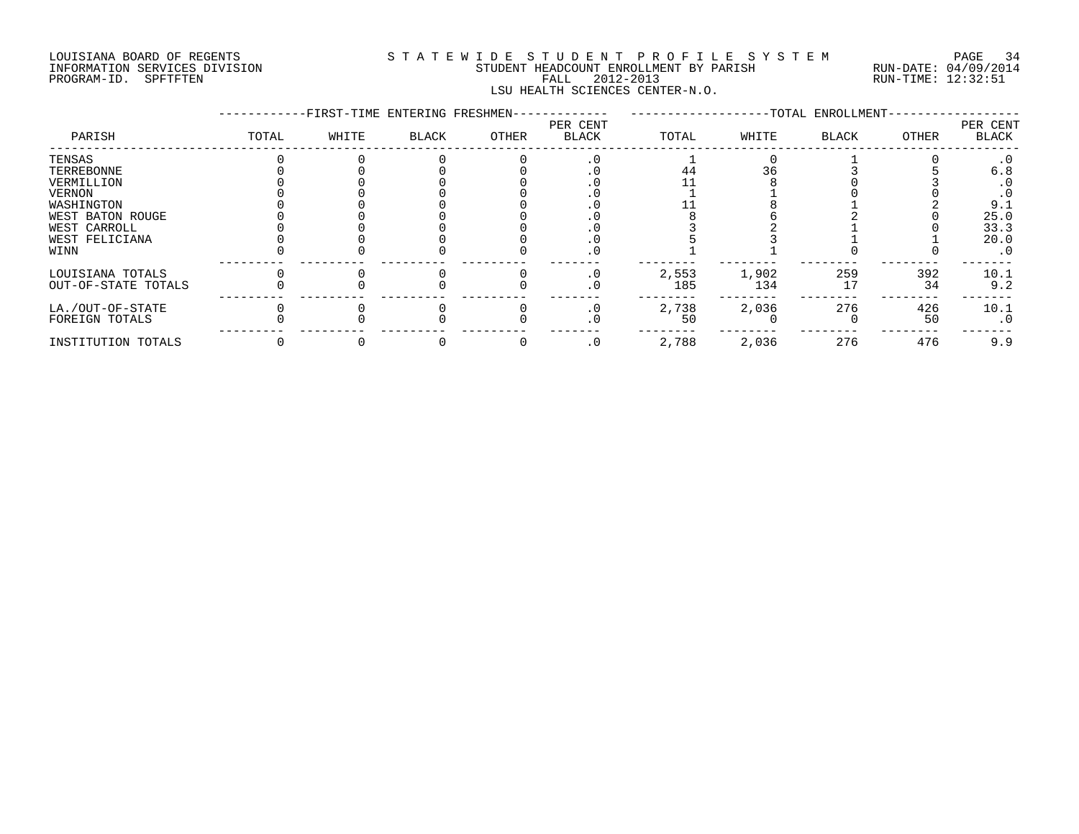#### LOUISIANA BOARD OF REGENTS S T A T E W I D E S T U D E N T P R O F I L E S Y S T E M PAGE 34 INFORMATION SERVICES DIVISION STUDENT HEADCOUNT ENROLLMENT BY PARISH RUN-DATE: 04/09/2014 PROGRAM-ID. SPFTFTEN FALL 2012-2013 RUN-TIME: 12:32:51 LSU HEALTH SCIENCES CENTER-N.O.

|                     |       | -FIRST-TIME ENTERING FRESHMEN- |       |       |                          |       |       | -TOTAL ENROLLMENT- |       |                   |
|---------------------|-------|--------------------------------|-------|-------|--------------------------|-------|-------|--------------------|-------|-------------------|
| PARISH              | TOTAL | WHITE                          | BLACK | OTHER | PER CENT<br><b>BLACK</b> | TOTAL | WHITE | <b>BLACK</b>       | OTHER | PER CENT<br>BLACK |
| TENSAS              |       |                                |       |       |                          |       |       |                    |       |                   |
| TERREBONNE          |       |                                |       |       |                          | 44    |       |                    |       | 6.8               |
| VERMILLION          |       |                                |       |       |                          |       |       |                    |       | . 0               |
| <b>VERNON</b>       |       |                                |       |       |                          |       |       |                    |       |                   |
| WASHINGTON          |       |                                |       |       |                          |       |       |                    |       | 9.1               |
| WEST BATON ROUGE    |       |                                |       |       |                          |       |       |                    |       | 25.0              |
| WEST CARROLL        |       |                                |       |       |                          |       |       |                    |       | 33.3              |
| WEST FELICIANA      |       |                                |       |       |                          |       |       |                    |       | 20.0              |
| WINN                |       |                                |       |       |                          |       |       |                    |       | $\cdot$ 0         |
| LOUISIANA TOTALS    |       |                                |       |       | . 0                      | 2,553 | 1,902 | 259                | 392   | 10.1              |
| OUT-OF-STATE TOTALS |       |                                |       |       |                          | 185   | 134   |                    | 34    | 9.2               |
| LA./OUT-OF-STATE    |       |                                |       |       |                          | 2,738 | 2,036 | 276                | 426   | 10.1              |
| FOREIGN TOTALS      |       |                                |       |       |                          | 50    |       |                    | 50    | $\cdot$ 0         |
| INSTITUTION TOTALS  |       |                                |       |       | . 0                      | 2,788 | 2,036 | 276                | 476   | 9.9               |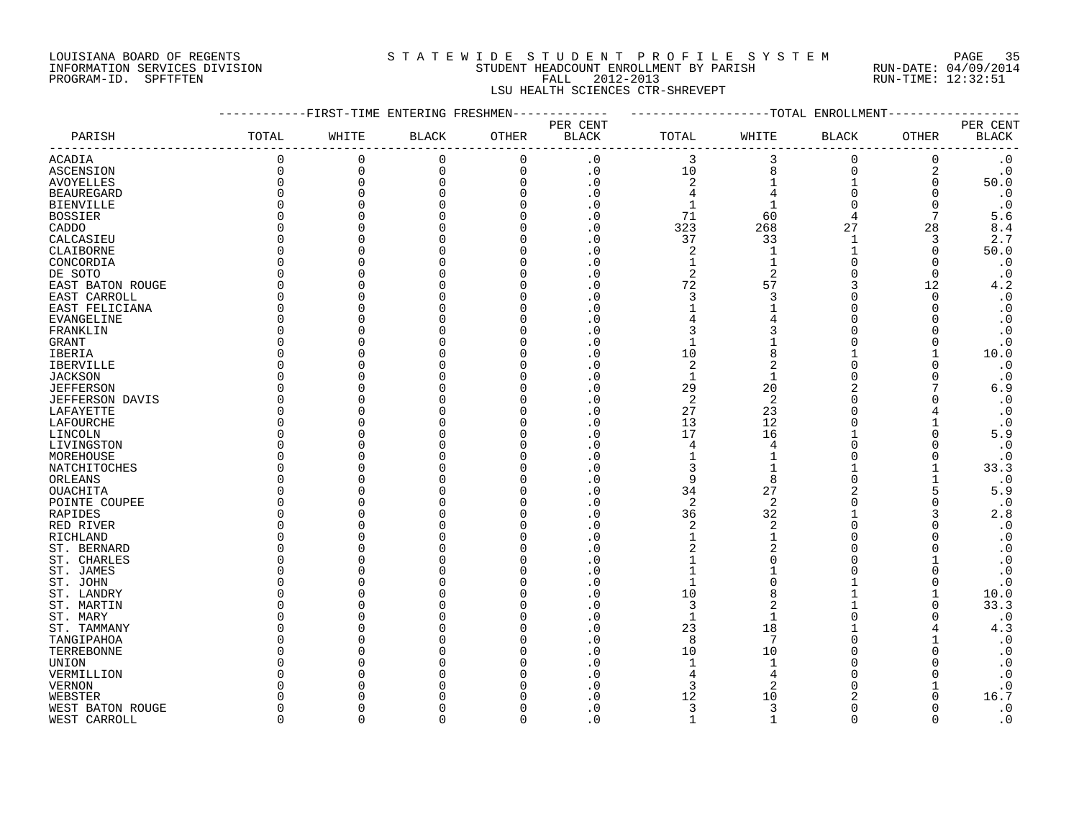#### LOUISIANA BOARD OF REGENTS S T A T E W I D E S T U D E N T P R O F I L E S Y S T E M PAGE 35 INFORMATION SERVICES DIVISION STUDENT HEADCOUNT ENROLLMENT BY PARISH RUN-DATE: 04/09/2014 PROGRAM-ID. SPFTFTEN FALL 2012-2013 RUN-TIME: 12:32:51 LSU HEALTH SCIENCES CTR-SHREVEPT

|                        |              | -------FIRST-TIME ENTERING FRESHMEN------------- |                        |             |                                    | -------------------TOTAL ENROLLMENT |                |                |             |                          |
|------------------------|--------------|--------------------------------------------------|------------------------|-------------|------------------------------------|-------------------------------------|----------------|----------------|-------------|--------------------------|
| PARISH                 | TOTAL        | WHITE                                            | $\operatorname{BLACK}$ | OTHER       | PER CENT<br>$\operatorname{BLACK}$ | TOTAL                               | WHITE          | <b>BLACK</b>   | OTHER       | PER CENT<br><b>BLACK</b> |
| <b>ACADIA</b>          | 0            | 0                                                | $\mathbf 0$            | $\mathbf 0$ | $\cdot$ 0                          | 3                                   | 3              | $\mathbf 0$    | $\mathbf 0$ | $\cdot$ 0                |
| ASCENSION              | 0            | $\mathsf 0$                                      | $\mathbf 0$            | $\mathbf 0$ | $\boldsymbol{\cdot}$ 0             | 10                                  | 8              | $\mathsf 0$    | 2           | $\cdot$ 0                |
| <b>AVOYELLES</b>       | 0            | 0                                                | 0                      | $\mathbf 0$ | $\cdot$ 0                          | $\sqrt{2}$                          | 1              | $\mathbf{1}$   | 0           | 50.0                     |
| <b>BEAUREGARD</b>      | $\Omega$     | $\Omega$                                         |                        | $\Omega$    | $\cdot$ 0                          | 4                                   | 4              | $\overline{0}$ | $\Omega$    | $\cdot$ 0                |
| <b>BIENVILLE</b>       | $\Omega$     |                                                  |                        | $\Omega$    | $\cdot$ 0                          | $\mathbf{1}$                        | $\mathbf 1$    | $\Omega$       | $\Omega$    | $\cdot$ 0                |
| <b>BOSSIER</b>         | $\Omega$     |                                                  |                        |             | . 0                                | 71                                  | 60             |                | 7           | 5.6                      |
| CADDO                  | U            |                                                  |                        |             | $\cdot$ 0                          | 323                                 | 268            | 27             | 28          | 8.4                      |
| CALCASIEU              | O            |                                                  |                        |             | $\cdot$ 0                          | 37                                  | 33             | $\mathbf{1}$   | 3           | 2.7                      |
| CLAIBORNE              | O            |                                                  |                        |             |                                    | 2                                   | 1              |                | 0           | 50.0                     |
| CONCORDIA              | O            |                                                  |                        |             |                                    | $\mathbf{1}$                        | $\mathbf{1}$   | $\Omega$       | $\Omega$    | $\cdot$ 0                |
| DE SOTO                | U            |                                                  |                        |             | . 0                                | $\overline{2}$                      | $\overline{2}$ | $\Omega$       | $\Omega$    | $\cdot$ 0                |
| EAST BATON ROUGE       | U            |                                                  |                        |             | $\cdot$ 0                          | 72                                  | 57             | 3              | 12          | 4.2                      |
| EAST CARROLL           | $\Omega$     |                                                  |                        |             | . 0                                | 3                                   | 3              | $\Omega$       | $\Omega$    | $\cdot$ 0                |
| EAST FELICIANA         | 0            |                                                  |                        |             | . 0                                |                                     |                | $\Omega$       | $\Omega$    | $\cdot$ 0                |
| <b>EVANGELINE</b>      | O            |                                                  |                        |             |                                    |                                     |                |                |             | $\cdot$ 0                |
| FRANKLIN               | <sup>0</sup> |                                                  |                        |             | . 0                                | 3                                   |                |                |             | $\cdot$ 0                |
| <b>GRANT</b>           | U            |                                                  |                        |             | $\Omega$                           | $\mathbf{1}$                        |                |                |             | $\cdot$ 0                |
| IBERIA                 | 0            |                                                  |                        |             | . 0                                | 10                                  | 8              |                |             | 10.0                     |
| IBERVILLE              | O            |                                                  |                        |             | $\overline{0}$                     | $\overline{2}$                      | 2              | $\Omega$       |             | $\cdot$ 0                |
| <b>JACKSON</b>         | O            |                                                  |                        |             |                                    | $\mathbf{1}$                        |                | $\Omega$       |             | $\cdot$ 0                |
|                        | U            |                                                  |                        |             | . 0                                | 29                                  | 20             | 2              |             | 6.9                      |
| <b>JEFFERSON</b>       | O            |                                                  |                        |             | $\cdot$ 0                          | 2                                   | 2              | $\Omega$       |             | $\cdot$ 0                |
| <b>JEFFERSON DAVIS</b> | $\Omega$     |                                                  |                        |             | $\cdot$ 0                          | 27                                  |                | $\Omega$       |             | $\cdot$ 0                |
| LAFAYETTE              | O            |                                                  |                        |             |                                    |                                     | 23             |                |             |                          |
| LAFOURCHE              |              |                                                  |                        |             | . 0                                | 13                                  | 12             |                |             | $\cdot$ 0                |
| LINCOLN                | O            |                                                  |                        |             | . 0                                | 17                                  | 16             |                |             | 5.9                      |
| LIVINGSTON             | O            |                                                  |                        |             | $\Omega$                           | 4                                   | $\overline{4}$ |                |             | $\cdot$ 0                |
| MOREHOUSE              | O            |                                                  |                        |             |                                    |                                     |                |                |             | $\cdot$ 0                |
| NATCHITOCHES           | $\Omega$     |                                                  |                        |             |                                    | 3                                   |                |                |             | 33.3                     |
| ORLEANS                | O            |                                                  |                        |             | . 0                                | 9                                   | 8              |                |             | $\cdot$ 0                |
| OUACHITA               | U            |                                                  |                        |             | $\Omega$                           | 34                                  | 27             |                |             | 5.9                      |
| POINTE COUPEE          | O            |                                                  |                        |             | . 0                                | 2                                   | 2              |                |             | $\cdot$ 0                |
| RAPIDES                | O            |                                                  |                        |             | . 0                                | 36                                  | 32             |                |             | 2.8                      |
| RED RIVER              | $\Omega$     |                                                  |                        |             |                                    | $\overline{c}$                      | 2              |                |             | $\cdot$ 0                |
| RICHLAND               | U            |                                                  |                        |             | . 0                                | $\mathbf{1}$                        |                |                |             | $\cdot$ 0                |
| ST. BERNARD            | O            |                                                  |                        |             | $\Omega$                           | 2                                   | 2              |                |             | $\cdot$ 0                |
| ST. CHARLES            | O            |                                                  |                        |             | . 0                                | $\mathbf{1}$                        |                | ∩              |             | $\cdot$ 0                |
| ST. JAMES              | O            |                                                  |                        |             | . 0                                | $\mathbf{1}$                        |                |                |             | $\cdot$ 0                |
| ST. JOHN               | U            |                                                  |                        |             |                                    |                                     |                |                |             | $\cdot$ 0                |
| ST. LANDRY             | U            |                                                  |                        |             | $\Omega$                           | 10                                  | $\mathsf{R}$   |                |             | 10.0                     |
| ST. MARTIN             | O            |                                                  |                        |             | $\Omega$                           | 3                                   | $\overline{2}$ |                |             | 33.3                     |
| ST. MARY               | O            |                                                  |                        |             | . 0                                | $\mathbf{1}$                        |                |                |             | $\cdot$ 0                |
| ST. TAMMANY            | O            |                                                  |                        |             | . 0                                | 23                                  | 18             |                |             | 4.3                      |
| TANGIPAHOA             | U            |                                                  |                        |             | . 0                                | 8                                   | 7              |                |             | $\cdot$ 0                |
| TERREBONNE             | U            |                                                  |                        |             | . 0                                | 10                                  | 10             |                |             | $\cdot$ 0                |
| UNION                  | O            |                                                  |                        |             | . 0                                | $\mathbf{1}$                        |                |                |             | $\cdot$ 0                |
| VERMILLION             | O            |                                                  |                        |             | . 0                                | 4                                   |                |                |             | $\cdot$ 0                |
| <b>VERNON</b>          | U            |                                                  |                        |             |                                    | 3                                   | $\overline{c}$ |                |             | $\cdot$ 0                |
| WEBSTER                |              |                                                  |                        |             | ∩                                  | 12                                  | 10             |                |             | 16.7                     |
| WEST BATON ROUGE       | O            |                                                  |                        |             | . 0                                | 3                                   | 3              | $\Omega$       |             | $\cdot$ 0                |
| WEST CARROLL           | $\cap$       | $\cap$                                           | U                      | $\Omega$    | $\Omega$                           | $\mathbf{1}$                        | -1             | $\cap$         | $\cap$      | $\cdot$ 0                |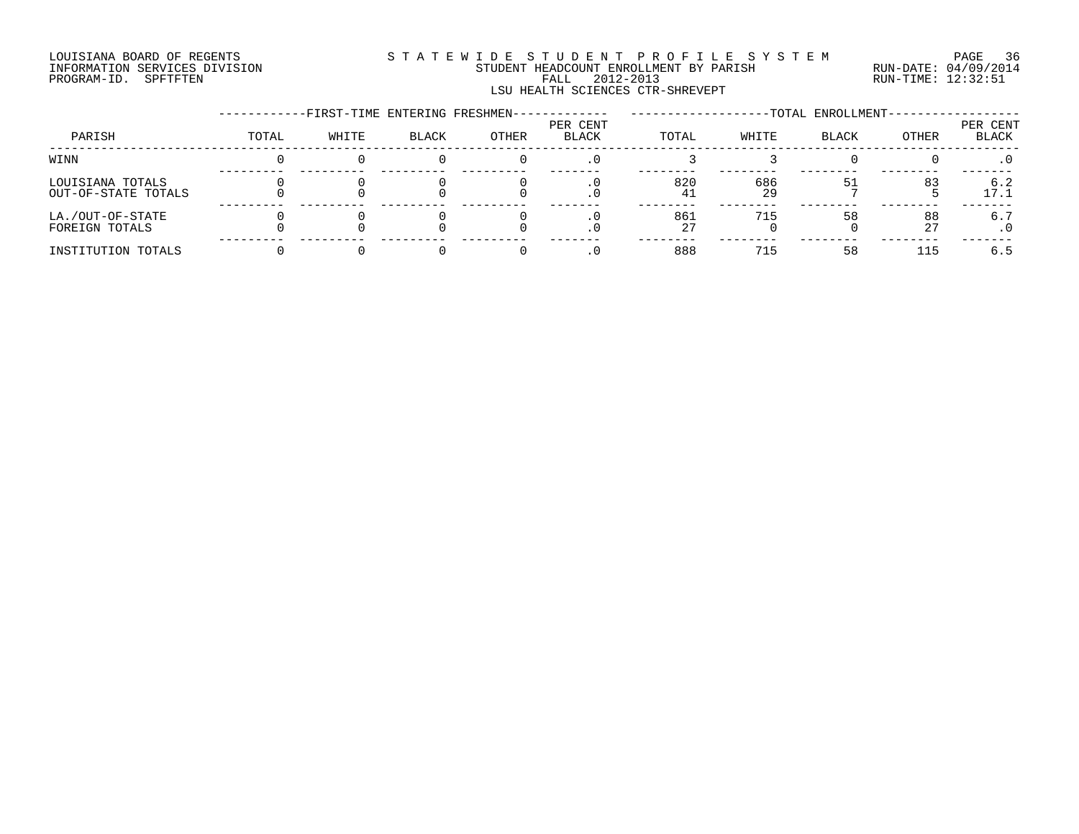#### LOUISIANA BOARD OF REGENTS S T A T E W I D E S T U D E N T P R O F I L E S Y S T E M PAGE 36 INFORMATION SERVICES DIVISION STUDENT HEADCOUNT ENROLLMENT BY PARISH RUN-DATE: 04/09/2014 PROGRAM-ID. SPFTFTEN FALL 2012-2013 RUN-TIME: 12:32:51 LSU HEALTH SCIENCES CTR-SHREVEPT

|                                         |       | -FIRST-TIME ENTERING FRESHMEN- |       |       |                          |           |           | -TOTAL ENROLLMENT- |          |                   |
|-----------------------------------------|-------|--------------------------------|-------|-------|--------------------------|-----------|-----------|--------------------|----------|-------------------|
| PARISH                                  | TOTAL | WHITE                          | BLACK | OTHER | PER CENT<br><b>BLACK</b> | TOTAL     | WHITE     | <b>BLACK</b>       | OTHER    | PER CENT<br>BLACK |
| WINN                                    |       |                                |       |       |                          |           |           |                    |          | . 0               |
| LOUISIANA TOTALS<br>OUT-OF-STATE TOTALS |       |                                |       |       |                          | 820<br>41 | 686<br>29 |                    | 83       | 6.2<br>17.1       |
| LA./OUT-OF-STATE<br>FOREIGN TOTALS      |       |                                |       |       |                          | 861<br>27 | 715       | 58                 | 88<br>27 | 6.7               |
| INSTITUTION TOTALS                      |       |                                |       |       |                          | 888       | 715       | 58                 | 115      | 6.5               |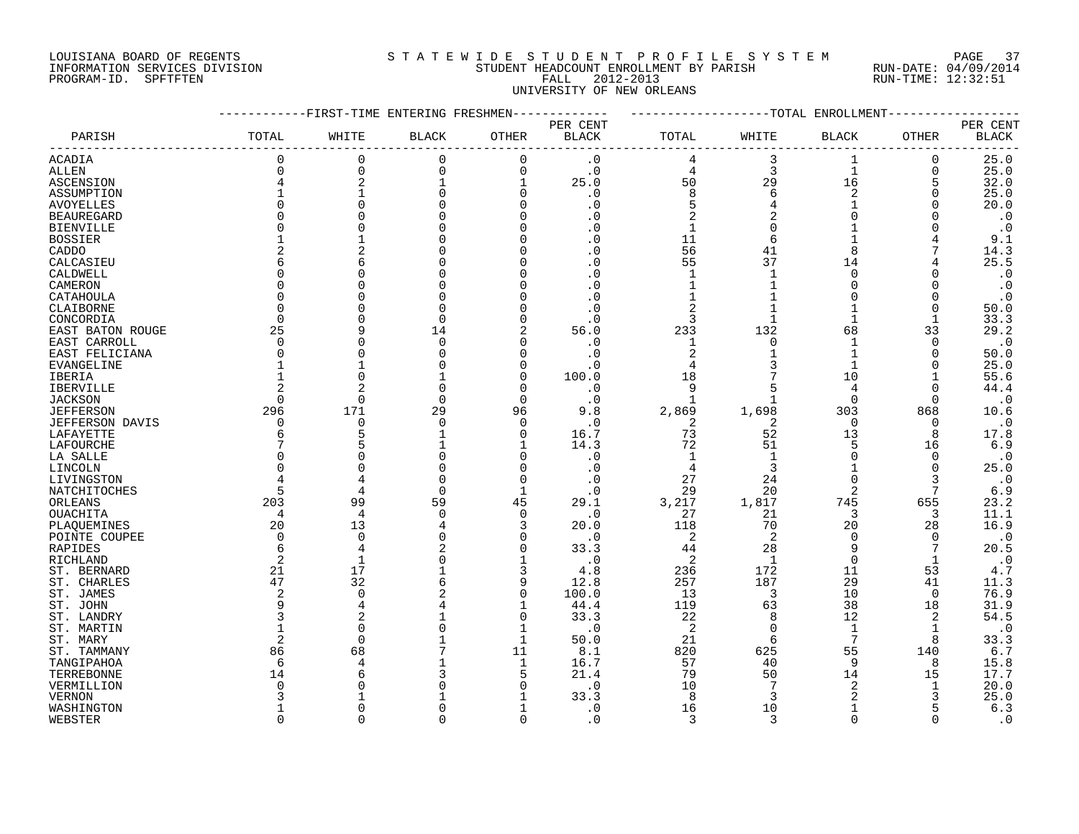#### LOUISIANA BOARD OF REGENTS S T A T E W I D E S T U D E N T P R O F I L E S Y S T E M PAGE 37 INFORMATION SERVICES DIVISION STUDENT HEADCOUNT ENROLLMENT BY PARISH RUN-DATE: 04/09/2014 PROGRAM-ID. SPFTFTEN FALL 2012-2013 RUN-TIME: 12:32:51 UNIVERSITY OF NEW ORLEANS

|                        |                | -FIRST-TIME ENTERING FRESHMEN |              |              |                        |                   |              | -TOTAL ENROLLMENT |              |                        |
|------------------------|----------------|-------------------------------|--------------|--------------|------------------------|-------------------|--------------|-------------------|--------------|------------------------|
|                        |                |                               |              |              | PER CENT               |                   |              |                   |              | PER CENT               |
| PARISH                 | TOTAL          | WHITE                         | <b>BLACK</b> | OTHER        | $\operatorname{BLACK}$ | TOTAL             | WHITE        | <b>BLACK</b>      | OTHER        | <b>BLACK</b>           |
| ACADIA                 | 0              | $\mathbf 0$                   | $\Omega$     | $\Omega$     | $\cdot$ 0              | 4                 | 3            | 1                 | 0            | 25.0                   |
| ALLEN                  | 0              | $\mathbf 0$                   | $\Omega$     | $\mathbf 0$  | $\cdot$ 0              | 4                 | 3            | $\mathbf{1}$      | 0            | 25.0                   |
| ASCENSION              | 4              | $\overline{2}$                |              | $\mathbf{1}$ | 25.0                   | 50                | 29           | 16                | 5            | 32.0                   |
| ASSUMPTION             |                |                               |              | $\Omega$     | . 0                    | 8                 | 6            | $\overline{2}$    | O            | 25.0                   |
| <b>AVOYELLES</b>       |                |                               |              | $\Omega$     | $\cdot$ 0              | 5                 |              | $\mathbf{1}$      |              | 20.0                   |
| <b>BEAUREGARD</b>      | O              |                               |              | $\Omega$     | . 0                    | $\overline{2}$    |              | $\Omega$          |              | $\boldsymbol{\cdot}$ 0 |
| <b>BIENVILLE</b>       | O              |                               |              | $\Omega$     | . 0                    | 1                 | $\Omega$     | 1                 |              | $\cdot$ 0              |
| <b>BOSSIER</b>         |                |                               |              | $\Omega$     | . 0                    | 11                | 6            | $\mathbf{1}$      |              | 9.1                    |
| CADDO                  | 2              | 2                             |              | $\Omega$     | . 0                    | 56                | 41           | 8                 |              | 14.3                   |
| CALCASIEU              | 6              | 6                             |              | $\Omega$     | $\cdot$ 0              | 55                | 37           | 14                |              | 25.5                   |
| CALDWELL               | O              |                               |              | $\Omega$     | . 0                    | $\mathbf{1}$      | $\mathbf{1}$ | $\Omega$          |              | $\cdot$ 0              |
| CAMERON                | O              |                               |              | $\Omega$     | . 0                    | 1                 |              | $\Omega$          | U            | $\cdot$ 0              |
| CATAHOULA              | $\Omega$       |                               |              | $\Omega$     | . 0                    |                   |              | $\Omega$          | $\Omega$     | $\cdot$ 0              |
| CLAIBORNE              | $\Omega$       |                               |              | $\Omega$     | $\cdot$ 0              | $\overline{2}$    |              | $\mathbf{1}$      | 0            | 50.0                   |
| CONCORDIA              | $\Omega$       |                               |              | $\Omega$     | . 0                    | 3                 |              | $\mathbf{1}$      | $\mathbf{1}$ | 33.3                   |
| EAST BATON ROUGE       | 25             | q                             | 14           | 2            | 56.0                   | 233               | 132          | 68                | 33           | 29.2                   |
| EAST CARROLL           | 0              | C                             | $\Omega$     | $\Omega$     | $\cdot$ 0              | 1                 | $\Omega$     | 1                 | 0            | $\cdot$ 0              |
| EAST FELICIANA         | $\Omega$       |                               |              | $\Omega$     | . 0                    | 2                 |              | $\mathbf{1}$      | 0            | 50.0                   |
| EVANGELINE             |                |                               |              | $\Omega$     | . 0                    |                   |              | $\mathbf{1}$      | 0            | 25.0                   |
|                        |                | $\bigcap$                     |              | $\Omega$     | 100.0                  | 18                |              | 10                | 1            | 55.6                   |
| IBERIA                 | 2              |                               |              | $\Omega$     |                        |                   | 5            | 4                 | $\Omega$     | 44.4                   |
| <b>IBERVILLE</b>       | $\Omega$       | $\Omega$                      | $\Omega$     | $\Omega$     | $\cdot$ 0              | 9<br>$\mathbf{1}$ |              | $\Omega$          | $\Omega$     |                        |
| <b>JACKSON</b>         | 296            | 171                           | 29           |              | $\cdot$ 0              |                   | 1,698        | 303               |              | $\cdot$ 0              |
| <b>JEFFERSON</b>       |                |                               | $\Omega$     | 96           | 9.8                    | 2,869             |              |                   | 868          | 10.6                   |
| <b>JEFFERSON DAVIS</b> | 0              | $\mathbf 0$                   |              | 0            | . 0                    | 2                 | 2            | 0                 | 0            | $\cdot$ 0              |
| LAFAYETTE              | 6              | 5                             |              | $\Omega$     | 16.7                   | 73                | 52           | 13                | 8            | 17.8                   |
| LAFOURCHE              | 7              | 5                             |              |              | 14.3                   | 72                | 51           | 5                 | 16           | 6.9                    |
| LA SALLE               | $\Omega$       | C                             |              | $\Omega$     | . 0                    | -1                | $\mathbf{1}$ | $\Omega$          | $\Omega$     | $\cdot$ 0              |
| LINCOLN                | O              |                               |              | $\Omega$     | . 0                    | 4                 | 3            | 1                 | 0            | 25.0                   |
| LIVINGSTON             | 4              |                               |              | $\Omega$     | . 0                    | 27                | 24           | $\Omega$          | 3            | $\cdot$ 0              |
| NATCHITOCHES           | 5              | 4                             | $\Omega$     | $\mathbf{1}$ | . 0                    | 29                | 20           | $\overline{2}$    | 7            | 6.9                    |
| ORLEANS                | 203            | 99                            | 59           | 45           | 29.1                   | 3,217             | 1,817        | 745               | 655          | 23.2                   |
| OUACHITA               | $\overline{4}$ | $\overline{4}$                | $\cap$       | $\mathbf 0$  | $\cdot$ 0              | 27                | 21           | 3                 | 3            | 11.1                   |
| PLAQUEMINES            | 20             | 13                            |              | 3            | 20.0                   | 118               | 70           | 20                | 28           | 16.9                   |
| POINTE COUPEE          | $\Omega$       | $\mathbf 0$                   |              | $\Omega$     | . 0                    | 2                 | 2            | 0                 | 0            | $\cdot$ 0              |
| RAPIDES                | 6              | 4                             |              | $\Omega$     | 33.3                   | 44                | 28           | 9                 | 7            | 20.5                   |
| RICHLAND               | 2              | 1                             |              |              | $\cdot$ 0              | 2                 | 1            | $\mathbf 0$       | $\mathbf{1}$ | $\cdot$ 0              |
| ST. BERNARD            | 21             | 17                            |              | 3            | 4.8                    | 236               | 172          | 11                | 53           | 4.7                    |
| ST. CHARLES            | 47             | 32                            |              | 9            | 12.8                   | 257               | 187          | 29                | 41           | 11.3                   |
| ST. JAMES              | 2              | $\Omega$                      |              | $\Omega$     | 100.0                  | 13                | 3            | 10                | $\Omega$     | 76.9                   |
| ST. JOHN               | 9              | 4                             |              | $\mathbf{1}$ | 44.4                   | 119               | 63           | 38                | 18           | 31.9                   |
| ST. LANDRY             | ζ              | 2                             |              | $\Omega$     | 33.3                   | 22                | 8            | 12                | 2            | 54.5                   |
| ST. MARTIN             |                | 0                             |              | 1            | $\cdot$ 0              | 2                 | $\Omega$     | 1                 | 1            | $\cdot$ 0              |
| ST. MARY               | 2              | $\Omega$                      |              | $\mathbf{1}$ | 50.0                   | 21                | 6            | 7                 | 8            | 33.3                   |
| ST. TAMMANY            | 86             | 68                            |              | 11           | 8.1                    | 820               | 625          | 55                | 140          | 6.7                    |
| TANGIPAHOA             | 6              | 4                             |              | $\mathbf{1}$ | 16.7                   | 57                | 40           | 9                 | 8            | 15.8                   |
| TERREBONNE             | 14             | 6                             |              | 5            | 21.4                   | 79                | 50           | 14                | 15           | 17.7                   |
| VERMILLION             | Λ              |                               |              | $\Omega$     | . 0                    | 10                |              | $\overline{2}$    | 1            | 20.0                   |
| <b>VERNON</b>          |                |                               |              |              | 33.3                   | 8                 | 3            |                   |              | 25.0                   |
| WASHINGTON             |                | $\cap$                        |              |              | $\cdot$ 0              | 16                | 10           | $\mathbf{1}$      |              | 6.3                    |
| WEBSTER                | $\Omega$       | $\Omega$                      |              | $\Omega$     | $\Omega$               | 3                 | 3            | $\Omega$          | U            | $\cdot$ 0              |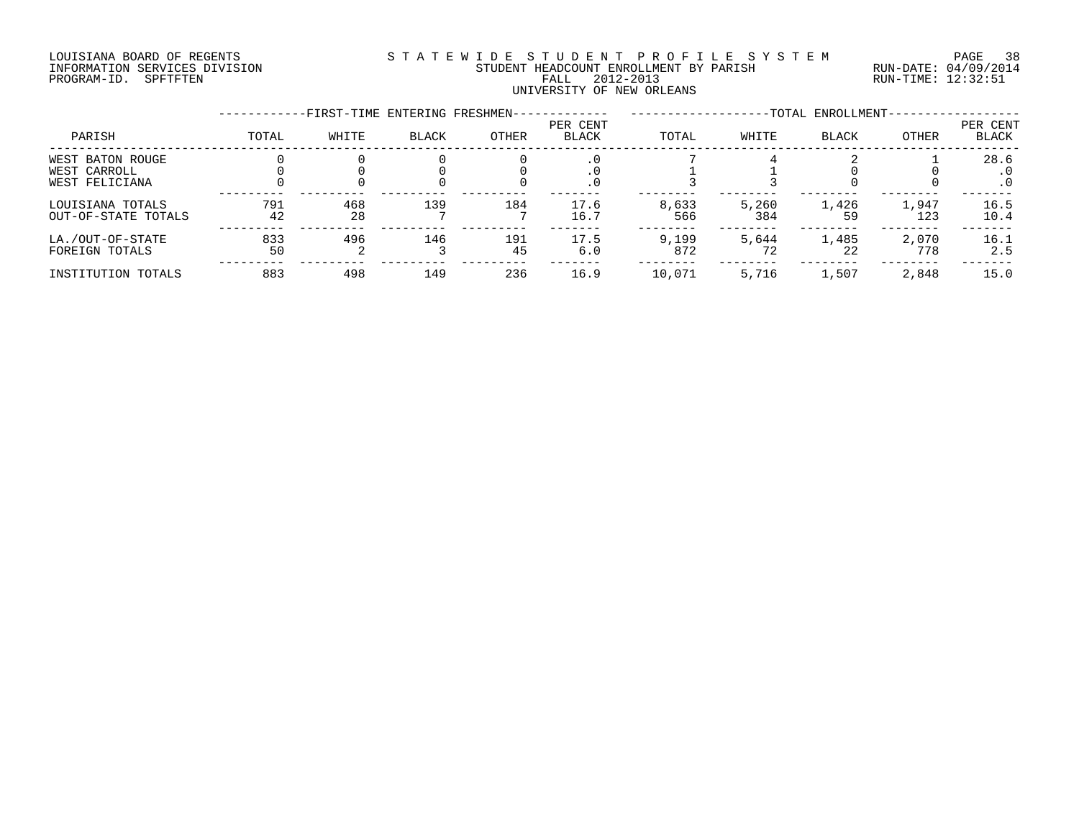#### LOUISIANA BOARD OF REGENTS S T A T E W I D E S T U D E N T P R O F I L E S Y S T E M PAGE 38 INFORMATION SERVICES DIVISION STUDENT HEADCOUNT ENROLLMENT BY PARISH RUN-DATE: 04/09/2014 PROGRAM-ID. SPFTFTEN FALL 2012-2013 RUN-TIME: 12:32:51 UNIVERSITY OF NEW ORLEANS

|                                                    |           | -FIRST-TIME ENTERING FRESHMEN- |              |           |                          |              |              | -TOTAL ENROLLMENT- |              |                                |
|----------------------------------------------------|-----------|--------------------------------|--------------|-----------|--------------------------|--------------|--------------|--------------------|--------------|--------------------------------|
| PARISH                                             | TOTAL     | WHITE                          | <b>BLACK</b> | OTHER     | PER CENT<br><b>BLACK</b> | TOTAL        | WHITE        | BLACK              | OTHER        | PER CENT<br><b>BLACK</b>       |
| WEST BATON ROUGE<br>WEST CARROLL<br>WEST FELICIANA |           |                                |              |           | $\cdot$ 0                |              |              |                    |              | 28.6<br>$\cdot$ 0<br>$\cdot$ 0 |
| LOUISIANA TOTALS<br>OUT-OF-STATE TOTALS            | 791<br>42 | 468<br>28                      | 139          | 184       | 17.6<br>16.7             | 8,633<br>566 | 5,260<br>384 | 1,426<br>59        | 1,947<br>123 | 16.5<br>10.4                   |
| LA./OUT-OF-STATE<br>FOREIGN TOTALS                 | 833<br>50 | 496                            | 146          | 191<br>45 | 17.5<br>6.0              | 9,199<br>872 | 5,644<br>72  | 1,485<br>22        | 2,070<br>778 | 16.1<br>2.5                    |
| INSTITUTION TOTALS                                 | 883       | 498                            | 149          | 236       | 16.9                     | 10,071       | 5,716        | 1,507              | 2,848        | 15.0                           |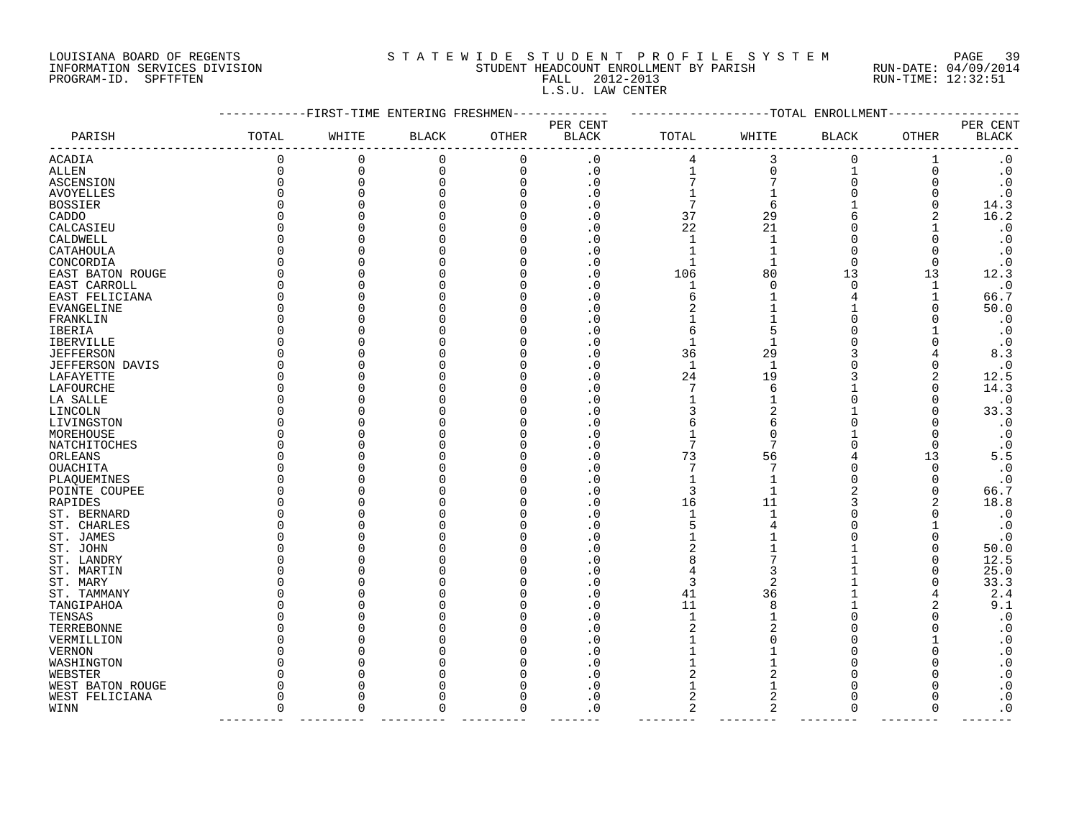## LOUISIANA BOARD OF REGENTS S T A T E W I D E S T U D E N T P R O F I L E S Y S T E M PAGE 39 INFORMATION SERVICES DIVISION STUDENT HEADCOUNT ENROLLMENT BY PARISH RUN-DATE: 04/09/2014 PROGRAM-ID. SPFTFTEN FALL 2012-2013 RUN-TIME: 12:32:51 L.S.U. LAW CENTER

|                  |             |              | --------FIRST-TIME ENTERING FRESHMEN- |             |                          |                |                   | -----------TOTAL ENROLLMENT |              |                          |
|------------------|-------------|--------------|---------------------------------------|-------------|--------------------------|----------------|-------------------|-----------------------------|--------------|--------------------------|
| PARISH           | TOTAL       | WHITE        | <b>BLACK</b>                          | OTHER       | PER CENT<br><b>BLACK</b> | TOTAL          | WHITE             | <b>BLACK</b>                | <b>OTHER</b> | PER CENT<br><b>BLACK</b> |
| ACADIA           |             | $\mathbf 0$  | 0                                     | 0           | $\cdot$ 0                |                | $\mathsf 3$       | $\mathsf 0$                 | $1\,$        | $\boldsymbol{\cdot}$ 0   |
| ALLEN            | $\mathbf 0$ | 0            | 0                                     | $\mathbf 0$ | $\cdot$ 0                | $\mathbf 1$    | 0                 | 1                           | 0            | $\cdot$ 0                |
| ASCENSION        | $\Omega$    | $\Omega$     | $\Omega$                              | $\Omega$    | $\cdot$ 0                |                |                   | 0                           |              | $\cdot$ 0                |
| AVOYELLES        |             |              | $\Omega$                              | $\Omega$    | $\cdot$ 0                |                |                   | $\mathbf 0$                 |              | $\cdot$ 0                |
| <b>BOSSIER</b>   |             |              | $\Omega$                              | $\Omega$    | $\cdot$ 0                | 7              | 6                 | $\mathbf{1}$                | $\Omega$     | 14.3                     |
| CADDO            |             |              | 0                                     | O           | $\cdot$ 0                | 37             | 29                | 6                           |              | 16.2                     |
| CALCASIEU        |             |              | 0                                     | ∩           | $\cdot$ 0                | 22             | 21                | 0                           |              | $\cdot$ 0                |
| CALDWELL         |             |              | U                                     | ∩           | $\cdot$ 0                | $\mathbf{1}$   | $\mathbf{1}$      | $\Omega$                    |              | $\cdot$ 0                |
| CATAHOULA        |             |              | 0                                     | O           | $\cdot$ 0                | $\mathbf{1}$   | 1                 | $\mathbf 0$                 |              | $\cdot$ 0                |
| CONCORDIA        |             |              | 0                                     |             | $\cdot$ 0                | $\mathbf{1}$   | 1                 | $\overline{0}$              | 0            | $\cdot$ 0                |
| EAST BATON ROUGE |             |              | 0                                     | O           | $\cdot$ 0                | 106            | 80                | 13                          | 13           | 12.3                     |
| EAST CARROLL     |             |              | 0                                     |             | . 0                      | 1              | $\Omega$          | $\mathbf 0$                 | $\mathbf 1$  | $\cdot$ 0                |
| EAST FELICIANA   |             | O            | 0                                     | O           | $\cdot$ 0                | 6              |                   | 4                           | $\mathbf 1$  | 66.7                     |
| EVANGELINE       |             |              | 0                                     |             | $\cdot$ 0                | $\overline{2}$ |                   | $\mathbf 1$                 | $\Omega$     | 50.0                     |
| FRANKLIN         |             |              | 0                                     | C           | . 0                      | 1              |                   | 0                           |              | $\cdot$ 0                |
| IBERIA           |             |              | U                                     | U           | $\cdot$ 0                | 6              | 5                 | 0                           |              | . 0                      |
| IBERVILLE        |             |              | 0                                     | ſ           | . 0                      | $\mathbf{1}$   | 1                 | $\mathbf 0$                 |              | $\cdot$ 0                |
| <b>JEFFERSON</b> |             |              | 0                                     |             | $\cdot$ 0                | 36             | 29                | 3                           |              | 8.3                      |
| JEFFERSON DAVIS  |             |              | O                                     |             | $\cdot$ 0                | $\mathbf{1}$   | 1                 | 0                           |              | $\cdot$ 0                |
| LAFAYETTE        |             |              | 0                                     | O           | $\cdot$ 0                | 24             | 19                | 3                           | 2            | 12.5                     |
| LAFOURCHE        |             |              | U                                     |             | $\cdot$ 0                | 7              | 6                 | 1                           | $\Omega$     | 14.3                     |
| LA SALLE         |             |              | 0                                     |             | $\cdot$ 0                |                | 1                 | $\overline{0}$              | $\Omega$     | $\cdot$ 0                |
|                  |             |              | 0                                     |             |                          | 3              | 2                 | $\mathbf{1}$                |              |                          |
| LINCOLN          |             |              | U                                     |             | $\cdot$ 0                |                |                   | 0                           |              | 33.3                     |
| LIVINGSTON       |             |              | U                                     |             | $\cdot$ 0                | 6              | 6                 |                             |              | $\cdot$ 0                |
| MOREHOUSE        |             |              |                                       |             | $\cdot$ 0                | 1<br>7         | <sup>0</sup><br>7 | 1                           | O            | $\cdot$ 0                |
| NATCHITOCHES     |             | O            | 0<br>$\Omega$                         | O           | $\cdot$ 0                |                |                   | $\mathbf 0$                 | $\Omega$     | $\cdot$ 0                |
| ORLEANS          |             |              |                                       |             | $\cdot$ 0                | 73             | 56                | 4                           | 13           | 5.5                      |
| OUACHITA         |             |              | $\Omega$                              | C           | $\cdot$ 0                | $\overline{7}$ | 7                 | 0                           | $\Omega$     | $\cdot$ 0                |
| PLAQUEMINES      |             |              | O                                     |             | $\cdot$ 0                | 1              |                   | 0                           | 0            | $\cdot$ 0                |
| POINTE COUPEE    |             |              | U                                     |             | $\cdot$ 0                | 3              | $\mathbf 1$       | $\overline{2}$              | $\Omega$     | 66.7                     |
| RAPIDES          |             | <sup>0</sup> | 0                                     | ſ           | $\cdot$ 0                | 16             | 11                | 3                           |              | 18.8                     |
| ST. BERNARD      |             |              | O                                     |             | $\cdot$ 0                | $\mathbf 1$    |                   | 0                           |              | $\cdot$ 0                |
| ST. CHARLES      |             |              | U                                     | C           | $\cdot$ 0                | 5              |                   | 0                           |              | $\cdot$ 0                |
| ST. JAMES        |             |              | U                                     |             | $\cdot$ 0                | 1              |                   | 0                           |              | . 0                      |
| ST. JOHN         |             |              | 0                                     | C           | $\cdot$ 0                | 2              |                   | 1                           | $\Omega$     | 50.0                     |
| ST. LANDRY       |             |              | $\Omega$                              |             | $\cdot$ 0                | 8              |                   | $\mathbf{1}$                | O            | 12.5                     |
| ST. MARTIN       |             |              | O                                     | O           | $\cdot$ 0                |                | 3                 | $\mathbf 1$                 |              | 25.0                     |
| ST. MARY         |             |              | U                                     | ſ           | $\cdot$ 0                | 3              | 2                 | 1                           | 0            | 33.3                     |
| ST. TAMMANY      |             |              | 0                                     | O           | $\cdot$ 0                | 41             | 36                | 1                           | 4            | 2.4                      |
| TANGIPAHOA       |             |              | $\Omega$                              | U           | $\cdot$ 0                | 11             | 8                 | $\mathbf{1}$                |              | 9.1                      |
| TENSAS           |             |              | $\Omega$                              | C           | $\cdot$ 0                | $\mathbf{1}$   |                   | 0                           |              | $\cdot$ 0                |
| TERREBONNE       |             |              | O                                     | O           | $\cdot$ 0                | 2              | 2                 | 0                           |              | $\cdot$ 0                |
| VERMILLION       |             |              | U                                     |             | $\cdot$ 0                | 1              | O                 | O                           |              | . 0                      |
| VERNON           |             | O            | 0                                     |             | $\cdot$ 0                | 1              |                   | 0                           | $\Omega$     | $\cdot$ 0                |
| WASHINGTON       |             |              | $\Omega$                              |             | $\cdot$ 0                | 1              |                   | $\Omega$                    |              | $\cdot$ 0                |
| WEBSTER          |             |              | 0                                     |             | $\cdot$ 0                | 2              | 2                 | 0                           |              | . 0                      |
| WEST BATON ROUGE |             |              | 0                                     |             | $\cdot$ 0                | 1              | 1                 | O                           | O            | . 0                      |
| WEST FELICIANA   | O           | O            | 0                                     |             | $\cdot$ 0                | $\overline{2}$ | 2                 | $\mathbf 0$                 | O            | $\cdot$ 0                |
| WINN             | $\Omega$    | $\Omega$     | $\Omega$                              | $\Omega$    | $\cdot$ 0                | 2              | 2                 | $\overline{0}$              | $\Omega$     | $\cdot$ 0                |
|                  |             |              |                                       |             |                          |                |                   |                             |              |                          |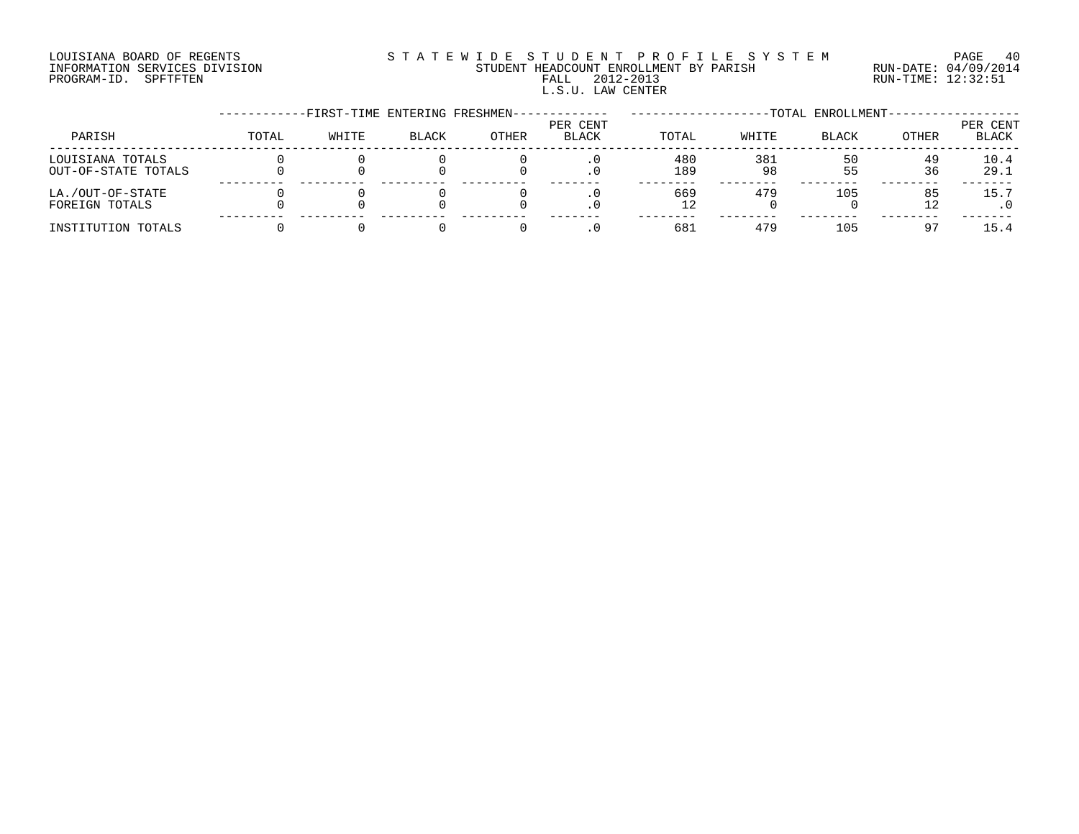#### LOUISIANA BOARD OF REGENTS S T A T E W I D E S T U D E N T P R O F I L E S Y S T E M PAGE 40 INFORMATION SERVICES DIVISION STUDENT HEADCOUNT ENROLLMENT BY PARISH RUN-DATE: 04/09/2014 PROGRAM-ID. SPFTFTEN FALL 2012-2013 RUN-TIME: 12:32:51 L.S.U. LAW CENTER

|                                         |       | -FIRST-TIME ENTERING FRESHMEN- |              |              |                          |            |           | -TOTAL ENROLLMENT- |          |                   |
|-----------------------------------------|-------|--------------------------------|--------------|--------------|--------------------------|------------|-----------|--------------------|----------|-------------------|
| PARISH                                  | TOTAL | WHITE                          | <b>BLACK</b> | <b>OTHER</b> | PER CENT<br><b>BLACK</b> | TOTAL      | WHITE     | <b>BLACK</b>       | OTHER    | PER CENT<br>BLACK |
| LOUISIANA TOTALS<br>OUT-OF-STATE TOTALS |       |                                |              |              |                          | 480<br>189 | 381<br>98 | 55                 | 49<br>36 | 10.4<br>29.1      |
| LA./OUT-OF-STATE<br>FOREIGN TOTALS      |       |                                |              |              |                          | 669        | 479       | 105                | 85       | 15.7              |
| INSTITUTION TOTALS                      |       |                                |              |              |                          | 683        | 479       | 105                | 97       | 15.4              |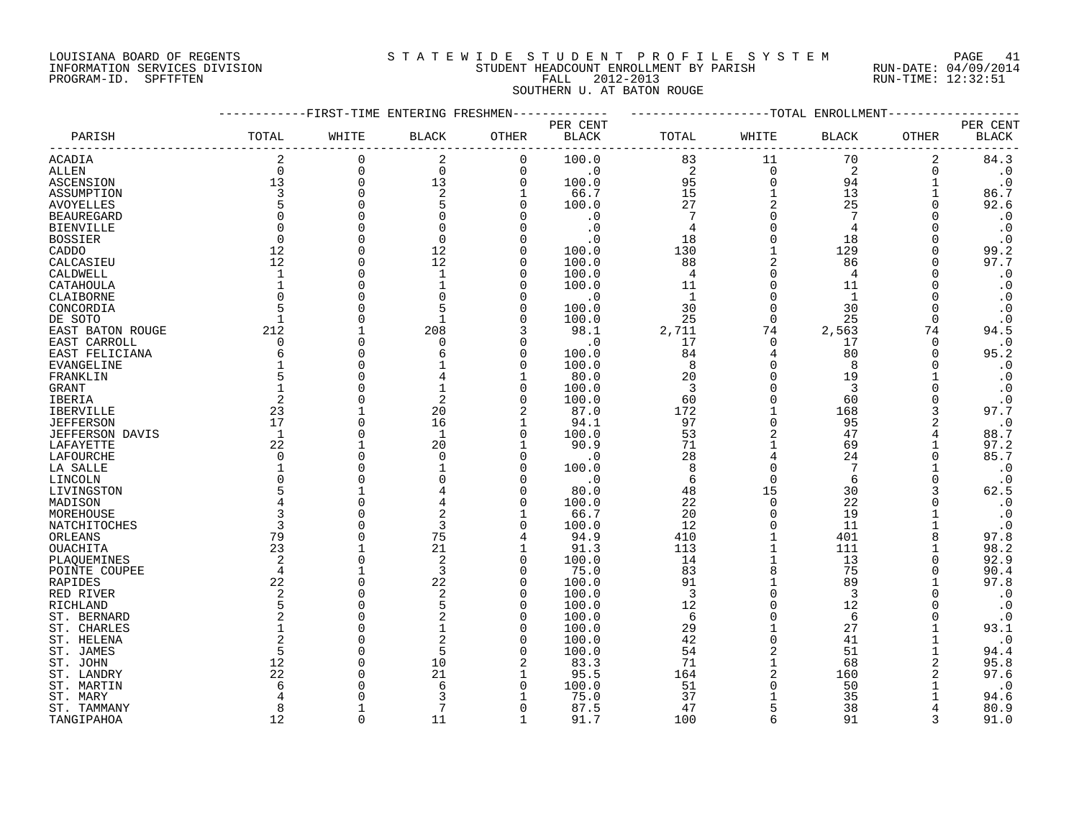#### LOUISIANA BOARD OF REGENTS S T A T E W I D E S T U D E N T P R O F I L E S Y S T E M PAGE 41 INFORMATION SERVICES DIVISION STUDENT HEADCOUNT ENROLLMENT BY PARISH RUN-DATE: 04/09/2014 PROGRAM-ID. SPFTFTEN FALL 2012-2013 RUN-TIME: 12:32:51 SOUTHERN U. AT BATON ROUGE

|                        |                 | ---------FIRST-TIME ENTERING FRESHMEN- |                |              | -----------                 | -------------------TOTAL ENROLLMENT- |              |                |          |              |
|------------------------|-----------------|----------------------------------------|----------------|--------------|-----------------------------|--------------------------------------|--------------|----------------|----------|--------------|
|                        |                 |                                        |                |              | PER CENT                    |                                      |              |                |          | PER CENT     |
| PARISH                 | TOTAL           | WHITE                                  | <b>BLACK</b>   | OTHER        | BLACK                       | TOTAL                                | WHITE        | BLACK          | OTHER    | <b>BLACK</b> |
| <b>ACADIA</b>          | 2               | $\mathbf 0$                            | 2              | $\mathbf 0$  | 100.0                       | 83                                   | 11           | 70             | 2        | 84.3         |
| <b>ALLEN</b>           | $\Omega$        | $\mathbf 0$                            | $\mathbf 0$    | $\mathbf 0$  | $\overline{\phantom{0}}$ .0 | $\overline{a}$                       | $\Omega$     | $\overline{2}$ | $\Omega$ | $\cdot$ 0    |
| ASCENSION              | 13              | $\mathbf 0$                            | 13             | 0            | 100.0                       | 95                                   | $\Omega$     | 94             |          | $\cdot$ 0    |
| ASSUMPTION             | 3               | $\Omega$                               | 2              | 1            | 66.7                        | 15                                   |              | 13             |          | 86.7         |
| <b>AVOYELLES</b>       | 5               |                                        | 5              | $\Omega$     | 100.0                       | 27                                   | 2            | 25             |          | 92.6         |
| <b>BEAUREGARD</b>      | $\Omega$        |                                        | $\Omega$       |              | $\cdot$ 0                   | $7\phantom{.0}$                      |              | 7              | $\Omega$ | $\cdot$ 0    |
| <b>BIENVILLE</b>       | $\Omega$        |                                        |                |              | $\cdot$ 0                   | 4                                    |              | $\overline{4}$ |          | $\cdot$ 0    |
| <b>BOSSIER</b>         | $\Omega$        |                                        | $\Omega$       |              | $\cdot$ 0                   | 18                                   |              | 18             |          | $\cdot$ 0    |
| CADDO                  | 12              |                                        | 12             | O            | 100.0                       | 130                                  |              | 129            | $\Omega$ | 99.2         |
| CALCASIEU              | 12              |                                        | 12             |              | 100.0                       | 88                                   |              | 86             | $\Omega$ | 97.7         |
| CALDWELL               | $\mathbf{1}$    |                                        | $\mathbf{1}$   | ∩            | 100.0                       | $\overline{4}$                       |              | 4              |          | $\cdot$ 0    |
| CATAHOULA              | $\mathbf{1}$    |                                        |                | ∩            | 100.0                       | 11                                   | $\Omega$     | 11             |          | $\cdot$ 0    |
| CLAIBORNE              | $\Omega$        |                                        |                | $\Omega$     | $\cdot$ 0                   | $\overline{1}$                       |              | 1              |          | $\cdot$ 0    |
| CONCORDIA              | $5\overline{5}$ |                                        |                | ∩            | 100.0                       | 30                                   |              | 30             |          | $\cdot$ 0    |
| DE SOTO                |                 |                                        |                | $\Omega$     | 100.0                       | 25                                   | $\Omega$     | 25             | $\Omega$ | $\cdot$ 0    |
|                        | 212             |                                        | 208            | 3            | 98.1                        | 2,711                                | 74           | 2,563          | 74       | 94.5         |
| EAST BATON ROUGE       | $\Omega$        | $\Omega$                               | 0              | $\Omega$     | $\cdot$ 0                   | 17                                   | $\Omega$     | 17             | 0        | $\cdot$ 0    |
| EAST CARROLL           | 6               |                                        |                | $\Omega$     |                             | 84                                   | 4            | 80             | $\Omega$ | 95.2         |
| EAST FELICIANA         |                 |                                        |                | $\Omega$     | 100.0                       | 8                                    | $\Omega$     | 8              |          |              |
| EVANGELINE             | 5               |                                        |                |              | 100.0                       |                                      | $\Omega$     |                |          | $\cdot$ 0    |
| FRANKLIN               | $\mathbf{1}$    |                                        |                |              | 80.0                        | 20                                   |              | 19             |          | $\cdot$ 0    |
| GRANT                  |                 |                                        |                | $\Omega$     | 100.0                       | $\overline{\mathbf{3}}$              | $\Omega$     | 3              |          | $\cdot$ 0    |
| IBERIA                 | 2               |                                        | 2              | $\Omega$     | 100.0                       | 60                                   | $\Omega$     | 60             | $\Omega$ | $\cdot$ 0    |
| <b>IBERVILLE</b>       | 23<br>17        |                                        | 20             | 2            | 87.0                        | 172                                  | $\Omega$     | 168            |          | 97.7         |
| <b>JEFFERSON</b>       |                 | $\cap$                                 | 16             | 1            | 94.1                        | 97                                   |              | 95             | 2        | $\cdot$ 0    |
| <b>JEFFERSON DAVIS</b> | $\overline{1}$  | $\Omega$                               | $\overline{1}$ | $\Omega$     | 100.0                       | 53                                   |              | 47             |          | 88.7         |
| LAFAYETTE              | 22              |                                        | 20             | $\mathbf{1}$ | 90.9                        | 71                                   | $\mathbf{1}$ | 69             |          | 97.2         |
| LAFOURCHE              | $\Omega$        |                                        | $\Omega$       | $\Omega$     | $\cdot$ 0                   | 28                                   |              | 24             | $\Omega$ | 85.7         |
| LA SALLE               |                 |                                        |                | $\Omega$     | 100.0                       | 8                                    |              | 7              |          | $\cdot$ 0    |
| LINCOLN                | $\Omega$        |                                        |                |              | $\cdot$ 0                   | 6                                    | $\Omega$     | 6              | O        | $\cdot$ 0    |
| LIVINGSTON             | 5               |                                        |                | ∩            | 80.0                        | 48                                   | 15           | 30             | 3        | 62.5         |
| MADISON                | 4               | $\Omega$                               |                | $\Omega$     | 100.0                       | 22                                   | $\Omega$     | 22             |          | $\cdot$ 0    |
| MOREHOUSE              | 3               |                                        | 2              | 1            | 66.7                        | 20                                   | $\Omega$     | 19             |          | $\cdot$ 0    |
| NATCHITOCHES           | 3               |                                        | 3              | $\Omega$     | 100.0                       | 12                                   | $\Omega$     | 11             |          | $\cdot$ 0    |
| ORLEANS                | 79              | $\cap$                                 | 75             | 4            | 94.9                        | 410                                  | 1            | 401            |          | 97.8         |
| OUACHITA               | 23              |                                        | 21             |              | 91.3                        | 113                                  |              | 111            |          | 98.2         |
| PLAOUEMINES            | 2               | $\Omega$                               | 2              | $\Omega$     | 100.0                       | 14                                   |              | 13             |          | 92.9         |
| POINTE COUPEE          | $\overline{4}$  |                                        | 3              | $\Omega$     | 75.0                        | 83                                   |              | 75             | $\Omega$ | 90.4         |
| <b>RAPIDES</b>         | 22              |                                        | 22             | $\Omega$     | 100.0                       | 91                                   |              | 89             |          | 97.8         |
| RED RIVER              | 2               |                                        | 2              | $\Omega$     | 100.0                       | 3                                    |              | 3              |          | $\cdot$ 0    |
| RICHLAND               | 5               |                                        | 5              | $\Omega$     | 100.0                       | 12                                   |              | 12             |          | $\cdot$ 0    |
| ST. BERNARD            | 2               |                                        |                | ∩            | 100.0                       | 6                                    |              | 6              |          | $\cdot$ 0    |
| ST. CHARLES            |                 |                                        |                | $\Omega$     | 100.0                       | 29                                   |              | 27             |          | 93.1         |
| ST. HELENA             | $\overline{2}$  |                                        |                | ∩            | 100.0                       | 42                                   | $\Omega$     | 41             |          | $\cdot$ 0    |
| ST. JAMES              | 5               |                                        | 5              | $\Omega$     | 100.0                       | 54                                   | 2            | 51             |          | 94.4         |
| ST. JOHN               | 12              |                                        | 10             | 2            | 83.3                        | 71                                   |              | 68             | 2        | 95.8         |
| ST. LANDRY             | 22              |                                        | 21             | 1            | 95.5                        | 164                                  | 2            | 160            |          | 97.6         |
| ST. MARTIN             | 6               |                                        | 6              | $\Omega$     | 100.0                       | 51                                   |              | 50             |          | $\cdot$ 0    |
| ST. MARY               |                 |                                        |                |              | 75.0                        | 37                                   |              | 35             |          | 94.6         |
| ST. TAMMANY            | 8               |                                        |                | $\Omega$     | 87.5                        | 47                                   | 5            | 38             |          | 80.9         |
| TANGIPAHOA             | 12              | $\cap$                                 | 11             | $\mathbf{1}$ | 91.7                        | 100                                  | $\epsilon$   | 91             | 3        | 91.0         |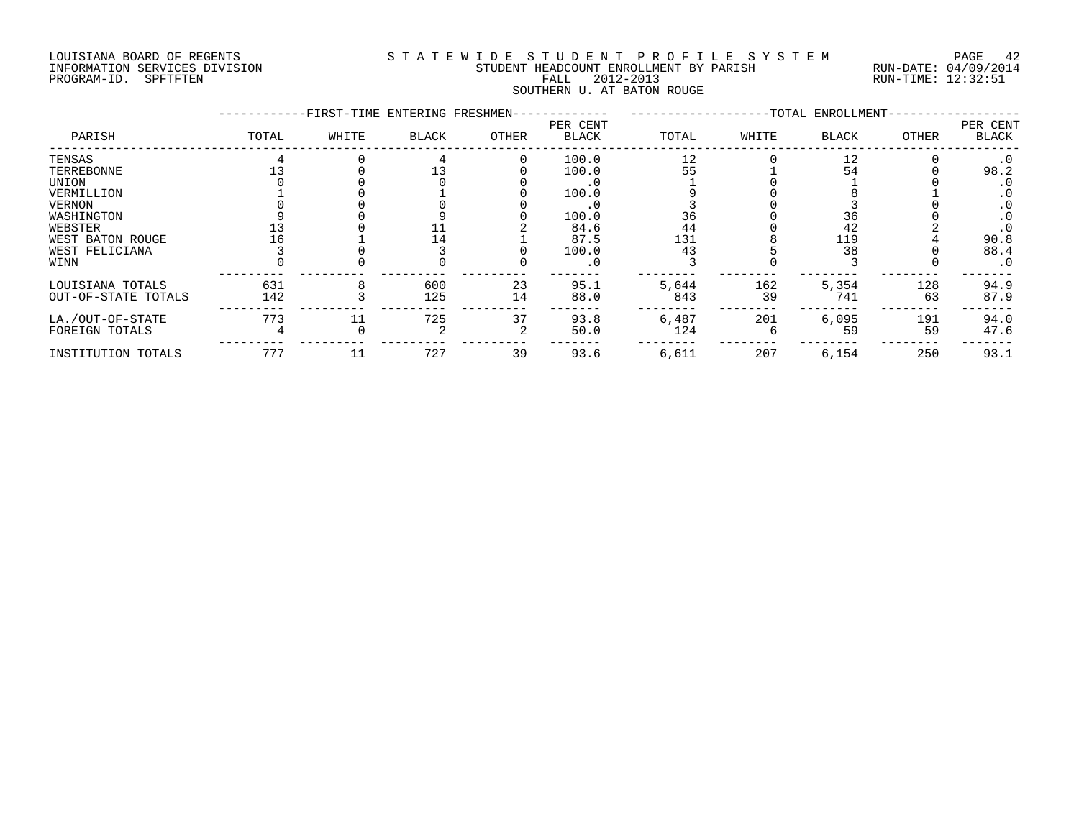#### LOUISIANA BOARD OF REGENTS S T A T E W I D E S T U D E N T P R O F I L E S Y S T E M PAGE 42 INFORMATION SERVICES DIVISION STUDENT HEADCOUNT ENROLLMENT BY PARISH RUN-DATE: 04/09/2014 PROGRAM-ID. SPFTFTEN FALL 2012-2013 RUN-TIME: 12:32:51 SOUTHERN U. AT BATON ROUGE

|                     |       | -FIRST-TIME ENTERING FRESHMEN- |       |       |                          |       |       | -TOTAL ENROLLMENT- |              |                          |
|---------------------|-------|--------------------------------|-------|-------|--------------------------|-------|-------|--------------------|--------------|--------------------------|
| PARISH              | TOTAL | WHITE                          | BLACK | OTHER | PER CENT<br><b>BLACK</b> | TOTAL | WHITE | <b>BLACK</b>       | <b>OTHER</b> | PER CENT<br><b>BLACK</b> |
| TENSAS              |       |                                |       |       | 100.0                    | 12    |       | 12                 |              | $\cdot$ 0                |
| TERREBONNE          |       |                                |       |       | 100.0                    | 55    |       | 54                 |              | 98.2                     |
| UNION               |       |                                |       |       |                          |       |       |                    |              | . 0                      |
| VERMILLION          |       |                                |       |       | 100.0                    |       |       |                    |              | . 0                      |
| VERNON              |       |                                |       |       | . 0                      |       |       |                    |              |                          |
| WASHINGTON          |       |                                |       |       | 100.0                    | 36    |       | 36                 |              |                          |
| WEBSTER             |       |                                |       |       | 84.6                     | 44    |       | 42                 |              |                          |
| WEST BATON ROUGE    |       |                                |       |       | 87.5                     | 131   |       | 119                |              | 90.8                     |
| WEST FELICIANA      |       |                                |       |       | 100.0                    | 43    |       | 38                 |              | 88.4                     |
| WINN                |       |                                |       |       | . 0                      |       |       |                    |              | $\cdot$ 0                |
| LOUISIANA TOTALS    | 631   |                                | 600   | 23    | 95.1                     | 5,644 | 162   | 5,354              | 128          | 94.9                     |
| OUT-OF-STATE TOTALS | 142   |                                | 125   | 14    | 88.0                     | 843   | 39    | 741                | 63           | 87.9                     |
| LA./OUT-OF-STATE    | 773   |                                | 725   | 37    | 93.8                     | 6,487 | 201   | 6,095              | 191          | 94.0                     |
| FOREIGN TOTALS      |       |                                |       |       | 50.0                     | 124   |       | 59                 | 59           | 47.6                     |
| INSTITUTION TOTALS  | 777   |                                | 727   | 39    | 93.6                     | 6,611 | 207   | 6,154              | 250          | 93.1                     |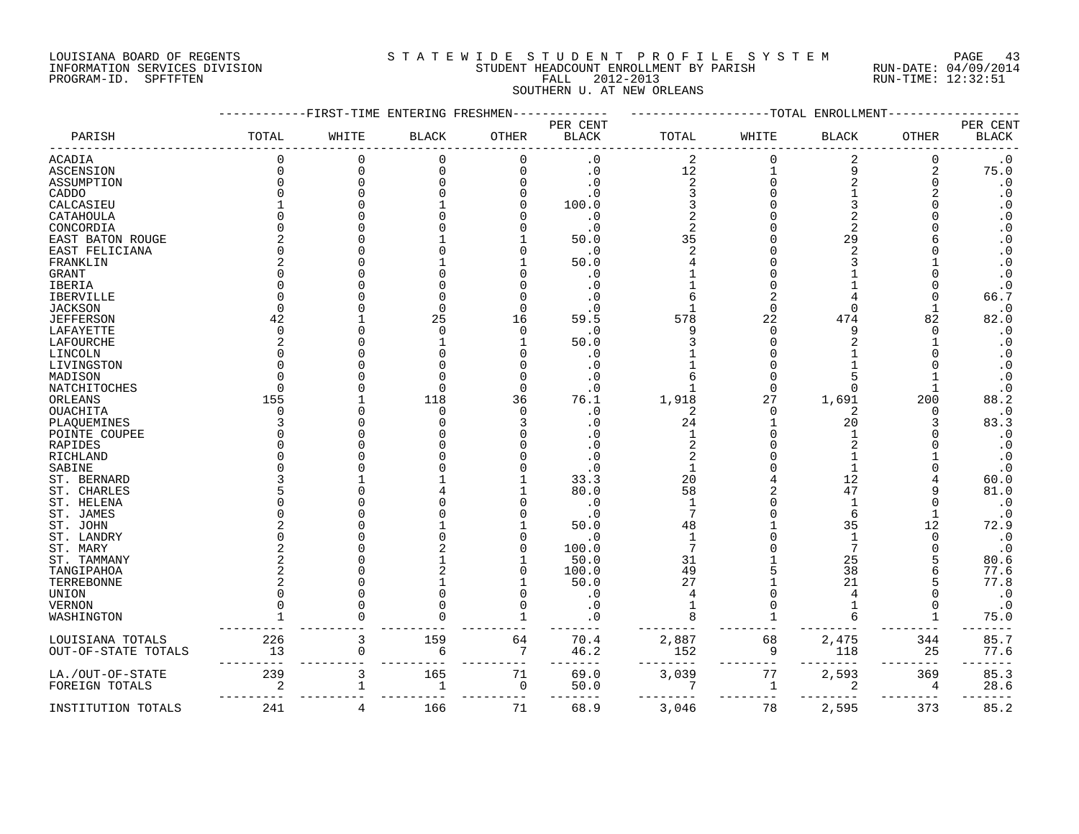#### LOUISIANA BOARD OF REGENTS S T A T E W I D E S T U D E N T P R O F I L E S Y S T E M PAGE 43 INFORMATION SERVICES DIVISION STUDENT HEADCOUNT ENROLLMENT BY PARISH RUN-DATE: 04/09/2014 PROGRAM-ID. SPFTFTEN FALL 2012-2013 RUN-TIME: 12:32:51 SOUTHERN U. AT NEW ORLEANS

|                     |       | -FIRST-TIME ENTERING FRESHMEN- |              |             |                   |                |       | --TOTAL ENROLLMENT |              |                          |
|---------------------|-------|--------------------------------|--------------|-------------|-------------------|----------------|-------|--------------------|--------------|--------------------------|
| PARISH              | TOTAL | WHITE                          | <b>BLACK</b> | OTHER       | PER CENT<br>BLACK | TOTAL          | WHITE | <b>BLACK</b>       | <b>OTHER</b> | PER CENT<br><b>BLACK</b> |
| ACADIA              |       | $\Omega$                       | $\Omega$     | $\mathbf 0$ | . 0               | 2              |       |                    | 0            | $\cdot$ 0                |
| ASCENSION           |       | $\Omega$                       |              | $\mathbf 0$ | $\cdot$ 0         | 12             |       | 9                  | 2            | 75.0                     |
| ASSUMPTION          |       | $\Omega$                       |              |             | . 0               | $\overline{c}$ |       |                    |              | $\cdot$ 0                |
| CADDO               |       |                                |              |             | . 0               | 3              |       |                    |              | $\boldsymbol{\cdot}$ 0   |
| CALCASIEU           |       |                                |              |             | 100.0             |                |       |                    |              | $\cdot$ 0                |
| CATAHOULA           |       |                                |              |             | $\cdot$ 0         |                |       |                    |              | $\ddot{0}$               |
| CONCORDIA           |       |                                |              |             | $\cdot$ 0         | $\overline{2}$ |       |                    |              | $\cdot$ 0                |
| EAST BATON ROUGE    |       |                                |              |             | 50.0              | 35             |       | 29                 |              | $\cdot$ 0                |
| EAST FELICIANA      |       |                                |              |             | . 0               |                |       |                    |              | $\ddot{0}$               |
| FRANKLIN            |       |                                |              |             | 50.0              |                |       |                    |              | $\cdot$ 0                |
|                     |       |                                |              |             | . 0               |                |       |                    |              | $\cdot$ 0                |
| GRANT               |       |                                |              |             |                   |                |       |                    |              |                          |
| IBERIA              |       |                                |              |             | . 0               |                |       |                    |              | $\cdot$ 0                |
| IBERVILLE           |       |                                |              |             |                   |                |       |                    |              | 66.7                     |
| <b>JACKSON</b>      |       |                                |              | U           | . 0               |                |       |                    |              | $\cdot$ 0                |
| <b>JEFFERSON</b>    | 42    |                                | 25           | 16          | 59.5              | 578            | 22    | 474                | 82           | 82.0                     |
| LAFAYETTE           |       |                                |              | $\Omega$    | $\cdot$ 0         |                |       |                    | ∩            | $\cdot$ 0                |
| LAFOURCHE           |       |                                |              |             | 50.0              |                |       |                    |              | $\cdot$ 0                |
| LINCOLN             |       |                                |              |             | . 0               |                |       |                    |              | $\boldsymbol{\cdot}$ 0   |
| LIVINGSTON          |       |                                |              |             | . 0               |                |       |                    |              | $\cdot$ 0                |
| MADISON             |       |                                |              |             |                   |                |       |                    |              | $\cdot$ 0                |
| NATCHITOCHES        |       |                                |              | $\Omega$    | . 0               |                |       | ∩                  |              | $\cdot$ 0                |
| ORLEANS             | 155   |                                | 118          | 36          | 76.1              | 1,918          | 27    | 1,691              | 200          | 88.2                     |
| OUACHITA            |       |                                |              | U           | . 0               | 2              |       | 2                  | 0            | $\cdot$ 0                |
| PLAQUEMINES         |       |                                |              |             | . 0               | 24             |       | 20                 | 3            | 83.3                     |
| POINTE COUPEE       |       |                                |              |             |                   |                |       |                    |              | $\cdot$ 0                |
| RAPIDES             |       |                                |              |             |                   | 2              |       |                    |              | $\cdot$ 0                |
| RICHLAND            |       |                                |              |             |                   | 2              |       |                    |              | $\cdot$ 0                |
| SABINE              |       |                                |              |             |                   |                |       |                    |              | $\cdot$ 0                |
|                     |       |                                |              |             | 33.3              | 20             |       | 12                 |              | 60.0                     |
| ST. BERNARD         |       |                                |              |             |                   |                |       |                    |              |                          |
| ST. CHARLES         |       |                                |              |             | 80.0              | 58             |       | 47                 |              | 81.0                     |
| ST. HELENA          |       |                                |              |             | $\cdot$ 0         |                |       |                    |              | $\cdot$ 0                |
| ST. JAMES           |       |                                |              |             | $\cdot$ 0         |                |       |                    |              | $\cdot$ 0                |
| ST. JOHN            |       |                                |              |             | 50.0              | 48             |       | 35                 | 12           | 72.9                     |
| ST. LANDRY          |       |                                |              |             | $\cdot$ 0         | -1             |       |                    |              | $\cdot$ 0                |
| ST. MARY            |       |                                |              |             | 100.0             |                |       |                    |              | $\cdot$ 0                |
| ST. TAMMANY         |       |                                |              |             | 50.0              | 31             |       | 25                 |              | 80.6                     |
| TANGIPAHOA          |       |                                |              |             | 100.0             | 49             |       | 38                 |              | 77.6                     |
| TERREBONNE          |       |                                |              |             | 50.0              | 27             |       | 21                 |              | 77.8                     |
| UNION               |       |                                |              | $\Omega$    | . 0               |                |       |                    |              | $\cdot$ 0                |
| <b>VERNON</b>       |       |                                |              |             |                   |                |       |                    |              | $\cdot$ 0                |
| WASHINGTON          |       |                                |              |             | . 0               |                |       |                    |              | 75.0                     |
| LOUISIANA TOTALS    | 226   |                                | 159          | 64          | 70.4              | 2,887          | 68    | 2,475              | 344          | 85.7                     |
| OUT-OF-STATE TOTALS | 13    | $\Omega$                       | 6            | 7           | 46.2              | 152            | 9     | 118                | 25           | 77.6                     |
| LA./OUT-OF-STATE    | 239   | 3                              | 165          | $71$        | 69.0              | 3,039          | 77    | 2,593              | 369          | 85.3                     |
| FOREIGN TOTALS      | 2     |                                | 1            | $\mathbf 0$ | 50.0              | 7              | 1     | 2                  | 4            | 28.6                     |
| INSTITUTION TOTALS  | 241   | 4                              | 166          | 71          | 68.9              | 3,046          | 78    | 2,595              | 373          | 85.2                     |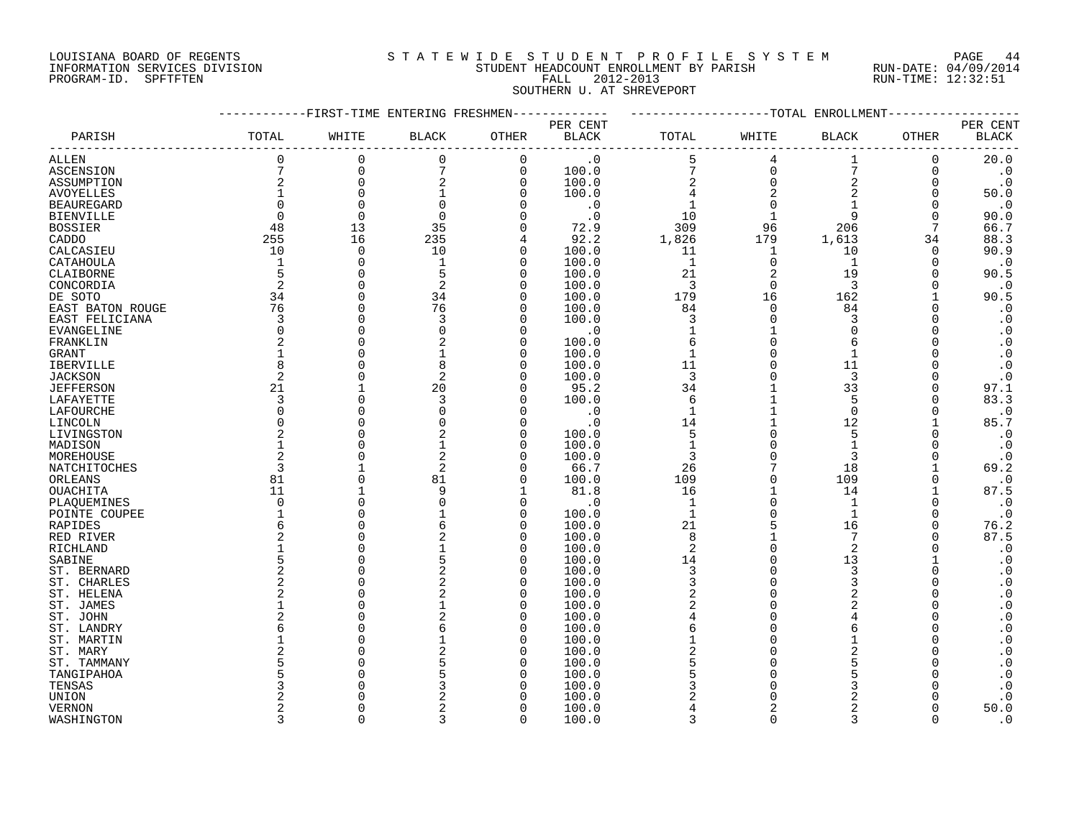### LOUISIANA BOARD OF REGENTS S T A T E W I D E S T U D E N T P R O F I L E S Y S T E M PAGE 44 INFORMATION SERVICES DIVISION STUDENT HEADCOUNT ENROLLMENT BY PARISH RUN-DATE: 04/09/2014 PROGRAM-ID. SPFTFTEN FALL 2012-2013 RUN-TIME: 12:32:51 SOUTHERN U. AT SHREVEPORT

|                    |                | -FIRST-TIME ENTERING FRESHMEN |                |                |              |                |              | -TOTAL ENROLLMENT |          |                        |
|--------------------|----------------|-------------------------------|----------------|----------------|--------------|----------------|--------------|-------------------|----------|------------------------|
|                    |                |                               |                |                | PER CENT     |                |              |                   |          | PER CENT               |
| PARISH             | TOTAL          | WHITE                         | <b>BLACK</b>   | OTHER          | <b>BLACK</b> | TOTAL          | WHITE        | <b>BLACK</b>      | OTHER    | <b>BLACK</b>           |
| ALLEN              | $\Omega$       | 0                             | 0              | $\mathbf 0$    | $\cdot$ 0    | 5              | 4            |                   | 0        | 20.0                   |
| <b>ASCENSION</b>   | 7              | $\Omega$                      | 7              | $\mathbf 0$    | 100.0        | 7              | $\Omega$     | 7                 | 0        | $\cdot$ 0              |
| ASSUMPTION         | 2              | $\Omega$                      | 2              | $\overline{0}$ | 100.0        | $\overline{2}$ | $\Omega$     | $\overline{2}$    | $\Omega$ | $\cdot$ 0              |
| <b>AVOYELLES</b>   |                | $\Omega$                      |                | ∩              | 100.0        |                |              | $\overline{2}$    | $\Omega$ | 50.0                   |
| <b>BEAUREGARD</b>  | $\Omega$       | $\Omega$                      | $\Omega$       |                | $\cdot$ 0    |                |              |                   | $\Omega$ | $\cdot$ 0              |
| <b>BIENVILLE</b>   | $\overline{0}$ | $\overline{0}$                | $\Omega$       |                | $\cdot$ 0    | 10             |              | 9                 | O        | 90.0                   |
| <b>BOSSIER</b>     | 48             | 13                            | 35             |                | 72.9         | 309            | 96           | 206               | 7        | 66.7                   |
| CADDO              | 255            | 16                            | 235            |                | 92.2         | 1,826          | 179          | 1,613             | 34       | 88.3                   |
| CALCASIEU          | 10             | $\overline{0}$                | 10             | $\Omega$       | 100.0        | 11             | 1            | 10                | 0        | 90.9                   |
| CATAHOULA          | $\mathbf 1$    | $\Omega$                      |                | $\Omega$       | 100.0        | 1              | $\Omega$     | $\mathbf{1}$      | $\Omega$ | $\cdot$ 0              |
| CLAIBORNE          | 5              | $\Omega$                      | 5              | $\Omega$       | 100.0        | 21             | 2            | 19                |          | 90.5                   |
|                    | 2              | $\Omega$                      | 2              | $\cap$         |              | 3              | $\Omega$     | 3                 | U        | $\cdot$ 0              |
| CONCORDIA          |                | $\Omega$                      |                | $\Omega$       | 100.0        |                |              |                   |          |                        |
| DE SOTO            | 34             | $\cap$                        | 34             |                | 100.0        | 179            | 16<br>$\cap$ | 162               |          | 90.5                   |
| EAST BATON ROUGE   | 76             |                               | 76             | ∩              | 100.0        | 84             |              | 84                |          | $\cdot$ 0              |
| EAST FELICIANA     | 3              | $\cap$                        | 3              | $\cap$         | 100.0        | 3              | $\Omega$     | 3                 |          | $\boldsymbol{\cdot}$ 0 |
| EVANGELINE         | $\mathbf 0$    | $\Omega$                      | O              | $\Omega$       | $\cdot$ 0    | $\mathbf{1}$   |              | $\Omega$          |          | $\cdot$ 0              |
| FRANKLIN           | 2              |                               |                | $\Omega$       | 100.0        | 6              | $\Omega$     | 6                 |          | $\cdot$ 0              |
| <b>GRANT</b>       |                |                               |                | $\Omega$       | 100.0        | $\mathbf{1}$   |              |                   |          | $\boldsymbol{\cdot}$ 0 |
| <b>IBERVILLE</b>   | 8              | $\cap$                        | 8              | $\cap$         | 100.0        | 11             |              | 11                |          | $\cdot$ 0              |
| <b>JACKSON</b>     | 2              |                               | $\overline{2}$ | $\cap$         | 100.0        | 3              |              | 3                 |          | $\boldsymbol{\cdot}$ 0 |
| <b>JEFFERSON</b>   | 21             |                               | 20             | $\cap$         | 95.2         | 34             |              | 33                | $\Omega$ | 97.1                   |
| LAFAYETTE          | 3              | $\cap$                        | 3              |                | 100.0        | 6              |              | 5                 | $\Omega$ | 83.3                   |
| LAFOURCHE          | $\Omega$       | $\cap$                        | $\Omega$       | $\cap$         | $\cdot$ 0    | $\mathbf{1}$   |              | $\Omega$          | $\Omega$ | $\cdot$ 0              |
| LINCOLN            | $\Omega$       | $\cap$                        |                | n              | . 0          | 14             |              | 12                |          | 85.7                   |
| LIVINGSTON         | 2              |                               |                | n              | 100.0        | 5              | $\Omega$     | 5                 |          | $\cdot$ 0              |
| MADISON            | 1              |                               |                | ∩              | 100.0        | $\mathbf{1}$   | $\Omega$     | $\mathbf{1}$      |          | $\cdot$ 0              |
| MOREHOUSE          | $\overline{2}$ |                               | 2              | n              | 100.0        | 3              | $\Omega$     | 3                 |          | $\cdot$ 0              |
| NATCHITOCHES       | 3              |                               | 2              | n              | 66.7         | 26             |              | 18                |          | 69.2                   |
| ORLEANS            | 81             | $\cap$                        | 81             | n              | 100.0        | 109            | $\Omega$     | 109               | O        | $\cdot$ 0              |
| OUACHITA           | 11             |                               | 9              |                | 81.8         | 16             | $\mathbf{1}$ | 14                |          | 87.5                   |
| PLAOUEMINES        | $\Omega$       | $\Omega$                      | $\Omega$       | $\Omega$       | $\cdot$ 0    | $\mathbf{1}$   | $\Omega$     | $\mathbf{1}$      | $\Omega$ | $\cdot$ 0              |
| POINTE COUPEE      |                | $\cap$                        |                | $\Omega$       | 100.0        | $\mathbf{1}$   | $\Omega$     | $\mathbf{1}$      | $\Omega$ | $\cdot$ 0              |
| RAPIDES            | 6              |                               |                | $\Omega$       | 100.0        | 21             |              | 16                | O        | 76.2                   |
| RED RIVER          | 2              |                               | 2              | $\Omega$       | 100.0        | 8              |              | 7                 |          | 87.5                   |
|                    |                |                               |                | $\Omega$       | 100.0        | $\overline{2}$ | $\Omega$     | $\overline{2}$    |          | $\cdot$ 0              |
| RICHLAND<br>SABINE | 5              |                               |                | ∩              | 100.0        | 14             | $\Omega$     | 13                |          | $\cdot$ 0              |
|                    | $\overline{2}$ |                               | 2              | $\Omega$       | 100.0        | $\overline{3}$ | $\Omega$     | 3                 | U        | $\cdot$ 0              |
| ST. BERNARD        |                |                               |                | n              |              | 3              | $\Omega$     |                   |          |                        |
| ST. CHARLES        | 2              |                               |                | $\Omega$       | 100.0        |                | $\Omega$     | 3                 |          | $\boldsymbol{\cdot}$ 0 |
| ST. HELENA         | $\overline{2}$ |                               | 2              |                | 100.0        | $\overline{c}$ |              | 2                 |          | $\cdot$ 0              |
| ST. JAMES          |                |                               |                | ∩              | 100.0        | $\overline{c}$ | $\Omega$     |                   |          | $\cdot$ 0              |
| ST. JOHN           |                |                               |                | $\Omega$       | 100.0        |                |              |                   |          | $\boldsymbol{\cdot}$ 0 |
| ST. LANDRY         | 6              |                               |                | O              | 100.0        | 6              |              |                   |          | $\boldsymbol{\cdot}$ 0 |
| ST. MARTIN         |                |                               |                | n              | 100.0        |                | $\Omega$     |                   |          | $\boldsymbol{\cdot}$ 0 |
| ST. MARY           | 2              |                               |                | ∩              | 100.0        | $\overline{c}$ |              |                   |          | $\cdot$ 0              |
| ST. TAMMANY        | 5              |                               |                | ∩              | 100.0        | 5              |              |                   |          | $\cdot$ 0              |
| TANGIPAHOA         | 5              |                               |                |                | 100.0        |                |              |                   |          | $\cdot$ 0              |
| TENSAS             | 3              |                               |                |                | 100.0        |                |              |                   |          | $\cdot$ 0              |
| UNION              |                |                               |                |                | 100.0        |                |              |                   |          | $\cdot$ 0              |
| <b>VERNON</b>      | 2              |                               |                | ∩              | 100.0        |                | 2            | 2                 |          | 50.0                   |
| WASHINGTON         | 3              | $\cap$                        | 3              | $\Omega$       | 100.0        | $\mathbf{z}$   | $\Omega$     | $\mathbf{3}$      | $\Omega$ | $\cdot$ 0              |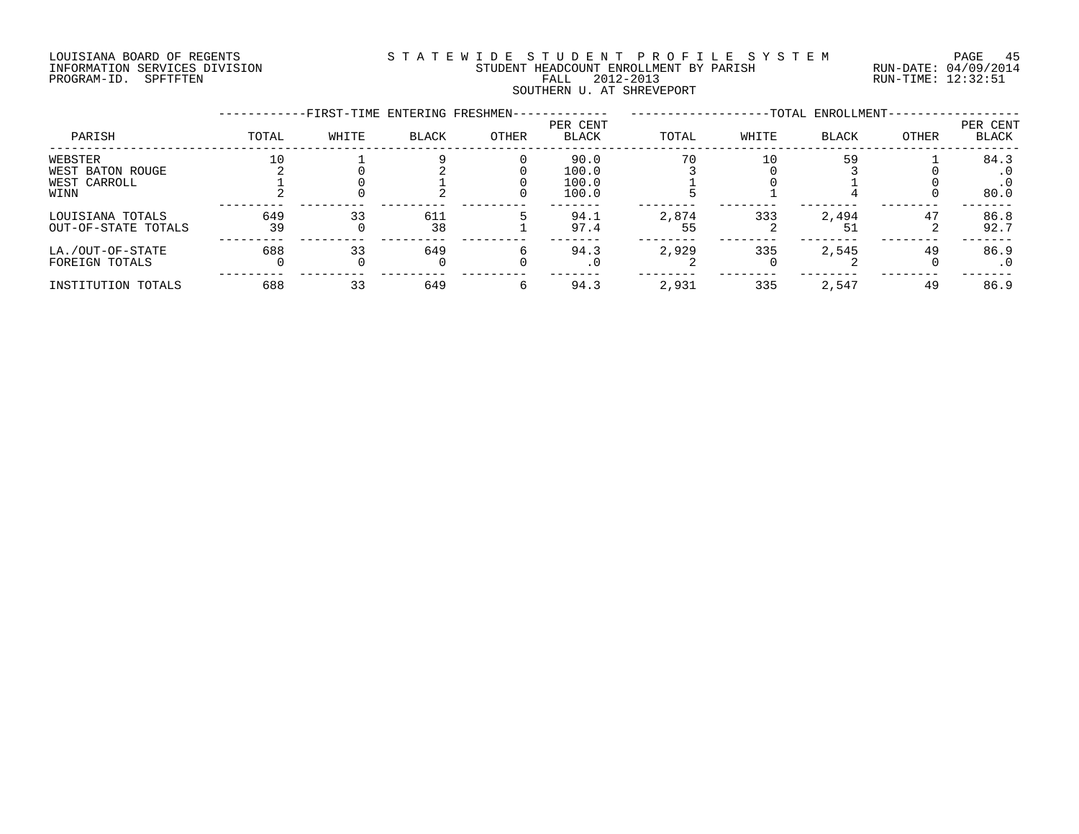#### LOUISIANA BOARD OF REGENTS S T A T E W I D E S T U D E N T P R O F I L E S Y S T E M PAGE 45 INFORMATION SERVICES DIVISION STUDENT HEADCOUNT ENROLLMENT BY PARISH RUN-DATE: 04/09/2014 PROGRAM-ID. SPFTFTEN FALL 2012-2013 RUN-TIME: 12:32:51 SOUTHERN U. AT SHREVEPORT

|                     |       | -FIRST-TIME ENTERING FRESHMEN- |       |       |                          |       |       | -TOTAL ENROLLMENT- |       |                   |
|---------------------|-------|--------------------------------|-------|-------|--------------------------|-------|-------|--------------------|-------|-------------------|
| PARISH              | TOTAL | WHITE                          | BLACK | OTHER | PER CENT<br><b>BLACK</b> | TOTAL | WHITE | <b>BLACK</b>       | OTHER | PER CENT<br>BLACK |
| WEBSTER             | 10    |                                |       |       | 90.0                     | 70    | 10    | 59                 |       | 84.3              |
| WEST BATON ROUGE    |       |                                |       |       | 100.0                    |       |       |                    |       |                   |
| WEST CARROLL        |       |                                |       |       | 100.0                    |       |       |                    |       | $\cdot$ 0         |
| WINN                |       |                                |       |       | 100.0                    |       |       |                    |       | 80.0              |
| LOUISIANA TOTALS    | 649   | 33                             | 611   |       | 94.1                     | 2,874 | 333   | 2,494              | 47    | 86.8              |
| OUT-OF-STATE TOTALS | 39    |                                | 38    |       | 97.4                     | 55    |       | 51                 |       | 92.7              |
| LA./OUT-OF-STATE    | 688   | 33                             | 649   |       | 94.3                     | 2,929 | 335   | 2,545              | 49    | 86.9              |
| FOREIGN TOTALS      |       |                                |       |       | $\cdot$ 0                |       |       |                    |       | . 0               |
| INSTITUTION TOTALS  | 688   | 33                             | 649   |       | 94.3                     | 2,931 | 335   | 2,547              | 49    | 86.9              |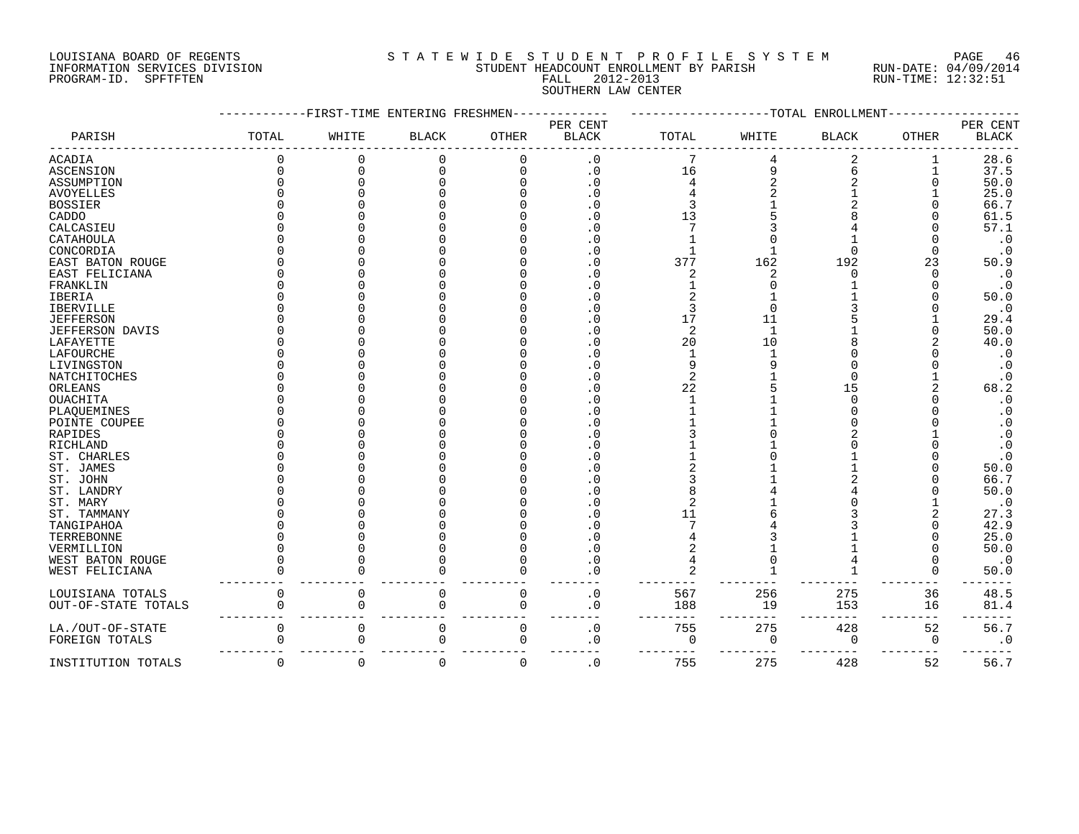#### LOUISIANA BOARD OF REGENTS S T A T E W I D E S T U D E N T P R O F I L E S Y S T E M PAGE 46 INFORMATION SERVICES DIVISION STUDENT HEADCOUNT ENROLLMENT BY PARISH RUN-DATE: 04/09/2014 PROGRAM-ID. SPFTFTEN FALL 2012-2013 RUN-TIME: 12:32:51 SOUTHERN LAW CENTER

|                     |       |              | FIRST-TIME ENTERING FRESHMEN |             |                          |          |             | -TOTAL ENROLLMENT |              |                          |
|---------------------|-------|--------------|------------------------------|-------------|--------------------------|----------|-------------|-------------------|--------------|--------------------------|
| PARISH              | TOTAL | WHITE        | <b>BLACK</b>                 | OTHER       | PER CENT<br><b>BLACK</b> | TOTAL    | WHITE       | <b>BLACK</b>      | <b>OTHER</b> | PER CENT<br><b>BLACK</b> |
| ACADIA              |       |              |                              |             | $\cdot$ 0                |          |             |                   |              | 28.6                     |
| ASCENSION           |       | $\Omega$     | $\Omega$                     |             | $\cdot$ 0                | 16       | 9           | 6                 |              | 37.5                     |
| ASSUMPTION          |       |              |                              |             | $\cdot$ 0                |          |             |                   |              | 50.0                     |
| <b>AVOYELLES</b>    |       |              |                              |             | . 0                      |          |             |                   |              | 25.0                     |
| <b>BOSSIER</b>      |       |              |                              |             | . 0                      |          |             |                   |              | 66.7                     |
| CADDO               |       |              |                              |             | . 0                      | 13       |             |                   |              | 61.5                     |
| CALCASIEU           |       |              |                              |             | . 0                      |          |             |                   |              | 57.1                     |
| CATAHOULA           |       |              |                              |             | . 0                      |          |             |                   |              | $\cdot$ 0                |
| CONCORDIA           |       |              |                              |             | . 0                      |          |             |                   |              | $\cdot$ 0                |
| EAST BATON ROUGE    |       |              |                              |             | . 0                      | 377      | 162         | 192               | 23           | 50.9                     |
| EAST FELICIANA      |       |              |                              |             | . 0                      | 2        | 2           |                   | U            | $\cdot$ 0                |
| FRANKLIN            |       |              |                              |             | . 0                      |          |             |                   |              | $\cdot$ 0                |
| <b>IBERIA</b>       |       |              |                              |             | . 0                      |          |             |                   |              | 50.0                     |
| IBERVILLE           |       |              |                              |             | $\cdot$ 0                |          |             |                   |              | $\cdot$ 0                |
| <b>JEFFERSON</b>    |       |              |                              |             | $\cdot$ 0                | 17       | 11          |                   |              | 29.4                     |
| JEFFERSON DAVIS     |       |              |                              |             | $\boldsymbol{\cdot}$ 0   | 2        | 1           |                   |              | 50.0                     |
| LAFAYETTE           |       |              |                              |             | $\cdot$ 0                | 20       | 10          |                   |              | 40.0                     |
| LAFOURCHE           |       |              |                              |             | $\cdot$ 0                |          |             |                   |              | $\cdot$ 0                |
| LIVINGSTON          |       |              |                              |             | . 0                      |          |             |                   |              | $\cdot$ 0                |
| NATCHITOCHES        |       |              |                              |             | . 0                      | 2        |             |                   |              | $\cdot$ 0                |
|                     |       |              |                              |             | . 0                      | 22       |             | 15                |              | 68.2                     |
| ORLEANS<br>OUACHITA |       |              |                              |             | . 0                      |          |             |                   |              | $\cdot$ 0                |
|                     |       |              |                              |             |                          |          |             |                   |              |                          |
| PLAQUEMINES         |       |              |                              |             | . 0                      |          |             |                   |              | $\cdot$ 0                |
| POINTE COUPEE       |       |              |                              |             | . 0                      |          |             |                   |              | . 0                      |
| <b>RAPIDES</b>      |       |              |                              |             | . 0                      |          |             |                   |              | $\cdot$ 0                |
| RICHLAND            |       |              |                              |             | . 0                      |          |             |                   |              | $\boldsymbol{\cdot}$ 0   |
| ST. CHARLES         |       |              |                              |             | $\cdot$ 0                |          |             |                   |              | $\boldsymbol{\cdot}$ 0   |
| ST. JAMES           |       |              |                              |             | $\cdot$ 0                |          |             |                   |              | 50.0                     |
| ST. JOHN            |       |              |                              |             | . 0                      |          |             |                   |              | 66.7                     |
| ST. LANDRY          |       |              |                              |             | . 0                      |          |             |                   |              | 50.0                     |
| ST. MARY            |       |              |                              |             | $\cdot$ 0                |          |             |                   |              | $\cdot$ 0                |
| ST. TAMMANY         |       |              |                              |             | $\cdot$ 0                |          |             |                   |              | 27.3                     |
| TANGIPAHOA          |       |              |                              |             |                          |          |             |                   |              | 42.9                     |
| TERREBONNE          |       |              |                              |             |                          |          |             |                   |              | 25.0                     |
| VERMILLION          |       |              |                              |             | . 0                      |          |             |                   |              | 50.0                     |
| WEST BATON ROUGE    |       |              |                              |             |                          |          |             |                   |              | $\cdot$ 0                |
| WEST FELICIANA      |       |              |                              |             |                          |          |             |                   |              | 50.0                     |
| LOUISIANA TOTALS    |       | 0            | 0                            | 0           | $\cdot$ 0                | 567      | 256         | 275               | 36           | 48.5                     |
| OUT-OF-STATE TOTALS |       | $\Omega$     | $\cap$                       | $\Omega$    | . 0                      | 188      | 19          | 153               | 16           | 81.4                     |
|                     |       |              |                              |             |                          |          |             |                   |              |                          |
| LA./OUT-OF-STATE    |       | 0            | 0                            | $\mathbf 0$ | $\boldsymbol{\cdot}$ 0   | 755      | 275         | 428               | 52           | 56.7                     |
| FOREIGN TOTALS      |       | <sup>0</sup> | U                            | $\Omega$    | . 0                      | $\Omega$ | $\mathbf 0$ | $\Omega$          | $\mathbf 0$  | $\cdot$ 0                |
| INSTITUTION TOTALS  |       | 0            | $\Omega$                     | $\mathbf 0$ | $\mathbf 0$              | 755      | 275         | 428               | 52           | 56.7                     |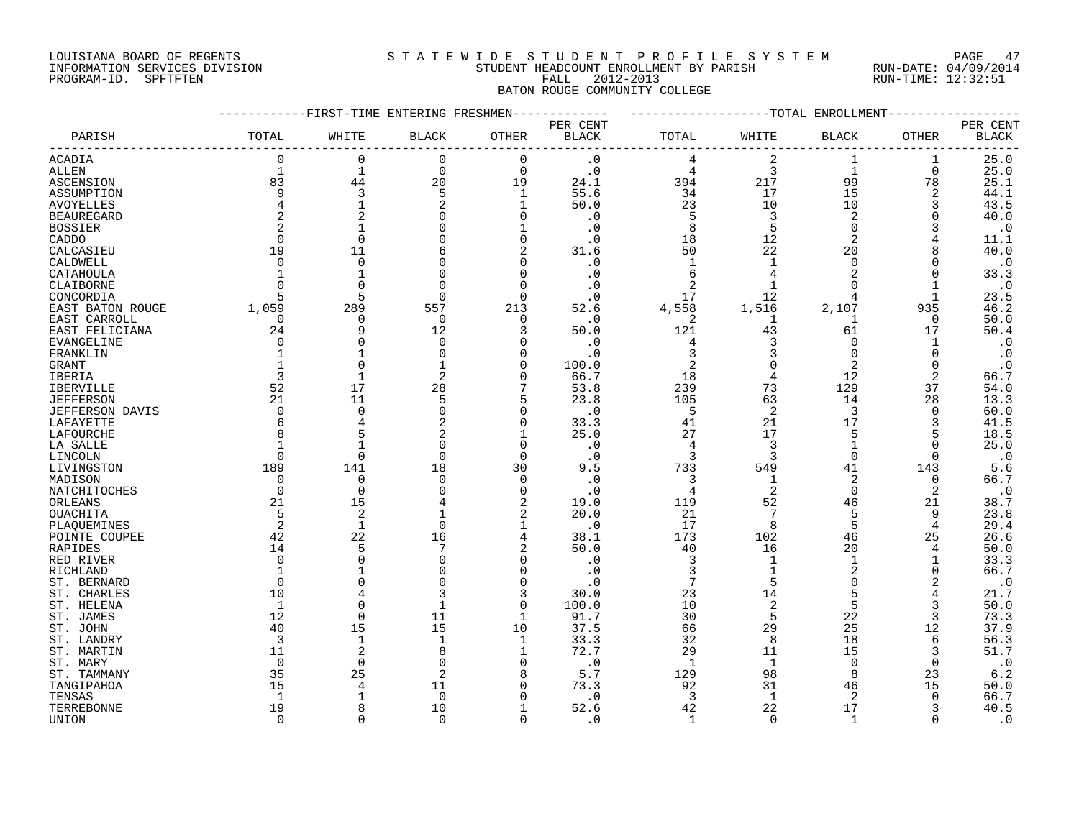#### LOUISIANA BOARD OF REGENTS S T A T E W I D E S T U D E N T P R O F I L E S Y S T E M PAGE 47 INFORMATION SERVICES DIVISION STUDENT HEADCOUNT ENROLLMENT BY PARISH RUN-DATE: 04/09/2014 PROGRAM-ID. SPFTFTEN FALL 2012-2013 RUN-TIME: 12:32:51 BATON ROUGE COMMUNITY COLLEGE

#### ------------FIRST-TIME ENTERING FRESHMEN------------- -------------------TOTAL ENROLLMENT------------------ PER CENT PER CENT PARISH TOTAL WHITE BLACK OTHER BLACK TOTAL WHITE BLACK OTHER BLACK ------------------------------------------------------------------------------------------------------------------------------------ ACADIA 0 0 0 0 .0 4 2 1 1 25.0 ALLEN 1 1 0 0 .0 4 3 1 0 25.0 ASCENSION 83 44 20 19 24.1 394 217 99 78 25.1 ASSUMPTION 9 3 5 1 55.6 34 17 15 2 44.1 AVOYELLES 4 1 2 1 50.0 23 10 10 3 43.5 BEAUREGARD 2 2 0 0 .0 5 3 2 0 40.0 BOSSIER 2 1 0 1 .0 8 5 0 3 .0 CADDO 0 0 0 0 .0 18 12 2 4 11.1 CALCASIEU 19 11 6 2 31.6 50 22 20 8 40.0 CALDWELL 0 0 0 0 .0 1 1 0 0 .0 CATAHOULA 1 1 0 0 .0 6 4 2 0 33.3 CLAIBORNE 0 0 0 0 .0 2 1 0 1 .0 CONCORDIA 5 5 0 0 .0 17 12 4 1 23.5 EAST BATON ROUGE 1,059 289 557 213 52.6 4,558 1,516 2,107 935 46.2 EAST CARROLL 0 0 0 0 .0 2 1 1 0 50.0 EAST FELICIANA 24 9 12 3 50.0 121 43 61 17 50.4 EVANGELINE 0 0 0 0 .0 4 3 0 1 .0 FRANKLIN 1 1 0 0 .0 3 3 0 0 .0 GRANT (1 1 0 1 0 100.0 2 0 2 0 .0<br>
TBERIA 3 1 2 0 66.7 18 4 12 2 66.7<br>
TBERVILLE 52 17 28 7 53.8 239 73 129 37 54.0 IBERIA 3 1 2 0 66.7 18 4 12 2 66.7 IBERVILLE 52 17 28 7 53.8 239 73 129 37 54.0 JEFFERSON 21 11 5 5 23.8 105 63 14 28 13.3 JEFFERSON DAVIS 0 0 0 0 .0 5 2 3 0 60.0 LAFAYETTE 6 4 2 0 33.3 41 21 17 3 41.5 LAFOURCHE 8 5 2 1 25.0 27 17 5 5 18.5 LA SALLE 1 1 0 0 .0 4 3 1 0 25.0 LINCOLN 0 0 0 0 .0 3 3 0 0 .0 LA SALLE<br>
LA SALLE<br>
LA SALLE<br>
LINCOLN 0 0 0 0 0 0 3 3 0 0 0 0<br>
LIVINGSTON 189 141 18 30 9.5 733 549 41 143 5.6<br>
MADISON 0 0 0 0 0 0 3 1 2 0 66.7 MADISON 0 0 0 0 .0 3 1 2 0 66.7 NATCHITOCHES 0 0 0 0 .0 4 2 0 2 .0 ORLEANS 21 15 4 2 19.0 119 52 46 21 38.7 OUACHITA 5 2 1 2 20.0 21 7 5 9 23.8 PLAQUEMINES 2 1 0 1 .0 17 8 5 4 29.4 POINTE COUPEE 42 22 16 4 38.1 173 102 46 25 26.6 RAPIDES 14 5 7 2 50.0 40 16 20 4 50.0 RED RIVER 0 0 0 0 .0 3 1 1 1 33.3 RICHLAND 1 1 0 0 .0 3 1 2 0 66.7 ST. BERNARD 0 0 0 0 .0 7 5 0 2 .0 ST. CHARLES 10 4 3 3 30.0 23 14 5 4 21.7 ST. HELENA 1 0 1 0 100.0 10 2 5 3 50.0 ST. JAMES 12 0 11 1 91.7 30 5 22 3 73.3 ST. JOHN 40 15 15 10 37.5 66 29 25 12 37.9 ST. LANDRY 3 1 1 1 33.3 32 8 18 6 56.3 ST. MARTIN 11 2 8 1 72.7 29 11 15 3 51.7 ST. MARY 0 0 0 0 .0 1 1 0 0 .0 ST. TAMMANY 35 25 2 8 5.7 129 98 8 23 6.2 TANGIPAHOA 15 4 11 0 73.3 92 31 46 15 50.0 TENSAS 1 1 0 0 .0 3 1 2 0 66.7 TERREBONNE 19 8 10 1 52.6 42 22 17 3 40.5

UNION 0 0 0 0 .0 1 0 1 0 .0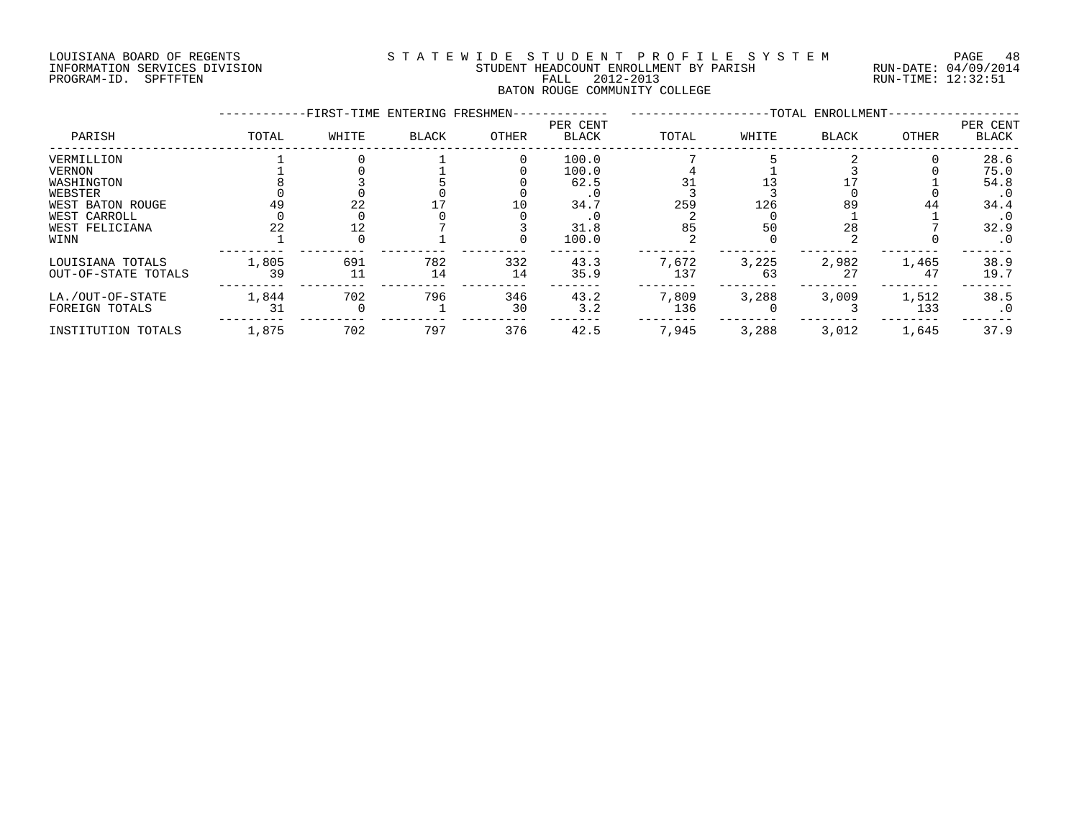#### LOUISIANA BOARD OF REGENTS S T A T E W I D E S T U D E N T P R O F I L E S Y S T E M PAGE 48 INFORMATION SERVICES DIVISION STUDENT HEADCOUNT ENROLLMENT BY PARISH RUN-DATE: 04/09/2014 PROGRAM-ID. SPFTFTEN FALL 2012-2013 RUN-TIME: 12:32:51 BATON ROUGE COMMUNITY COLLEGE

|                                         |             |                 | -FIRST-TIME ENTERING FRESHMEN- |           |                          |              |             | -TOTAL ENROLLMENT- |              |                          |
|-----------------------------------------|-------------|-----------------|--------------------------------|-----------|--------------------------|--------------|-------------|--------------------|--------------|--------------------------|
| PARISH                                  | TOTAL       | WHITE           | BLACK                          | OTHER     | PER CENT<br><b>BLACK</b> | TOTAL        | WHITE       | <b>BLACK</b>       | OTHER        | PER CENT<br><b>BLACK</b> |
| VERMILLION<br>VERNON                    |             |                 |                                |           | 100.0<br>100.0           |              |             |                    |              | 28.6<br>75.0             |
| WASHINGTON<br>WEBSTER                   |             |                 |                                |           | 62.5                     |              |             |                    |              | 54.8<br>$\cdot$ 0        |
| WEST BATON ROUGE<br>WEST CARROLL        | 49          | 22              |                                |           | 34.7                     | 259          | 126         | 89                 | 44           | 34.4<br>$\cdot$ 0        |
| WEST FELICIANA<br>WINN                  | 22          | 12              |                                |           | 31.8<br>100.0            | 85           | 50          | 28                 |              | 32.9<br>$\cdot$ 0        |
| LOUISIANA TOTALS<br>OUT-OF-STATE TOTALS | 1,805<br>39 | 691             | 782<br>14                      | 332<br>14 | 43.3<br>35.9             | 7,672<br>137 | 3,225<br>63 | 2,982<br>27        | 1,465<br>47  | 38.9<br>19.7             |
| LA./OUT-OF-STATE<br>FOREIGN TOTALS      | 1,844<br>31 | 702<br>$\Omega$ | 796                            | 346<br>30 | 43.2<br>3.2              | 7,809<br>136 | 3,288       | 3,009              | 1,512<br>133 | 38.5<br>$\cdot$ 0        |
| INSTITUTION TOTALS                      | 1,875       | 702             | 797                            | 376       | 42.5                     | 7,945        | 3,288       | 3,012              | 1,645        | 37.9                     |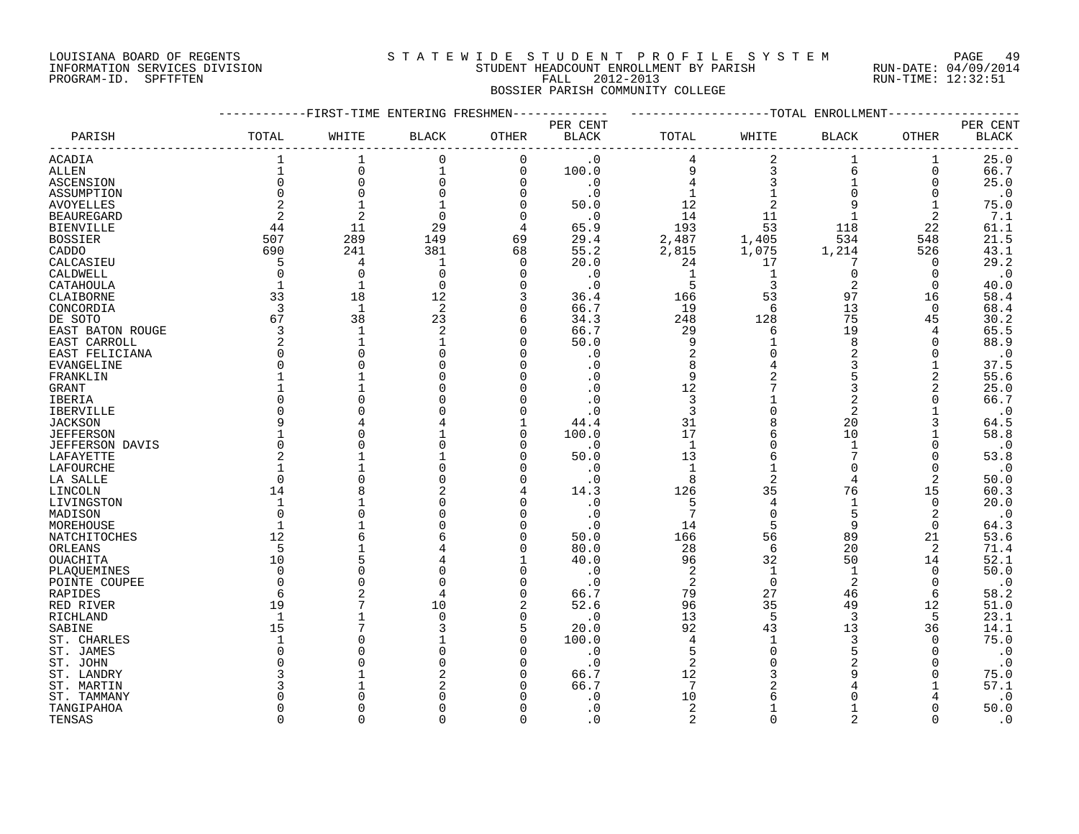# LOUISIANA BOARD OF REGENTS S T A T E W I D E S T U D E N T P R O F I L E S Y S T E M PAGE 49 INFORMATION SERVICES DIVISION STUDENT HEADCOUNT ENROLLMENT BY PARISH RUN-DATE: 04/09/2014 PROGRAM-ID. SPFTFTEN FALL 2012-2013 RUN-TIME: 12:32:51

# BOSSIER PARISH COMMUNITY COLLEGE

|                   |          | -FIRST-TIME ENTERING FRESHMEN |                |          |                        |                |                | -TOTAL ENROLLMENT |                |              |
|-------------------|----------|-------------------------------|----------------|----------|------------------------|----------------|----------------|-------------------|----------------|--------------|
|                   |          |                               |                |          | PER CENT               |                |                |                   |                | PER CENT     |
| PARISH            | TOTAL    | WHITE                         | <b>BLACK</b>   | OTHER    | $\operatorname{BLACK}$ | TOTAL          | WHITE          | <b>BLACK</b>      | <b>OTHER</b>   | <b>BLACK</b> |
| ACADIA            |          | 1                             | 0              | 0        | $\cdot$ 0              | 4              | 2              |                   | 1              | 25.0         |
| ALLEN             |          | $\Omega$                      | $\mathbf{1}$   | 0        | 100.0                  | 9              | 3              | 6                 | $\Omega$       | 66.7         |
| ASCENSION         | $\Omega$ | $\Omega$                      | $\mathbf 0$    | 0        | $\cdot$ 0              |                |                |                   | $\Omega$       | 25.0         |
| ASSUMPTION        |          | $\mathbf 0$                   |                | 0        | $\cdot$ 0              | 1              |                | $\Omega$          | 0              | $\cdot$ 0    |
| <b>AVOYELLES</b>  |          | $\mathbf{1}$                  |                | U        | 50.0                   | 12             |                | 9                 |                | 75.0         |
| <b>BEAUREGARD</b> | 2        | $\overline{2}$                | $\Omega$       | $\Omega$ | $\cdot$ 0              | 14             | 11             | 1                 | $\overline{2}$ | 7.1          |
| <b>BIENVILLE</b>  | 44       | 11                            | 29             | 4        | 65.9                   | 193            | 53             | 118               | 22             | 61.1         |
| <b>BOSSIER</b>    | 507      | 289                           | 149            | 69       | 29.4                   | 2,487          | 1,405          | 534               | 548            | 21.5         |
| CADDO             | 690      | 241                           | 381            | 68       | 55.2                   | 2,815          | 1,075          | 1,214             | 526            | 43.1         |
|                   | 5        | 4                             | $\mathbf{1}$   | 0        | 20.0                   | 24             | 17             |                   | 0              | 29.2         |
| CALCASIEU         | $\Omega$ | $\mathbf 0$                   | $\Omega$       | $\Omega$ | $\cdot$ 0              | 1              | 1              | 0                 | 0              | $\cdot$ 0    |
| CALDWELL          |          | $\mathbf{1}$                  | $\Omega$       | 0        |                        | 5              | 3              | 2                 | $\Omega$       |              |
| CATAHOULA         |          |                               |                |          | $\cdot$ 0              |                |                |                   |                | 40.0         |
| CLAIBORNE         | 33       | 18                            | 12             | 3        | 36.4                   | 166            | 53             | 97                | 16             | 58.4         |
| CONCORDIA         | 3        | $\mathbf{1}$                  | 2              | 0        | 66.7                   | 19             | 6              | 13                | $\mathbf 0$    | 68.4         |
| DE SOTO           | 67       | 38                            | 23             | 6        | 34.3                   | 248            | 128            | 75                | 45             | 30.2         |
| EAST BATON ROUGE  | 3        | $\mathbf{1}$                  | $\overline{a}$ | $\Omega$ | 66.7                   | 29             | 6              | 19                | 4              | 65.5         |
| EAST CARROLL      | 2        | $\mathbf 1$                   | -1             | 0        | 50.0                   | 9              |                | 8                 | $\Omega$       | 88.9         |
| EAST FELICIANA    |          | $\mathbf 0$                   |                | U        | $\cdot$ 0              | 2              |                | 2                 | $\Omega$       | $\cdot$ 0    |
| EVANGELINE        |          | $\Omega$                      |                | U        | . 0                    | 8              |                | 3                 |                | 37.5         |
| FRANKLIN          |          | 1                             |                |          | . 0                    | 9              |                | 5                 | 2              | 55.6         |
| <b>GRANT</b>      |          | 1                             |                |          | $\cdot$ 0              | 12             |                | 3                 | 2              | 25.0         |
| IBERIA            |          | $\Omega$                      |                |          | $\cdot$ 0              | 3              |                | 2                 | O              | 66.7         |
| <b>IBERVILLE</b>  |          | $\Omega$                      |                |          | $\cdot$ 0              | 3              |                | 2                 |                | $\cdot$ 0    |
| <b>JACKSON</b>    |          | 4                             |                |          | 44.4                   | 31             | 8              | 20                | 3              | 64.5         |
| <b>JEFFERSON</b>  |          | $\Omega$                      |                | U        | 100.0                  | 17             | 6              | 10                |                | 58.8         |
| JEFFERSON DAVIS   |          | $\Omega$                      |                | U        | $\cdot$ 0              | $\,$ 1         |                | $\mathbf{1}$      | $\Omega$       | $\cdot$ 0    |
| LAFAYETTE         |          | 1                             |                | U        | 50.0                   | 13             |                | 7                 | $\Omega$       | 53.8         |
| LAFOURCHE         |          |                               |                | U        | $\cdot$ 0              | $\mathbf{1}$   |                | $\Omega$          | $\Omega$       | $\cdot$ 0    |
| LA SALLE          |          | $\Omega$                      |                | U        | $\cdot$ 0              | 8              | $\overline{2}$ | $\overline{4}$    | 2              | 50.0         |
| LINCOLN           | 14       |                               |                | 4        | 14.3                   | 126            | 35             | 76                | 15             | 60.3         |
| LIVINGSTON        |          |                               |                |          | $\cdot$ 0              | 5              | 4              | 1                 | $\mathbf 0$    | 20.0         |
| MADISON           | ∩        | $\Omega$                      |                | U        | . 0                    | 7              | 0              | 5                 | 2              | $\cdot$ 0    |
| MOREHOUSE         |          |                               |                | U        | $\cdot$ 0              | 14             | 5              | 9                 | $\Omega$       | 64.3         |
| NATCHITOCHES      | 12       | 6                             |                | U        | 50.0                   | 166            | 56             | 89                | 21             | 53.6         |
| ORLEANS           | 5        |                               |                | U        | 80.0                   | 28             | 6              | 20                | 2              | 71.4         |
| <b>OUACHITA</b>   | 10       | 5                             |                |          | 40.0                   | 96             | 32             | 50                | 14             | 52.1         |
|                   | $\Omega$ | $\Omega$                      |                | 0        | $\cdot$ 0              | 2              | $\mathbf{1}$   | $\mathbf 1$       | $\mathbf 0$    | 50.0         |
| PLAQUEMINES       |          | $\Omega$                      |                |          |                        |                | $\Omega$       | 2                 | $\Omega$       |              |
| POINTE COUPEE     |          | 2                             |                |          | $\cdot$ 0              | 2              |                |                   |                | $\cdot$ 0    |
| RAPIDES           | 6        |                               |                | U        | 66.7                   | 79             | 27             | 46                | 6              | 58.2         |
| RED RIVER         | 19       |                               | 10             | 2        | 52.6                   | 96             | 35             | 49                | 12             | 51.0         |
| RICHLAND          |          | 7                             |                | U        | $\cdot$ 0              | 13             | 5              | 3                 | 5              | 23.1         |
| SABINE            | 15       |                               |                | 5        | 20.0                   | 92             | 43             | 13                | 36             | 14.1         |
| ST. CHARLES       |          | $\Omega$                      |                | $\Omega$ | 100.0                  | 4              | $\mathbf{1}$   | 3                 | $\Omega$       | 75.0         |
| ST. JAMES         |          | $\Omega$                      |                | 0        | $\cdot$ 0              | 5              | $\Omega$       | 5                 | $\Omega$       | $\cdot$ 0    |
| ST. JOHN          |          | $\Omega$                      |                | U        | $\cdot$ 0              | 2              |                | 2                 | $\Omega$       | $\cdot$ 0    |
| ST. LANDRY        |          |                               |                | U        | 66.7                   | 12             |                | 9                 | $\Omega$       | 75.0         |
| ST. MARTIN        |          |                               |                |          | 66.7                   | 7              |                | 4                 |                | 57.1         |
| ST. TAMMANY       |          | O                             |                |          | . 0                    | 10             | 6              | U                 |                | $\cdot$ 0    |
| TANGIPAHOA        |          | $\Omega$                      |                |          | $\cdot$ 0              | 2              |                |                   | $\Omega$       | 50.0         |
| TENSAS            | $\Omega$ | $\Omega$                      | $\Omega$       | $\Omega$ | $\cdot$ 0              | $\overline{a}$ | $\Omega$       | $\overline{2}$    | $\Omega$       | $\cdot$ 0    |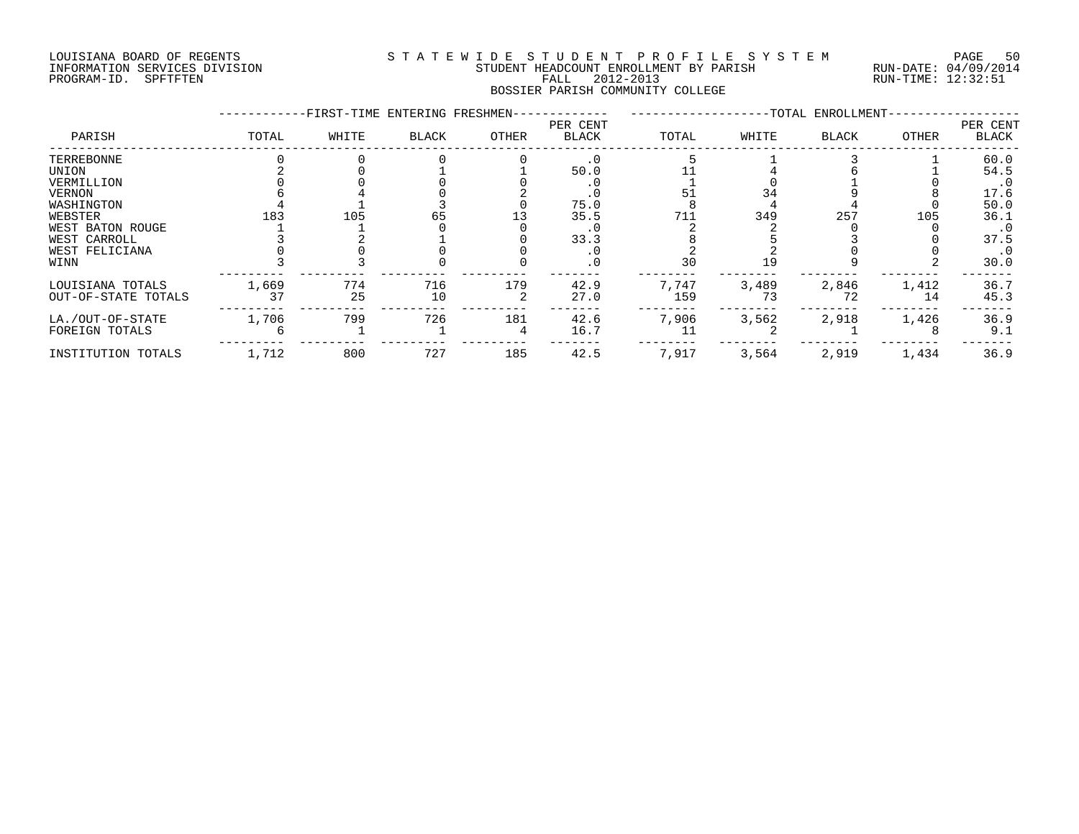#### LOUISIANA BOARD OF REGENTS S T A T E W I D E S T U D E N T P R O F I L E S Y S T E M PAGE 50 INFORMATION SERVICES DIVISION STUDENT HEADCOUNT ENROLLMENT BY PARISH RUN-DATE: 04/09/2014 PROGRAM-ID. SPFTFTEN FALL 2012-2013 RUN-TIME: 12:32:51 BOSSIER PARISH COMMUNITY COLLEGE

|                     |       | -FIRST-TIME ENTERING FRESHMEN- |              |       |                          |       |       | -TOTAL ENROLLMENT- |       |                          |
|---------------------|-------|--------------------------------|--------------|-------|--------------------------|-------|-------|--------------------|-------|--------------------------|
| PARISH              | TOTAL | WHITE                          | <b>BLACK</b> | OTHER | PER CENT<br><b>BLACK</b> | TOTAL | WHITE | <b>BLACK</b>       | OTHER | PER CENT<br><b>BLACK</b> |
| TERREBONNE          |       |                                |              |       | $\cdot$ 0                |       |       |                    |       | 60.0                     |
| UNION               |       |                                |              |       | 50.0                     |       |       |                    |       | 54.5                     |
| VERMILLION          |       |                                |              |       |                          |       |       |                    |       | $\cdot$ 0                |
| VERNON              |       |                                |              |       | . 0                      | 51    |       |                    |       | 17.6                     |
| WASHINGTON          |       |                                |              |       | 75.0                     |       |       |                    |       | 50.0                     |
| WEBSTER             | 183   | 105                            |              |       | 35.5                     | 711   | 349   | 257                | 105   | 36.1                     |
| WEST BATON ROUGE    |       |                                |              |       | . 0                      |       |       |                    |       | $\cdot$ 0                |
| WEST CARROLL        |       |                                |              |       | 33.3                     |       |       |                    |       | 37.5                     |
| WEST FELICIANA      |       |                                |              |       | . 0                      |       |       |                    |       | $\cdot$ 0                |
| WINN                |       |                                |              |       | . 0                      | 30    | 19    |                    |       | 30.0                     |
| LOUISIANA TOTALS    | 1,669 | 774                            | 716          | 179   | 42.9                     | 7,747 | 3,489 | 2,846              | 1,412 | 36.7                     |
| OUT-OF-STATE TOTALS | 37    | 25                             | 10           |       | 27.0                     | 159   | 73    | 72                 | 14    | 45.3                     |
| LA./OUT-OF-STATE    | 1,706 | 799                            | 726          | 181   | 42.6                     | 7,906 | 3,562 | 2,918              | 1,426 | 36.9                     |
| FOREIGN TOTALS      |       |                                |              |       | 16.7                     | 11    |       |                    |       | 9.1                      |
| INSTITUTION TOTALS  | 1,712 | 800                            | 727          | 185   | 42.5                     | 7,917 | 3,564 | 2,919              | 1,434 | 36.9                     |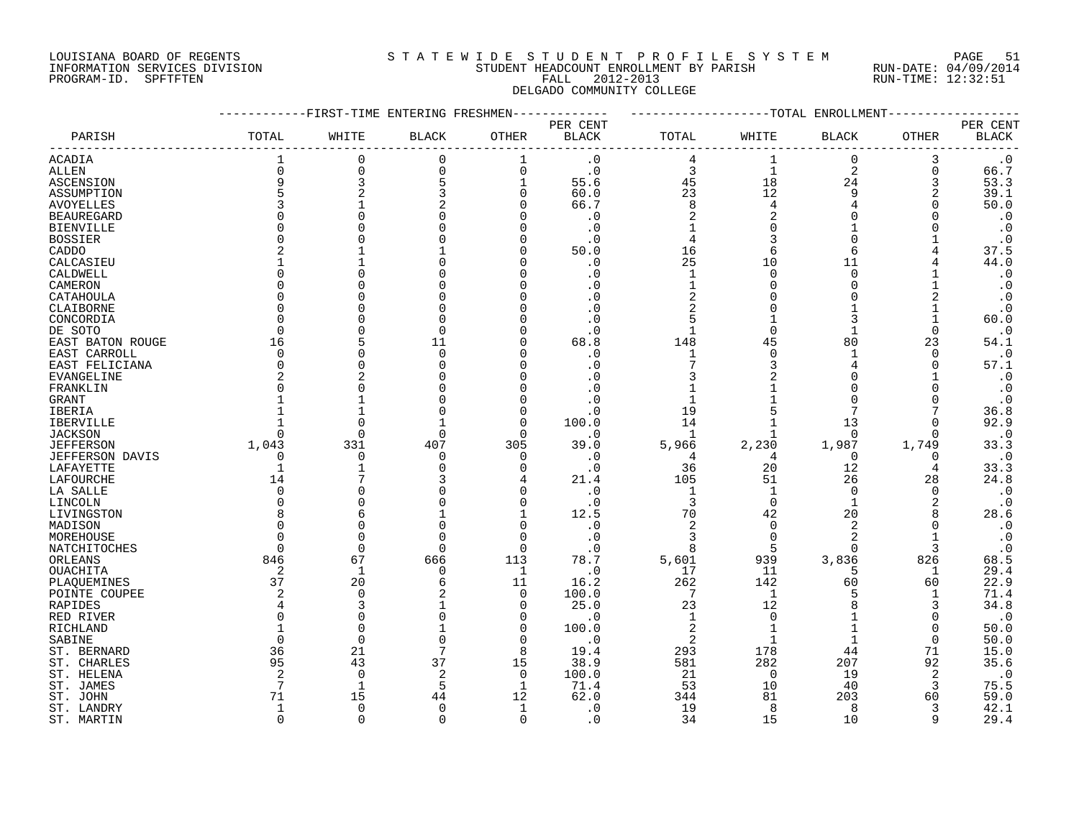#### LOUISIANA BOARD OF REGENTS S T A T E W I D E S T U D E N T P R O F I L E S Y S T E M PAGE 51 INFORMATION SERVICES DIVISION STUDENT HEADCOUNT ENROLLMENT BY PARISH RUN-DATE: 04/09/2014 PROGRAM-ID. SPFTFTEN FALL 2012-2013 RUN-TIME: 12:32:51 DELGADO COMMUNITY COLLEGE

|                   |              | -------FIRST-TIME ENTERING FRESHMEN- |              |                | -----------  | ------------------TOTAL ENROLLMENT- |                |                |              |                        |
|-------------------|--------------|--------------------------------------|--------------|----------------|--------------|-------------------------------------|----------------|----------------|--------------|------------------------|
|                   |              |                                      |              |                | PER CENT     |                                     |                |                |              | PER CENT               |
| PARISH            | TOTAL        | WHITE                                | <b>BLACK</b> | OTHER          | <b>BLACK</b> | TOTAL                               | WHITE          | BLACK          | OTHER        | $\operatorname{BLACK}$ |
| <b>ACADIA</b>     | $\mathbf{1}$ | 0                                    | 0            | 1              | $\cdot$ 0    | 4                                   | 1              | $\mathbf 0$    | 3            | $\cdot$ 0              |
| ALLEN             | $\Omega$     | $\Omega$                             | $\mathbf 0$  | $\mathbf 0$    | $\cdot$ 0    | 3                                   | $\mathbf{1}$   | $\overline{2}$ | 0            | 66.7                   |
| ASCENSION         | 9            | 3                                    | 5            | 1              | 55.6         | 45                                  | 18             | 24             | 3            | 53.3                   |
| ASSUMPTION        | 5            |                                      | 3            | 0              | 60.0         | 23                                  | 12             | 9              | 2            | 39.1                   |
| <b>AVOYELLES</b>  |              |                                      |              | $\Omega$       | 66.7         | 8                                   | 4              |                | $\Omega$     | 50.0                   |
| <b>BEAUREGARD</b> |              |                                      | O            | <sup>0</sup>   | $\cdot$ 0    | $\overline{2}$                      | $\overline{2}$ |                | <sup>0</sup> | $\cdot$ 0              |
| <b>BIENVILLE</b>  |              |                                      |              | $\Omega$       | . 0          |                                     | $\Omega$       |                |              | $\cdot$ 0              |
| <b>BOSSIER</b>    |              |                                      |              | $\Omega$       | $\cdot$ 0    | 4                                   | 3              | $\Omega$       |              | $\cdot$ 0              |
| CADDO             |              |                                      |              | $\Omega$       | 50.0         | 16                                  | 6              | 6              |              | 37.5                   |
| CALCASIEU         |              |                                      |              | $\Omega$       | $\cdot$ 0    | 25                                  | 10             | 11             |              | 44.0                   |
| CALDWELL          | U            |                                      |              | $\Omega$       | . 0          | 1                                   | $\Omega$       | $\cap$         |              | $\cdot$ 0              |
| CAMERON           | U            |                                      |              | $\Omega$       |              | 1                                   | $\Omega$       | $\Omega$       |              | $\cdot$ 0              |
| CATAHOULA         | O            |                                      |              | $\Omega$       | . 0          |                                     |                |                |              | $\cdot$ 0              |
| CLAIBORNE         | U            |                                      |              | $\cap$         |              |                                     |                |                |              | $\cdot$ 0              |
| CONCORDIA         | U            |                                      | ∩            | $\cap$         |              |                                     |                |                |              | 60.0                   |
| DE SOTO           | $\Omega$     |                                      | U            | $\cap$         | . 0          | $\mathbf{1}$                        | $\Omega$       |                | $\Omega$     | $\cdot$ 0              |
| EAST BATON ROUGE  | 16           |                                      | 11           | $\Omega$       | 68.8         | 148                                 | 45             | 80             | 23           | 54.1                   |
| EAST CARROLL      | 0            |                                      | 0            | $\Omega$       | . 0          | 1                                   | $\Omega$       |                | 0            | $\cdot$ 0              |
| EAST FELICIANA    | $\Omega$     |                                      | U            | $\Omega$       | . 0          |                                     |                |                | 0            | 57.1                   |
| <b>EVANGELINE</b> |              |                                      |              | $\Omega$       |              |                                     |                |                |              | $\cdot$ 0              |
| FRANKLIN          | U            |                                      |              | $\cap$         |              |                                     |                |                |              | $\cdot$ 0              |
| GRANT             |              |                                      |              | $\Omega$       | . 0          |                                     |                |                |              | $\cdot$ 0              |
| IBERIA            |              |                                      |              | $\Omega$       | $\cdot$ 0    | 19                                  |                |                |              | 36.8                   |
| IBERVILLE         |              |                                      |              | 0              | 100.0        | 14                                  |                | 13             | $\Omega$     | 92.9                   |
| <b>JACKSON</b>    | U            | C                                    | U            | $\Omega$       | $\cdot$ 0    |                                     |                | $\Omega$       | <sup>0</sup> | $\boldsymbol{\cdot}$ 0 |
| <b>JEFFERSON</b>  | 1,043        | 331                                  | 407          | 305            | 39.0         | 5,966                               | 2,230          | 1,987          | 1,749        | 33.3                   |
| JEFFERSON DAVIS   | 0            | O                                    | $\Omega$     | 0              | . 0          | 4                                   | 4              | $\Omega$       | 0            | $\cdot$ 0              |
| LAFAYETTE         | $\mathbf 1$  |                                      | $\Omega$     | $\Omega$       | $\cdot$ 0    | 36                                  | 20             | 12             | 4            | 33.3                   |
| LAFOURCHE         | 14           |                                      |              | 4              | 21.4         | 105                                 | 51             | 26             | 28           | 24.8                   |
| LA SALLE          | $\Omega$     |                                      |              | $\Omega$       | . 0          | 1                                   | $\mathbf{1}$   | $\Omega$       | $\Omega$     | $\boldsymbol{\cdot}$ 0 |
| LINCOLN           | 0            |                                      | O            | $\Omega$       | $\cdot$ 0    | 3                                   | 0              | -1             | 2            | $\cdot$ 0              |
| LIVINGSTON        |              |                                      |              | 1              | 12.5         | 70                                  | 42             | 20             | 8            | 28.6                   |
| MADISON           | U            |                                      | O            | $\Omega$       | $\cdot$ 0    | 2                                   | $\Omega$       | 2              | $\Omega$     | $\cdot$ 0              |
| MOREHOUSE         | $\Omega$     |                                      | $\Omega$     | $\Omega$       | . 0          | 3                                   | $\Omega$       | $\overline{2}$ | 1            | $\cdot$ 0              |
| NATCHITOCHES      | $\Omega$     | $\Omega$                             | $\Omega$     | $\Omega$       | . 0          | 8                                   | 5              | $\cap$         | 3            | $\cdot$ 0              |
| ORLEANS           | 846          | 67                                   | 666          | 113            | 78.7         | 5,601                               | 939            | 3,836          | 826          | 68.5                   |
| OUACHITA          | 2            | $\mathbf{1}$                         | $\mathbf 0$  | 1              | $\cdot$ 0    | 17                                  | 11             | 5              | 1            | 29.4                   |
| PLAQUEMINES       | 37           | 20                                   | 6            | 11             | 16.2         | 262                                 | 142            | 60             | 60           | 22.9                   |
| POINTE COUPEE     | 2            | $\Omega$                             |              | 0              | 100.0        | 7                                   | 1              |                | 1            | 71.4                   |
| RAPIDES           | 4            | 3                                    |              | $\Omega$       | 25.0         | 23                                  | 12             |                | 3            | 34.8                   |
| RED RIVER         | $\Omega$     | O                                    | U            | 0              | . 0          | 1                                   | $\Omega$       |                | 0            | $\cdot$ 0              |
| RICHLAND          | -1           | $\Omega$                             |              | 0              | 100.0        | $\overline{2}$                      |                |                | 0            | 50.0                   |
| SABINE            | $\Omega$     | $\Omega$                             | $\cap$       | $\Omega$       | $\cdot$ 0    | $\overline{c}$                      |                |                | $\Omega$     | 50.0                   |
| ST. BERNARD       | 36           | 21                                   | 7            | 8              | 19.4         | 293                                 | 178            | 44             | 71           | 15.0                   |
| ST. CHARLES       | 95           | 43                                   | 37           | 15             | 38.9         | 581                                 | 282            | 207            | 92           | 35.6                   |
| ST. HELENA        | 2            | $\Omega$                             | 2            | $\overline{0}$ | 100.0        | 21                                  | $\Omega$       | 19             | 2            | $\cdot$ 0              |
| ST. JAMES         | 7            | 1                                    | 5            | 1              | 71.4         | 53                                  | 10             | 40             | 3            | 75.5                   |
| ST. JOHN          | 71           | 15                                   | 44           | 12             | 62.0         | 344                                 | 81             | 203            | 60           | 59.0                   |
| ST. LANDRY        | 1            | $\Omega$                             | $\Omega$     | 1              | . 0          | 19                                  | 8              | 8              | 3            | 42.1                   |
| ST. MARTIN        | $\Omega$     | $\cap$                               | $\Omega$     | $\Omega$       | . 0          | 34                                  | 15             | 10             | q            | 29.4                   |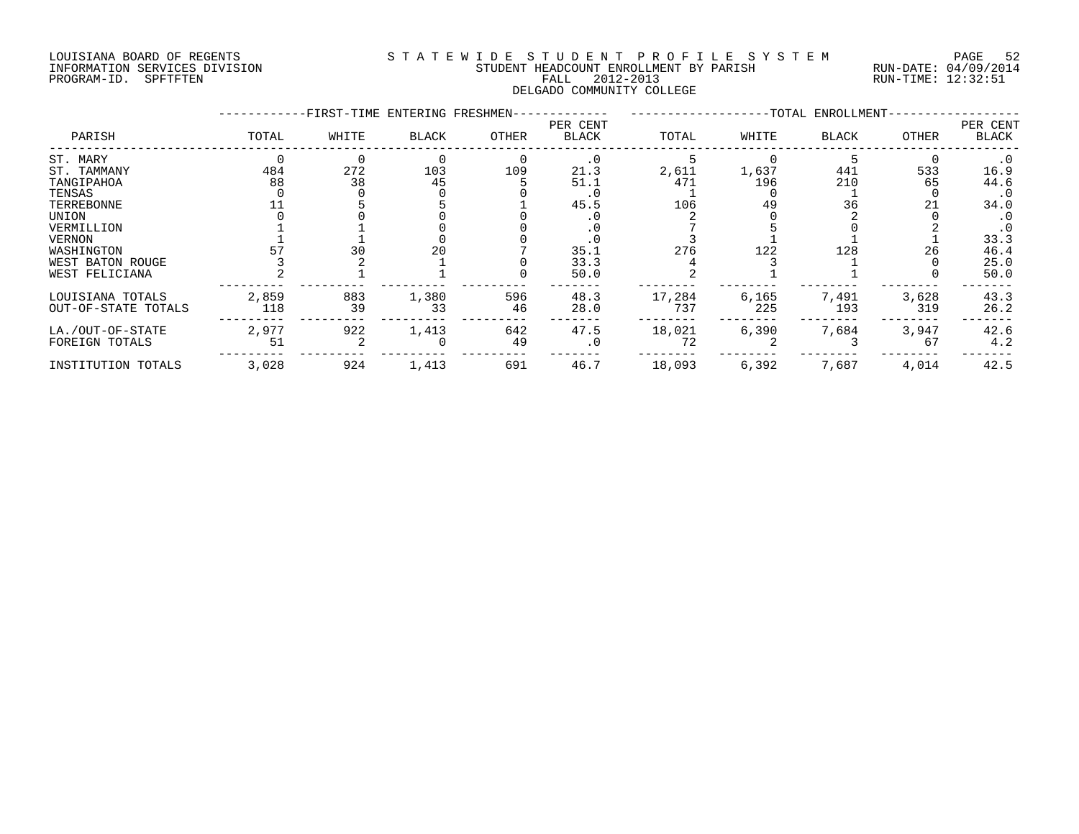#### LOUISIANA BOARD OF REGENTS S T A T E W I D E S T U D E N T P R O F I L E S Y S T E M PAGE 52 INFORMATION SERVICES DIVISION STUDENT HEADCOUNT ENROLLMENT BY PARISH RUN-DATE: 04/09/2014 PROGRAM-ID. SPFTFTEN FALL 2012-2013 RUN-TIME: 12:32:51 DELGADO COMMUNITY COLLEGE

|                                                                                                 |              | -FIRST-TIME ENTERING FRESHMEN- |             |           | ---------                    |               |              | --TOTAL ENROLLMENT- |              |                                                                |
|-------------------------------------------------------------------------------------------------|--------------|--------------------------------|-------------|-----------|------------------------------|---------------|--------------|---------------------|--------------|----------------------------------------------------------------|
| PARISH                                                                                          | TOTAL        | WHITE                          | BLACK       | OTHER     | PER CENT<br>BLACK            | TOTAL         | WHITE        | <b>BLACK</b>        | OTHER        | PER CENT<br>BLACK                                              |
| ST. MARY<br>ST. TAMMANY<br>TANGIPAHOA<br>TENSAS                                                 | 484<br>88    | 272<br>38                      | 103<br>45   | 109       | $\cdot$ 0<br>21.3<br>51.1    | 2,611<br>471  | 1,637<br>196 | 441<br>210          | 533<br>65    | $\cdot$ 0<br>16.9<br>44.6<br>$\cdot$ 0                         |
| TERREBONNE<br>UNION<br>VERMILLION<br>VERNON<br>WASHINGTON<br>WEST BATON ROUGE<br>WEST FELICIANA |              | 30                             | 20          |           | 45.5<br>35.1<br>33.3<br>50.0 | 106<br>276    | 49<br>122    | 36<br>128           | 21<br>26     | 34.0<br>$\cdot$ 0<br>$\cdot$ 0<br>33.3<br>46.4<br>25.0<br>50.0 |
| LOUISIANA TOTALS<br>OUT-OF-STATE TOTALS                                                         | 2,859<br>118 | 883<br>39                      | 1,380<br>33 | 596<br>46 | 48.3<br>28.0                 | 17,284<br>737 | 6,165<br>225 | 7,491<br>193        | 3,628<br>319 | 43.3<br>26.2                                                   |
| LA./OUT-OF-STATE<br>FOREIGN TOTALS                                                              | 2,977<br>51  | 922                            | 1,413       | 642<br>49 | 47.5<br>$\cdot$ 0            | 18,021<br>72  | 6,390        | 7,684               | 3,947<br>67  | 42.6<br>4.2                                                    |
| INSTITUTION TOTALS                                                                              | 3,028        | 924                            | 1,413       | 691       | 46.7                         | 18,093        | 6,392        | 7,687               | 4,014        | 42.5                                                           |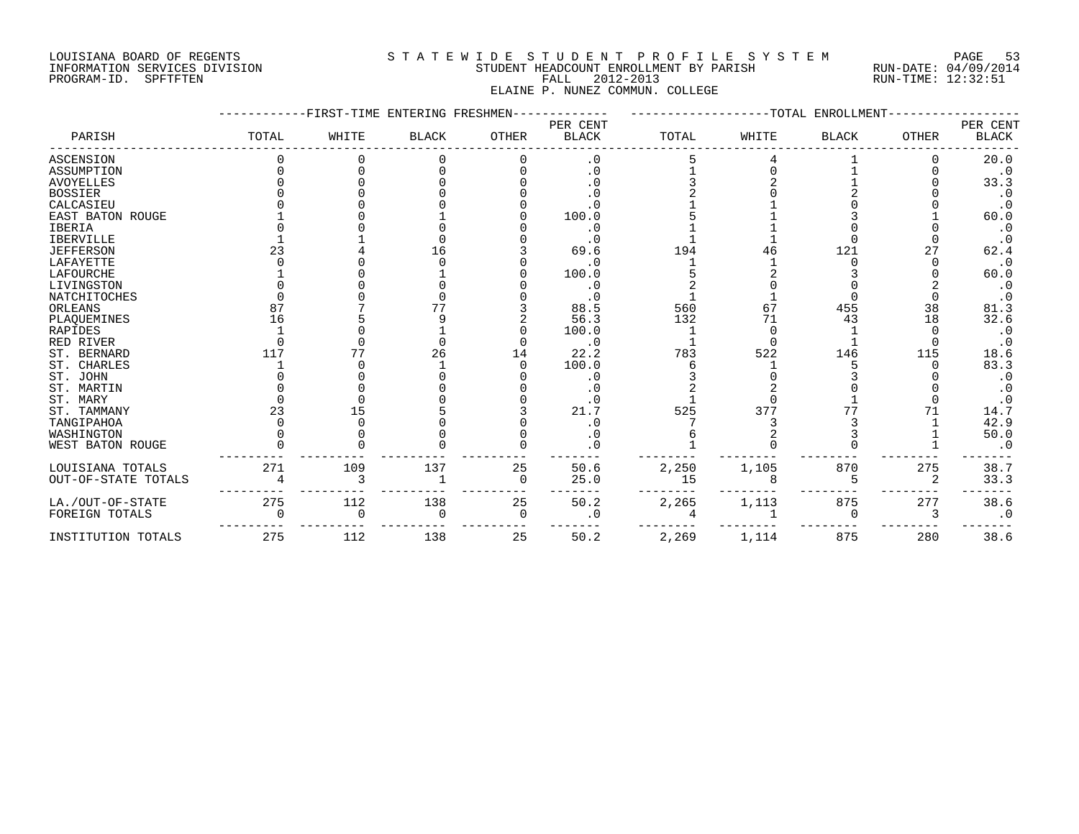#### LOUISIANA BOARD OF REGENTS S T A T E W I D E S T U D E N T P R O F I L E S Y S T E M PAGE 53 INFORMATION SERVICES DIVISION STUDENT HEADCOUNT ENROLLMENT BY PARISH RUN-DATE: 04/09/2014 PROGRAM-ID. SPFTFTEN FALL 2012-2013 RUN-TIME: 12:32:51 ELAINE P. NUNEZ COMMUN. COLLEGE

|                     |       | FIRST-TIME ENTERING FRESHMEN |              |              |                          |       |       | -TOTAL ENROLLMENT |              |                          |
|---------------------|-------|------------------------------|--------------|--------------|--------------------------|-------|-------|-------------------|--------------|--------------------------|
| PARISH              | TOTAL | WHITE                        | <b>BLACK</b> | <b>OTHER</b> | PER CENT<br><b>BLACK</b> | TOTAL | WHITE | <b>BLACK</b>      | <b>OTHER</b> | PER CENT<br><b>BLACK</b> |
| ASCENSION           |       |                              |              |              | . 0                      |       |       |                   |              | 20.0                     |
| ASSUMPTION          |       |                              |              |              | . 0                      |       |       |                   |              | $\cdot$ 0                |
| <b>AVOYELLES</b>    |       |                              |              |              |                          |       |       |                   |              | 33.3                     |
| <b>BOSSIER</b>      |       |                              |              |              |                          |       |       |                   |              | $\cdot$ 0                |
| CALCASIEU           |       |                              |              |              |                          |       |       |                   |              | $\cdot$ 0                |
| EAST BATON ROUGE    |       |                              |              |              | 100.0                    |       |       |                   |              | 60.0                     |
| <b>IBERIA</b>       |       |                              |              |              | . 0                      |       |       |                   |              | $\cdot$ 0                |
| <b>IBERVILLE</b>    |       |                              |              |              |                          |       |       |                   |              | .0                       |
| <b>JEFFERSON</b>    | 23    |                              |              |              | 69.6                     | 194   |       | 121               | 27           | 62.4                     |
| LAFAYETTE           |       |                              |              |              | $\cdot$ 0                |       |       |                   |              | $\cdot$ 0                |
| LAFOURCHE           |       |                              |              |              | 100.0                    |       |       |                   |              | 60.0                     |
| LIVINGSTON          |       |                              |              |              | $\cdot$ 0                |       |       |                   |              | $\cdot$ 0                |
| NATCHITOCHES        |       |                              |              |              |                          |       |       |                   |              | $\cdot$ 0                |
| ORLEANS             | 87    |                              |              |              | 88.5                     | 560   | 67    | 455               | 38           | 81.3                     |
| PLAQUEMINES         | 16    |                              |              |              | 56.3                     | 132   | 71    | 43                | 18           | 32.6                     |
| <b>RAPIDES</b>      |       |                              |              |              | 100.0                    |       |       |                   |              | $\cdot$ 0                |
| RED RIVER           |       |                              |              |              | $\cdot$ 0                |       |       |                   |              | $\cdot$ 0                |
| ST. BERNARD         | 117   | 77                           | 26           | 14           | 22.2                     | 783   | 522   | 146               | 115          | 18.6                     |
| ST. CHARLES         |       |                              |              |              | 100.0                    |       |       |                   |              | 83.3                     |
| ST. JOHN            |       |                              |              |              | $\cdot$ 0                |       |       |                   |              | $\cdot$ 0                |
| ST. MARTIN          |       |                              |              |              | $\cdot$ 0                |       |       |                   |              |                          |
| ST. MARY            |       |                              |              |              | . 0                      |       |       |                   |              |                          |
| ST. TAMMANY         | 23    | 15                           |              |              | 21.7                     | 525   | 377   | 77                | 71           | 14.7                     |
| TANGIPAHOA          |       |                              |              |              |                          |       |       |                   |              | 42.9                     |
| WASHINGTON          |       |                              |              |              | . 0                      |       |       |                   |              | 50.0                     |
| WEST BATON ROUGE    |       |                              |              |              |                          |       |       |                   |              |                          |
| LOUISIANA TOTALS    | 271   | 109                          | 137          | 25           | 50.6                     | 2,250 | 1,105 | 870               | 275          | 38.7                     |
| OUT-OF-STATE TOTALS |       | 3                            |              | 0            | 25.0                     | 15    |       | 5                 | 2            | 33.3                     |
| LA./OUT-OF-STATE    | 275   | 112                          | 138          | 25           | 50.2                     | 2,265 | 1,113 | 875               | 277          | 38.6                     |
| FOREIGN TOTALS      |       | ∩                            | <sup>0</sup> | 0            | . 0                      |       |       | O                 |              | $\cdot$ 0                |
| INSTITUTION TOTALS  | 275   | 112                          | 138          | 25           | 50.2                     | 2,269 | 1,114 | 875               | 280          | 38.6                     |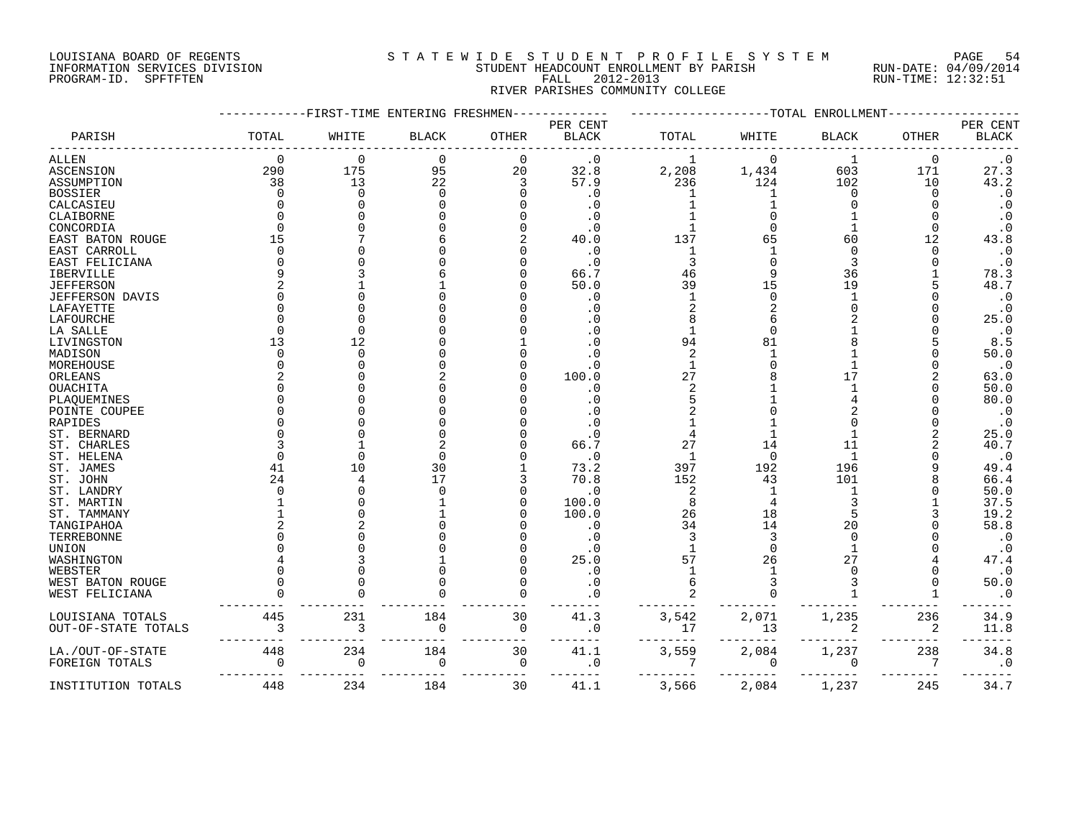#### LOUISIANA BOARD OF REGENTS S T A T E W I D E S T U D E N T P R O F I L E S Y S T E M PAGE 54 INFORMATION SERVICES DIVISION STUDENT HEADCOUNT ENROLLMENT BY PARISH RUN-DATE: 04/09/2014 PROGRAM-ID. SPFTFTEN FALL 2012-2013 RUN-TIME: 12:32:51 RIVER PARISHES COMMUNITY COLLEGE

|                        |          | -FIRST-TIME ENTERING FRESHMEN |              |              |              |                | -TOTAL   | ENROLLMENT   |              |                        |
|------------------------|----------|-------------------------------|--------------|--------------|--------------|----------------|----------|--------------|--------------|------------------------|
|                        |          |                               |              |              | PER CENT     |                |          |              |              | PER CENT               |
| PARISH                 | TOTAL    | WHITE                         | <b>BLACK</b> | <b>OTHER</b> | <b>BLACK</b> | TOTAL          | WHITE    | <b>BLACK</b> | <b>OTHER</b> | <b>BLACK</b>           |
| ALLEN                  | 0        | 0                             | 0            | $\Omega$     | $\cdot$ 0    | 1              | $\Omega$ | 1            | $\Omega$     | $\cdot$ 0              |
| ASCENSION              | 290      | 175                           | 95           | 20           | 32.8         | 2,208          | 1,434    | 603          | 171          | 27.3                   |
| ASSUMPTION             | 38       | 13                            | 22           | 3            | 57.9         | 236            | 124      | 102          | 10           | 43.2                   |
| <b>BOSSIER</b>         | $\Omega$ | $\Omega$                      | $\Omega$     |              | $\cdot$ 0    | -1             |          | $\Omega$     | <sup>0</sup> | $\cdot$ 0              |
| CALCASIEU              | U        |                               |              |              | . 0          |                |          |              |              | $\cdot$ 0              |
| CLAIBORNE              | U        |                               |              |              | $\cdot$ 0    |                |          |              |              | $\cdot$ 0              |
| CONCORDIA              | $\Omega$ |                               |              |              | $\cdot$ 0    |                |          |              | $\Omega$     | $\cdot$ 0              |
| EAST BATON ROUGE       | 15       |                               |              |              | 40.0         | 137            | 65       | 60           | 12           | 43.8                   |
| EAST CARROLL           | $\Omega$ |                               |              |              | $\cdot$ 0    | 1              |          | $\Omega$     | $\Omega$     | $\boldsymbol{\cdot}$ 0 |
|                        | O        |                               |              |              | $\cdot$ 0    | 3              |          | 3            |              | $\boldsymbol{\cdot}$ 0 |
| EAST FELICIANA         | 9        |                               |              |              |              |                |          |              |              |                        |
| IBERVILLE              |          |                               |              |              | 66.7         | 46             |          | 36           |              | 78.3                   |
| <b>JEFFERSON</b>       | 2        |                               |              |              | 50.0         | 39             | 15       | 19           |              | 48.7                   |
| <b>JEFFERSON DAVIS</b> | U        |                               |              |              | . 0          |                |          |              |              | $\boldsymbol{\cdot}$ 0 |
| LAFAYETTE              |          |                               |              |              | . 0          |                |          |              |              | $\cdot$ 0              |
| LAFOURCHE              | U        |                               |              |              |              |                |          |              |              | 25.0                   |
| LA SALLE               | ∩        | $\cap$                        |              |              |              |                |          |              |              | $\cdot$ 0              |
| LIVINGSTON             | 13       | 12                            |              |              | $\Omega$     | 94             | 81       |              |              | 8.5                    |
| MADISON                |          | $\cap$                        |              |              |              | $\overline{c}$ |          |              |              | 50.0                   |
| MOREHOUSE              | U        |                               |              |              | . 0          | $\mathbf{1}$   |          |              |              | $\cdot$ 0              |
| ORLEANS                |          |                               |              |              | 100.0        | 27             |          | 17           |              | 63.0                   |
| OUACHITA               | U        |                               |              |              | . 0          | $\mathcal{L}$  |          |              |              | 50.0                   |
| PLAQUEMINES            | ∩        |                               |              |              | . 0          |                |          |              |              | 80.0                   |
| POINTE COUPEE          | U        |                               |              |              |              |                |          |              |              | $\cdot$ 0              |
| RAPIDES                |          |                               |              |              |              |                |          |              |              | $\cdot$ 0              |
| ST. BERNARD            |          |                               |              |              | $\cdot$ 0    |                |          |              |              | 25.0                   |
| ST. CHARLES            |          |                               |              |              | 66.7         | 27             | 14       | 11           |              | 40.7                   |
| ST. HELENA             | U        |                               |              |              | $\cdot$ 0    | 1              | $\Omega$ | -1           |              | $\cdot$ 0              |
| ST. JAMES              | 41       | 10                            | 30           |              | 73.2         | 397            | 192      | 196          |              | 49.4                   |
| ST. JOHN               | 24       |                               | 17           |              | 70.8         | 152            | 43       | 101          |              | 66.4                   |
|                        | U        |                               |              |              |              |                |          |              |              |                        |
| ST. LANDRY             |          |                               |              |              | $\cdot$ 0    | $\overline{2}$ |          |              |              | 50.0                   |
| ST. MARTIN             |          |                               |              |              | 100.0        | 8              |          |              |              | 37.5                   |
| ST. TAMMANY            |          |                               |              |              | 100.0        | 26             | 18       |              |              | 19.2                   |
| TANGIPAHOA             |          |                               |              |              | $\cdot$ 0    | 34             | 14       | 20           |              | 58.8                   |
| TERREBONNE             |          |                               |              |              | $\cdot$ 0    | 3              | 3        | $\Omega$     |              | $\cdot$ 0              |
| UNION                  |          |                               |              |              | $\cdot$ 0    |                |          |              |              | $\cdot$ 0              |
| WASHINGTON             |          |                               |              |              | 25.0         | 57             | 26       | 27           |              | 47.4                   |
| WEBSTER                |          |                               |              |              | . 0          |                |          |              |              | $\cdot$ 0              |
| WEST BATON ROUGE       |          |                               |              |              | $\cdot$ 0    | 6              |          | 3            |              | 50.0                   |
| WEST FELICIANA         |          |                               |              |              |              |                |          |              |              | $\cdot$ 0              |
| LOUISIANA TOTALS       | 445      | 231                           | 184          | 30           | 41.3         | 3,542          | 2,071    | 1,235        | 236          | 34.9                   |
| OUT-OF-STATE TOTALS    | 3        | 3                             | 0            | $\mathbf 0$  | $\cdot$ 0    | 17             | 13       | 2            | 2            | 11.8                   |
| LA./OUT-OF-STATE       | 448      | 234                           | 184          | 30           | 41.1         | 3,559          | 2,084    | 1,237        | 238          | 34.8                   |
| FOREIGN TOTALS         | $\Omega$ | $\overline{0}$                | $\mathbf 0$  | $\Omega$     | $\cdot$ 0    | 7              | $\Omega$ | $\Omega$     | 7            | $\cdot$ 0              |
| INSTITUTION TOTALS     | 448      | 234                           | 184          | 30           | 41.1         | 3,566          | 2,084    | 1,237        | 245          | 34.7                   |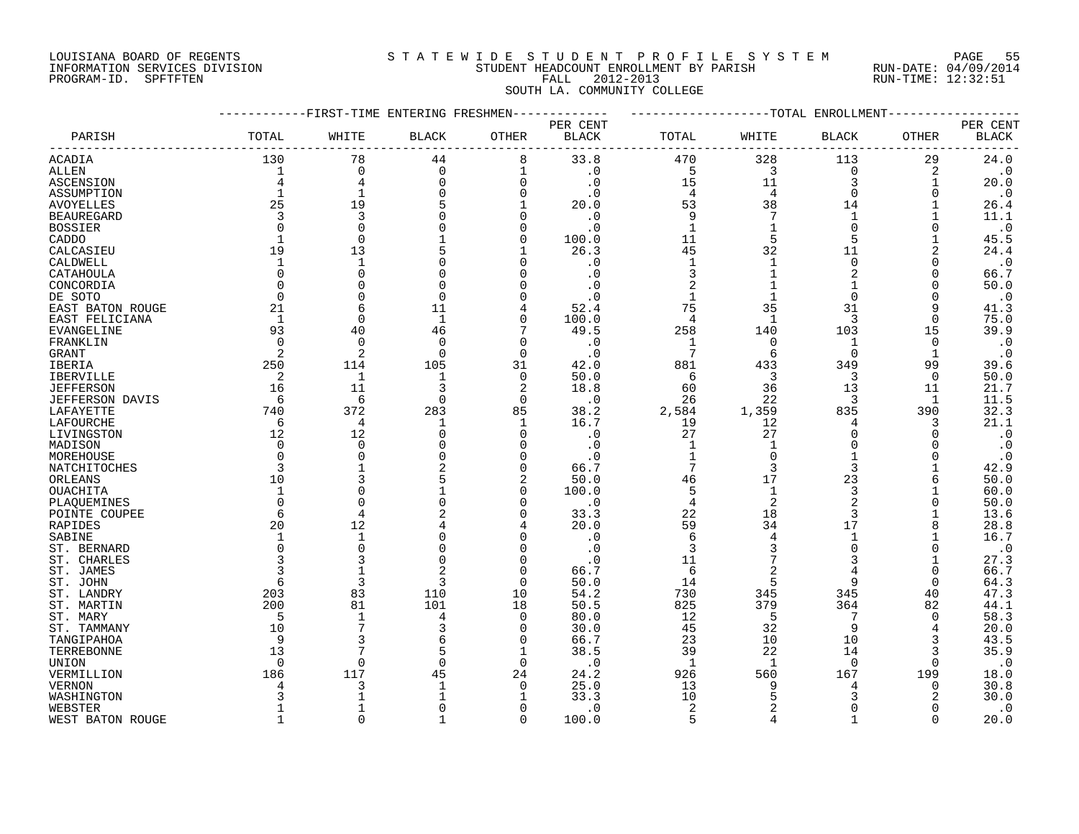# LOUISIANA BOARD OF REGENTS S T A T E W I D E S T U D E N T P R O F I L E S Y S T E M PAGE 55 INFORMATION SERVICES DIVISION STUDENT HEADCOUNT ENROLLMENT BY PARISH RUN-DATE: 04/09/2014 PROGRAM-ID. SPFTFTEN FALL 2012-2013 RUN-TIME: 12:32:51

# SOUTH LA. COMMUNITY COLLEGE

|                   | -----------FIRST-TIME ENTERING FRESHMEN------------ |                |              |             |                          | ------------------TOTAL ENROLLMENT------- |                |                |                |                          |
|-------------------|-----------------------------------------------------|----------------|--------------|-------------|--------------------------|-------------------------------------------|----------------|----------------|----------------|--------------------------|
| PARISH            | TOTAL                                               | WHITE          | <b>BLACK</b> | OTHER       | PER CENT<br><b>BLACK</b> | TOTAL                                     | WHITE          | <b>BLACK</b>   | OTHER          | PER CENT<br><b>BLACK</b> |
| <b>ACADIA</b>     | 130                                                 | 78             | 44           | 8           | 33.8                     | 470                                       | 328            | 113            | 29             | 24.0                     |
| ALLEN             | $\mathbf{1}$                                        | $\mathbf 0$    | $\Omega$     | 1           | $\cdot$ 0                | 5                                         | 3              | $\mathbf 0$    | $\overline{2}$ | $\cdot$ 0                |
| ASCENSION         |                                                     | 4              | $\Omega$     | $\mathbf 0$ | $\cdot$ 0                | 15                                        | 11             | 3              | 1              | 20.0                     |
| ASSUMPTION        | 1                                                   | 1              |              | $\mathbf 0$ | $\cdot$ 0                | $\overline{4}$                            | $\overline{4}$ | $\Omega$       | $\mathbf 0$    | $\cdot$ 0                |
| <b>AVOYELLES</b>  | 25                                                  | 19             | 5            | 1           | 20.0                     | 53                                        | 38             | 14             | 1              | 26.4                     |
| <b>BEAUREGARD</b> | 3                                                   | 3              |              | $\Omega$    | $\cdot$ 0                | 9                                         | 7              | 1              | 1              | 11.1                     |
| BOSSIER           | $\overline{0}$                                      | 0              | O            | 0           | $\cdot$ 0                | $\mathbf{1}$                              | 1              | $\mathbf 0$    | $\mathbf 0$    | $\cdot$ 0                |
| CADDO             | $\mathbf{1}$                                        | $\Omega$       |              | $\mathbf 0$ | 100.0                    | 11                                        | 5              | 5              | 1              | 45.5                     |
| CALCASIEU         | 19                                                  | 13             |              | 1           | 26.3                     | 45                                        | 32             | 11             | $\overline{2}$ | 24.4                     |
| CALDWELL          | $\mathbf{1}$                                        | $\mathbf{1}$   |              | 0           | $\cdot$ 0                | $\mathbf{1}$                              | $\mathbf{1}$   | $\mathsf 0$    | 0              | $\cdot$ 0                |
| CATAHOULA         | $\Omega$                                            | $\Omega$       | $\Omega$     | $\Omega$    | $\cdot$ 0                | 3                                         |                | 2              | $\Omega$       | 66.7                     |
| CONCORDIA         | $\Omega$                                            | $\Omega$       | $\Omega$     | $\Omega$    | $\cdot$ 0                | 2                                         | $\mathbf{1}$   | 1              |                | 50.0                     |
| DE SOTO           | $\mathbf 0$                                         | 0              | $\mathbf 0$  | 0           | $\cdot$ 0                | $\mathbf{1}$                              | $\mathbf{1}$   | $\mathbf 0$    | $\Omega$       | $\boldsymbol{\cdot}$ 0   |
| EAST BATON ROUGE  | 21                                                  | 6              | 11           | 4           | 52.4                     | 75                                        | 35             | 31             | 9              | 41.3                     |
| EAST FELICIANA    | $\mathbf{1}$                                        | $\Omega$       | $\mathbf{1}$ | $\Omega$    | 100.0                    | $\overline{4}$                            | $\mathbf{1}$   | 3              | $\Omega$       | 75.0                     |
| EVANGELINE        | 93                                                  | 40             | 46           | 7           | 49.5                     | 258                                       | 140            | 103            | 15             | 39.9                     |
| FRANKLIN          | $\Omega$                                            | 0              | $\Omega$     | O           | $\cdot$ 0                | 1                                         | 0              | 1              | 0              | $\cdot$ 0                |
| <b>GRANT</b>      | 2                                                   | $\overline{2}$ | $\Omega$     | $\Omega$    | $\cdot$ 0                | 7                                         | 6              | $\Omega$       | 1              | $\cdot$ 0                |
| IBERIA            | 250                                                 | 114            | 105          | 31          | 42.0                     | 881                                       | 433            | 349            | 99             | 39.6                     |
| IBERVILLE         | 2                                                   | $\mathbf{1}$   | $\mathbf{1}$ | $\mathbf 0$ | 50.0                     | 6                                         | 3              | 3              | $\mathbf 0$    | 50.0                     |
| <b>JEFFERSON</b>  | 16                                                  | 11             | 3            | 2           | 18.8                     | 60                                        | 36             | 13             | 11             | 21.7                     |
| JEFFERSON DAVIS   | -6                                                  | 6              | $\Omega$     | $\Omega$    | $\cdot$ 0                | 26                                        | 22             | 3              | 1              | 11.5                     |
| LAFAYETTE         | 740                                                 | 372            | 283          | 85          | 38.2                     | 2,584                                     | 1,359          | 835            | 390            | 32.3                     |
| LAFOURCHE         | -6                                                  | 4              | 1            | 1           | 16.7                     | 19                                        | 12             | 4              | 3              | 21.1                     |
| LIVINGSTON        | 12                                                  | 12             | $\Omega$     | $\mathbf 0$ | $\cdot$ 0                | 27                                        | 27             | $\Omega$       | $\mathbf 0$    | $\cdot$ 0                |
| MADISON           | $\Omega$                                            | $\Omega$       |              | $\Omega$    | $\cdot$ 0                | 1                                         | $\mathbf 1$    | $\Omega$       | $\Omega$       | $\cdot$ 0                |
| MOREHOUSE         | $\Omega$                                            | $\Omega$       |              | $\Omega$    | $\cdot$ 0                | $1\,$                                     | $\mathbf 0$    |                | $\Omega$       | $\cdot$ 0                |
| NATCHITOCHES      | 3                                                   | $\mathbf{1}$   | 2            | $\Omega$    | 66.7                     | 7                                         | 3              | 3              | 1              | 42.9                     |
| ORLEANS           | 10                                                  | 3              | 5            | 2           | 50.0                     | 46                                        | 17             | 23             | 6              | 50.0                     |
| OUACHITA          | $\mathbf{1}$                                        | $\Omega$       |              | 0           | 100.0                    | 5                                         | $\mathbf{1}$   | 3              |                | 60.0                     |
| PLAQUEMINES       | $\Omega$                                            | 0              | $\Omega$     | 0           | $\cdot$ 0                | 4                                         | 2              | $\overline{2}$ | $\Omega$       | 50.0                     |
| POINTE COUPEE     | 6                                                   | 4              | 2            | $\Omega$    | 33.3                     | 22                                        | 18             | 3              |                | 13.6                     |
| RAPIDES           | 20                                                  | 12             |              |             | 20.0                     | 59                                        | 34             | 17             | 8              | 28.8                     |
| SABINE            | 1                                                   | 1              | 0            | 0           | $\cdot$ 0                | 6                                         | $\overline{4}$ | 1              | 1              | 16.7                     |
| ST. BERNARD       | $\Omega$                                            | $\Omega$       | O            | 0           | $\cdot$ 0                | 3                                         |                | $\Omega$       | 0              | $\cdot$ 0                |
| ST. CHARLES       |                                                     | 3              | $\Omega$     | $\Omega$    | $\cdot$ 0                | 11                                        | 7              | 3              | 1              | 27.3                     |
| ST. JAMES         |                                                     | $\mathbf{1}$   |              | 0           | 66.7                     | 6                                         | $\sqrt{2}$     | 4              | $\mathbf 0$    | 66.7                     |
| ST. JOHN          | 6                                                   | 3              | 3            | $\Omega$    | 50.0                     | 14                                        | 5              | 9              | $\Omega$       | 64.3                     |
| ST. LANDRY        | 203                                                 | 83             | 110          | 10          | 54.2                     | 730                                       | 345            | 345            | 40             | 47.3                     |
| ST. MARTIN        | 200                                                 | 81             | 101          | 18          | 50.5                     | 825                                       | 379            | 364            | 82             | 44.1                     |
| ST. MARY          | -5                                                  | 1              | 4            | 0           | 80.0                     | 12                                        | 5              | 7              | 0              | 58.3                     |
| ST. TAMMANY       | 10                                                  | 7              | 3            | 0           | 30.0                     | 45                                        | 32             | 9              |                | 20.0                     |
| TANGIPAHOA        | 9                                                   | 3              |              | $\Omega$    | 66.7                     | 23                                        | 10             | 10             |                | 43.5                     |
| TERREBONNE        | 13                                                  | 7              | 5            | 1           | 38.5                     | 39                                        | 22             | 14             | 3              | 35.9                     |
| UNION             | $\Omega$                                            | $\Omega$       | $\Omega$     | $\mathbf 0$ | $\cdot$ 0                | 1                                         | 1              | $\Omega$       | $\Omega$       | $\cdot$ 0                |
| VERMILLION        | 186                                                 | 117            | 45           | 24          | 24.2                     | 926                                       | 560            | 167            | 199            | 18.0                     |
| <b>VERNON</b>     |                                                     | 3              | 1            | 0           | 25.0                     | 13                                        | 9              |                | 0              | 30.8                     |
| WASHINGTON        |                                                     | -1             |              |             | 33.3                     | 10                                        | 5              |                |                | 30.0                     |
| WEBSTER           | $\mathbf{1}$                                        | $\mathbf{1}$   | ∩            | $\Omega$    | $\cdot$ 0                | 2                                         | $\overline{2}$ | $\Omega$       | $\Omega$       | $\cdot$ 0                |
| WEST BATON ROUGE  | $\mathbf{1}$                                        | $\Omega$       |              | $\Omega$    | 100.0                    | 5                                         | $\overline{4}$ |                | $\Omega$       | 20.0                     |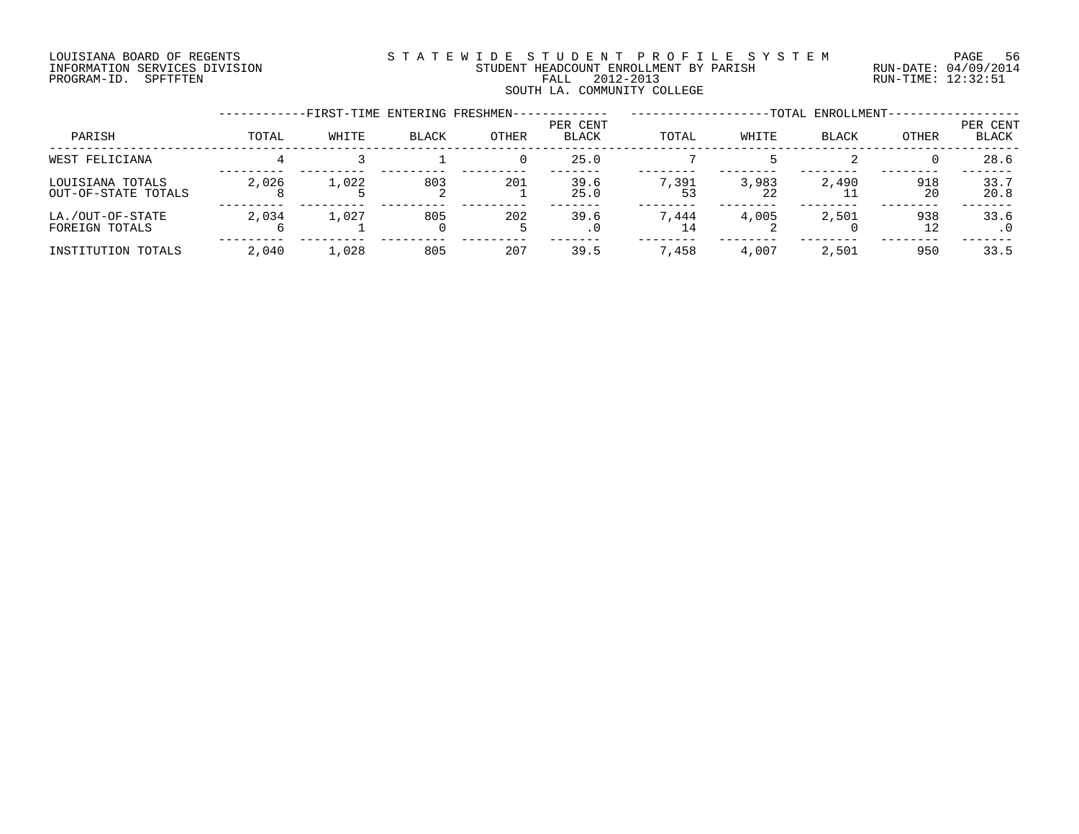#### LOUISIANA BOARD OF REGENTS S T A T E W I D E S T U D E N T P R O F I L E S Y S T E M PAGE 56 INFORMATION SERVICES DIVISION STUDENT HEADCOUNT ENROLLMENT BY PARISH RUN-DATE: 04/09/2014 PROGRAM-ID. SPFTFTEN FALL 2012-2013 RUN-TIME: 12:32:51 SOUTH LA. COMMUNITY COLLEGE

|                                         |       | -FIRST-TIME ENTERING FRESHMEN- |                 |       |                          |       |       | -TOTAL ENROLLMENT- |           |                   |
|-----------------------------------------|-------|--------------------------------|-----------------|-------|--------------------------|-------|-------|--------------------|-----------|-------------------|
| PARISH                                  | TOTAL | WHITE                          | <b>BLACK</b>    | OTHER | PER CENT<br><b>BLACK</b> | TOTAL | WHITE | <b>BLACK</b>       | OTHER     | PER CENT<br>BLACK |
| WEST FELICIANA                          |       |                                |                 |       | 25.0                     |       |       |                    |           | 28.6              |
| LOUISIANA TOTALS<br>OUT-OF-STATE TOTALS | 2,026 | 1,022                          | 803<br>∠        | 201   | 39.6<br>25.0             | 7,391 | 3,983 | 2,490              | 918<br>20 | 33.7<br>20.8      |
| LA./OUT-OF-STATE<br>FOREIGN TOTALS      | 2,034 | 1,027                          | 805<br>$\Omega$ | 202   | 39.6<br>$\cdot$ 0        | 7.444 | 4,005 | 2,501              | 938<br>12 | 33.6              |
| INSTITUTION TOTALS                      | 2,040 | 1,028                          | 805             | 207   | 39.5                     | 7,458 | 4,007 | 2,501              | 950       | 33.5              |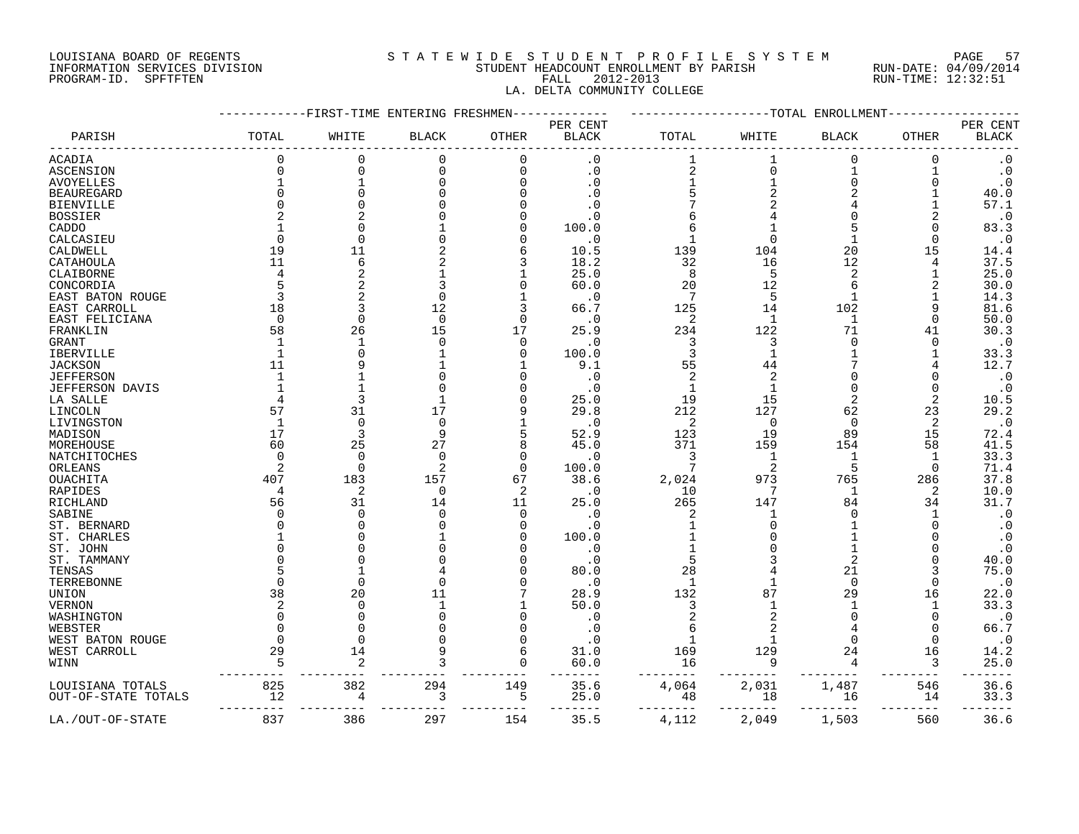#### LOUISIANA BOARD OF REGENTS S T A T E W I D E S T U D E N T P R O F I L E S Y S T E M PAGE 57 INFORMATION SERVICES DIVISION STUDENT HEADCOUNT ENROLLMENT BY PARISH RUN-DATE: 04/09/2014 PROGRAM-ID. SPFTFTEN FALL 2012-2013 RUN-TIME: 12:32:51 LA. DELTA COMMUNITY COLLEGE

|                        |              |                | FIRST-TIME ENTERING FRESHMEN- |                |                                    |                |                | -TOTAL ENROLLMENT |                |                          |
|------------------------|--------------|----------------|-------------------------------|----------------|------------------------------------|----------------|----------------|-------------------|----------------|--------------------------|
| PARISH                 | TOTAL        | WHITE          | <b>BLACK</b>                  | OTHER          | PER CENT<br>$\operatorname{BLACK}$ | TOTAL          | WHITE          | <b>BLACK</b>      | <b>OTHER</b>   | PER CENT<br><b>BLACK</b> |
|                        |              |                |                               |                |                                    |                |                |                   |                |                          |
| ACADIA                 | $\Omega$     | 0              | 0                             | 0              | $\cdot$ 0                          | 1              | $\mathbf 1$    | 0                 | 0              | $\cdot$ 0                |
| ASCENSION              |              | $\Omega$       | 0                             | 0              | $\cdot$ 0                          | $\sqrt{2}$     | $\mathbf 0$    | 1                 |                | $\cdot$ 0                |
| <b>AVOYELLES</b>       |              | $\mathbf{1}$   |                               |                | . 0                                | 1              |                | $\Omega$          | 0              | $\cdot$ 0                |
| <b>BEAUREGARD</b>      |              | $\Omega$       |                               |                | . 0                                | 5              |                | 2                 |                | 40.0                     |
| <b>BIENVILLE</b>       |              |                |                               |                |                                    |                |                |                   |                | 57.1                     |
| <b>BOSSIER</b>         |              |                |                               |                | . 0                                | 6              |                | O                 | 2              | $\cdot$ 0                |
| CADDO                  |              | U              |                               |                | 100.0                              | 6              |                |                   | O              | 83.3                     |
| CALCASIEU              |              | $\Omega$       |                               |                | $\cdot$ 0                          | $\mathbf{1}$   |                |                   | $\Omega$       | $\cdot$ 0                |
| CALDWELL               | 19           | 11             |                               | 6              | 10.5                               | 139            | 104            | 20                | 15             | 14.4                     |
| CATAHOULA              | 11           | 6              |                               | 3              | 18.2                               | 32             | 16             | 12                | 4              | 37.5                     |
| CLAIBORNE              |              | $\overline{c}$ |                               |                | 25.0                               | 8              | 5              | 2                 |                | 25.0                     |
| CONCORDIA              |              | $\overline{2}$ |                               | O              | 60.0                               | 20             | 12             | б                 |                | 30.0                     |
| EAST BATON ROUGE       |              |                |                               |                | $\cdot$ 0                          | 7              | 5              |                   |                | 14.3                     |
| EAST CARROLL           | 18           | 3              | 12                            | 3              | 66.7                               | 125            | 14             | 102               | 9              | 81.6                     |
| EAST FELICIANA         | $\Omega$     | $\Omega$       | $\Omega$                      | $\Omega$       | . 0                                | $\overline{c}$ | $\mathbf{1}$   | 1                 | $\Omega$       | 50.0                     |
| FRANKLIN               | 58           | 26             | 15                            | 17             | 25.9                               | 234            | 122            | 71                | 41             | 30.3                     |
| GRANT                  | $\mathbf{1}$ | $\mathbf{1}$   | U                             | 0              | . 0                                | 3              | 3              | 0                 | O              | $\cdot$ 0                |
| IBERVILLE              |              | $\Omega$       |                               | $\Omega$       | 100.0                              | 3              | $\mathbf{1}$   |                   |                | 33.3                     |
| <b>JACKSON</b>         | 11           | 9              |                               |                | 9.1                                | 55             | 44             |                   | 4              | 12.7                     |
| <b>JEFFERSON</b>       |              |                |                               |                | . 0                                | 2              |                | Ω                 | O              | $\cdot$ 0                |
| <b>JEFFERSON DAVIS</b> |              |                |                               |                | $\cdot$ 0                          | $\mathbf{1}$   |                | O                 | O              | $\cdot$ 0                |
| LA SALLE               |              | 3              |                               |                | 25.0                               | 19             | 15             | 2                 | 2              | 10.5                     |
| LINCOLN                | 57           | 31             | 17                            |                | 29.8                               | 212            | 127            | 62                | 23             | 29.2                     |
| LIVINGSTON             | 1            | 0              | $\Omega$                      |                | $\cdot$ 0                          | 2              | $\mathbf 0$    | $\mathbf 0$       | $\overline{2}$ | $\cdot$ 0                |
|                        | 17           | 3              | q                             | 5              | 52.9                               | 123            | 19             | 89                | 15             | 72.4                     |
| MADISON<br>MOREHOUSE   | 60           | 25             | 27                            | 8              | 45.0                               | 371            | 159            | 154               | 58             | 41.5                     |
| NATCHITOCHES           | <sup>n</sup> | $\Omega$       | $\Omega$                      | $\Omega$       | . 0                                | 3              | $\mathbf{1}$   | 1                 | $\mathbf{1}$   | 33.3                     |
|                        |              | $\Omega$       | $\overline{2}$                | $\Omega$       |                                    | 7              | $\overline{2}$ | 5                 | $\mathbf 0$    | 71.4                     |
| ORLEANS                |              | 183            | 157                           |                | 100.0                              |                | 973            | 765               |                | 37.8                     |
| OUACHITA               | 407          |                | $\Omega$                      | 67             | 38.6                               | 2,024          | 7              |                   | 286            |                          |
| RAPIDES                |              | 2              |                               | 2              | $\cdot$ 0                          | 10             |                | -1<br>84          | 2              | 10.0<br>31.7             |
| RICHLAND               | 56           | 31<br>$\Omega$ | 14                            | 11<br>$\Omega$ | 25.0                               | 265            | 147<br>-1      | U                 | 34<br>-1       |                          |
| SABINE                 |              | $\Omega$       |                               |                | . 0                                | 2              |                |                   |                | $\cdot$ 0                |
| ST. BERNARD            |              |                |                               | O              | . 0                                | $\mathbf{1}$   |                |                   | O              | $\cdot$ 0                |
| ST. CHARLES            |              | O              |                               |                | 100.0                              |                |                |                   |                | $\cdot$ 0                |
| ST. JOHN               |              | O              |                               |                | . 0                                | $\mathbf{1}$   |                |                   |                | $\cdot$ 0                |
| ST. TAMMANY            |              |                |                               |                | . 0                                | 5              |                | 2                 |                | 40.0                     |
| TENSAS                 |              | 1              |                               |                | 80.0                               | 28             |                | 21                |                | 75.0                     |
| TERREBONNE             |              | $\Omega$       |                               |                | . 0                                | $\mathbf{1}$   |                | $\Omega$          | O              | $\cdot$ 0                |
| UNION                  | 38           | 20             | 11                            |                | 28.9                               | 132            | 87             | 29                | 16             | 22.0                     |
| VERNON                 |              | $\Omega$       | $\mathbf{1}$                  |                | 50.0                               | 3              |                |                   | -1             | 33.3                     |
| WASHINGTON             |              | U              |                               |                | . 0                                |                |                |                   | $\Omega$       | $\cdot$ 0                |
| WEBSTER                |              | $\Omega$       |                               |                | $\cdot$ 0                          | 6              |                |                   | 0              | 66.7                     |
| WEST BATON ROUGE       | $\Omega$     | $\Omega$       |                               |                | . 0                                | $\mathbf{1}$   |                |                   | $\Omega$       | $\cdot$ 0                |
| WEST CARROLL           | 29           | 14             |                               | 6              | 31.0                               | 169            | 129            | 24                | 16             | 14.2                     |
| WINN                   | 5            | 2              |                               | $\Omega$       | 60.0                               | 16             | 9              | 4                 | 3              | 25.0                     |
| LOUISIANA TOTALS       | 825          | 382            | 294                           | 149            | 35.6                               | 4,064          | 2,031          | 1,487             | 546            | 36.6                     |
| OUT-OF-STATE TOTALS    | 12           | 4              | 3                             | 5              | 25.0                               | 48             | 18             | 16                | 14             | 33.3                     |
| LA./OUT-OF-STATE       | 837          | 386            | 297                           | 154            | 35.5                               | 4,112          | 2,049          | 1,503             | 560            | 36.6                     |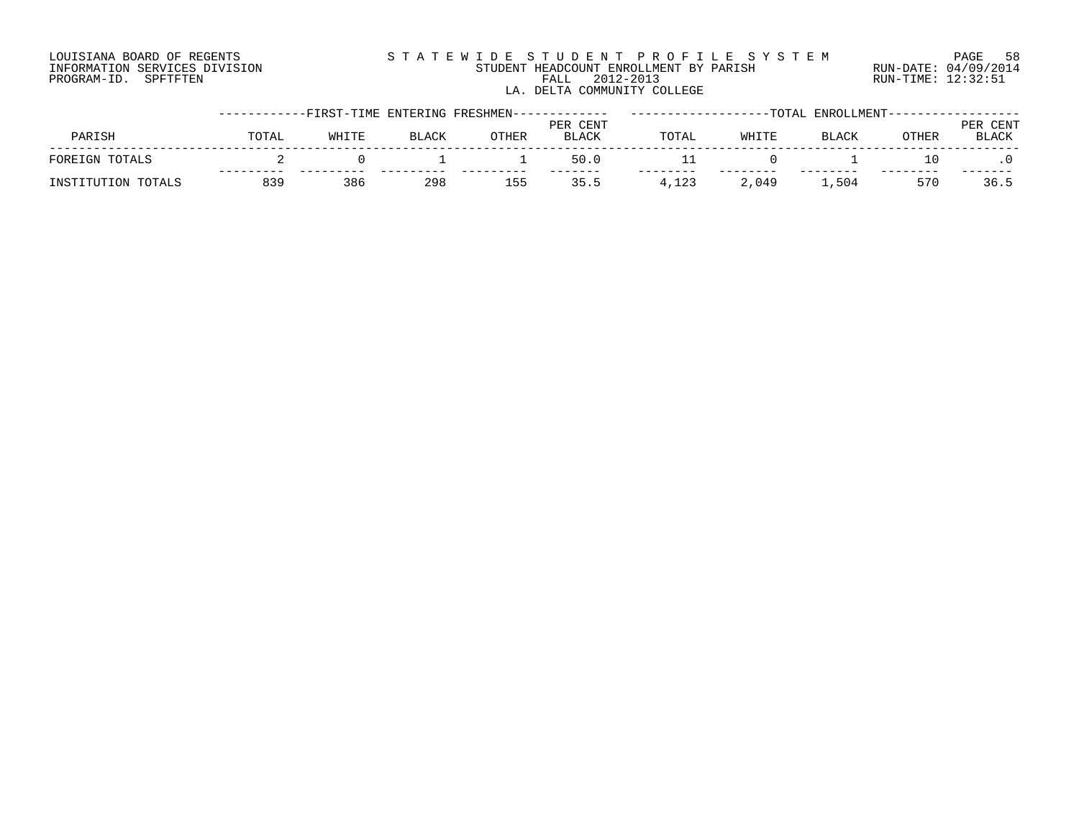### LOUISIANA BOARD OF REGENTS S T A T E W I D E S T U D E N T P R O F I L E S Y S T E M PAGE 58 INFORMATION SERVICES DIVISION STUDENT HEADCOUNT ENROLLMENT BY PARISH RUN-DATE: 04/09/2014 PROGRAM-ID. SPFTFTEN FALL 2012-2013 RUN-TIME: 12:32:51 LA. DELTA COMMUNITY COLLEGE

|                    |       | -----------FIRST-TIME ENTERING FRESHMEN------------- |              |       |                          |       |       | -TOTAL ENROLLMENT----------------- |              |                   |
|--------------------|-------|------------------------------------------------------|--------------|-------|--------------------------|-------|-------|------------------------------------|--------------|-------------------|
| PARISH             | TOTAL | WHITE                                                | <b>BLACK</b> | OTHER | PER CENT<br><b>BLACK</b> | TOTAL | WHITE | <b>BLACK</b>                       | <b>OTHER</b> | PER CENT<br>BLACK |
| FOREIGN TOTALS     |       |                                                      |              |       | 50.0                     |       |       |                                    | 10           |                   |
| INSTITUTION TOTALS | 839   | 386                                                  | 298          | 155   | 35.5                     | 4,123 | 2,049 | ⊥,504                              | 570          | 36.5              |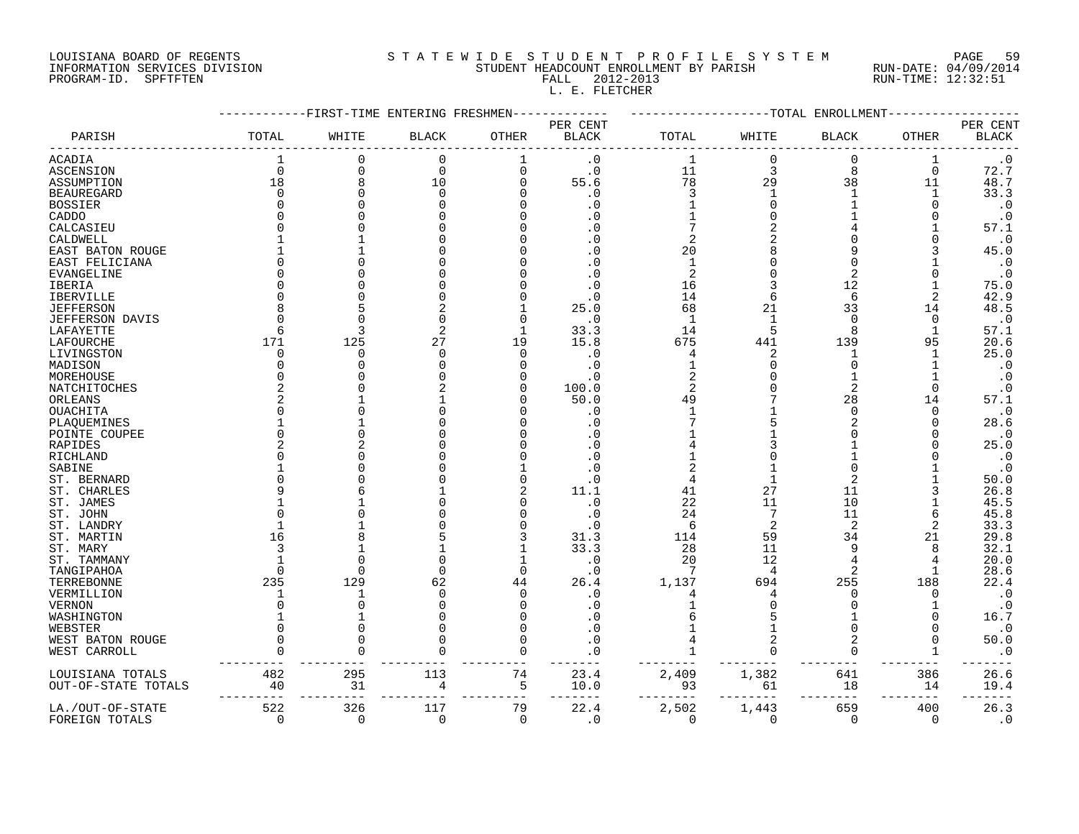# LOUISIANA BOARD OF REGENTS S T A T E W I D E S T U D E N T P R O F I L E S Y S T E M PAGE 59 INFORMATION SERVICES DIVISION STUDENT HEADCOUNT ENROLLMENT BY PARISH RUN-DATE: 04/09/2014 PROGRAM-ID. SPFTFTEN FALL 2012-2013 RUN-TIME: 12:32:51

L. E. FLETCHER

|                     |             |          | --------FIRST-TIME ENTERING FRESHMEN- |              |                   |                |             | -------------TOTAL ENROLLMENT |               |                                    |
|---------------------|-------------|----------|---------------------------------------|--------------|-------------------|----------------|-------------|-------------------------------|---------------|------------------------------------|
| PARISH              | TOTAL       | WHITE    | <b>BLACK</b>                          | <b>OTHER</b> | PER CENT<br>BLACK | TOTAL          | WHITE       | <b>BLACK</b>                  | <b>OTHER</b>  | PER CENT<br>$\operatorname{BLACK}$ |
| ACADIA              |             | $\Omega$ | $\Omega$                              | 1            | $\cdot$ 0         | $\mathbf{1}$   | $\mathbf 0$ | $\mathbf 0$                   | 1             | $\cdot$ 0                          |
| ASCENSION           | $\mathbf 0$ | 0        | $\mathbf 0$                           | 0            | $\cdot$ 0         | 11             | 3           | 8                             | $\mathbf 0$   | 72.7                               |
| ASSUMPTION          | 18          | 8        | 10                                    | U            | 55.6              | 78             | 29          | 38                            | 11            | 48.7                               |
| BEAUREGARD          | $\Omega$    | $\Omega$ | $\mathbf 0$                           |              | $\cdot$ 0         | 3              | 1           | $\mathbf{1}$                  | 1             | 33.3                               |
| BOSSIER             |             |          | $\Omega$                              |              | $\cdot$ 0         |                | 0           |                               |               | $\cdot$ 0                          |
| CADDO               |             |          | $\Omega$                              |              | $\cdot$ 0         |                | $\Omega$    |                               |               | $\cdot$ 0                          |
| CALCASIEU           |             |          | $\Omega$                              |              | . 0               |                | 2           |                               |               | 57.1                               |
| CALDWELL            |             |          | $\Omega$                              |              | $\cdot$ 0         | 2              | 2           |                               |               | $\cdot$ 0                          |
| EAST BATON ROUGE    |             |          | $\Omega$                              |              | . 0               | 20             | 8           |                               |               | 45.0                               |
| EAST FELICIANA      |             |          | O                                     |              | $\cdot$ 0         | $\mathbf{1}$   | 0           |                               |               | $\cdot$ 0                          |
| EVANGELINE          |             |          | O                                     |              | $\cdot$ 0         | $\overline{c}$ | 0           |                               |               | $\cdot$ 0                          |
| IBERIA              |             |          | 0                                     |              | $\cdot$ 0         | 16             | 3           | 12                            |               | 75.0                               |
| IBERVILLE           |             |          | 0                                     |              | $\cdot$ 0         | 14             | 6           | 6                             | 2             | 42.9                               |
| <b>JEFFERSON</b>    |             |          |                                       |              | 25.0              | 68             | 21          | 33                            | 14            | 48.5                               |
| JEFFERSON DAVIS     |             |          | $\Omega$                              |              | $\cdot$ 0         | $\mathbf{1}$   | 1           | $\Omega$                      | $\Omega$      | $\cdot$ 0                          |
| LAFAYETTE           | 6           | 3        |                                       | 1            | 33.3              | 14             | 5           | 8                             | 1             | 57.1                               |
| LAFOURCHE           | 171         | 125      | 27                                    | 19           | 15.8              | 675            | 441         | 139                           | 95            | 20.6                               |
| LIVINGSTON          |             | $\Omega$ | $\Omega$                              | $\Omega$     | . 0               | 4              | 2           | 1                             |               | 25.0                               |
| MADISON             |             |          | $\Omega$                              |              | $\cdot$ 0         |                | O           | $\Omega$                      |               | $\cdot$ 0                          |
| MOREHOUSE           |             |          | ∩                                     |              | $\cdot$ 0         |                | 0           |                               |               | $\cdot$ 0                          |
| NATCHITOCHES        |             |          |                                       |              | 100.0             | 2              |             | $\overline{2}$                | $\Omega$      | $\cdot$ 0                          |
| ORLEANS             |             |          |                                       |              | 50.0              | 49             |             | 28                            | 14            | 57.1                               |
| OUACHITA            |             |          | $\Omega$                              |              | $\cdot$ 0         | $\mathbf{1}$   |             | $\mathbf 0$                   | $\Omega$      | $\cdot$ 0                          |
| PLAQUEMINES         |             |          |                                       |              | . 0               |                | 5           |                               |               | 28.6                               |
| POINTE COUPEE       |             |          | O                                     |              | . 0               |                |             |                               |               | $\cdot$ 0                          |
| RAPIDES             |             |          | $\Omega$                              |              | $\cdot$ 0         |                |             |                               |               | 25.0                               |
| RICHLAND            |             |          |                                       |              | $\cdot$ 0         |                | 0           |                               |               | $\cdot$ 0                          |
| SABINE              |             |          |                                       |              | . 0               |                |             |                               |               | $\cdot$ 0                          |
| ST. BERNARD         |             |          | ∩                                     |              | . 0               | 4              |             |                               |               | 50.0                               |
| ST. CHARLES         |             |          |                                       |              | 11.1              | 41             | 27          | 11                            |               | 26.8                               |
| ST. JAMES           |             |          | $\Omega$                              |              | $\cdot$ 0         | 22             | 11          | 10                            |               | 45.5                               |
| ST. JOHN            |             |          |                                       |              | $\cdot$ 0         | 24             | 7           | 11                            |               | 45.8                               |
| ST. LANDRY          |             |          |                                       |              | $\cdot$ 0         | 6              | 2           | $\overline{2}$                | 2             | 33.3                               |
| ST. MARTIN          | 16          |          | 5                                     |              | 31.3              | 114            | 59          | 34                            | 21            | 29.8                               |
| ST. MARY            |             |          |                                       |              | 33.3              | 28             | 11          | 9                             | 8             | 32.1                               |
| ST. TAMMANY         |             |          | $\Omega$                              |              | . 0               | 20             | 12          |                               |               | 20.0                               |
| TANGIPAHOA          | n           | $\Omega$ | $\Omega$                              | $\Omega$     | . 0               | 7              | 4           | 2                             |               | 28.6                               |
| TERREBONNE          | 235         | 129      | 62                                    | 44           | 26.4              | 1,137          | 694         | 255                           | 188           | 22.4                               |
| VERMILLION          |             |          | $\mathbf 0$                           | $\Omega$     | . 0               |                | 4           | 0                             |               | $\cdot$ 0                          |
| VERNON              |             |          | $\Omega$                              |              | $\cdot$ 0         |                | 0           |                               |               | $\cdot$ 0                          |
| WASHINGTON          |             |          | $\Omega$                              |              | . 0               |                | 5           |                               |               | 16.7                               |
| WEBSTER             |             |          | $\Omega$                              |              | $\cdot$ 0         |                |             |                               |               | $\cdot$ 0                          |
| WEST BATON ROUGE    |             |          | $\Omega$                              |              | . 0               |                | 2           |                               |               | 50.0                               |
| WEST CARROLL        |             |          | ∩                                     | $\Omega$     |                   |                | 0           | 0                             |               | $\cdot$ 0                          |
|                     | 482         | 295      | 113                                   | 74           |                   |                |             | ---                           | 386           |                                    |
| LOUISIANA TOTALS    |             | 31       | 4                                     |              | 23.4              | 2,409          | 1,382       | 641                           |               | 26.6                               |
| OUT-OF-STATE TOTALS | 40          |          |                                       | 5<br>---     | 10.0              | 93             | 61          | 18<br>$---$                   | 14<br>$- - -$ | 19.4                               |
| LA./OUT-OF-STATE    | 522         | 326      | 117                                   | 79           | 22.4              | 2,502          | 1,443       | 659                           | 400           | 26.3                               |
| FOREIGN TOTALS      | $\Omega$    | $\Omega$ | $\Omega$                              | $\Omega$     | $\Omega$          | $\Omega$       | $\Omega$    | $\Omega$                      | $\Omega$      | $\overline{0}$                     |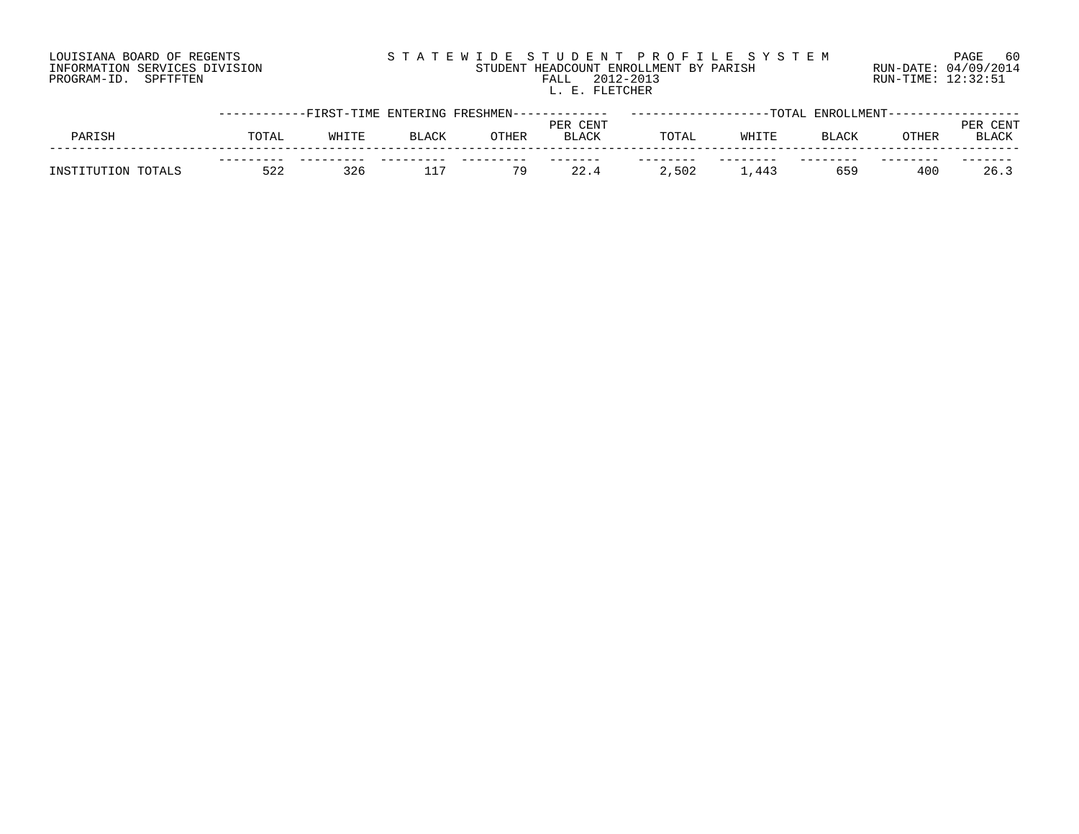# LOUISIANA BOARD OF REGENTS S T A T E W I D E S T U D E N T P R O F I L E S Y S T E M PAGE 60 INFORMATION SERVICES DIVISION STUDENT HEADCOUNT ENROLLMENT BY PARISH RUN-DATE: 04/09/2014 PROGRAM-ID. SPFTFTEN FALL 2012-2013 RUN-TIME: 12:32:51 FALL 2012-2013<br>L. E. FLETCHER

|                    | -----------FIRST-TIME ENTERING FRESHMEN------------- |       |              |       |                          |       | -TOTAL | ENROLLMENT--- |       |                      |
|--------------------|------------------------------------------------------|-------|--------------|-------|--------------------------|-------|--------|---------------|-------|----------------------|
| PARISH             | TOTAL                                                | WHITE | <b>BLACK</b> | OTHER | PER CENT<br><b>BLACK</b> | TOTAL | WHITE  | <b>BLACK</b>  | OTHER | CENT<br><b>BLACK</b> |
| INSTITUTION TOTALS | 522                                                  | 326   | ___          | 79    | 22.4                     | 2,502 | ,443   | 659           | 400   | 26.3                 |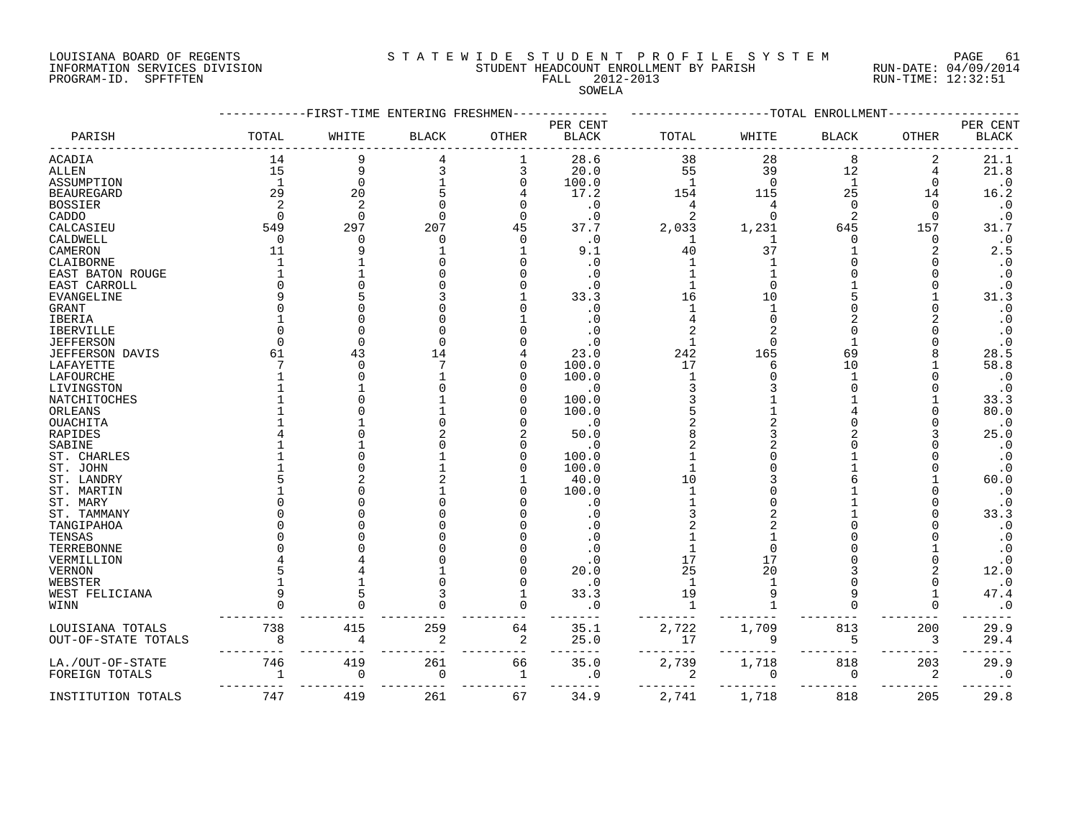INFORMATION SERVICES DIVISION STUDENT HEADCOUNT ENROLLMENT BY PARISH RUN-DATE: 04/09/2014 PROGRAM-ID. SPFTFTEN FALL 2012-2013 RUN-TIME: 12:32:51

# LOUISIANA BOARD OF REGENTS SOURCLEARIE WIDE STUDENT PROFILE SYSTEM PAGE 61.

SOWELA

|                     |              | -FIRST-TIME ENTERING FRESHMEN |              |              |                          |              |          | ----TOTAL ENROLLMENT |              |                          |
|---------------------|--------------|-------------------------------|--------------|--------------|--------------------------|--------------|----------|----------------------|--------------|--------------------------|
| PARISH              | TOTAL        | WHITE                         | <b>BLACK</b> | <b>OTHER</b> | PER CENT<br><b>BLACK</b> | TOTAL        | WHITE    | <b>BLACK</b>         | <b>OTHER</b> | PER CENT<br><b>BLACK</b> |
| ACADIA              | 14           | 9                             |              | 1            | 28.6                     | 38           | 28       | 8                    | 2            | 21.1                     |
| ALLEN               | 15           | 9                             |              | 3            | 20.0                     | 55           | 39       | 12                   | 4            | 21.8                     |
| ASSUMPTION          | $\mathbf{1}$ | 0                             |              | U            | 100.0                    | 1            | $\Omega$ | 1                    | O            | $\cdot$ 0                |
| <b>BEAUREGARD</b>   | 29           | 20                            |              |              | 17.2                     | 154          | 115      | 25                   | 14           | 16.2                     |
| <b>BOSSIER</b>      |              | $\overline{2}$                |              |              | $\cdot$ 0                | 4            |          | $\Omega$             | ∩            | $\cdot$ 0                |
| CADDO               | $\Omega$     | $\Omega$                      |              |              | $\cdot$ 0                | 2            | $\Omega$ |                      | ∩            | $\boldsymbol{\cdot}$ 0   |
| CALCASIEU           | 549          | 297                           | 207          | 45           | 37.7                     | 2,033        | 1,231    | 645                  | 157          | 31.7                     |
| CALDWELL            | $\Omega$     | U                             | U            | ∩            | $\cdot$ 0                | 1            |          |                      | 0            | $\cdot$ 0                |
| CAMERON             | 11           | q                             |              |              | 9.1                      | 40           | 37       |                      |              | 2.5                      |
| CLAIBORNE           |              |                               |              |              | . 0                      |              |          |                      |              | $\cdot$ 0                |
| EAST BATON ROUGE    |              |                               |              |              | . 0                      |              |          |                      |              | $\cdot$ 0                |
| EAST CARROLL        |              |                               |              |              |                          |              |          |                      |              | $\cdot$ 0                |
| EVANGELINE          |              |                               |              |              | 33.3                     | 16           | 10       |                      |              | 31.3                     |
| GRANT               |              |                               |              |              | . 0                      | -1           |          |                      |              | $\cdot$ 0                |
| IBERIA              |              |                               |              |              | . 0                      |              |          |                      |              | $\cdot$ 0                |
| IBERVILLE           |              |                               |              |              |                          |              |          |                      |              | $\cdot$ 0                |
| <b>JEFFERSON</b>    |              | ∩                             |              |              | . ດ                      |              |          |                      |              | $\cdot$ 0                |
| JEFFERSON DAVIS     | 61           | 43                            | 14           |              | 23.0                     | 242          | 165      | 69                   |              | 28.5                     |
| LAFAYETTE           |              | ∩                             |              |              | 100.0                    | 17           |          | 10                   |              | 58.8                     |
| LAFOURCHE           |              | U                             |              |              | 100.0                    | -1           |          |                      |              | $\cdot$ 0                |
| LIVINGSTON          |              |                               |              |              | . 0                      |              |          |                      |              | $\cdot$ 0                |
| NATCHITOCHES        |              |                               |              |              | 100.0                    |              |          |                      |              | 33.3                     |
| ORLEANS             |              |                               |              |              | 100.0                    |              |          |                      |              | 80.0                     |
|                     |              |                               |              |              |                          |              |          |                      |              | $\cdot$ 0                |
| OUACHITA            |              |                               |              |              | $\cdot$ 0                |              |          |                      |              |                          |
| RAPIDES             |              |                               |              |              | 50.0                     |              |          |                      |              | 25.0                     |
| SABINE              |              |                               |              |              | . 0                      |              |          |                      |              | $\cdot$ 0                |
| ST. CHARLES         |              |                               |              |              | 100.0                    |              |          |                      |              | $\cdot$ 0                |
| ST. JOHN            |              |                               |              |              | 100.0                    |              |          |                      |              | $\cdot$ 0                |
| ST. LANDRY          |              |                               |              |              | 40.0                     | 10           |          |                      |              | 60.0                     |
| ST. MARTIN          |              |                               |              |              | 100.0                    |              |          |                      |              | $\cdot$ 0                |
| ST. MARY            |              |                               |              |              | . 0                      |              |          |                      |              | $\cdot$ 0                |
| ST. TAMMANY         |              |                               |              |              | . 0                      |              |          |                      |              | 33.3                     |
| TANGIPAHOA          |              |                               |              |              |                          |              |          |                      |              | $\cdot$ 0                |
| TENSAS              |              |                               |              |              |                          |              |          |                      |              | $\cdot$ 0                |
| TERREBONNE          |              |                               |              |              |                          |              |          |                      |              | $\cdot$ 0                |
| VERMILLION          |              |                               |              |              | . 0                      | 17           | 17       |                      |              | $\cdot$ 0                |
| VERNON              |              |                               |              |              | 20.0                     | 25           | 20       |                      |              | 12.0                     |
| WEBSTER             |              |                               |              |              | $\cdot$ 0                | $\mathbf{1}$ |          |                      |              | $\cdot$ 0                |
| WEST FELICIANA      |              |                               |              |              | 33.3                     | 19           |          |                      |              | 47.4                     |
| WINN                |              |                               |              | $\Omega$     | . 0                      |              |          |                      |              | $\cdot$ 0                |
| LOUISIANA TOTALS    | 738          | 415                           | 259          | 64           | 35.1                     | 2,722        | 1,709    | 813                  | 200          | 29.9                     |
| OUT-OF-STATE TOTALS | 8            | 4                             | 2            | 2            | 25.0                     | 17           | 9        | 5                    | 3            | 29.4                     |
|                     |              |                               |              |              |                          |              |          |                      |              |                          |
| LA./OUT-OF-STATE    | 746          | 419                           | 261          | 66           | 35.0                     | 2,739        | 1,718    | 818                  | 203          | 29.9                     |
| FOREIGN TOTALS      | 1            | $\mathbf 0$                   | $\mathbf 0$  | $\mathbf{1}$ | $\cdot$ 0                | 2            | $\Omega$ | $\mathbf 0$          | 2            | $\cdot$ 0                |
| INSTITUTION TOTALS  | 747          | 419                           | 261          | 67           | 34.9                     | 2,741        | 1,718    | 818                  | 205          | 29.8                     |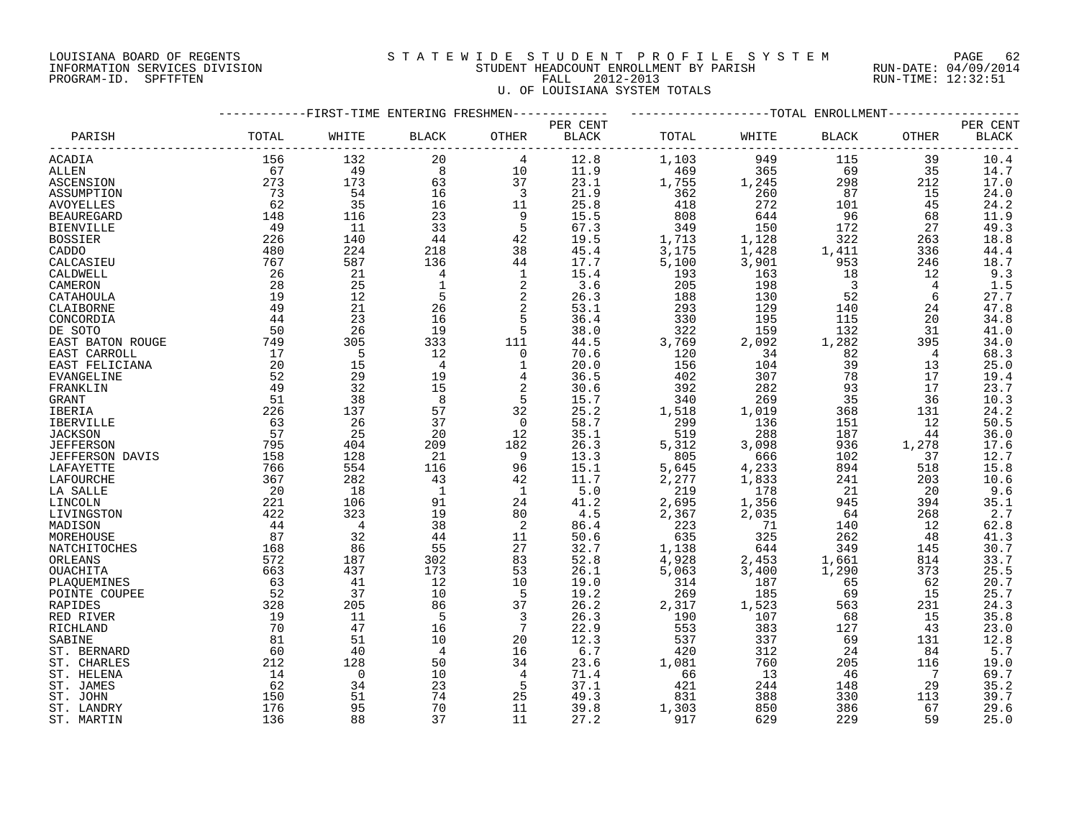#### LOUISIANA BOARD OF REGENTS S T A T E W I D E S T U D E N T P R O F I L E S Y S T E M PAGE 62 INFORMATION SERVICES DIVISION STUDENT HEADCOUNT ENROLLMENT BY PARISH RUN-DATE: 04/09/2014 PROGRAM-ID. SPFTFTEN FALL 2012-2013 RUN-TIME: 12:32:51 U. OF LOUISIANA SYSTEM TOTALS

|                   |       | -FIRST-TIME ENTERING FRESHMEN- |                |                         |          |            |                                 | --TOTAL ENROLLMENT-     |          |              |
|-------------------|-------|--------------------------------|----------------|-------------------------|----------|------------|---------------------------------|-------------------------|----------|--------------|
|                   |       |                                |                |                         | PER CENT |            |                                 |                         |          | PER CENT     |
| PARISH            | TOTAL | WHITE                          | <b>BLACK</b>   | OTHER                   | BLACK    | TOTAL      | WHITE                           | <b>BLACK</b>            | OTHER    | <b>BLACK</b> |
| ACADIA            | 156   | 132                            | 20             | 4                       | 12.8     | 1,103      | 949                             | 115                     | 39       | 10.4         |
| ALLEN             | 67    | 49                             | 8              | 10                      | 11.9     | 469        | 365                             | 69                      | 35       | 14.7         |
| ASCENSION         | 273   | 173                            | 63             | 37                      | 23.1     | 1,755      | 1,245                           | 298                     | 212      | 17.0         |
| ASSUMPTION        | 73    | 54                             | 16             | $\overline{\mathbf{3}}$ | 21.9     | 362        | 260                             | 87                      | 15       | 24.0         |
| <b>AVOYELLES</b>  | 62    | 35                             | 16             | 11                      | 25.8     | 418        | 272                             | 101                     | 45       | 24.2         |
| <b>BEAUREGARD</b> | 148   | 116                            | 23             | 9                       | 15.5     | 808        | 644                             | 96                      | 68       | 11.9         |
| <b>BIENVILLE</b>  | 49    | -11                            | 33             | 5                       | 67.3     | 349        | 150                             | 172                     | 27       | 49.3         |
| <b>BOSSIER</b>    | 226   | 140                            | $4\,4$         | 42                      | 19.5     | 1,713      | 1,128                           | 322                     | 263      | 18.8         |
| CADDO             | 480   | 224                            | 218            | 38                      | 45.4     | 3,175      | 1,428                           | 1,411                   | 336      | 44.4         |
| CALCASIEU         | 767   | 587                            | 136            | 44                      | 17.7     | 5,100      | 3,901                           | 953                     | 246      | 18.7         |
| CALDWELL          | 26    | 21                             | 4              | $\mathbf{1}$            | 15.4     | 193        | 163                             | 18                      | 12       | 9.3          |
| CAMERON           | 28    | 25                             | $\mathbf{1}$   | 2                       | 3.6      | 205        | 198                             | $\overline{\mathbf{3}}$ | 4        | 1.5          |
| CATAHOULA         | 19    | 12                             | 5              | $\sqrt{2}$              | 26.3     | 188        | 130                             | 52                      | 6        | 27.7         |
| CLAIBORNE         | 49    | 21                             | 26             | $\sqrt{2}$              | 53.1     | 293        | 129                             | 140                     | 24       | 47.8         |
| CONCORDIA         | 44    | 23                             | 16             | 5                       | 36.4     | 330        | 195                             | 115                     | 20       | 34.8         |
| DE SOTO           | 50    | 26                             | 19             | 5                       | 38.0     | 322        | 159                             | 132                     | 31       | 41.0         |
| EAST BATON ROUGE  | 749   | 305                            | 333            | 111                     | 44.5     | 3,769      | 2,092                           | 1,282                   | 395      | 34.0         |
| EAST CARROLL      | 17    | 5                              | 12             | $\overline{0}$          | 70.6     | 120        | 34                              | 82                      | 4        | 68.3         |
|                   | 20    | 15                             | $\overline{4}$ | 1                       | 20.0     | 156        | 104                             | 39                      | 13       | 25.0         |
| EAST FELICIANA    | 52    |                                | 19             |                         | 36.5     |            |                                 | 78                      |          |              |
| EVANGELINE        | 49    | 29<br>32                       | 15             | 4<br>2                  | 30.6     | 402<br>392 | 307<br>282                      |                         | 17<br>17 | 19.4         |
| FRANKLIN          | 51    | 38                             | 8              | 5                       | 15.7     |            | 269                             | 93<br>35                | 36       | 23.7         |
| GRANT             |       |                                |                |                         |          | 340        |                                 |                         |          | 10.3         |
| IBERIA            | 226   | 137                            | 57             | 32                      | 25.2     | 1,518      | 1,019<br>136                    | 368                     | 131      | 24.2         |
| IBERVILLE         | 63    | 26                             | 37             | $\overline{0}$          | 58.7     | 299        |                                 | 151                     | 12       | 50.5         |
| <b>JACKSON</b>    | 57    | 25                             | 20             | 12                      | 35.1     | 519        | 288                             | 187                     | 44       | 36.0         |
| <b>JEFFERSON</b>  | 795   | 404                            | 209            | 182                     | 26.3     | 5,312      | 3,098                           | 936                     | 1,278    | 17.6         |
| JEFFERSON DAVIS   | 158   | 128                            | 21             | 9                       | 13.3     | 805        | 666                             | 102                     | 37       | 12.7         |
| LAFAYETTE         | 766   | 554                            | 116            | 96                      | 15.1     | 5,645      | 4,233                           | 894                     | 518      | 15.8         |
| LAFOURCHE         | 367   | 282                            | 43             | 42                      | 11.7     | 2,277      | 1,833                           | 241                     | 203      | 10.6         |
| LA SALLE          | 20    | 18                             | 1              | 1                       | 5.0      | 219        | 178                             | - 21                    | 20       | 9.6          |
| LINCOLN           | 221   | 106                            | 91             | 24                      | 41.2     | 2,695      | $\frac{1}{2}$ , $\frac{356}{2}$ | 945                     | 394      | 35.1         |
| LIVINGSTON        | 422   | 323                            | 19             | 80                      | 4.5      | 2,367      |                                 | 64                      | 268      | 2.7          |
| MADISON           | 44    | $\overline{4}$                 | 38             | 2                       | 86.4     | 223        | 71                              | 140                     | 12       | 62.8         |
| MOREHOUSE         | 87    | 32                             | 44             | 11                      | 50.6     | 635        | 325                             | 262                     | 48       | 41.3         |
| NATCHITOCHES      | 168   | 86                             | 55             | 27                      | 32.7     | 1,138      | 644                             | 349                     | 145      | 30.7         |
| ORLEANS           | 572   | 187                            | 302            | 83                      | 52.8     | 4,928      | 2,453                           | 1,661                   | 814      | 33.7         |
| OUACHITA          | 663   | 437                            | 173            | 53                      | 26.1     | 5,063      | 3,400                           | 1,290                   | 373      | 25.5         |
| PLAQUEMINES       | 63    | 41                             | 12             | 10                      | 19.0     | 314        | 187                             | 65                      | 62       | 20.7         |
| POINTE COUPEE     | 52    | 37                             | 10             | 5                       | 19.2     | 269        | 185                             | 69                      | 15       | 25.7         |
| <b>RAPIDES</b>    | 328   | 205                            | 86             | 37                      | 26.2     | 2,317      | 1,523                           | 563                     | 231      | 24.3         |
| RED RIVER         | 19    | 11                             | 5              | $\overline{3}$          | 26.3     | 190        | 107                             | 68                      | 15       | 35.8         |
| RICHLAND          | 70    | 47                             | 16             | 7                       | 22.9     | 553        | 383                             | 127                     | 43       | 23.0         |
| SABINE            | 81    | 51                             | 10             | 20                      | 12.3     | 537        | 337                             | 69                      | 131      | 12.8         |
| ST. BERNARD       | 60    | 40                             | 4              | 16                      | 6.7      | 420        | 312                             | 24                      | 84       | 5.7          |
| ST. CHARLES       | 212   | 128                            | 50             | 34                      | 23.6     | 1,081      | 760                             | 205                     | 116      | 19.0         |
| ST. HELENA        | 14    | $\mathbf 0$                    | 10             | 4                       | 71.4     | 66         | 13                              | 46                      | 7        | 69.7         |
| ST. JAMES         | 62    | 34                             | 23             | 5                       | 37.1     | 421        | 244                             | 148                     | 29       | 35.2         |
| ST. JOHN          | 150   | 51                             | 74             | 25                      | 49.3     | 831        | 388                             | 330                     | 113      | 39.7         |
| ST. LANDRY        | 176   | 95                             | 70             | 11                      | 39.8     | 1,303      | 850                             | 386                     | 67       | 29.6         |
| ST. MARTIN        | 136   | 88                             | 37             | 11                      | 27.2     | 917        | 629                             | 229                     | 59       | 25.0         |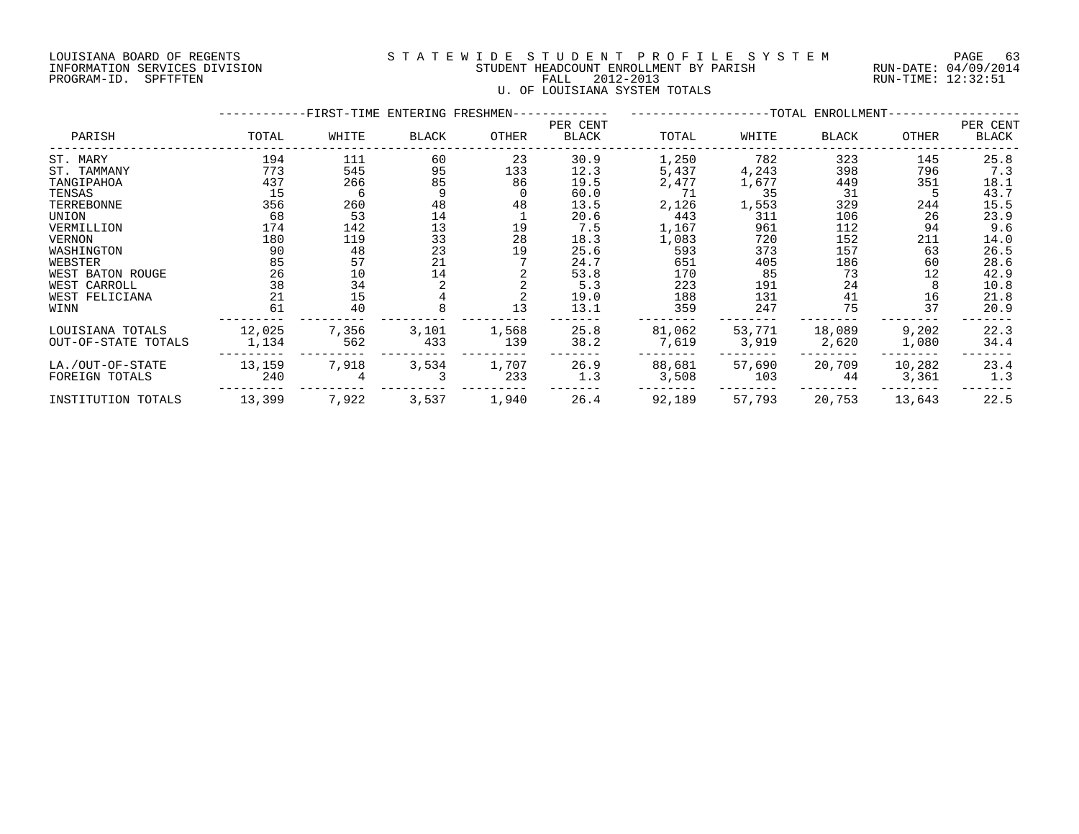#### LOUISIANA BOARD OF REGENTS S T A T E W I D E S T U D E N T P R O F I L E S Y S T E M PAGE 63 INFORMATION SERVICES DIVISION STUDENT HEADCOUNT ENROLLMENT BY PARISH RUN-DATE: 04/09/2014 PROGRAM-ID. SPFTFTEN FALL 2012-2013 RUN-TIME: 12:32:51 U. OF LOUISIANA SYSTEM TOTALS

|                                         |                 | -FIRST-TIME ENTERING FRESHMEN------------- | -------------------TOTAL ENROLLMENT-    |              |                   |                 |                 |                 |                 |                   |
|-----------------------------------------|-----------------|--------------------------------------------|-----------------------------------------|--------------|-------------------|-----------------|-----------------|-----------------|-----------------|-------------------|
| PARISH                                  | TOTAL           | WHITE                                      | BLACK                                   | OTHER        | PER CENT<br>BLACK | TOTAL           | WHITE           | BLACK           | OTHER           | PER CENT<br>BLACK |
| ST. MARY                                | 194             | 111                                        | 60                                      | 23           | 30.9              | 1,250           | 782             | 323             | 145             | 25.8              |
| ST. TAMMANY                             | 773             | 545                                        | 95                                      | 133          | 12.3              | 5,437           | 4,243           | 398             | 796             | 7.3               |
| TANGIPAHOA                              | 437             | 266                                        | 85                                      | 86           | 19.5              | 2,477           | 1,677           | 449             | 351             | 18.1              |
| TENSAS                                  | 15              | 6                                          |                                         |              | 60.0              | 71              | 35              | 31              |                 | 43.7              |
| TERREBONNE                              | 356             | 260                                        | 48                                      | 48           | 13.5              | 2,126           | 1,553           | 329             | 244             | 15.5              |
| UNION                                   | 68              | 53                                         |                                         |              | 20.6              | 443             | 311             | 106             | 26              | 23.9              |
| VERMILLION                              | 174             | 142                                        | $\begin{array}{c} 14 \\ 13 \end{array}$ | 19           | 7.5               | 1,167           | 961             | 112             | 94              | 9.6               |
| VERNON                                  | 180             | 119                                        | $\begin{array}{c} 33 \\ 23 \end{array}$ | 28           | 18.3              | 1,083           | 720             | 152             | 211             | 14.0              |
| WASHINGTON                              | 90              | 48                                         |                                         | 19           | 25.6              | 593             | 373             | 157             | 63              | 26.5              |
| WEBSTER                                 | 85              | 57                                         | 21                                      |              | 24.7              | 651             | 405             | 186             | 60              | 28.6              |
| WEST BATON ROUGE                        | 26              | 10                                         | 14                                      |              | 53.8              | 170             | 85              | 73              | 12              | 42.9              |
| WEST CARROLL                            | 38              | 34                                         |                                         |              | 5.3               | 223             | 191             | 24              |                 | 10.8              |
| WEST FELICIANA                          | 21              | 15                                         |                                         |              | 19.0              | 188             | 131             | 41              | 16              | 21.8              |
| WINN                                    | 61              | 40                                         |                                         | 13           | 13.1              | 359             | 247             | 75              | 37              | 20.9              |
| LOUISIANA TOTALS<br>OUT-OF-STATE TOTALS | 12,025<br>1,134 | 7,356<br>562                               | 3,101<br>433                            | 1,568<br>139 | 25.8<br>38.2      | 81,062<br>7,619 | 53,771<br>3,919 | 18,089<br>2,620 | 9,202<br>1,080  | 22.3<br>34.4      |
| LA./OUT-OF-STATE<br>FOREIGN TOTALS      | 13,159<br>240   | 7,918                                      | 3,534                                   | 1,707<br>233 | 26.9<br>1.3       | 88,681<br>3,508 | 57,690<br>103   | 20,709<br>44    | 10,282<br>3,361 | 23.4<br>1.3       |
| INSTITUTION TOTALS                      | 13,399          | 7,922                                      | 3,537                                   | 1,940        | 26.4              | 92,189          | 57,793          | 20,753          | 13,643          | 22.5              |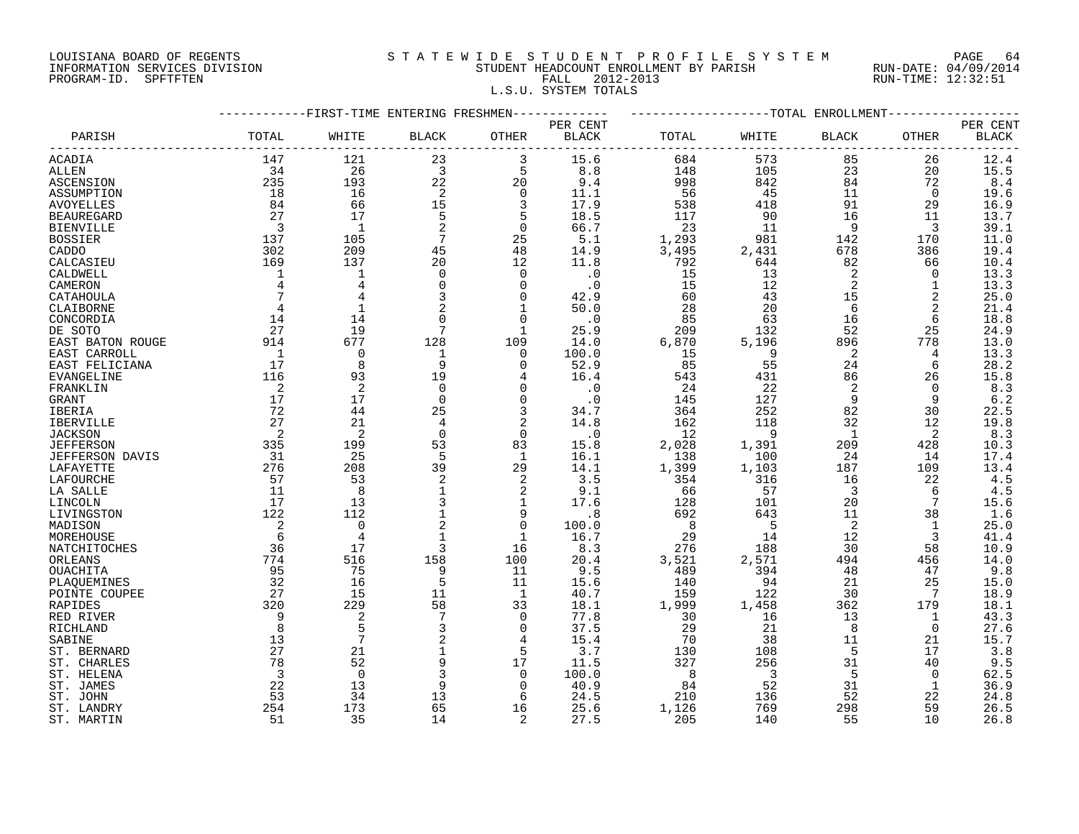# LOUISIANA BOARD OF REGENTS S T A T E W I D E S T U D E N T P R O F I L E S Y S T E M PAGE 64 INFORMATION SERVICES DIVISION STUDENT HEADCOUNT ENROLLMENT BY PARISH RUN-DATE: 04/09/2014 PROGRAM-ID. SPFTFTEN FALL 2012-2013 RUN-TIME: 12:32:51

L.S.U. SYSTEM TOTALS

|                                    | -----------FIRST-TIME ENTERING FRESHMEN------------ | ------------------TOTAL ENROLLMENT-------------- |                 |                |              |            |                          |                         |                 |          |
|------------------------------------|-----------------------------------------------------|--------------------------------------------------|-----------------|----------------|--------------|------------|--------------------------|-------------------------|-----------------|----------|
|                                    |                                                     |                                                  |                 |                | PER CENT     |            |                          |                         |                 | PER CENT |
| PARISH                             | TOTAL                                               | WHITE                                            | <b>BLACK</b>    | OTHER          | <b>BLACK</b> | TOTAL      | WHITE                    | <b>BLACK</b>            | OTHER           | BLACK    |
| ACADIA                             | 147                                                 | 121                                              | 23              |                | 15.6         | 684        | 573                      | 85                      | 26              | 12.4     |
| ALLEN                              | 34                                                  | 26                                               | $\overline{3}$  | 5              | 8.8          | 148        | 105                      | 23                      | 20              | 15.5     |
| ASCENSION                          | 235                                                 | 193                                              | 22              | 20             | 9.4          | 998        | 842                      | 84                      | 72              | 8.4      |
| ASSUMPTION                         | 18                                                  | 16                                               | 2               | $\overline{0}$ | 11.1         | 56         | 45                       | 11                      | $\Omega$        | 19.6     |
| <b>AVOYELLES</b>                   | 84                                                  | 66                                               | 15              | 3              | 17.9         | 538        | 418                      | 91                      | 29              | 16.9     |
| <b>BEAUREGARD</b>                  | 27                                                  | 17                                               | 5               | 5              | 18.5         | 117        | 90                       | 16                      | 11              | 13.7     |
| <b>BIENVILLE</b>                   | $\overline{\mathbf{3}}$                             | $\overline{\phantom{0}}$                         | 2               | $\overline{0}$ | 66.7         | 23         | 11                       | - 9                     | 3               | 39.1     |
| <b>BOSSIER</b>                     | 137                                                 | 105                                              | $7\overline{ }$ | 25             | 5.1          | 1,293      | 981                      | 142                     | 170             | 11.0     |
| CADDO                              | 302                                                 | 209                                              | 45              | 48             | 14.9         | 3,495      | 2,431                    | 678                     | 386             | 19.4     |
| CALCASIEU                          | 169                                                 | 137                                              | 20              | 12             | 11.8         | 792        | 644                      | 82                      | 66              | 10.4     |
| CALDWELL                           | $\mathbf{1}$                                        | 1                                                | $\Omega$        | 0              | $\cdot$ 0    | 15         | 13                       | 2                       | $\Omega$        | 13.3     |
| CAMERON                            | $\overline{4}$                                      | $\overline{4}$                                   | $\Omega$        | $\mathbf 0$    | $\cdot$ 0    | 15         | 12                       | 2                       | $\mathbf{1}$    | 13.3     |
| CATAHOULA                          | $7\phantom{.0}$                                     | $\overline{4}$                                   | 3               | 0              | 42.9         | 60         | 43                       | 15                      | 2               | 25.0     |
| CLAIBORNE                          | $\overline{4}$                                      | $\mathbf{1}$                                     |                 | 1              | 50.0         | 28         | 20                       | - 6                     | 2               | 21.4     |
| CONCORDIA                          | 14                                                  | 14                                               |                 | $\Omega$       | $\cdot$ 0    | 85         | 63                       | 16                      | 6               | 18.8     |
| DE SOTO                            | 27                                                  | 19                                               | $7\phantom{.0}$ | $\mathbf 1$    | 25.9         | 209        | 132                      | 52                      | 25              | 24.9     |
| EAST BATON ROUGE                   | 914                                                 | 677                                              | 128             | 109            | 14.0         | 6,870      | 5,196                    | 896                     | 778             | 13.0     |
| EAST CARROLL                       | $\overline{1}$                                      | $\mathbf 0$                                      | 1               | $\mathbf 0$    | 100.0        | 15         | 9                        | -2                      | 4               | 13.3     |
| EAST FELICIANA                     | 17                                                  | 8                                                | 9               | $\Omega$       | 52.9         | 85         | 55                       | 24                      | 6               | 28.2     |
| EVANGELINE                         | 116                                                 | 93                                               | 19              | 4              | 16.4         | 543        | 431                      | 86                      | 26              | 15.8     |
| FRANKLIN                           | $\overline{2}$                                      | 2                                                | $\Omega$        | 0              | $\cdot$ 0    | 24         | 22                       | 2                       | $\Omega$        | 8.3      |
| GRANT                              | 17                                                  | 17                                               | $\mathbf 0$     | $\mathbf 0$    | $\cdot$ 0    | 145        | 127                      | 9                       | 9               | 6.2      |
| IBERIA                             | 72                                                  | 44                                               | 25              | 3              | 34.7         | 364        | 252                      | 82                      | 30              | 22.5     |
| IBERVILLE                          | 27                                                  | 21                                               | 4               | 2              | 14.8         | 162        | 118                      | 32                      | 12              | 19.8     |
|                                    | $\overline{2}$                                      | 2                                                | $\Omega$        | $\mathbf 0$    | $\cdot$ 0    | 12         | - 9                      | $\overline{1}$          | 2               | 8.3      |
| <b>JACKSON</b><br><b>JEFFERSON</b> | 335                                                 | 199                                              | 53              | 83             | 15.8         | 2,028      | 1,391                    | 209                     | 428             | 10.3     |
|                                    | 31                                                  |                                                  | 5               | $\mathbf{1}$   | 16.1         | 138        |                          | 24                      | 14              |          |
| JEFFERSON DAVIS                    |                                                     | 25                                               |                 |                |              |            | 100                      |                         |                 | 17.4     |
| LAFAYETTE                          | 276                                                 | 208                                              | 39              | 29             | 14.1         | 1,399      | 1,103                    | 187                     | 109             | 13.4     |
| LAFOURCHE                          | 57                                                  | 53                                               | 2               | 2              | 3.5          | 354        | 316                      | 16                      | 22              | 4.5      |
| LA SALLE                           | 11                                                  | 8                                                |                 | 2              | 9.1          | 66         | 57                       | $\overline{\mathbf{3}}$ | 6               | 4.5      |
| LINCOLN                            | 17                                                  | 13                                               | 3               | $\mathbf 1$    | 17.6         | 128        | 101                      | 20                      | $7\phantom{.0}$ | 15.6     |
| LIVINGSTON                         | 122                                                 | 112                                              |                 | 9              | .8           | 692        | 643                      | 11                      | 38              | 1.6      |
| MADISON                            | 2                                                   | $\mathbf 0$                                      | 2               | $\mathbf 0$    | 100.0        | 8          | $-5$                     | 2                       | 1               | 25.0     |
| MOREHOUSE                          | 6                                                   | $\overline{4}$                                   |                 | 1              | 16.7         | 29         | 14                       | 12                      | 3               | 41.4     |
| NATCHITOCHES                       | 36                                                  | 17                                               | 3               | 16             | 8.3          | 276        | 188                      | 30                      | 58              | 10.9     |
| ORLEANS                            | 774                                                 | 516                                              | 158             | 100            | 20.4         | 3,521      | 2,571                    | 494                     | 456             | 14.0     |
| OUACHITA                           | 95                                                  | 75                                               | 9               | 11             | 9.5          | 489        | 394                      | 48                      | 47              | 9.8      |
| PLAQUEMINES                        | 32                                                  | 16                                               |                 | 11             | 15.6         | 140        | 94                       | 21                      | 25              | 15.0     |
| POINTE COUPEE                      | 27                                                  | 15                                               | 11              | 1              | 40.7         | 159        | 122                      | 30                      | 7               | 18.9     |
| <b>RAPIDES</b>                     | 320                                                 | 229                                              | 58              | 33             | 18.1         | 1,999      | 1,458                    | 362                     | 179             | 18.1     |
| RED RIVER                          | 9                                                   | 2                                                |                 | $\mathbf 0$    | 77.8         | 30         | 16                       | 13                      | 1               | 43.3     |
| RICHLAND                           | 8                                                   | 5                                                | 3               | 0              | 37.5         | 29         | 21                       | 8                       | 0               | 27.6     |
| SABINE                             | 13                                                  | $\overline{7}$                                   | 2               | 4              | 15.4         | 70         | 38                       | 11                      | 21              | 15.7     |
| ST. BERNARD                        | 27                                                  | 21                                               | $\mathbf 1$     | 5              | 3.7          | 130        | 108                      | 5                       | 17              | 3.8      |
| ST. CHARLES                        | 78                                                  | 52                                               |                 | 17             | 11.5         | 327        | 256                      | 31                      | 40              | 9.5      |
| ST. HELENA                         | $\overline{\mathbf{3}}$                             | $\Omega$                                         | 3               | $\Omega$       | 100.0        | $_{\rm 8}$ | $\overline{\phantom{a}}$ | 5                       | $\Omega$        | 62.5     |
| ST. JAMES                          | 22                                                  | 13                                               | 9               | $\mathsf{O}$   | 40.9         | 84         | 52                       | 31                      | 1               | 36.9     |
| ST. JOHN                           | 53                                                  | 34                                               | 13              | 6              | 24.5         | 210        | 136                      | 52                      | 22              | 24.8     |
| ST. LANDRY                         | 254                                                 | 173                                              | 65              | 16             | 25.6         | 1,126      | 769                      | 298                     | 59              | 26.5     |
| ST. MARTIN                         | 51                                                  | 35                                               | 14              | 2              | 27.5         | 205        | 140                      | 55                      | 10              | 26.8     |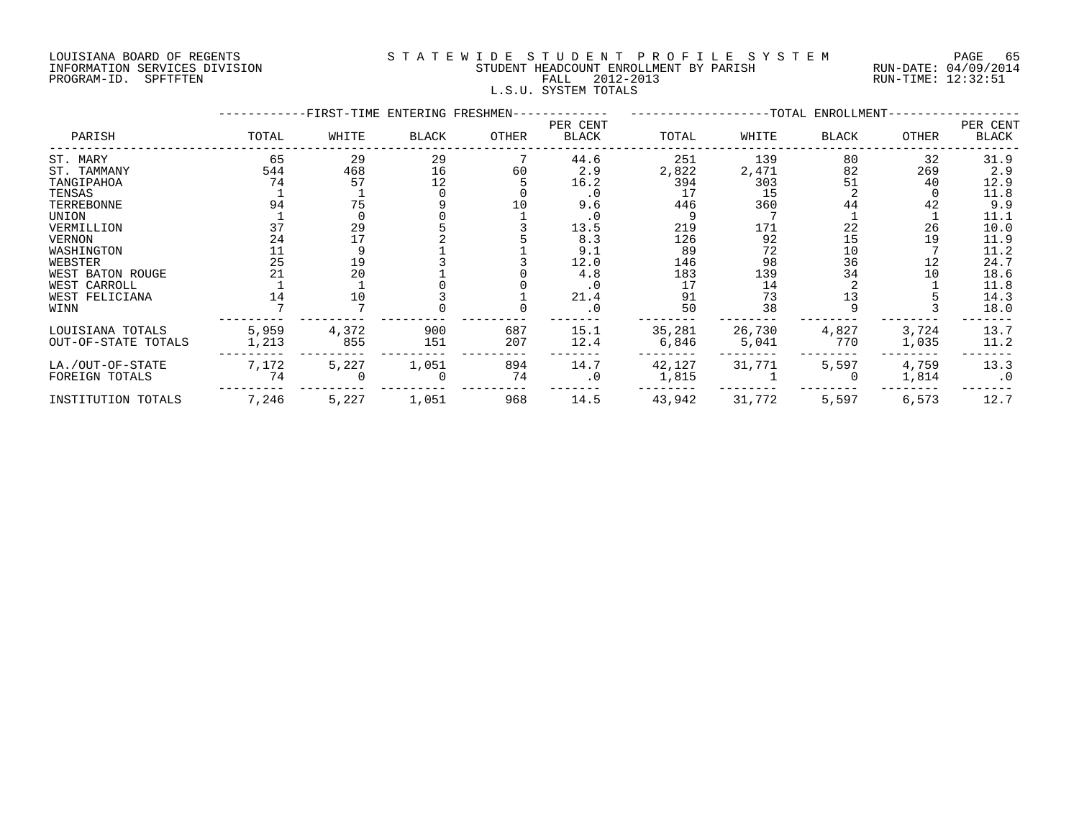#### LOUISIANA BOARD OF REGENTS S T A T E W I D E S T U D E N T P R O F I L E S Y S T E M PAGE 65 INFORMATION SERVICES DIVISION STUDENT HEADCOUNT ENROLLMENT BY PARISH RUN-DATE: 04/09/2014 PROGRAM-ID. SPFTFTEN FALL 2012-2013 RUN-TIME: 12:32:51 L.S.U. SYSTEM TOTALS

|                     |       | -FIRST-TIME ENTERING FRESHMEN- |              |       | --TOTAL ENROLLMENT- |        |        |              |       |                   |
|---------------------|-------|--------------------------------|--------------|-------|---------------------|--------|--------|--------------|-------|-------------------|
| PARISH              | TOTAL | WHITE                          | <b>BLACK</b> | OTHER | PER CENT<br>BLACK   | TOTAL  | WHITE  | <b>BLACK</b> | OTHER | PER CENT<br>BLACK |
| ST. MARY            | 65    | 29                             | 29           |       | 44.6                | 251    | 139    | 80           | 32    | 31.9              |
| ST. TAMMANY         | 544   | 468                            | 16           | 60    | 2.9                 | 2,822  | 2,471  | 82           | 269   | 2.9               |
| TANGIPAHOA          | 74    | 57                             | 12           |       | 16.2                | 394    | 303    | 51           | 40    | 12.9              |
| TENSAS              |       |                                |              |       | $\cdot$ 0           | 17     | 15     |              |       | 11.8              |
| TERREBONNE          | 94    | 75                             |              | 10    | 9.6                 | 446    | 360    | 44           | 42    | 9.9               |
| UNION               |       |                                |              |       |                     |        |        |              |       | 11.1              |
| VERMILLION          | 37    | 29                             |              |       | 13.5                | 219    | 171    | 22           | 26    | 10.0              |
| <b>VERNON</b>       | 24    | 17                             |              |       | 8.3                 | 126    | 92     | 15           | 19    | 11.9              |
| WASHINGTON          |       |                                |              |       | 9.1                 | 89     | 72     | 10           |       | 11.2              |
| WEBSTER             | 25    | 19                             |              |       | 12.0                | 146    | 98     | 36           | 12    | 24.7              |
| WEST BATON ROUGE    | 21    | 20                             |              |       | 4.8                 | 183    | 139    | 34           | 10    | 18.6              |
| WEST CARROLL        |       |                                |              |       |                     | 17     | 14     |              |       | 11.8              |
| WEST FELICIANA      |       | 10                             |              |       | 21.4                | 91     | 73     | 13           |       | 14.3              |
| WINN                |       |                                |              |       | $\cdot$ 0           | 50     | 38     |              |       | 18.0              |
| LOUISIANA TOTALS    | 5,959 | 4,372                          | 900          | 687   | 15.1                | 35,281 | 26,730 | 4,827        | 3,724 | 13.7              |
| OUT-OF-STATE TOTALS | 1,213 | 855                            | 151          | 207   | 12.4                | 6,846  | 5,041  | 770          | 1,035 | 11.2              |
| LA./OUT-OF-STATE    | 7,172 | 5,227                          | 1,051        | 894   | 14.7                | 42,127 | 31,771 | 5,597        | 4,759 | 13.3              |
| FOREIGN TOTALS      | 74    |                                |              | 74    | $\cdot$ 0           | 1,815  |        |              | 1,814 | $\cdot$ 0         |
| INSTITUTION TOTALS  | 7,246 | 5,227                          | 1,051        | 968   | 14.5                | 43,942 | 31,772 | 5,597        | 6,573 | 12.7              |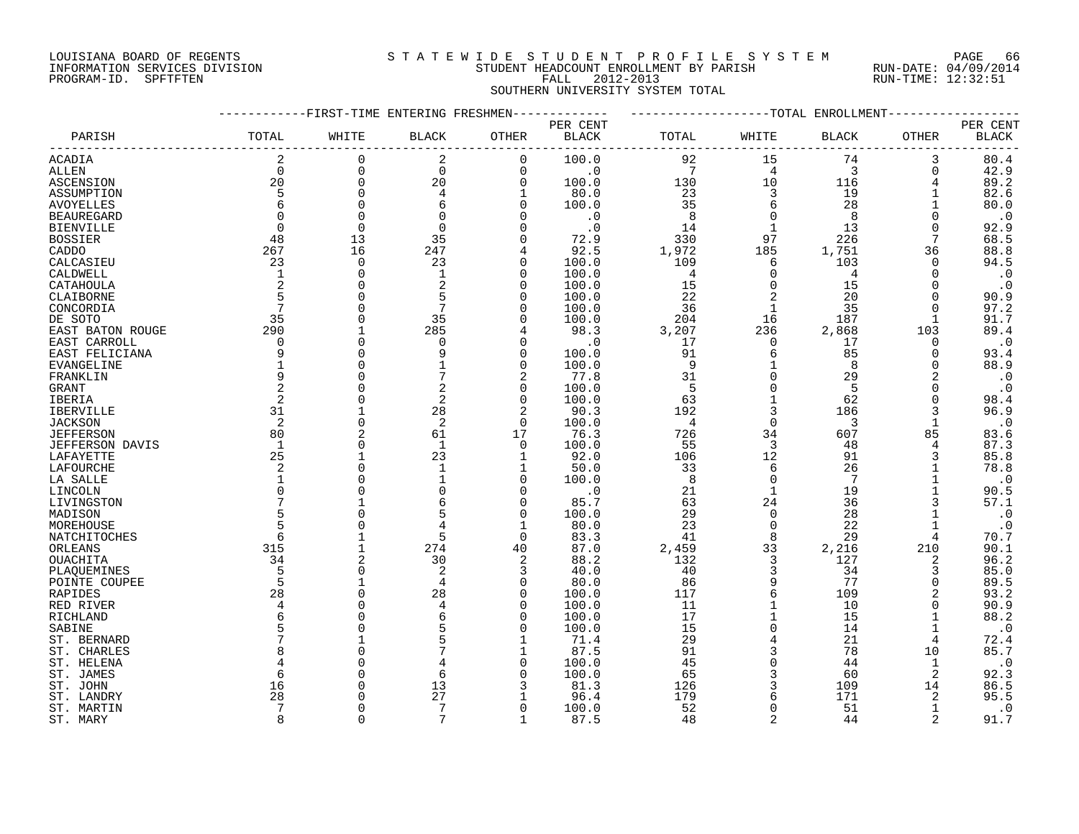#### LOUISIANA BOARD OF REGENTS S T A T E W I D E S T U D E N T P R O F I L E S Y S T E M PAGE 66 INFORMATION SERVICES DIVISION STUDENT HEADCOUNT ENROLLMENT BY PARISH RUN-DATE: 04/09/2014 PROGRAM-ID. SPFTFTEN FALL 2012-2013 RUN-TIME: 12:32:51 SOUTHERN UNIVERSITY SYSTEM TOTAL

#### ------------FIRST-TIME ENTERING FRESHMEN------------- -------------------TOTAL ENROLLMENT------------------ PER CENT PER CENT PARISH TOTAL WHITE BLACK OTHER BLACK TOTAL WHITE BLACK OTHER BLACK ------------------------------------------------------------------------------------------------------------------------------------ ACADIA 2 0 2 0 100.0 92 15 74 3 80.4 ALLEN 0 0 0 0 .0 7 4 3 0 42.9 ASCENSION 20 0 20 0 100.0 130 10 116 4 89.2 ASSUMPTION 5 0 4 1 80.0 23 3 19 1 82.6 AVOYELLES 6 0 6 0 100.0 35 6 28 1 80.0 BEAUREGARD 0 0 0 0 .0 8 0 8 0 .0 BIENVILLE 0 0 0 0 .0 14 1 13 0 92.9 BOSSIER 48 13 35 0 72.9 330 97 226 7 68.5 CADDO 267 16 247 4 92.5 1,972 185 1,751 36 88.8 CALCASIEU 23 0 23 0 100.0 109 6 103 0 94.5 CALDWELL 1 0 1 0 100.0 4 0 4 0 .0 CATAHOULA 2 0 2 0 100.0 15 0 15 0 .0 CLAIBORNE 5 0 5 0 100.0 22 2 20 0 90.9 CONCORDIA 7 0 7 0 100.0 36 1 35 0 97.2 DE SOTO 35 0 35 0 100.0 204 16 187 1 91.7 EAST BATON ROUGE 290 1 285 4 98.3 3,207 236 2,868 103 89.4 EAST CARROLL 0 0 0 0 .0 17 0 17 0 .0 EAST FELICIANA 9 0 9 0 100.0 91 6 85 0 93.4 EVANGELINE 1 0 1 0 100.0 9 1 8 0 88.9 FRANKLIN 9 0 7 2 77.8 31 0 29 2 .0 GRANT 2 0 2 0 100.0 5 0 5 0 .0 IBERIA 2 0 2 0 100.0 63 1 62 0 98.4 IBERVILLE 31 1 28 2 90.3 192 3 186 3 96.9 JACKSON 2 0 2 0 100.0 4 0 3 1 .0 JEFFERSON 80 2 61 17 76.3 726 34 607 85 83.6 JEFFERSON DAVIS 1 0 1 0 100.0 55 3 48 4 87.3 LAFAYETTE 25 1 23 1 92.0 106 12 91 3 85.8 LAFOURCHE 2 0 1 1 50.0 33 6 26 1 78.8  $\overline{\text{LA SALLE}}$   $\overline{1}$   $\overline{0}$   $\overline{1}$   $\overline{0}$   $\overline{1}$   $\overline{0}$   $\overline{1}$   $\overline{0}$   $\overline{1}$   $\overline{0}$   $\overline{1}$   $\overline{0}$   $\overline{1}$   $\overline{0}$   $\overline{1}$   $\overline{0}$   $\overline{1}$   $\overline{0}$   $\overline{1}$   $\overline{0}$   $\overline{1}$   $\overline{0}$   $\overline{1}$  LINCOLN 0 0 0 0 .0 21 1 19 1 90.5 LIVINGSTON 7 1 6 0 85.7 63 24 36 3 57.1 MADISON 5 0 5 0 100.0 29 0 28 1 .0 MOREHOUSE 5 0 4 1 80.0 23 0 22 1 .0<br>
NATCHITOCHES 6 1 5 0 83.3 41 8 29 4 70.7<br>
ORLEANS 315 1 274 40 87.0 2,459 33 2,216 210 90.1<br>
OUACHITA 34 2 30 2 88.2 132 3 127 2 96.2 NATCHITOCHES 6 1 5 0 83.3 41 8 29 4 70.7 ORLEANS 315 1 274 40 87.0 2,459 33 2,216 210 90.1 OUACHITA 34 2 30 2 88.2 132 3 127 2 96.2 PLAQUEMINES 5 0 2 3 40.0 40 3 34 3 85.0 POINTE COUPEE 5 1 4 0 80.0 86 9 77 0 89.5 RAPIDES 28 0 28 0 100.0 117 6 109 2 93.2 RED RIVER 4 0 4 0 100.0 11 1 10 0 90.9 RICHLAND 6 0 6 0 100.0 17 1 15 1 88.2 SABINE 5 0 5 0 100.0 15 0 14 1 .0 ST. BERNARD 7 1 5 1 71.4 29 4 21 4 72.4 ST. CHARLES 8 0 7 1 87.5 91 3 78 10 85.7 ST. HELENA 4 0 4 0 100.0 45 0 44 1 .0 ST. JAMES 6 6 0 6 0 100.0 65 3 60 2 92.3<br>ST. JOHN 16 0 13 3 81.3 126 3 109 14 86.5 ST. JOHN 16 0 13 3 81.3 126 3 109 14 86.5 ST. LANDRY 28 0 27 1 96.4 179 6 171 2 95.5 ST. MARTIN 7 0 7 0 100.0 52 0 51 1 .0

ST. MARY 8 0 7 1 87.5 48 2 44 2 91.7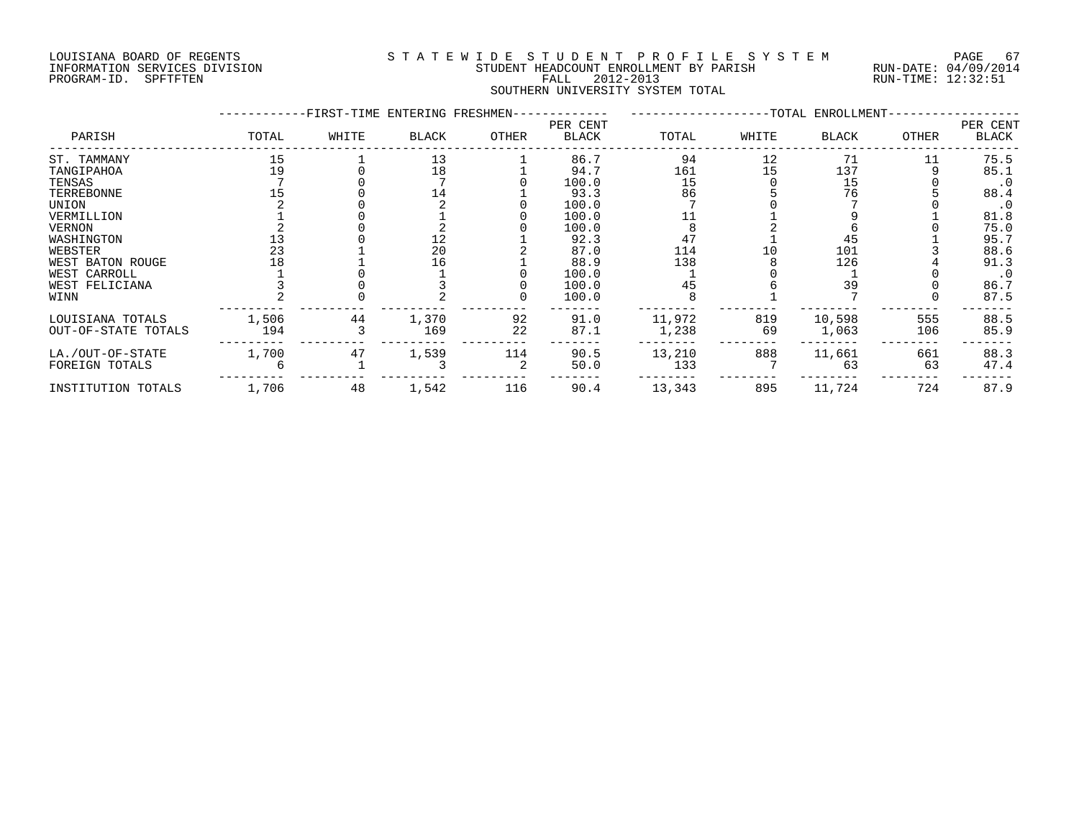#### LOUISIANA BOARD OF REGENTS S T A T E W I D E S T U D E N T P R O F I L E S Y S T E M PAGE 67 INFORMATION SERVICES DIVISION STUDENT HEADCOUNT ENROLLMENT BY PARISH RUN-DATE: 04/09/2014 PROGRAM-ID. SPFTFTEN FALL 2012-2013 RUN-TIME: 12:32:51 SOUTHERN UNIVERSITY SYSTEM TOTAL

|                     |       | -FIRST-TIME ENTERING FRESHMEN- |       |       |                          | -TOTAL ENROLLMENT- |       |        |              |                   |
|---------------------|-------|--------------------------------|-------|-------|--------------------------|--------------------|-------|--------|--------------|-------------------|
| PARISH              | TOTAL | WHITE                          | BLACK | OTHER | PER CENT<br><b>BLACK</b> | TOTAL              | WHITE | BLACK  | <b>OTHER</b> | PER CENT<br>BLACK |
| ST. TAMMANY         | 15    |                                | 13    |       | 86.7                     | 94                 | 12    | 71     | 11           | 75.5              |
| TANGIPAHOA          | 19    |                                | 18    |       | 94.7                     | 161                | 15    | 137    |              | 85.1              |
| TENSAS              |       |                                |       |       | 100.0                    | 15                 |       | 15     |              | $\cdot$ 0         |
| TERREBONNE          |       |                                |       |       | 93.3                     | 86                 |       | 76     |              | 88.4              |
| UNION               |       |                                |       |       | 100.0                    |                    |       |        |              | $\cdot$ 0         |
| VERMILLION          |       |                                |       |       | 100.0                    |                    |       |        |              | 81.8              |
| <b>VERNON</b>       |       |                                |       |       | 100.0                    |                    |       |        |              | 75.0              |
| WASHINGTON          |       |                                | 12    |       | 92.3                     | 47                 |       | 45     |              | 95.7              |
| WEBSTER             | 23    |                                | 20    |       | 87.0                     | 114                |       | 101    |              | 88.6              |
| WEST BATON ROUGE    |       |                                | 16    |       | 88.9                     | 138                |       | 126    |              | 91.3              |
| WEST CARROLL        |       |                                |       |       | 100.0                    |                    |       |        |              | $\cdot$ 0         |
| WEST FELICIANA      |       |                                |       |       | 100.0                    | 45                 |       | 39     |              | 86.7              |
| WINN                |       |                                |       |       | 100.0                    |                    |       |        |              | 87.5              |
| LOUISIANA TOTALS    | 1,506 | 44                             | 1,370 | 92    | 91.0                     | 11,972             | 819   | 10,598 | 555          | 88.5              |
| OUT-OF-STATE TOTALS | 194   |                                | 169   | 22    | 87.1                     | 1,238              | 69    | 1,063  | 106          | 85.9              |
| LA./OUT-OF-STATE    | 1,700 | 47                             | 1,539 | 114   | 90.5                     | 13,210             | 888   | 11,661 | 661          | 88.3              |
| FOREIGN TOTALS      |       |                                |       |       | 50.0                     | 133                |       | 63     | 63           | 47.4              |
| INSTITUTION TOTALS  | 1,706 | 48                             | 1,542 | 116   | 90.4                     | 13,343             | 895   | 11,724 | 724          | 87.9              |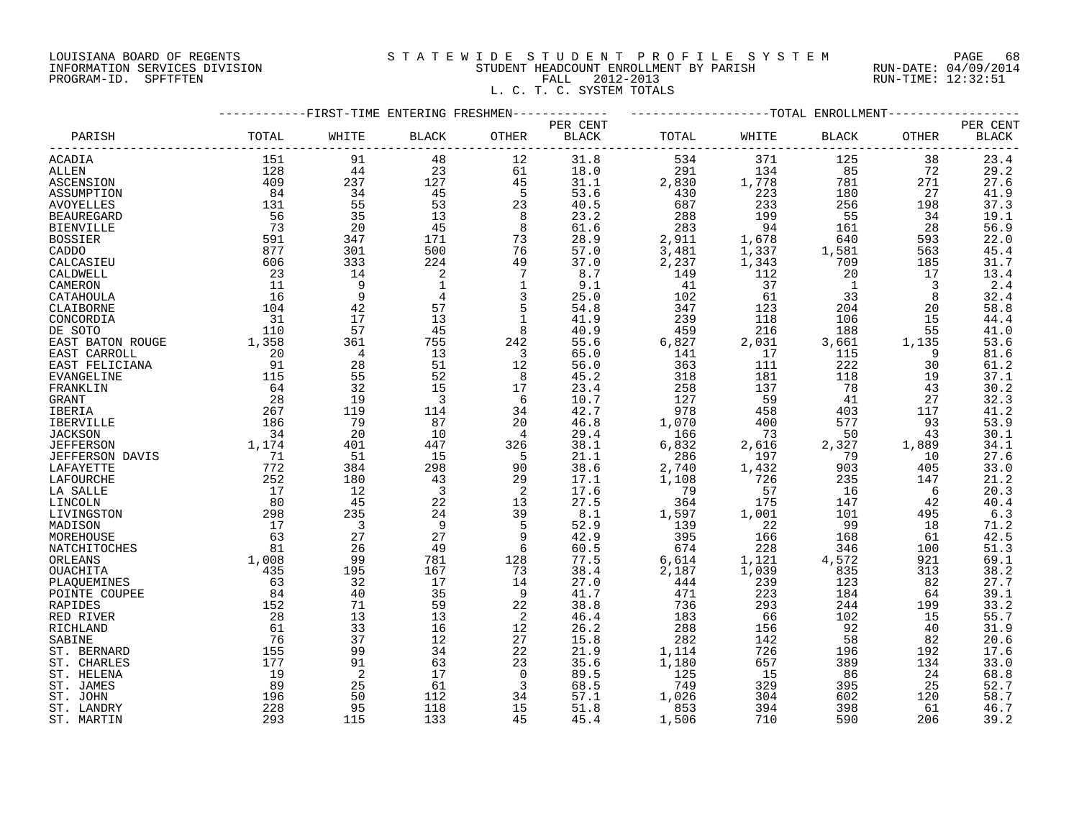#### LOUISIANA BOARD OF REGENTS S T A T E W I D E S T U D E N T P R O F I L E S Y S T E M PAGE 68 INFORMATION SERVICES DIVISION STUDENT HEADCOUNT ENROLLMENT BY PARISH RUN-DATE: 04/09/2014 PROGRAM-ID. SPFTFTEN FALL 2012-2013 RUN-TIME: 12:32:51 L. C. T. C. SYSTEM TOTALS

|                        |       | -FIRST-TIME ENTERING FRESHMEN- |                |                         |              |       |       | --TOTAL ENROLLMENT |       |              |
|------------------------|-------|--------------------------------|----------------|-------------------------|--------------|-------|-------|--------------------|-------|--------------|
|                        |       |                                |                |                         | PER CENT     |       |       |                    |       | PER CENT     |
| PARISH                 | TOTAL | WHITE                          | <b>BLACK</b>   | OTHER                   | <b>BLACK</b> | TOTAL | WHITE | <b>BLACK</b>       | OTHER | <b>BLACK</b> |
|                        |       |                                |                |                         |              |       |       |                    |       |              |
| ACADIA                 | 151   | 91                             | 48             | 12                      | 31.8         | 534   | 371   | 125                | 38    | 23.4         |
| <b>ALLEN</b>           | 128   | 44                             | 23             | 61                      | 18.0         | 291   | 134   | 85                 | 72    | 29.2         |
| ASCENSION              | 409   | 237                            | 127            | 45                      | 31.1         | 2,830 | 1,778 | 781                | 271   | 27.6         |
| ASSUMPTION             | 84    | 34                             | 45             | 5                       | 53.6         | 430   | 223   | 180                | 27    | 41.9         |
| <b>AVOYELLES</b>       | 131   | 55                             | 53             | 23                      | 40.5         | 687   | 233   | 256                | 198   | 37.3         |
| <b>BEAUREGARD</b>      | 56    | 35                             | 13             | 8                       | 23.2         | 288   | 199   | 55                 | 34    | 19.1         |
|                        | 73    | 20                             | 45             | 8                       | 61.6         | 283   | 94    |                    |       | 56.9         |
| <b>BIENVILLE</b>       |       |                                |                |                         |              |       |       | 161                | 28    |              |
| <b>BOSSIER</b>         | 591   | 347                            | 171            | 73                      | 28.9         | 2,911 | 1,678 | 640                | 593   | 22.0         |
| CADDO                  | 877   | 301                            | 500            | 76                      | 57.0         | 3,481 | 1,337 | 1,581              | 563   | 45.4         |
| CALCASIEU              | 606   | 333                            | 224            | 49                      | 37.0         | 2,237 | 1,343 | 709                | 185   | 31.7         |
| CALDWELL               | 23    | 14                             | 2              | $7\overline{ }$         | 8.7          | 149   | 112   | 20                 | 17    | 13.4         |
| CAMERON                | 11    | 9                              | 1              | 1                       | 9.1          | 41    | 37    | $\overline{1}$     | 3     | 2.4          |
| CATAHOULA              | 16    | 9                              | $\overline{4}$ | $\overline{3}$          | 25.0         | 102   | 61    | 33                 | 8     | 32.4         |
| CLAIBORNE              | 104   | 42                             | 57             | 5                       | 54.8         | 347   | 123   | 204                | 20    | 58.8         |
| CONCORDIA              | 31    | 17                             | 13             | $\mathbf{1}$            | 41.9         | 239   | 118   | 106                | 15    | 44.4         |
| DE SOTO                | 110   | 57                             | 45             | 8                       | 40.9         | 459   | 216   | 188                | 55    | 41.0         |
| EAST BATON ROUGE       | 1,358 | 361                            | 755            | 242                     | 55.6         | 6,827 | 2,031 | 3,661              | 1,135 | 53.6         |
|                        | 20    | $\overline{4}$                 | 13             | $\overline{3}$          | 65.0         | 141   | 17    | 115                | 9     |              |
| EAST CARROLL           |       |                                |                |                         |              |       |       |                    |       | 81.6         |
| EAST FELICIANA         | 91    | 28                             | 51             | 12                      | 56.0         | 363   | 111   | 222                | 30    | 61.2         |
| EVANGELINE             | 115   | 55                             | 52             | - 8                     | 45.2         | 318   | 181   | 118                | 19    | 37.1         |
| FRANKLIN               | 64    | 32                             | 15             | 17                      | 23.4         | 258   | 137   | 78                 | 43    | 30.2         |
| GRANT                  | 28    | 19                             | 3              | 6                       | 10.7         | 127   | 59    | 41                 | 27    | 32.3         |
| IBERIA                 | 267   | 119                            | 114            | 34                      | 42.7         | 978   | 458   | 403                | 117   | 41.2         |
| IBERVILLE              | 186   | 79                             | 87             | 20                      | 46.8         | 1,070 | 400   | 577                | 93    | 53.9         |
| <b>JACKSON</b>         | 34    | 20                             | 10             | 4                       | 29.4         | 166   | 73    | 50                 | 43    | 30.1         |
| <b>JEFFERSON</b>       | 1,174 | 401                            | 447            | 326                     | 38.1         | 6,832 | 2,616 | 2,327              | 1,889 | 34.1         |
| <b>JEFFERSON DAVIS</b> | 71    | 51                             | 15             | 5                       | 21.1         | 286   | 197   | 79                 | 10    | 27.6         |
| LAFAYETTE              | 772   | 384                            | 298            | 90                      | 38.6         | 2,740 | 1,432 | 903                | 405   | 33.0         |
| LAFOURCHE              | 252   | 180                            | 43             | 29                      | 17.1         | 1,108 | 726   | 235                | 147   | 21.2         |
|                        | 17    | 12                             | $\overline{3}$ | $\overline{2}$          | 17.6         | 79    | 57    | 16                 | 6     | 20.3         |
| LA SALLE               | 80    | 45                             | 22             | 13                      | 27.5         | 364   | 175   | 147                | 42    | 40.4         |
| LINCOLN                |       |                                |                | 39                      | 8.1          |       |       | 101                |       |              |
| LIVINGSTON             | 298   | 235                            | 24             |                         |              | 1,597 | 1,001 |                    | 495   | 6.3          |
| MADISON                | 17    | $\overline{\phantom{a}}$       | - 9            | -5                      | 52.9         | 139   | 22    | 99                 | 18    | 71.2         |
| MOREHOUSE              | 63    | 27                             | 27             | 9                       | 42.9         | 395   | 166   | 168                | 61    | 42.5         |
| NATCHITOCHES           | 81    | 26                             | 49             | 6                       | 60.5         | 674   | 228   | 346                | 100   | 51.3         |
| ORLEANS                | 1,008 | 99                             | 781            | 128                     | 77.5         | 6,614 | 1,121 | 4,572              | 921   | 69.1         |
| OUACHITA               | 435   | 195                            | 167            | 73                      | 38.4         | 2,187 | 1,039 | 835                | 313   | 38.2         |
| PLAQUEMINES            | 63    | 32                             | 17             | 14                      | 27.0         | 444   | 239   | 123                | 82    | 27.7         |
| POINTE COUPEE          | 84    | 40                             | 35             | - 9                     | 41.7         | 471   | 223   | 184                | 64    | 39.1         |
| RAPIDES                | 152   | 71                             | 59             | 22                      | 38.8         | 736   | 293   | 244                | 199   | 33.2         |
| RED RIVER              | 28    | 13                             | 13             | 2                       | 46.4         | 183   | 66    | 102                | 15    | 55.7         |
| RICHLAND               | 61    | 33                             | 16             | 12                      | 26.2         | 288   | 156   | 92                 | 40    | 31.9         |
| SABINE                 | 76    | 37                             | 12             | 27                      | 15.8         | 282   | 142   | 58                 | 82    | 20.6         |
| ST. BERNARD            | 155   | 99                             | 34             | 22                      | 21.9         | 1,114 | 726   | 196                | 192   | 17.6         |
|                        |       |                                |                |                         |              |       |       |                    |       |              |
| ST. CHARLES            | 177   | 91                             | 63             | 23                      | 35.6         | 1,180 | 657   | 389                | 134   | 33.0         |
| ST. HELENA             | 19    | 2                              | 17             | $\Omega$                | 89.5         | 125   | 15    | - 86               | 24    | 68.8         |
| ST. JAMES              | 89    | 25                             | 61             | $\overline{\mathbf{3}}$ | 68.5         | 749   | 329   | 395                | 25    | 52.7         |
| ST. JOHN               | 196   | 50                             | 112            | 34                      | 57.1         | 1,026 | 304   | 602                | 120   | 58.7         |
| ST. LANDRY             | 228   | 95                             | 118            | 15                      | 51.8         | 853   | 394   | 398                | 61    | 46.7         |
| ST. MARTIN             | 293   | 115                            | 133            | 45                      | 45.4         | 1,506 | 710   | 590                | 206   | 39.2         |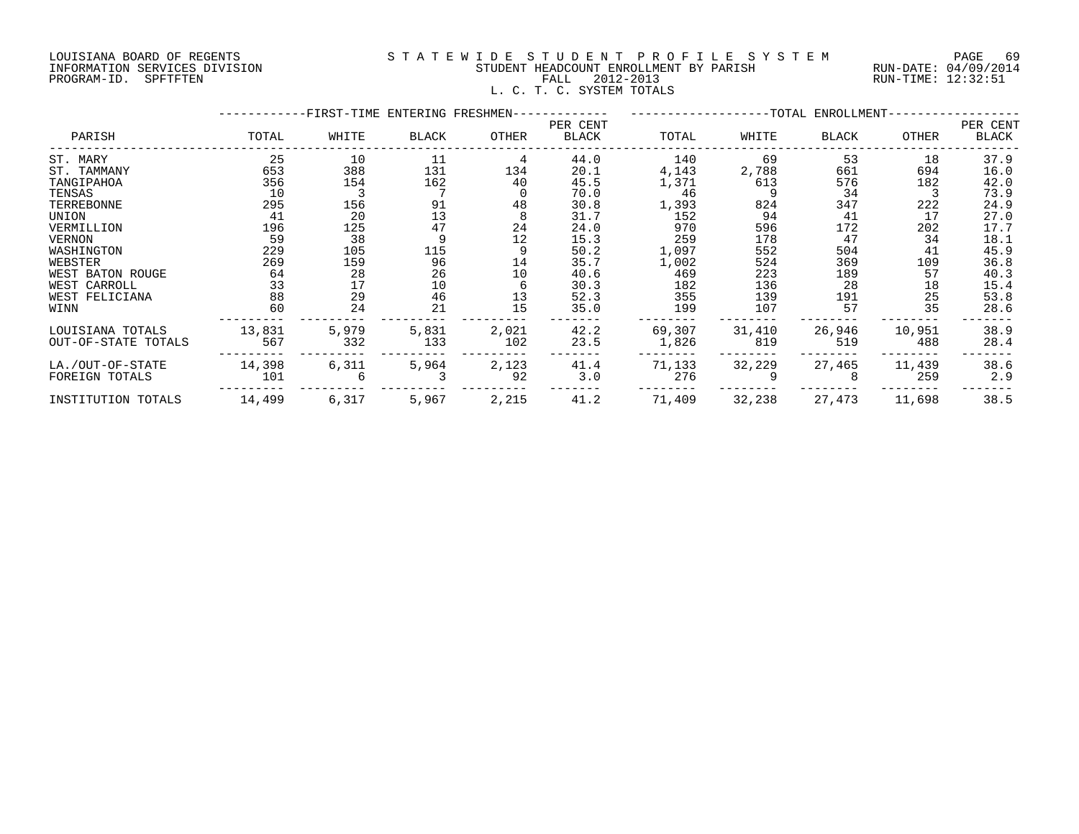#### LOUISIANA BOARD OF REGENTS S T A T E W I D E S T U D E N T P R O F I L E S Y S T E M PAGE 69 INFORMATION SERVICES DIVISION STUDENT HEADCOUNT ENROLLMENT BY PARISH RUN-DATE: 04/09/2014 PROGRAM-ID. SPFTFTEN FALL 2012-2013 RUN-TIME: 12:32:51 L. C. T. C. SYSTEM TOTALS

|                     |        | -FIRST-TIME ENTERING FRESHMEN- |              |       |                   |        |        |                                    |        |                   |
|---------------------|--------|--------------------------------|--------------|-------|-------------------|--------|--------|------------------------------------|--------|-------------------|
| PARISH              | TOTAL  | WHITE                          | <b>BLACK</b> | OTHER | PER CENT<br>BLACK | TOTAL  | WHITE  | -TOTAL ENROLLMENT-<br><b>BLACK</b> | OTHER  | PER CENT<br>BLACK |
| ST. MARY            | 25     | 10                             | 11           | 4     | 44.0              | 140    | 69     | 53                                 | 18     | 37.9              |
| ST. TAMMANY         | 653    | 388                            | 131          | 134   | 20.1              | 4,143  | 2,788  | 661                                | 694    | 16.0              |
| TANGIPAHOA          | 356    | 154                            | 162          | 40    | 45.5              | 1,371  | 613    | 576                                | 182    | 42.0              |
| TENSAS              | 10     |                                |              |       | 70.0              | 46     |        | 34                                 |        | 73.9              |
| TERREBONNE          | 295    | 156                            | 91           | 48    | 30.8              | 1,393  | 824    | 347                                | 222    | 24.9              |
| UNION               | 41     | 20                             | 13           |       | 31.7              | 152    | 94     | 41                                 | 17     | 27.0              |
| VERMILLION          | 196    | 125                            | 47           | 24    | 24.0              | 970    | 596    | 172                                | 202    | 17.7              |
| VERNON              | 59     | 38                             |              | 12    | 15.3              | 259    | 178    | 47                                 | 34     | 18.1              |
| WASHINGTON          | 229    | 105                            | 115          |       | 50.2              | 1,097  | 552    | 504                                | 41     | 45.9              |
| WEBSTER             | 269    | 159                            | 96           | 14    | 35.7              | 1,002  | 524    | 369                                | 109    | 36.8              |
| WEST BATON ROUGE    | 64     | 28                             | 26           | 10    | 40.6              | 469    | 223    | 189                                | 57     | 40.3              |
| WEST CARROLL        | 33     | 17                             | 10           |       | 30.3              | 182    | 136    | 28                                 | 18     | 15.4              |
| WEST FELICIANA      | 88     | 29                             | 46           | 13    | 52.3              | 355    | 139    | 191                                | 25     | 53.8              |
| WINN                | 60     | 24                             | 21           | 15    | 35.0              | 199    | 107    | 57                                 | 35     | 28.6              |
| LOUISIANA TOTALS    | 13,831 | 5,979                          | 5,831        | 2,021 | 42.2              | 69,307 | 31,410 | 26,946                             | 10,951 | 38.9              |
| OUT-OF-STATE TOTALS | 567    | 332                            | 133          | 102   | 23.5              | 1,826  | 819    | 519                                | 488    | 28.4              |
| LA./OUT-OF-STATE    | 14,398 | 6,311                          | 5,964        | 2,123 | 41.4              | 71,133 | 32,229 | 27,465                             | 11,439 | 38.6              |
| FOREIGN TOTALS      | 101    |                                |              | 92    | 3.0               | 276    |        |                                    | 259    | 2.9               |
| INSTITUTION TOTALS  | 14,499 | 6,317                          | 5,967        | 2,215 | 41.2              | 71,409 | 32,238 | 27,473                             | 11,698 | 38.5              |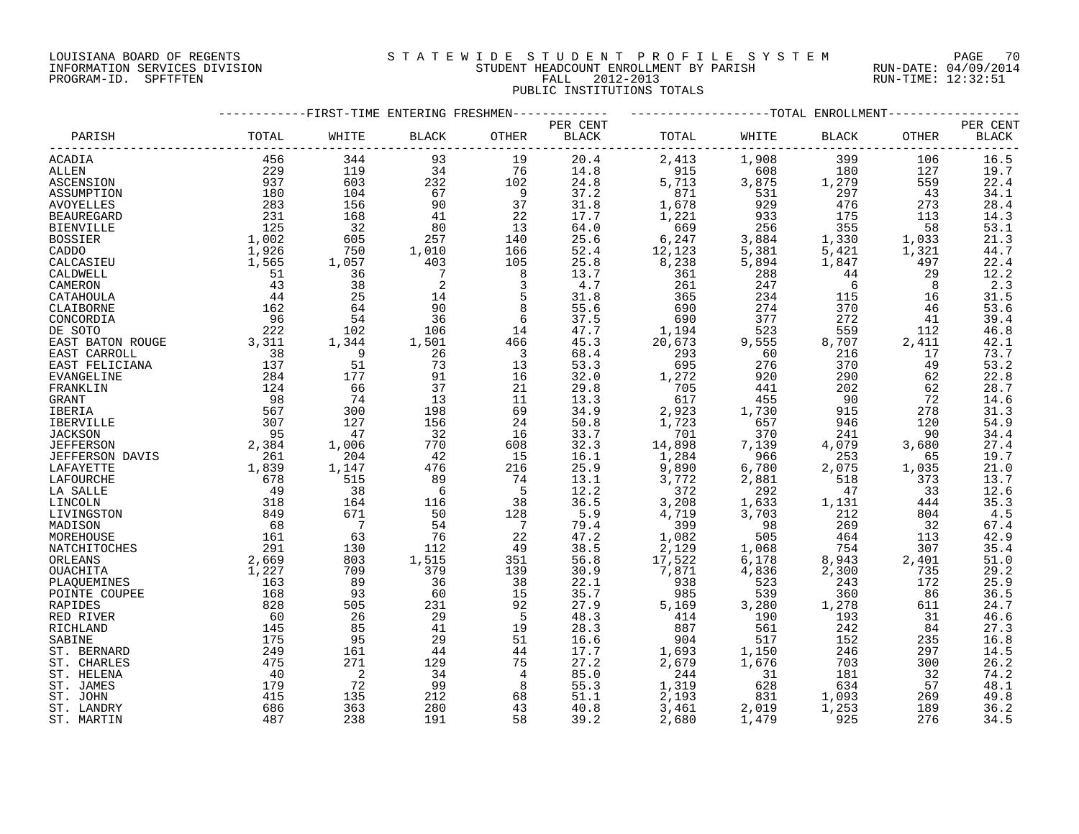#### LOUISIANA BOARD OF REGENTS S T A T E W I D E S T U D E N T P R O F I L E S Y S T E M PAGE 70 INFORMATION SERVICES DIVISION STUDENT HEADCOUNT ENROLLMENT BY PARISH RUN-DATE: 04/09/2014 PROGRAM-ID. SPFTFTEN FALL 2012-2013 RUN-TIME: 12:32:51 PUBLIC INSTITUTIONS TOTALS

|                   | -----------FIRST-TIME ENTERING FRESHMEN------------ |                            |                     | ------------------TOTAL ENROLLMENT-------- |          |        |       |       |       |                  |
|-------------------|-----------------------------------------------------|----------------------------|---------------------|--------------------------------------------|----------|--------|-------|-------|-------|------------------|
|                   |                                                     |                            |                     |                                            | PER CENT |        |       |       |       | PER CENT         |
| PARISH            | TOTAL                                               | WHITE                      | BLACK               | OTHER                                      | BLACK    | TOTAL  | WHITE | BLACK | OTHER | <b>BLACK</b>     |
| ACADIA            | 456                                                 | 344                        | 93                  | 19                                         | 20.4     | 2,413  | 1,908 | 399   | 106   | 16.5             |
| ALLEN             | 229                                                 | 119                        | 34                  | 76                                         | 14.8     | 915    | 608   | 180   | 127   | 19.7             |
| ASCENSION         | 937                                                 | 603                        | 232                 | 102                                        | 24.8     | 5,713  | 3,875 | 1,279 | 559   | 22.4             |
| ASSUMPTION        | 180                                                 | 104                        | 67                  | $\overline{9}$                             | 37.2     | 871    | 531   | 297   | 43    | 34.1             |
| <b>AVOYELLES</b>  | 283                                                 | 156                        | 90                  | 37                                         | 31.8     | 1,678  | 929   | 476   | 273   | 28.4             |
| <b>BEAUREGARD</b> | 231                                                 | 168                        | 41                  | 22                                         | 17.7     | 1,221  | 933   | 175   | 113   | 14.3             |
| <b>BIENVILLE</b>  | 125                                                 | 32                         | 80                  | 13                                         | 64.0     | 669    | 256   | 355   | 58    | 53.1             |
| <b>BOSSIER</b>    | 1,002                                               | 605                        | 257                 | 140                                        | 25.6     | 6,247  | 3,884 | 1,330 | 1,033 | 21.3             |
| CADDO             | 1,926                                               | 750                        | $\frac{1,011}{403}$ | $rac{1}{105}$                              | 52.4     | 12,123 | 5,381 | 5,421 | 1,321 | 44.7             |
| CALCASIEU         | 1,565                                               | 1,057                      |                     |                                            | 25.8     | 8,238  | 5,894 | 1,847 | 497   | 22.4             |
| CALDWELL          | 51                                                  | 36                         |                     | - 8                                        | 13.7     | 361    | 288   | 44    | 29    | 12.2             |
| CAMERON           | 43                                                  | 38                         | 2                   | 3                                          | 4.7      | 261    | 247   | 6     | 8     | 2.3              |
| CATAHOULA         | 44                                                  | 25                         | 14                  | 5                                          | 31.8     | 365    | 234   | 115   | 16    | 31.5             |
| CLAIBORNE         | 162                                                 | 64                         | 90                  | 8                                          | 55.6     | 690    | 274   | 370   | 46    | 53.6             |
| CONCORDIA         | 96                                                  | 54                         | 36                  | 6                                          | 37.5     | 690    | 377   | 272   | 41    | 39.4             |
| DE SOTO           | 222                                                 | 102                        | 106                 | 14                                         | 47.7     | 1,194  | 523   | 559   | 112   | 46.8             |
| EAST BATON ROUGE  | 3,311                                               | 1,344                      | 1,501               | 466                                        | 45.3     | 20,673 | 9,555 | 8,707 | 2,411 | 42.1             |
| EAST CARROLL      | 38                                                  | - 9                        | 26                  | $\overline{\phantom{a}}$                   | 68.4     | 293    | 60    | 216   | 17    | 73.7             |
| EAST FELICIANA    | 137                                                 | 51                         | 73                  | 13                                         | 53.3     | 695    | 276   | 370   | 49    | 53.2             |
| EVANGELINE        | 284                                                 | 177                        | 91                  | 16                                         | 32.0     | 1,272  | 920   | 290   | 62    | 22.8             |
| FRANKLIN          | 124                                                 | 66                         | 37                  | 21                                         | 29.8     | 705    | 441   | 202   | 62    | 28.7             |
| GRANT             | 98                                                  | 74                         | 13                  | 11                                         | 13.3     | 617    | 455   | 90    | 72    | 14.6             |
| IBERIA            | 567                                                 | 300                        | 198                 | 69                                         | 34.9     | 2,923  | 1,730 | 915   | 278   | 31.3             |
| IBERVILLE         | 307                                                 | 127                        | 156                 | 24                                         | 50.8     | 1,723  | 657   | 946   | 120   | 54.9             |
| <b>JACKSON</b>    | 95                                                  | 47                         | 32                  | 16                                         | 33.7     | 701    | 370   | 241   | 90    | 34.4             |
| <b>JEFFERSON</b>  | 2,384                                               | 1,006                      | 770                 | 608                                        | 32.3     | 14,898 | 7,139 | 4,079 | 3,680 | 27.4             |
| JEFFERSON DAVIS   | 261                                                 | 204                        | 42                  | 15                                         | 16.1     | 1,284  | 966   | 253   | 65    | 19.7             |
| LAFAYETTE         | 1,839                                               | 1,147                      | 476                 | 216                                        | 25.9     | 9,890  | 6,780 | 2,075 | 1,035 | 21.0             |
| LAFOURCHE         | 678                                                 | 515                        | 89                  | 74                                         | 13.1     | 3,772  | 2,881 | 518   | 373   | 13.7             |
| LA SALLE          | 49                                                  | 38                         | 6                   | $5^{\circ}$                                | 12.2     | 372    | 292   | 47    | 33    | 12.6             |
| LINCOLN           | 318                                                 | 164                        | 116                 | 38                                         | 36.5     | 3,208  | 1,633 | 1,131 | 444   | 35.3             |
| LIVINGSTON        | 849                                                 | 671                        | 50                  | 128                                        | 5.9      | 4,719  | 3,703 | 212   | 804   | 4.5              |
| MADISON           | 68                                                  | $\overline{7}$             | 54                  | $\overline{7}$                             | 79.4     | 399    | 98    | 269   | 32    | 67.4             |
| MOREHOUSE         | 161                                                 | 63                         | 76                  | 22                                         | 47.2     | 1,082  | 505   | 464   | 113   | 42.9             |
| NATCHITOCHES      | 291                                                 | 130                        | 112                 | 49                                         | 38.5     | 2,129  | 1,068 | 754   | 307   | 35.4             |
| ORLEANS           | 2,669                                               | 803                        | 1,515               | 351                                        | 56.8     | 17,522 | 6,178 | 8,943 | 2,401 | 51.0             |
| OUACHITA          | 1,227                                               | 709                        | 379                 | 139                                        | 30.9     | 7,871  | 4,836 | 2,300 | 735   | 29.2             |
| PLAQUEMINES       | 163                                                 | 89                         | - 36                | 38                                         | 22.1     | 938    | 523   | 243   | 172   | 25.9             |
| POINTE COUPEE     | 168                                                 | 93                         | 60                  | 15                                         | 35.7     | 985    | 539   | 360   | 86    | 36.5             |
| RAPIDES           | 828                                                 | 505                        | 231                 | 92                                         | 27.9     | 5,169  | 3,280 | 1,278 | 611   | 24.7             |
| RED RIVER         | 60                                                  | 26                         | 29                  | $-5$                                       | 48.3     | 414    | 190   | 193   | 31    | 46.6             |
| RICHLAND          | 145                                                 | 85                         | 41                  | 19                                         | 28.3     | 887    | 561   | 242   | 84    | 27.3             |
| SABINE            | 175                                                 | 95                         | 29                  | 51                                         | 16.6     | 904    | 517   | 152   | 235   | 16.8             |
| ST. BERNARD       | 249                                                 | 161                        | 44                  | 44                                         | 17.7     | 1,693  | 1,150 | 246   | 297   | 14.5             |
| ST. CHARLES       | 475                                                 | 271                        | 129                 | 75                                         | 27.2     | 2,679  | 1,676 | 703   | 300   |                  |
| ST. HELENA        | 40                                                  | $\overline{\phantom{0}}^2$ | 34                  | $\overline{4}$                             | 85.0     | 244    | 31    | 181   | 32    | $26.2$<br>$74.2$ |
| ST. JAMES         | 179                                                 | 72                         | 99                  | 8                                          | 55.3     | 1,319  | 628   | 634   | 57    | 48.1             |
| ST. JOHN          | 415                                                 | 135                        | 212                 | 68                                         | 51.1     | 2,193  | 831   | 1,093 | 269   | 49.8             |
| ST. LANDRY        | 686                                                 | 363                        | 280                 | 43                                         | 40.8     | 3,461  | 2,019 | 1,253 | 189   | 36.2             |
| ST. MARTIN        | 487                                                 | 238                        | 191                 | 58                                         | 39.2     | 2,680  | 1,479 | 925   | 276   | 34.5             |
|                   |                                                     |                            |                     |                                            |          |        |       |       |       |                  |